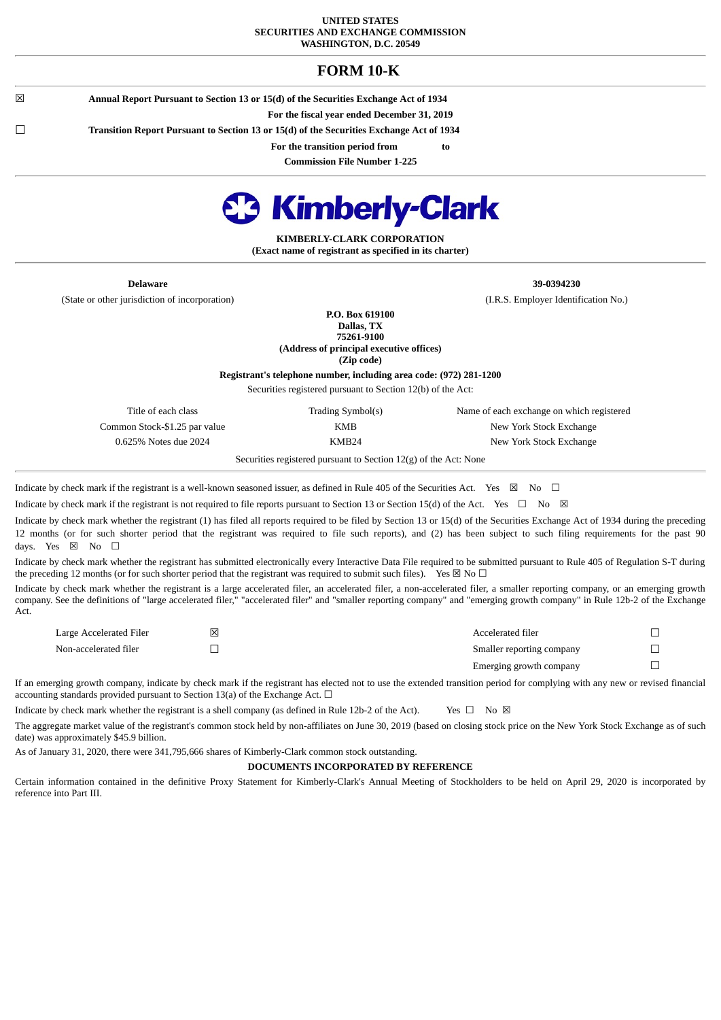#### **UNITED STATES SECURITIES AND EXCHANGE COMMISSION WASHINGTON, D.C. 20549**

# **FORM 10-K**

| × | Annual Report Pursuant to Section 13 or 15(d) of the Securities Exchange Act of 1934     |    |  |  |  |  |  |  |  |
|---|------------------------------------------------------------------------------------------|----|--|--|--|--|--|--|--|
|   | For the fiscal year ended December 31, 2019                                              |    |  |  |  |  |  |  |  |
|   | Transition Report Pursuant to Section 13 or 15(d) of the Securities Exchange Act of 1934 |    |  |  |  |  |  |  |  |
|   | For the transition period from                                                           | to |  |  |  |  |  |  |  |
|   | <b>Commission File Number 1-225</b>                                                      |    |  |  |  |  |  |  |  |
|   |                                                                                          |    |  |  |  |  |  |  |  |

# **Kimberly-Clark**

**KIMBERLY-CLARK CORPORATION (Exact name of registrant as specified in its charter)**

(State or other jurisdiction of incorporation) (I.R.S. Employer Identification No.)

**Delaware 39-0394230**

**P.O. Box 619100 Dallas, TX 75261-9100 (Address of principal executive offices) (Zip code)**

**Registrant's telephone number, including area code: (972) 281-1200**

Securities registered pursuant to Section 12(b) of the Act:

| Title of each class                                              | Trading Symbol(s) | Name of each exchange on which registered |  |  |  |  |  |
|------------------------------------------------------------------|-------------------|-------------------------------------------|--|--|--|--|--|
| Common Stock-\$1.25 par value                                    | KMB               | New York Stock Exchange                   |  |  |  |  |  |
| 0.625% Notes due 2024                                            | KMB <sub>24</sub> | New York Stock Exchange                   |  |  |  |  |  |
| Securities registered pursuant to Section 12(g) of the Act: None |                   |                                           |  |  |  |  |  |

Indicate by check mark if the registrant is a well-known seasoned issuer, as defined in Rule 405 of the Securities Act. Yes  $\boxtimes$  No  $\Box$ 

Indicate by check mark if the registrant is not required to file reports pursuant to Section 13 or Section 15(d) of the Act. Yes  $\Box$  No  $\boxtimes$ 

Indicate by check mark whether the registrant (1) has filed all reports required to be filed by Section 13 or 15(d) of the Securities Exchange Act of 1934 during the preceding 12 months (or for such shorter period that the registrant was required to file such reports), and (2) has been subject to such filing requirements for the past 90 days. Yes ⊠ No □

Indicate by check mark whether the registrant has submitted electronically every Interactive Data File required to be submitted pursuant to Rule 405 of Regulation S-T during the preceding 12 months (or for such shorter period that the registrant was required to submit such files). Yes  $\boxtimes$  No  $\Box$ 

Indicate by check mark whether the registrant is a large accelerated filer, an accelerated filer, a non-accelerated filer, a smaller reporting company, or an emerging growth company. See the definitions of "large accelerated filer," "accelerated filer" and "smaller reporting company" and "emerging growth company" in Rule 12b-2 of the Exchange Act.

| Large Accelerated Filer | ⊠ | Accelerated filer         |  |
|-------------------------|---|---------------------------|--|
| Non-accelerated filer   |   | Smaller reporting company |  |
|                         |   | Emerging growth company   |  |

If an emerging growth company, indicate by check mark if the registrant has elected not to use the extended transition period for complying with any new or revised financial accounting standards provided pursuant to Section 13(a) of the Exchange Act.  $\Box$ 

Indicate by check mark whether the registrant is a shell company (as defined in Rule 12b-2 of the Act). Yes  $\Box$  No  $\boxtimes$ 

The aggregate market value of the registrant's common stock held by non-affiliates on June 30, 2019 (based on closing stock price on the New York Stock Exchange as of such date) was approximately \$45.9 billion.

As of January 31, 2020, there were 341,795,666 shares of Kimberly-Clark common stock outstanding.

#### **DOCUMENTS INCORPORATED BY REFERENCE**

Certain information contained in the definitive Proxy Statement for Kimberly-Clark's Annual Meeting of Stockholders to be held on April 29, 2020 is incorporated by reference into Part III.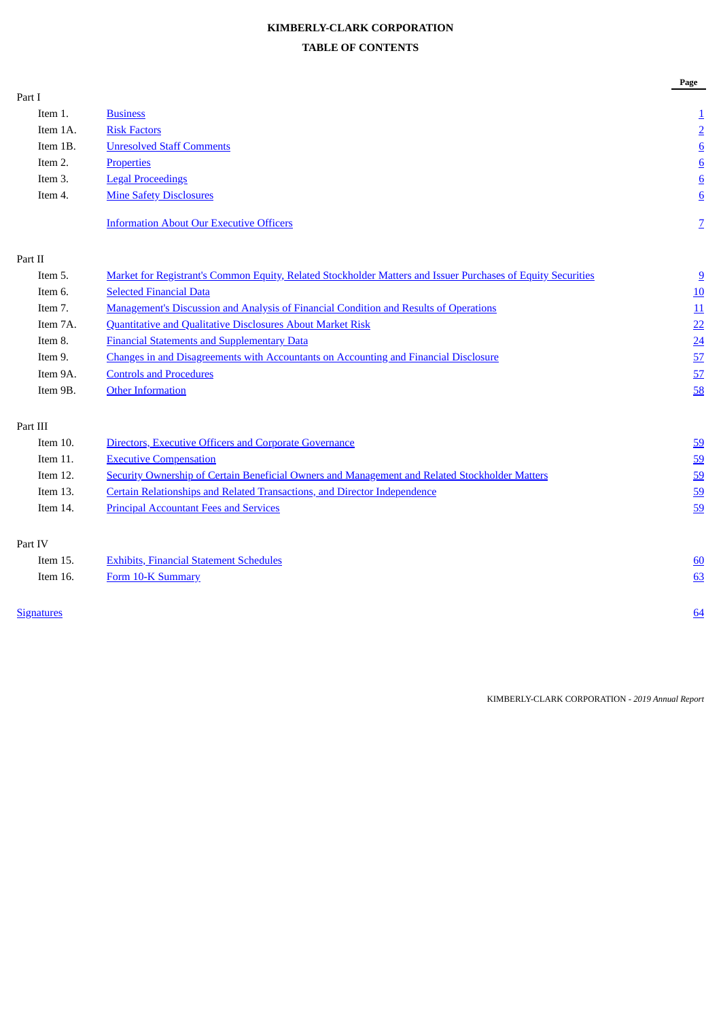# **KIMBERLY-CLARK CORPORATION**

# **TABLE OF CONTENTS**

|                   |                                                                                                              | Page             |
|-------------------|--------------------------------------------------------------------------------------------------------------|------------------|
| Part I            |                                                                                                              |                  |
| Item 1.           | <b>Business</b>                                                                                              | $\overline{1}$   |
| Item 1A.          | <b>Risk Factors</b>                                                                                          |                  |
| Item 1B.          | <b>Unresolved Staff Comments</b>                                                                             | $\frac{2}{6}$    |
| Item 2.           | <b>Properties</b>                                                                                            | $\overline{6}$   |
| Item 3.           | <b>Legal Proceedings</b>                                                                                     | $6 \overline{6}$ |
| Item 4.           | <b>Mine Safety Disclosures</b>                                                                               | $6\overline{6}$  |
|                   | <b>Information About Our Executive Officers</b>                                                              | $\overline{Z}$   |
| Part II           |                                                                                                              |                  |
| Item 5.           | Market for Registrant's Common Equity, Related Stockholder Matters and Issuer Purchases of Equity Securities | 9                |
| Item 6.           | <b>Selected Financial Data</b>                                                                               | 10               |
| Item 7.           | Management's Discussion and Analysis of Financial Condition and Results of Operations                        | $\underline{11}$ |
| Item 7A.          | Quantitative and Qualitative Disclosures About Market Risk                                                   | $\overline{22}$  |
| Item 8.           | <b>Financial Statements and Supplementary Data</b>                                                           | $\overline{24}$  |
| Item 9.           | Changes in and Disagreements with Accountants on Accounting and Financial Disclosure                         | $\frac{57}{2}$   |
| Item 9A.          | <b>Controls and Procedures</b>                                                                               | 57               |
| Item 9B.          | <b>Other Information</b>                                                                                     | 58               |
| Part III          |                                                                                                              |                  |
| Item 10.          | Directors, Executive Officers and Corporate Governance                                                       | 59               |
| Item 11.          | <b>Executive Compensation</b>                                                                                | <u>59</u>        |
| Item 12.          | <b>Security Ownership of Certain Beneficial Owners and Management and Related Stockholder Matters</b>        | 59               |
| Item 13.          | <b>Certain Relationships and Related Transactions, and Director Independence</b>                             | 59               |
| Item 14.          | <b>Principal Accountant Fees and Services</b>                                                                | 59               |
| Part IV           |                                                                                                              |                  |
| Item 15.          | <b>Exhibits, Financial Statement Schedules</b>                                                               | 60               |
| Item 16.          | Form 10-K Summary                                                                                            | 63               |
|                   |                                                                                                              |                  |
| <b>Signatures</b> |                                                                                                              | 64               |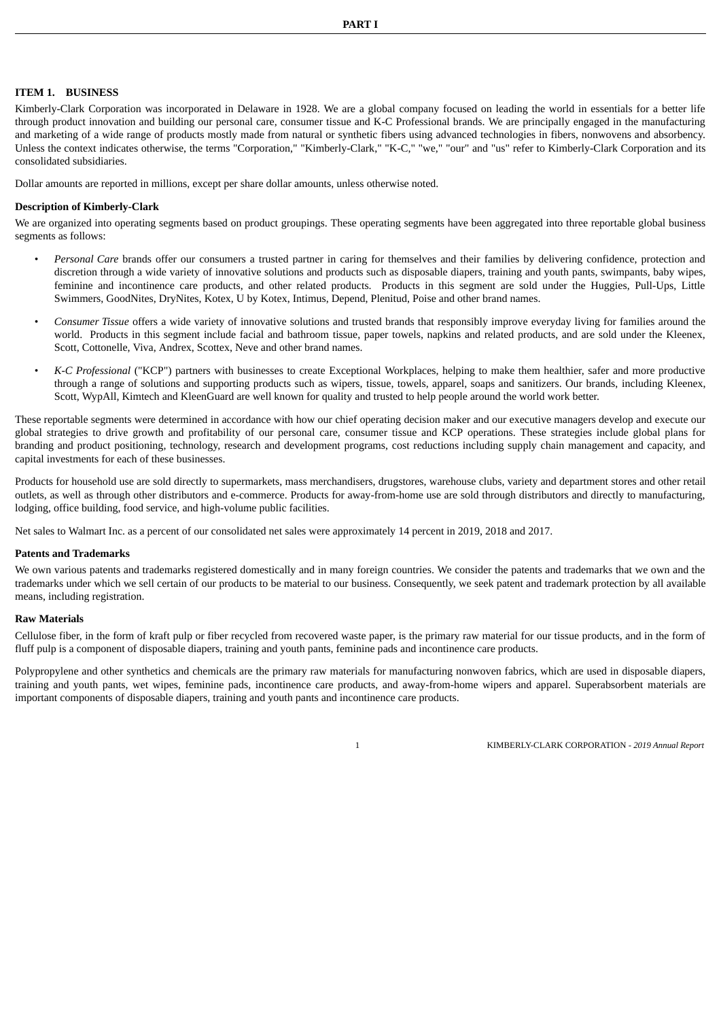## <span id="page-2-0"></span>**ITEM 1. BUSINESS**

Kimberly-Clark Corporation was incorporated in Delaware in 1928. We are a global company focused on leading the world in essentials for a better life through product innovation and building our personal care, consumer tissue and K-C Professional brands. We are principally engaged in the manufacturing and marketing of a wide range of products mostly made from natural or synthetic fibers using advanced technologies in fibers, nonwovens and absorbency. Unless the context indicates otherwise, the terms "Corporation," "Kimberly-Clark," "K-C," "we," "our" and "us" refer to Kimberly-Clark Corporation and its consolidated subsidiaries.

Dollar amounts are reported in millions, except per share dollar amounts, unless otherwise noted.

#### **Description of Kimberly-Clark**

We are organized into operating segments based on product groupings. These operating segments have been aggregated into three reportable global business segments as follows:

- *Personal Care* brands offer our consumers a trusted partner in caring for themselves and their families by delivering confidence, protection and discretion through a wide variety of innovative solutions and products such as disposable diapers, training and youth pants, swimpants, baby wipes, feminine and incontinence care products, and other related products. Products in this segment are sold under the Huggies, Pull-Ups, Little Swimmers, GoodNites, DryNites, Kotex, U by Kotex, Intimus, Depend, Plenitud, Poise and other brand names.
- *Consumer Tissue* offers a wide variety of innovative solutions and trusted brands that responsibly improve everyday living for families around the world. Products in this segment include facial and bathroom tissue, paper towels, napkins and related products, and are sold under the Kleenex, Scott, Cottonelle, Viva, Andrex, Scottex, Neve and other brand names.
- *K-C Professional* ("KCP") partners with businesses to create Exceptional Workplaces, helping to make them healthier, safer and more productive through a range of solutions and supporting products such as wipers, tissue, towels, apparel, soaps and sanitizers. Our brands, including Kleenex, Scott, WypAll, Kimtech and KleenGuard are well known for quality and trusted to help people around the world work better.

These reportable segments were determined in accordance with how our chief operating decision maker and our executive managers develop and execute our global strategies to drive growth and profitability of our personal care, consumer tissue and KCP operations. These strategies include global plans for branding and product positioning, technology, research and development programs, cost reductions including supply chain management and capacity, and capital investments for each of these businesses.

Products for household use are sold directly to supermarkets, mass merchandisers, drugstores, warehouse clubs, variety and department stores and other retail outlets, as well as through other distributors and e-commerce. Products for away-from-home use are sold through distributors and directly to manufacturing, lodging, office building, food service, and high-volume public facilities.

Net sales to Walmart Inc. as a percent of our consolidated net sales were approximately 14 percent in 2019, 2018 and 2017.

#### **Patents and Trademarks**

We own various patents and trademarks registered domestically and in many foreign countries. We consider the patents and trademarks that we own and the trademarks under which we sell certain of our products to be material to our business. Consequently, we seek patent and trademark protection by all available means, including registration.

## **Raw Materials**

Cellulose fiber, in the form of kraft pulp or fiber recycled from recovered waste paper, is the primary raw material for our tissue products, and in the form of fluff pulp is a component of disposable diapers, training and youth pants, feminine pads and incontinence care products.

Polypropylene and other synthetics and chemicals are the primary raw materials for manufacturing nonwoven fabrics, which are used in disposable diapers, training and youth pants, wet wipes, feminine pads, incontinence care products, and away-from-home wipers and apparel. Superabsorbent materials are important components of disposable diapers, training and youth pants and incontinence care products.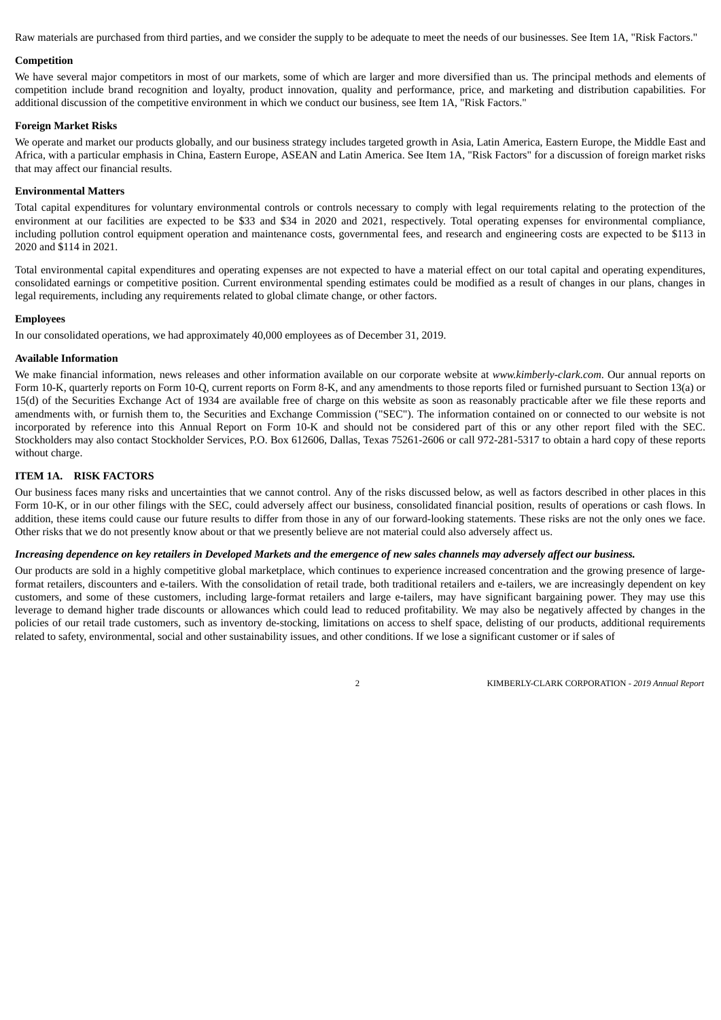Raw materials are purchased from third parties, and we consider the supply to be adequate to meet the needs of our businesses. See Item 1A, "Risk Factors."

#### **Competition**

We have several major competitors in most of our markets, some of which are larger and more diversified than us. The principal methods and elements of competition include brand recognition and loyalty, product innovation, quality and performance, price, and marketing and distribution capabilities. For additional discussion of the competitive environment in which we conduct our business, see Item 1A, "Risk Factors."

## **Foreign Market Risks**

We operate and market our products globally, and our business strategy includes targeted growth in Asia, Latin America, Eastern Europe, the Middle East and Africa, with a particular emphasis in China, Eastern Europe, ASEAN and Latin America. See Item 1A, "Risk Factors" for a discussion of foreign market risks that may affect our financial results.

## **Environmental Matters**

Total capital expenditures for voluntary environmental controls or controls necessary to comply with legal requirements relating to the protection of the environment at our facilities are expected to be \$33 and \$34 in 2020 and 2021, respectively. Total operating expenses for environmental compliance, including pollution control equipment operation and maintenance costs, governmental fees, and research and engineering costs are expected to be \$113 in 2020 and \$114 in 2021.

Total environmental capital expenditures and operating expenses are not expected to have a material effect on our total capital and operating expenditures, consolidated earnings or competitive position. Current environmental spending estimates could be modified as a result of changes in our plans, changes in legal requirements, including any requirements related to global climate change, or other factors.

## **Employees**

In our consolidated operations, we had approximately 40,000 employees as of December 31, 2019.

## **Available Information**

We make financial information, news releases and other information available on our corporate website at *www.kimberly-clark.com*. Our annual reports on Form 10-K, quarterly reports on Form 10-Q, current reports on Form 8-K, and any amendments to those reports filed or furnished pursuant to Section 13(a) or 15(d) of the Securities Exchange Act of 1934 are available free of charge on this website as soon as reasonably practicable after we file these reports and amendments with, or furnish them to, the Securities and Exchange Commission ("SEC"). The information contained on or connected to our website is not incorporated by reference into this Annual Report on Form 10-K and should not be considered part of this or any other report filed with the SEC. Stockholders may also contact Stockholder Services, P.O. Box 612606, Dallas, Texas 75261-2606 or call 972-281-5317 to obtain a hard copy of these reports without charge.

## <span id="page-3-0"></span>**ITEM 1A. RISK FACTORS**

Our business faces many risks and uncertainties that we cannot control. Any of the risks discussed below, as well as factors described in other places in this Form 10-K, or in our other filings with the SEC, could adversely affect our business, consolidated financial position, results of operations or cash flows. In addition, these items could cause our future results to differ from those in any of our forward-looking statements. These risks are not the only ones we face. Other risks that we do not presently know about or that we presently believe are not material could also adversely affect us.

# Increasing dependence on key retailers in Developed Markets and the emergence of new sales channels may adversely affect our business.

Our products are sold in a highly competitive global marketplace, which continues to experience increased concentration and the growing presence of largeformat retailers, discounters and e-tailers. With the consolidation of retail trade, both traditional retailers and e-tailers, we are increasingly dependent on key customers, and some of these customers, including large-format retailers and large e-tailers, may have significant bargaining power. They may use this leverage to demand higher trade discounts or allowances which could lead to reduced profitability. We may also be negatively affected by changes in the policies of our retail trade customers, such as inventory de-stocking, limitations on access to shelf space, delisting of our products, additional requirements related to safety, environmental, social and other sustainability issues, and other conditions. If we lose a significant customer or if sales of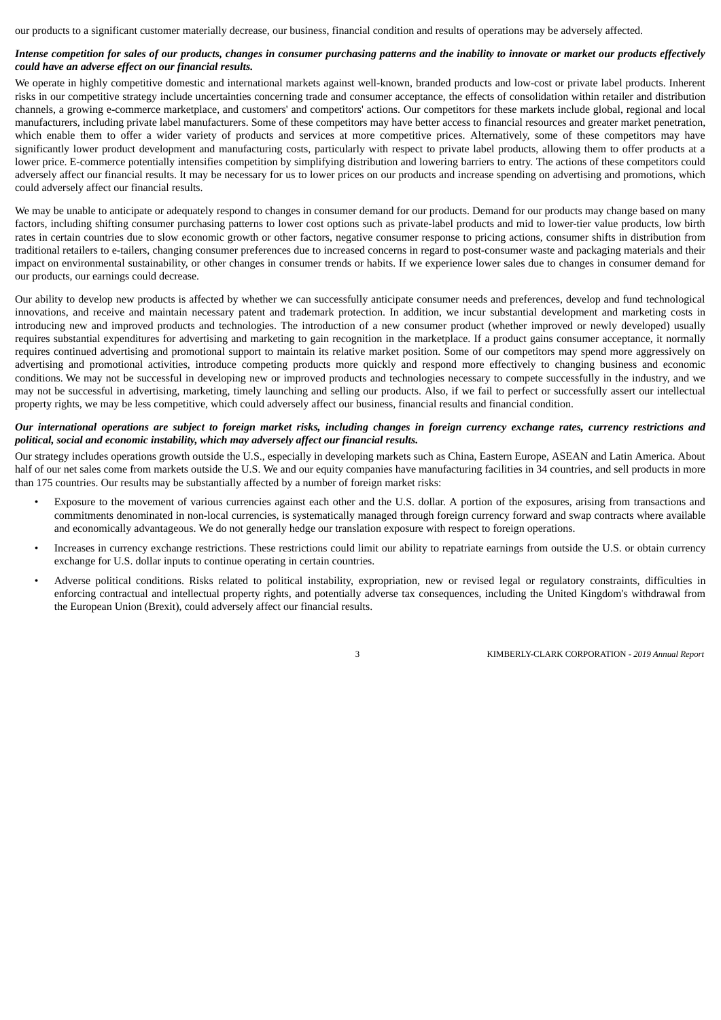our products to a significant customer materially decrease, our business, financial condition and results of operations may be adversely affected.

#### Intense competition for sales of our products, changes in consumer purchasing patterns and the inability to innovate or market our products effectively *could have an adverse effect on our financial results.*

We operate in highly competitive domestic and international markets against well-known, branded products and low-cost or private label products. Inherent risks in our competitive strategy include uncertainties concerning trade and consumer acceptance, the effects of consolidation within retailer and distribution channels, a growing e-commerce marketplace, and customers' and competitors' actions. Our competitors for these markets include global, regional and local manufacturers, including private label manufacturers. Some of these competitors may have better access to financial resources and greater market penetration, which enable them to offer a wider variety of products and services at more competitive prices. Alternatively, some of these competitors may have significantly lower product development and manufacturing costs, particularly with respect to private label products, allowing them to offer products at a lower price. E-commerce potentially intensifies competition by simplifying distribution and lowering barriers to entry. The actions of these competitors could adversely affect our financial results. It may be necessary for us to lower prices on our products and increase spending on advertising and promotions, which could adversely affect our financial results.

We may be unable to anticipate or adequately respond to changes in consumer demand for our products. Demand for our products may change based on many factors, including shifting consumer purchasing patterns to lower cost options such as private-label products and mid to lower-tier value products, low birth rates in certain countries due to slow economic growth or other factors, negative consumer response to pricing actions, consumer shifts in distribution from traditional retailers to e-tailers, changing consumer preferences due to increased concerns in regard to post-consumer waste and packaging materials and their impact on environmental sustainability, or other changes in consumer trends or habits. If we experience lower sales due to changes in consumer demand for our products, our earnings could decrease.

Our ability to develop new products is affected by whether we can successfully anticipate consumer needs and preferences, develop and fund technological innovations, and receive and maintain necessary patent and trademark protection. In addition, we incur substantial development and marketing costs in introducing new and improved products and technologies. The introduction of a new consumer product (whether improved or newly developed) usually requires substantial expenditures for advertising and marketing to gain recognition in the marketplace. If a product gains consumer acceptance, it normally requires continued advertising and promotional support to maintain its relative market position. Some of our competitors may spend more aggressively on advertising and promotional activities, introduce competing products more quickly and respond more effectively to changing business and economic conditions. We may not be successful in developing new or improved products and technologies necessary to compete successfully in the industry, and we may not be successful in advertising, marketing, timely launching and selling our products. Also, if we fail to perfect or successfully assert our intellectual property rights, we may be less competitive, which could adversely affect our business, financial results and financial condition.

## Our international operations are subject to foreign market risks, including changes in foreign currency exchange rates, currency restrictions and *political, social and economic instability, which may adversely affect our financial results.*

Our strategy includes operations growth outside the U.S., especially in developing markets such as China, Eastern Europe, ASEAN and Latin America. About half of our net sales come from markets outside the U.S. We and our equity companies have manufacturing facilities in 34 countries, and sell products in more than 175 countries. Our results may be substantially affected by a number of foreign market risks:

- Exposure to the movement of various currencies against each other and the U.S. dollar. A portion of the exposures, arising from transactions and commitments denominated in non-local currencies, is systematically managed through foreign currency forward and swap contracts where available and economically advantageous. We do not generally hedge our translation exposure with respect to foreign operations.
- Increases in currency exchange restrictions. These restrictions could limit our ability to repatriate earnings from outside the U.S. or obtain currency exchange for U.S. dollar inputs to continue operating in certain countries.
- Adverse political conditions. Risks related to political instability, expropriation, new or revised legal or regulatory constraints, difficulties in enforcing contractual and intellectual property rights, and potentially adverse tax consequences, including the United Kingdom's withdrawal from the European Union (Brexit), could adversely affect our financial results.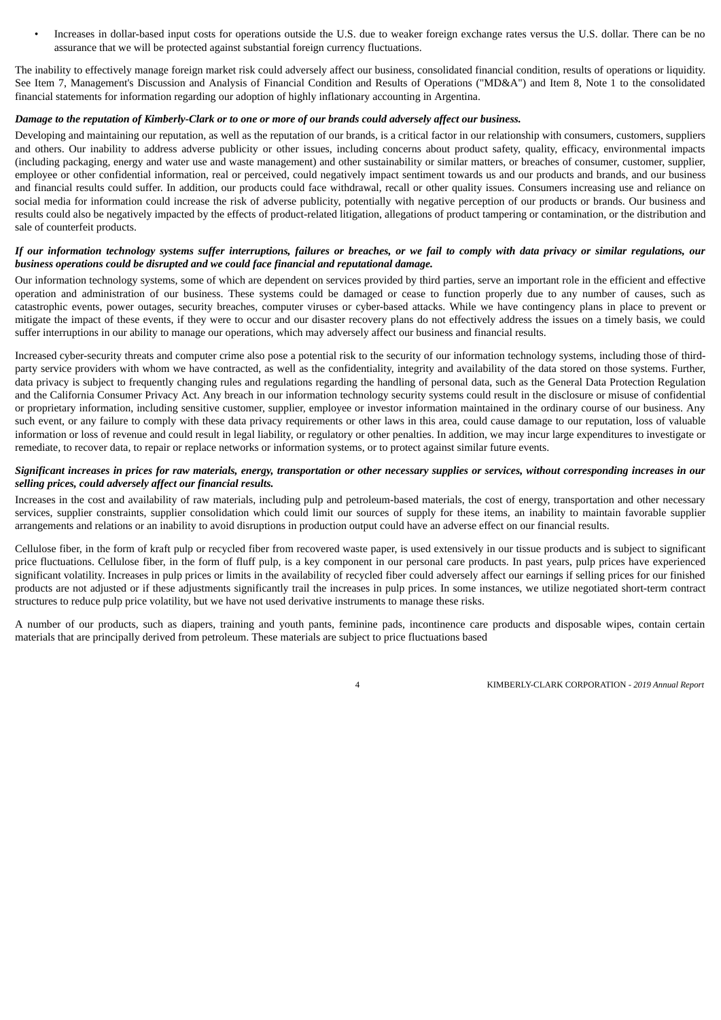• Increases in dollar-based input costs for operations outside the U.S. due to weaker foreign exchange rates versus the U.S. dollar. There can be no assurance that we will be protected against substantial foreign currency fluctuations.

The inability to effectively manage foreign market risk could adversely affect our business, consolidated financial condition, results of operations or liquidity. See Item 7, Management's Discussion and Analysis of Financial Condition and Results of Operations ("MD&A") and Item 8, Note 1 to the consolidated financial statements for information regarding our adoption of highly inflationary accounting in Argentina.

#### Damage to the reputation of Kimberly-Clark or to one or more of our brands could adversely affect our business.

Developing and maintaining our reputation, as well as the reputation of our brands, is a critical factor in our relationship with consumers, customers, suppliers and others. Our inability to address adverse publicity or other issues, including concerns about product safety, quality, efficacy, environmental impacts (including packaging, energy and water use and waste management) and other sustainability or similar matters, or breaches of consumer, customer, supplier, employee or other confidential information, real or perceived, could negatively impact sentiment towards us and our products and brands, and our business and financial results could suffer. In addition, our products could face withdrawal, recall or other quality issues. Consumers increasing use and reliance on social media for information could increase the risk of adverse publicity, potentially with negative perception of our products or brands. Our business and results could also be negatively impacted by the effects of product-related litigation, allegations of product tampering or contamination, or the distribution and sale of counterfeit products.

#### If our information technology systems suffer interruptions, failures or breaches, or we fail to comply with data privacy or similar regulations, our *business operations could be disrupted and we could face financial and reputational damage.*

Our information technology systems, some of which are dependent on services provided by third parties, serve an important role in the efficient and effective operation and administration of our business. These systems could be damaged or cease to function properly due to any number of causes, such as catastrophic events, power outages, security breaches, computer viruses or cyber-based attacks. While we have contingency plans in place to prevent or mitigate the impact of these events, if they were to occur and our disaster recovery plans do not effectively address the issues on a timely basis, we could suffer interruptions in our ability to manage our operations, which may adversely affect our business and financial results.

Increased cyber-security threats and computer crime also pose a potential risk to the security of our information technology systems, including those of thirdparty service providers with whom we have contracted, as well as the confidentiality, integrity and availability of the data stored on those systems. Further, data privacy is subject to frequently changing rules and regulations regarding the handling of personal data, such as the General Data Protection Regulation and the California Consumer Privacy Act. Any breach in our information technology security systems could result in the disclosure or misuse of confidential or proprietary information, including sensitive customer, supplier, employee or investor information maintained in the ordinary course of our business. Any such event, or any failure to comply with these data privacy requirements or other laws in this area, could cause damage to our reputation, loss of valuable information or loss of revenue and could result in legal liability, or regulatory or other penalties. In addition, we may incur large expenditures to investigate or remediate, to recover data, to repair or replace networks or information systems, or to protect against similar future events.

#### Significant increases in prices for raw materials, energy, transportation or other necessary supplies or services, without corresponding increases in our *selling prices, could adversely affect our financial results.*

Increases in the cost and availability of raw materials, including pulp and petroleum-based materials, the cost of energy, transportation and other necessary services, supplier constraints, supplier consolidation which could limit our sources of supply for these items, an inability to maintain favorable supplier arrangements and relations or an inability to avoid disruptions in production output could have an adverse effect on our financial results.

Cellulose fiber, in the form of kraft pulp or recycled fiber from recovered waste paper, is used extensively in our tissue products and is subject to significant price fluctuations. Cellulose fiber, in the form of fluff pulp, is a key component in our personal care products. In past years, pulp prices have experienced significant volatility. Increases in pulp prices or limits in the availability of recycled fiber could adversely affect our earnings if selling prices for our finished products are not adjusted or if these adjustments significantly trail the increases in pulp prices. In some instances, we utilize negotiated short-term contract structures to reduce pulp price volatility, but we have not used derivative instruments to manage these risks.

A number of our products, such as diapers, training and youth pants, feminine pads, incontinence care products and disposable wipes, contain certain materials that are principally derived from petroleum. These materials are subject to price fluctuations based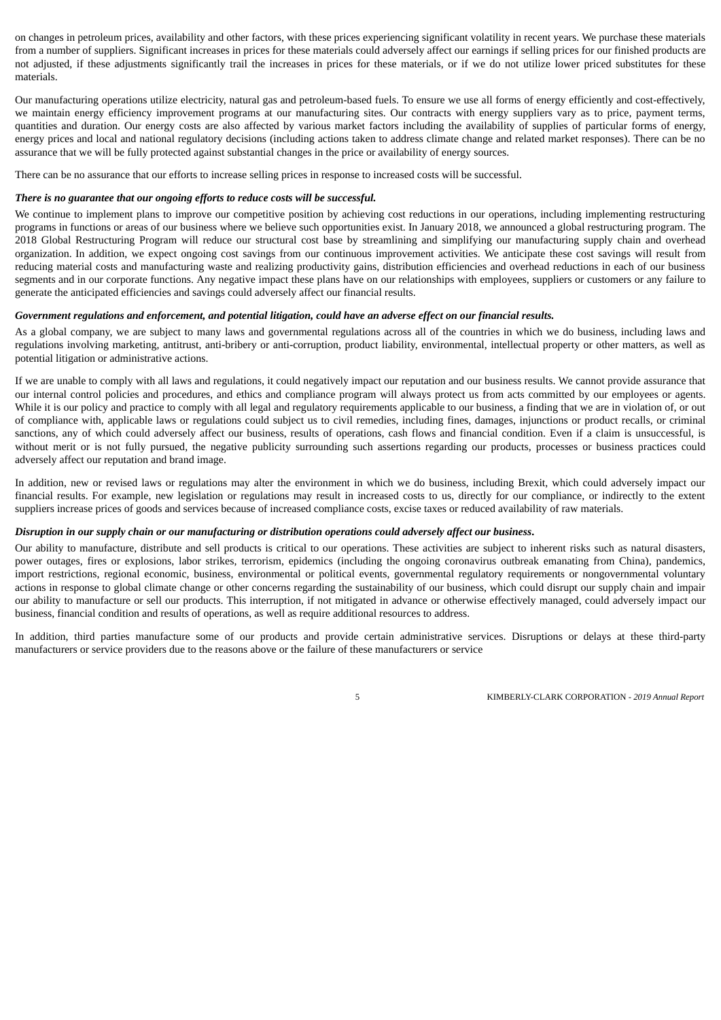on changes in petroleum prices, availability and other factors, with these prices experiencing significant volatility in recent years. We purchase these materials from a number of suppliers. Significant increases in prices for these materials could adversely affect our earnings if selling prices for our finished products are not adjusted, if these adjustments significantly trail the increases in prices for these materials, or if we do not utilize lower priced substitutes for these materials.

Our manufacturing operations utilize electricity, natural gas and petroleum-based fuels. To ensure we use all forms of energy efficiently and cost-effectively, we maintain energy efficiency improvement programs at our manufacturing sites. Our contracts with energy suppliers vary as to price, payment terms, quantities and duration. Our energy costs are also affected by various market factors including the availability of supplies of particular forms of energy, energy prices and local and national regulatory decisions (including actions taken to address climate change and related market responses). There can be no assurance that we will be fully protected against substantial changes in the price or availability of energy sources.

There can be no assurance that our efforts to increase selling prices in response to increased costs will be successful.

## *There is no guarantee that our ongoing efforts to reduce costs will be successful.*

We continue to implement plans to improve our competitive position by achieving cost reductions in our operations, including implementing restructuring programs in functions or areas of our business where we believe such opportunities exist. In January 2018, we announced a global restructuring program. The 2018 Global Restructuring Program will reduce our structural cost base by streamlining and simplifying our manufacturing supply chain and overhead organization. In addition, we expect ongoing cost savings from our continuous improvement activities. We anticipate these cost savings will result from reducing material costs and manufacturing waste and realizing productivity gains, distribution efficiencies and overhead reductions in each of our business segments and in our corporate functions. Any negative impact these plans have on our relationships with employees, suppliers or customers or any failure to generate the anticipated efficiencies and savings could adversely affect our financial results.

## Government regulations and enforcement, and potential litigation, could have an adverse effect on our financial results.

As a global company, we are subject to many laws and governmental regulations across all of the countries in which we do business, including laws and regulations involving marketing, antitrust, anti-bribery or anti-corruption, product liability, environmental, intellectual property or other matters, as well as potential litigation or administrative actions.

If we are unable to comply with all laws and regulations, it could negatively impact our reputation and our business results. We cannot provide assurance that our internal control policies and procedures, and ethics and compliance program will always protect us from acts committed by our employees or agents. While it is our policy and practice to comply with all legal and regulatory requirements applicable to our business, a finding that we are in violation of, or out of compliance with, applicable laws or regulations could subject us to civil remedies, including fines, damages, injunctions or product recalls, or criminal sanctions, any of which could adversely affect our business, results of operations, cash flows and financial condition. Even if a claim is unsuccessful, is without merit or is not fully pursued, the negative publicity surrounding such assertions regarding our products, processes or business practices could adversely affect our reputation and brand image.

In addition, new or revised laws or regulations may alter the environment in which we do business, including Brexit, which could adversely impact our financial results. For example, new legislation or regulations may result in increased costs to us, directly for our compliance, or indirectly to the extent suppliers increase prices of goods and services because of increased compliance costs, excise taxes or reduced availability of raw materials.

## Disruption in our supply chain or our manufacturing or distribution operations could adversely affect our business.

Our ability to manufacture, distribute and sell products is critical to our operations. These activities are subject to inherent risks such as natural disasters, power outages, fires or explosions, labor strikes, terrorism, epidemics (including the ongoing coronavirus outbreak emanating from China), pandemics, import restrictions, regional economic, business, environmental or political events, governmental regulatory requirements or nongovernmental voluntary actions in response to global climate change or other concerns regarding the sustainability of our business, which could disrupt our supply chain and impair our ability to manufacture or sell our products. This interruption, if not mitigated in advance or otherwise effectively managed, could adversely impact our business, financial condition and results of operations, as well as require additional resources to address.

In addition, third parties manufacture some of our products and provide certain administrative services. Disruptions or delays at these third-party manufacturers or service providers due to the reasons above or the failure of these manufacturers or service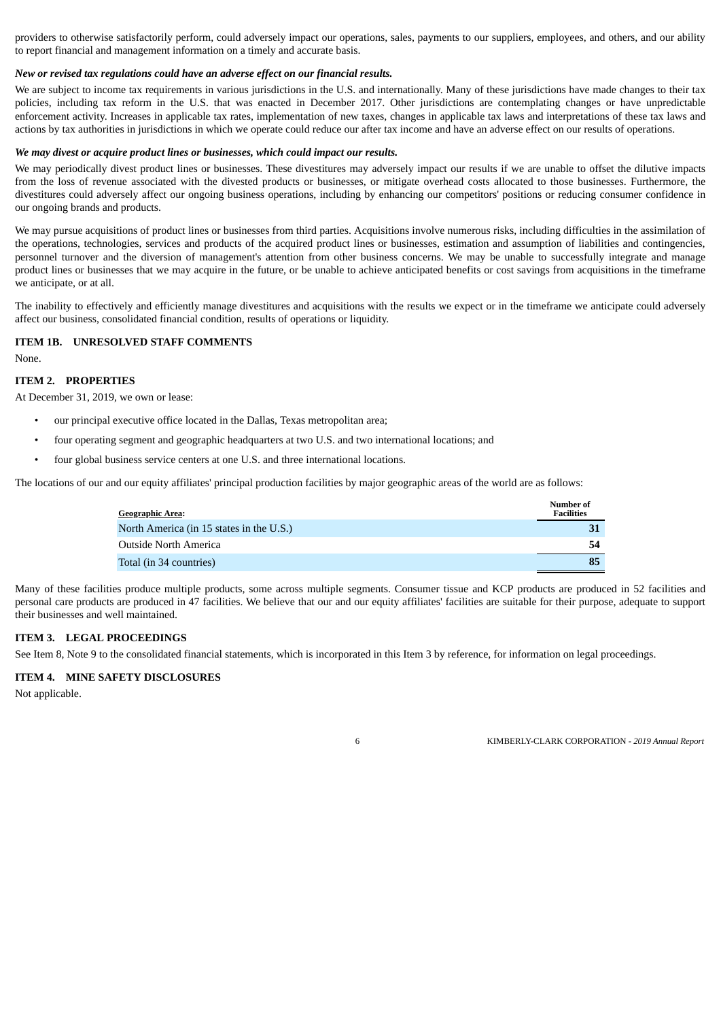providers to otherwise satisfactorily perform, could adversely impact our operations, sales, payments to our suppliers, employees, and others, and our ability to report financial and management information on a timely and accurate basis.

#### *New or revised tax regulations could have an adverse effect on our financial results.*

We are subject to income tax requirements in various jurisdictions in the U.S. and internationally. Many of these jurisdictions have made changes to their tax policies, including tax reform in the U.S. that was enacted in December 2017. Other jurisdictions are contemplating changes or have unpredictable enforcement activity. Increases in applicable tax rates, implementation of new taxes, changes in applicable tax laws and interpretations of these tax laws and actions by tax authorities in jurisdictions in which we operate could reduce our after tax income and have an adverse effect on our results of operations.

#### *We may divest or acquire product lines or businesses, which could impact our results.*

We may periodically divest product lines or businesses. These divestitures may adversely impact our results if we are unable to offset the dilutive impacts from the loss of revenue associated with the divested products or businesses, or mitigate overhead costs allocated to those businesses. Furthermore, the divestitures could adversely affect our ongoing business operations, including by enhancing our competitors' positions or reducing consumer confidence in our ongoing brands and products.

We may pursue acquisitions of product lines or businesses from third parties. Acquisitions involve numerous risks, including difficulties in the assimilation of the operations, technologies, services and products of the acquired product lines or businesses, estimation and assumption of liabilities and contingencies, personnel turnover and the diversion of management's attention from other business concerns. We may be unable to successfully integrate and manage product lines or businesses that we may acquire in the future, or be unable to achieve anticipated benefits or cost savings from acquisitions in the timeframe we anticipate, or at all.

The inability to effectively and efficiently manage divestitures and acquisitions with the results we expect or in the timeframe we anticipate could adversely affect our business, consolidated financial condition, results of operations or liquidity.

## <span id="page-7-0"></span>**ITEM 1B. UNRESOLVED STAFF COMMENTS**

<span id="page-7-1"></span>None.

### **ITEM 2. PROPERTIES**

At December 31, 2019, we own or lease:

- our principal executive office located in the Dallas, Texas metropolitan area;
- four operating segment and geographic headquarters at two U.S. and two international locations; and
- four global business service centers at one U.S. and three international locations.

The locations of our and our equity affiliates' principal production facilities by major geographic areas of the world are as follows:

| <b>Geographic Area:</b>                  | Number of<br><b>Facilities</b> |
|------------------------------------------|--------------------------------|
| North America (in 15 states in the U.S.) |                                |
| Outside North America                    | 54                             |
| Total (in 34 countries)                  | 85                             |

Many of these facilities produce multiple products, some across multiple segments. Consumer tissue and KCP products are produced in 52 facilities and personal care products are produced in 47 facilities. We believe that our and our equity affiliates' facilities are suitable for their purpose, adequate to support their businesses and well maintained.

## <span id="page-7-2"></span>**ITEM 3. LEGAL PROCEEDINGS**

See Item 8, Note 9 to the consolidated financial statements, which is incorporated in this Item 3 by reference, for information on legal proceedings.

# <span id="page-7-3"></span>**ITEM 4. MINE SAFETY DISCLOSURES**

Not applicable.

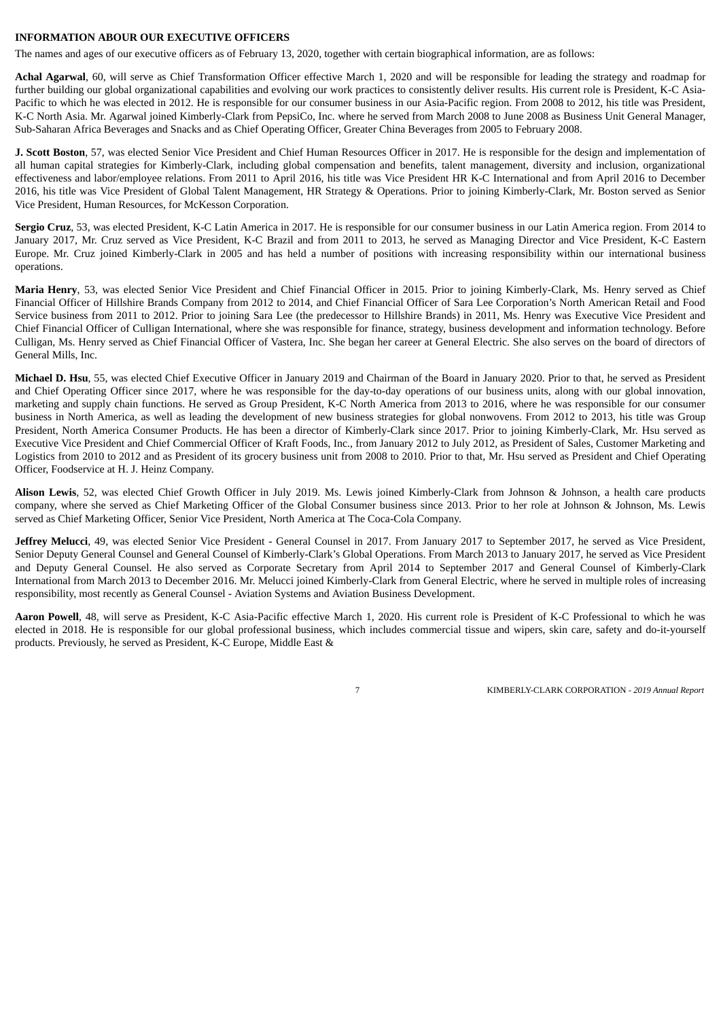## <span id="page-8-0"></span>**INFORMATION ABOUR OUR EXECUTIVE OFFICERS**

The names and ages of our executive officers as of February 13, 2020, together with certain biographical information, are as follows:

**Achal Agarwal**, 60, will serve as Chief Transformation Officer effective March 1, 2020 and will be responsible for leading the strategy and roadmap for further building our global organizational capabilities and evolving our work practices to consistently deliver results. His current role is President, K-C Asia-Pacific to which he was elected in 2012. He is responsible for our consumer business in our Asia-Pacific region. From 2008 to 2012, his title was President, K-C North Asia. Mr. Agarwal joined Kimberly-Clark from PepsiCo, Inc. where he served from March 2008 to June 2008 as Business Unit General Manager, Sub-Saharan Africa Beverages and Snacks and as Chief Operating Officer, Greater China Beverages from 2005 to February 2008.

**J. Scott Boston**, 57, was elected Senior Vice President and Chief Human Resources Officer in 2017. He is responsible for the design and implementation of all human capital strategies for Kimberly-Clark, including global compensation and benefits, talent management, diversity and inclusion, organizational effectiveness and labor/employee relations. From 2011 to April 2016, his title was Vice President HR K-C International and from April 2016 to December 2016, his title was Vice President of Global Talent Management, HR Strategy & Operations. Prior to joining Kimberly-Clark, Mr. Boston served as Senior Vice President, Human Resources, for McKesson Corporation.

**Sergio Cruz**, 53, was elected President, K-C Latin America in 2017. He is responsible for our consumer business in our Latin America region. From 2014 to January 2017, Mr. Cruz served as Vice President, K-C Brazil and from 2011 to 2013, he served as Managing Director and Vice President, K-C Eastern Europe. Mr. Cruz joined Kimberly-Clark in 2005 and has held a number of positions with increasing responsibility within our international business operations.

**Maria Henry**, 53, was elected Senior Vice President and Chief Financial Officer in 2015. Prior to joining Kimberly-Clark, Ms. Henry served as Chief Financial Officer of Hillshire Brands Company from 2012 to 2014, and Chief Financial Officer of Sara Lee Corporation's North American Retail and Food Service business from 2011 to 2012. Prior to joining Sara Lee (the predecessor to Hillshire Brands) in 2011, Ms. Henry was Executive Vice President and Chief Financial Officer of Culligan International, where she was responsible for finance, strategy, business development and information technology. Before Culligan, Ms. Henry served as Chief Financial Officer of Vastera, Inc. She began her career at General Electric. She also serves on the board of directors of General Mills, Inc.

**Michael D. Hsu**, 55, was elected Chief Executive Officer in January 2019 and Chairman of the Board in January 2020. Prior to that, he served as President and Chief Operating Officer since 2017, where he was responsible for the day-to-day operations of our business units, along with our global innovation, marketing and supply chain functions. He served as Group President, K-C North America from 2013 to 2016, where he was responsible for our consumer business in North America, as well as leading the development of new business strategies for global nonwovens. From 2012 to 2013, his title was Group President, North America Consumer Products. He has been a director of Kimberly-Clark since 2017. Prior to joining Kimberly-Clark, Mr. Hsu served as Executive Vice President and Chief Commercial Officer of Kraft Foods, Inc., from January 2012 to July 2012, as President of Sales, Customer Marketing and Logistics from 2010 to 2012 and as President of its grocery business unit from 2008 to 2010. Prior to that, Mr. Hsu served as President and Chief Operating Officer, Foodservice at H. J. Heinz Company.

**Alison Lewis**, 52, was elected Chief Growth Officer in July 2019. Ms. Lewis joined Kimberly-Clark from Johnson & Johnson, a health care products company, where she served as Chief Marketing Officer of the Global Consumer business since 2013. Prior to her role at Johnson & Johnson, Ms. Lewis served as Chief Marketing Officer, Senior Vice President, North America at The Coca-Cola Company.

**Jeffrey Melucci**, 49, was elected Senior Vice President - General Counsel in 2017. From January 2017 to September 2017, he served as Vice President, Senior Deputy General Counsel and General Counsel of Kimberly-Clark's Global Operations. From March 2013 to January 2017, he served as Vice President and Deputy General Counsel. He also served as Corporate Secretary from April 2014 to September 2017 and General Counsel of Kimberly-Clark International from March 2013 to December 2016. Mr. Melucci joined Kimberly-Clark from General Electric, where he served in multiple roles of increasing responsibility, most recently as General Counsel - Aviation Systems and Aviation Business Development.

**Aaron Powell**, 48, will serve as President, K-C Asia-Pacific effective March 1, 2020. His current role is President of K-C Professional to which he was elected in 2018. He is responsible for our global professional business, which includes commercial tissue and wipers, skin care, safety and do-it-yourself products. Previously, he served as President, K-C Europe, Middle East &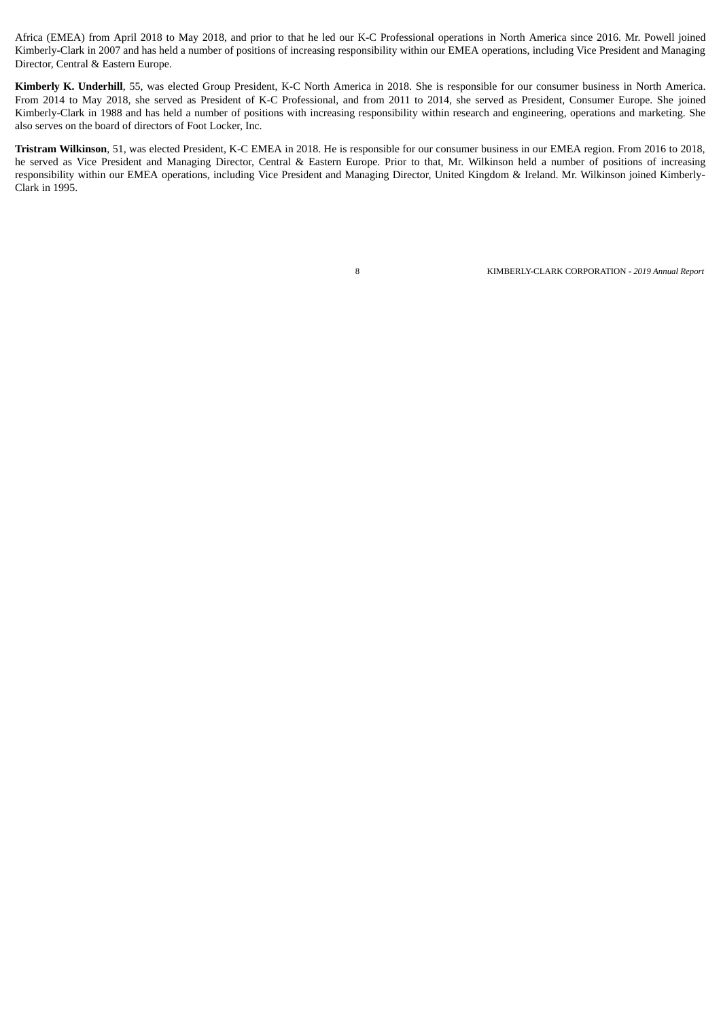Africa (EMEA) from April 2018 to May 2018, and prior to that he led our K-C Professional operations in North America since 2016. Mr. Powell joined Kimberly-Clark in 2007 and has held a number of positions of increasing responsibility within our EMEA operations, including Vice President and Managing Director, Central & Eastern Europe.

**Kimberly K. Underhill**, 55, was elected Group President, K-C North America in 2018. She is responsible for our consumer business in North America. From 2014 to May 2018, she served as President of K-C Professional, and from 2011 to 2014, she served as President, Consumer Europe. She joined Kimberly-Clark in 1988 and has held a number of positions with increasing responsibility within research and engineering, operations and marketing. She also serves on the board of directors of Foot Locker, Inc.

**Tristram Wilkinson**, 51, was elected President, K-C EMEA in 2018. He is responsible for our consumer business in our EMEA region. From 2016 to 2018, he served as Vice President and Managing Director, Central & Eastern Europe. Prior to that, Mr. Wilkinson held a number of positions of increasing responsibility within our EMEA operations, including Vice President and Managing Director, United Kingdom & Ireland. Mr. Wilkinson joined Kimberly-Clark in 1995.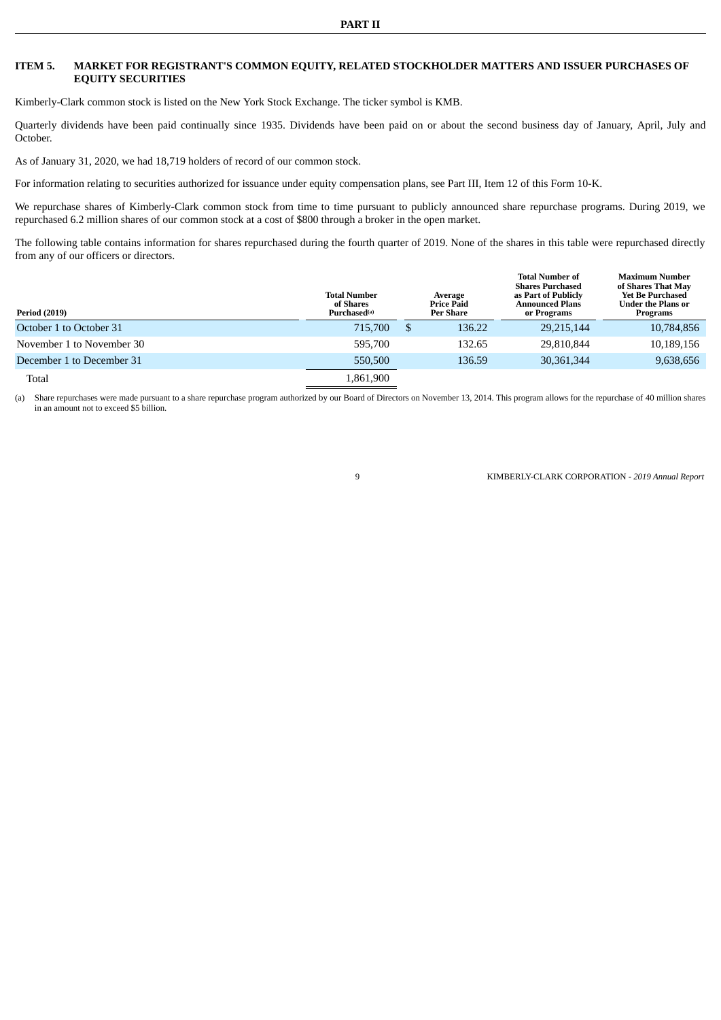## <span id="page-10-0"></span>**ITEM 5. MARKET FOR REGISTRANT'S COMMON EQUITY, RELATED STOCKHOLDER MATTERS AND ISSUER PURCHASES OF EQUITY SECURITIES**

Kimberly-Clark common stock is listed on the New York Stock Exchange. The ticker symbol is KMB.

Quarterly dividends have been paid continually since 1935. Dividends have been paid on or about the second business day of January, April, July and October.

As of January 31, 2020, we had 18,719 holders of record of our common stock.

For information relating to securities authorized for issuance under equity compensation plans, see Part III, Item 12 of this Form 10-K.

We repurchase shares of Kimberly-Clark common stock from time to time pursuant to publicly announced share repurchase programs. During 2019, we repurchased 6.2 million shares of our common stock at a cost of \$800 through a broker in the open market.

The following table contains information for shares repurchased during the fourth quarter of 2019. None of the shares in this table were repurchased directly from any of our officers or directors.

| <b>Period (2019)</b>      | <b>Total Number</b><br>of Shares<br>Purchased <sup>(a)</sup> | Average<br><b>Price Paid</b><br><b>Per Share</b> | <b>Total Number of</b><br><b>Shares Purchased</b><br>as Part of Publicly<br><b>Announced Plans</b><br>or Programs | <b>Maximum Number</b><br>of Shares That May<br><b>Yet Be Purchased</b><br>Under the Plans or<br>Programs |  |  |
|---------------------------|--------------------------------------------------------------|--------------------------------------------------|-------------------------------------------------------------------------------------------------------------------|----------------------------------------------------------------------------------------------------------|--|--|
| October 1 to October 31   | 715,700                                                      | 136.22                                           | 29,215,144                                                                                                        | 10,784,856                                                                                               |  |  |
| November 1 to November 30 | 595.700                                                      | 132.65                                           | 29.810.844                                                                                                        | 10,189,156                                                                                               |  |  |
| December 1 to December 31 | 550,500                                                      | 136.59                                           | 30, 361, 344                                                                                                      | 9,638,656                                                                                                |  |  |
| Total                     | 1,861,900                                                    |                                                  |                                                                                                                   |                                                                                                          |  |  |

(a) Share repurchases were made pursuant to a share repurchase program authorized by our Board of Directors on November 13, 2014. This program allows for the repurchase of 40 million shares in an amount not to exceed \$5 billion.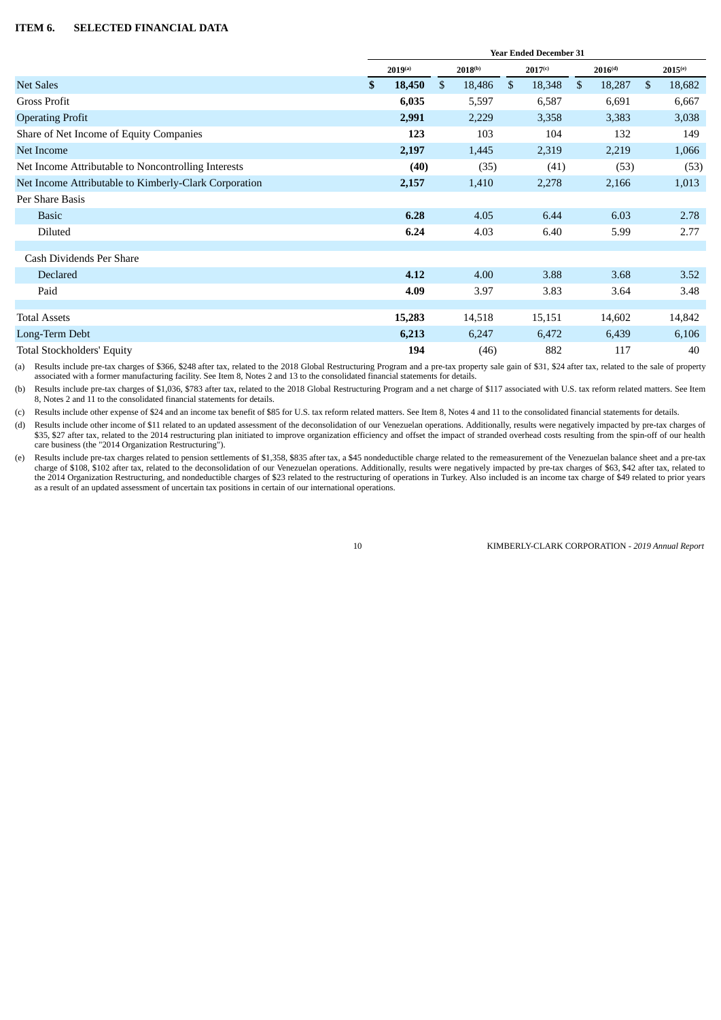## <span id="page-11-0"></span>**ITEM 6. SELECTED FINANCIAL DATA**

|                                                       | <b>Year Ended December 31</b> |                        |                        |              |              |        |  |  |  |  |
|-------------------------------------------------------|-------------------------------|------------------------|------------------------|--------------|--------------|--------|--|--|--|--|
|                                                       | $2019^{(a)}$                  | 2018(b)                | 2017 <sup>(c)</sup>    | $2016^{(d)}$ |              |        |  |  |  |  |
| <b>Net Sales</b>                                      | \$<br>18,450                  | $\mathbb{S}$<br>18,486 | $\mathbb{S}$<br>18,348 | \$<br>18,287 | $\mathbb{S}$ | 18,682 |  |  |  |  |
| Gross Profit                                          | 6,035                         | 5,597                  | 6,587                  | 6,691        |              | 6,667  |  |  |  |  |
| <b>Operating Profit</b>                               | 2,991                         | 2,229                  | 3,358                  | 3,383        |              | 3,038  |  |  |  |  |
| Share of Net Income of Equity Companies               | 123                           | 103                    | 104                    | 132          |              | 149    |  |  |  |  |
| Net Income                                            | 2,197                         | 1,445                  | 2,319                  | 2,219        |              | 1,066  |  |  |  |  |
| Net Income Attributable to Noncontrolling Interests   | (40)                          | (35)                   | (41)                   | (53)         |              | (53)   |  |  |  |  |
| Net Income Attributable to Kimberly-Clark Corporation | 2,157                         | 1,410                  | 2,278                  | 2,166        |              | 1,013  |  |  |  |  |
| Per Share Basis                                       |                               |                        |                        |              |              |        |  |  |  |  |
| <b>Basic</b>                                          | 6.28                          | 4.05                   | 6.44                   | 6.03         |              | 2.78   |  |  |  |  |
| Diluted                                               | 6.24                          | 4.03                   | 6.40                   | 5.99         |              | 2.77   |  |  |  |  |
| Cash Dividends Per Share                              |                               |                        |                        |              |              |        |  |  |  |  |
| <b>Declared</b>                                       | 4.12                          | 4.00                   | 3.88                   | 3.68         |              | 3.52   |  |  |  |  |
| Paid                                                  | 4.09                          | 3.97                   | 3.83                   | 3.64         |              | 3.48   |  |  |  |  |
|                                                       |                               |                        |                        |              |              |        |  |  |  |  |
| <b>Total Assets</b>                                   | 15,283                        | 14,518                 | 15,151                 | 14,602       |              | 14,842 |  |  |  |  |
| Long-Term Debt                                        | 6,213                         | 6,247                  | 6,472                  | 6,439        |              | 6,106  |  |  |  |  |
| <b>Total Stockholders' Equity</b>                     | 194                           | (46)                   | 882                    | 117          |              | 40     |  |  |  |  |

(a) Results include pre-tax charges of \$366, \$248 after tax, related to the 2018 Global Restructuring Program and a pre-tax property sale gain of \$31, \$24 after tax, related to the sale of property associated with a former manufacturing facility. See Item 8, Notes 2 and 13 to the consolidated financial statements for details.

(b) Results include pre-tax charges of \$1,036, \$783 after tax, related to the 2018 Global Restructuring Program and a net charge of \$117 associated with U.S. tax reform related matters. See Item 8, Notes 2 and 11 to the consolidated financial statements for details.

(c) Results include other expense of \$24 and an income tax benefit of \$85 for U.S. tax reform related matters. See Item 8, Notes 4 and 11 to the consolidated financial statements for details.

(d) Results include other income of \$11 related to an updated assessment of the deconsolidation of our Venezuelan operations. Additionally, results were negatively impacted by pre-tax charges of \$35, \$27 after tax, related to the 2014 restructuring plan initiated to improve organization efficiency and offset the impact of stranded overhead costs resulting from the spin-off of our health care business (the "2014 Organization Restructuring").

(e) Results include pre-tax charges related to pension settlements of \$1,358, \$835 after tax, a \$45 nondeductible charge related to the remeasurement of the Venezuelan balance sheet and a pre-tax charge of \$108, \$102 after tax, related to the deconsolidation of our Venezuelan operations. Additionally, results were negatively impacted by pre-tax charges of \$63, \$42 after tax, related to the 2014 Organization Restructuring, and nondeductible charges of \$23 related to the restructuring of operations in Turkey. Also included is an income tax charge of \$49 related to prior years the day, related to prior year as a result of an updated assessment of uncertain tax positions in certain of our international operations.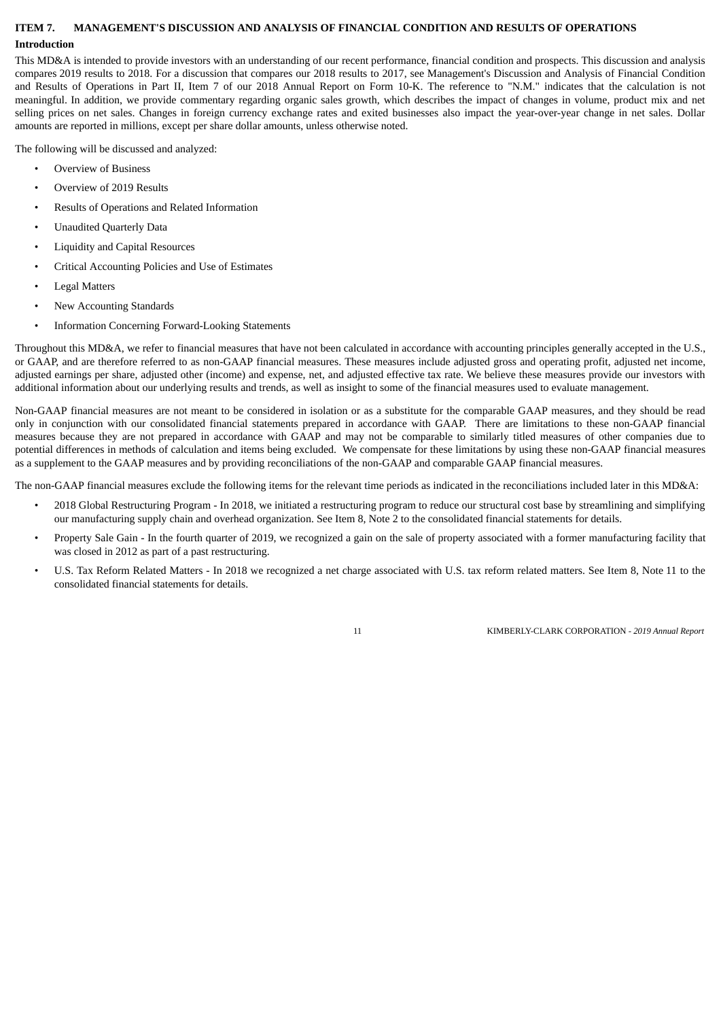## <span id="page-12-0"></span>**ITEM 7. MANAGEMENT'S DISCUSSION AND ANALYSIS OF FINANCIAL CONDITION AND RESULTS OF OPERATIONS Introduction**

This MD&A is intended to provide investors with an understanding of our recent performance, financial condition and prospects. This discussion and analysis compares 2019 results to 2018. For a discussion that compares our 2018 results to 2017, see Management's Discussion and Analysis of Financial Condition and Results of Operations in Part II, Item 7 of our 2018 Annual Report on Form 10-K. The reference to "N.M." indicates that the calculation is not meaningful. In addition, we provide commentary regarding organic sales growth, which describes the impact of changes in volume, product mix and net selling prices on net sales. Changes in foreign currency exchange rates and exited businesses also impact the year-over-year change in net sales. Dollar amounts are reported in millions, except per share dollar amounts, unless otherwise noted.

The following will be discussed and analyzed:

- Overview of Business
- Overview of 2019 Results
- Results of Operations and Related Information
- Unaudited Quarterly Data
- Liquidity and Capital Resources
- Critical Accounting Policies and Use of Estimates
- Legal Matters
- New Accounting Standards
- Information Concerning Forward-Looking Statements

Throughout this MD&A, we refer to financial measures that have not been calculated in accordance with accounting principles generally accepted in the U.S., or GAAP, and are therefore referred to as non-GAAP financial measures. These measures include adjusted gross and operating profit, adjusted net income, adjusted earnings per share, adjusted other (income) and expense, net, and adjusted effective tax rate. We believe these measures provide our investors with additional information about our underlying results and trends, as well as insight to some of the financial measures used to evaluate management.

Non-GAAP financial measures are not meant to be considered in isolation or as a substitute for the comparable GAAP measures, and they should be read only in conjunction with our consolidated financial statements prepared in accordance with GAAP. There are limitations to these non-GAAP financial measures because they are not prepared in accordance with GAAP and may not be comparable to similarly titled measures of other companies due to potential differences in methods of calculation and items being excluded. We compensate for these limitations by using these non-GAAP financial measures as a supplement to the GAAP measures and by providing reconciliations of the non-GAAP and comparable GAAP financial measures.

The non-GAAP financial measures exclude the following items for the relevant time periods as indicated in the reconciliations included later in this MD&A:

- 2018 Global Restructuring Program In 2018, we initiated a restructuring program to reduce our structural cost base by streamlining and simplifying our manufacturing supply chain and overhead organization. See Item 8, Note 2 to the consolidated financial statements for details.
- Property Sale Gain In the fourth quarter of 2019, we recognized a gain on the sale of property associated with a former manufacturing facility that was closed in 2012 as part of a past restructuring.
- U.S. Tax Reform Related Matters In 2018 we recognized a net charge associated with U.S. tax reform related matters. See Item 8, Note 11 to the consolidated financial statements for details.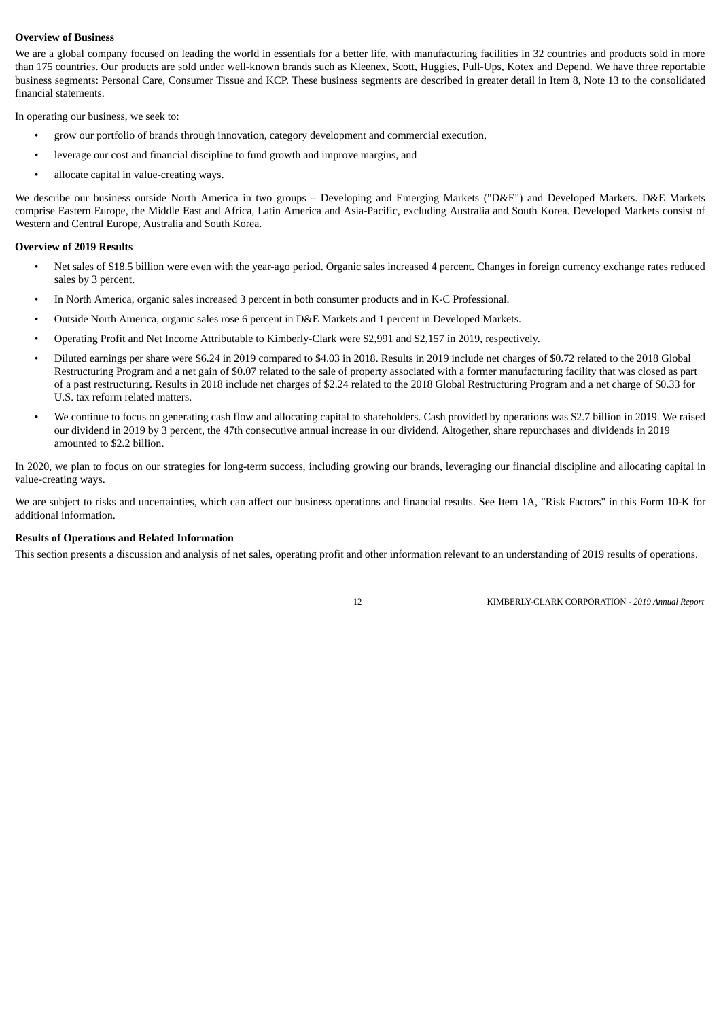#### **Overview of Business**

We are a global company focused on leading the world in essentials for a better life, with manufacturing facilities in 32 countries and products sold in more than 175 countries. Our products are sold under well-known brands such as Kleenex, Scott, Huggies, Pull-Ups, Kotex and Depend. We have three reportable business segments: Personal Care, Consumer Tissue and KCP. These business segments are described in greater detail in Item 8, Note 13 to the consolidated financial statements.

In operating our business, we seek to:

- grow our portfolio of brands through innovation, category development and commercial execution,
- leverage our cost and financial discipline to fund growth and improve margins, and
- allocate capital in value-creating ways.

We describe our business outside North America in two groups – Developing and Emerging Markets ("D&E") and Developed Markets. D&E Markets comprise Eastern Europe, the Middle East and Africa, Latin America and Asia-Pacific, excluding Australia and South Korea. Developed Markets consist of Western and Central Europe, Australia and South Korea.

#### **Overview of 2019 Results**

- Net sales of \$18.5 billion were even with the year-ago period. Organic sales increased 4 percent. Changes in foreign currency exchange rates reduced sales by 3 percent.
- In North America, organic sales increased 3 percent in both consumer products and in K-C Professional.
- Outside North America, organic sales rose 6 percent in D&E Markets and 1 percent in Developed Markets.
- Operating Profit and Net Income Attributable to Kimberly-Clark were \$2,991 and \$2,157 in 2019, respectively.
- Diluted earnings per share were \$6.24 in 2019 compared to \$4.03 in 2018. Results in 2019 include net charges of \$0.72 related to the 2018 Global Restructuring Program and a net gain of \$0.07 related to the sale of property associated with a former manufacturing facility that was closed as part of a past restructuring. Results in 2018 include net charges of \$2.24 related to the 2018 Global Restructuring Program and a net charge of \$0.33 for U.S. tax reform related matters.
- We continue to focus on generating cash flow and allocating capital to shareholders. Cash provided by operations was \$2.7 billion in 2019. We raised our dividend in 2019 by 3 percent, the 47th consecutive annual increase in our dividend. Altogether, share repurchases and dividends in 2019 amounted to \$2.2 billion.

In 2020, we plan to focus on our strategies for long-term success, including growing our brands, leveraging our financial discipline and allocating capital in value-creating ways.

We are subject to risks and uncertainties, which can affect our business operations and financial results. See Item 1A, "Risk Factors" in this Form 10-K for additional information.

## **Results of Operations and Related Information**

This section presents a discussion and analysis of net sales, operating profit and other information relevant to an understanding of 2019 results of operations.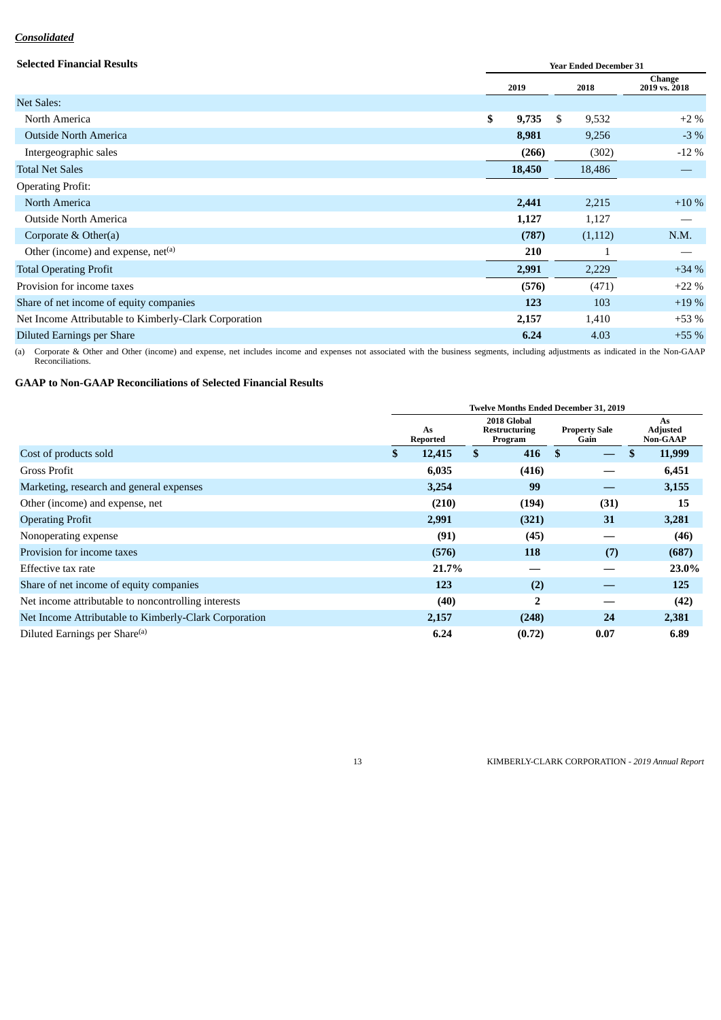# *Consolidated*

# **Selected Financial Results Year Ended December 31**

|                                                       |  |             | ICAL ENUCU DECENNEL JI |          |                         |  |  |  |
|-------------------------------------------------------|--|-------------|------------------------|----------|-------------------------|--|--|--|
|                                                       |  | 2019        |                        | 2018     | Change<br>2019 vs. 2018 |  |  |  |
| Net Sales:                                            |  |             |                        |          |                         |  |  |  |
| North America                                         |  | \$<br>9,735 | \$                     | 9,532    | $+2\%$                  |  |  |  |
| <b>Outside North America</b>                          |  | 8,981       |                        | 9,256    | $-3%$                   |  |  |  |
| Intergeographic sales                                 |  | (266)       |                        | (302)    | $-12%$                  |  |  |  |
| <b>Total Net Sales</b>                                |  | 18,450      |                        | 18,486   |                         |  |  |  |
| <b>Operating Profit:</b>                              |  |             |                        |          |                         |  |  |  |
| North America                                         |  | 2,441       |                        | 2,215    | $+10%$                  |  |  |  |
| <b>Outside North America</b>                          |  | 1,127       |                        | 1,127    |                         |  |  |  |
| Corporate & Other(a)                                  |  | (787)       |                        | (1, 112) | N.M.                    |  |  |  |
| Other (income) and expense, $net(a)$                  |  | 210         |                        |          |                         |  |  |  |
| <b>Total Operating Profit</b>                         |  | 2,991       |                        | 2,229    | $+34%$                  |  |  |  |
| Provision for income taxes                            |  | (576)       |                        | (471)    | $+22%$                  |  |  |  |
| Share of net income of equity companies               |  | 123         |                        | 103      | $+19%$                  |  |  |  |
| Net Income Attributable to Kimberly-Clark Corporation |  | 2,157       |                        | 1,410    | $+53%$                  |  |  |  |
| <b>Diluted Earnings per Share</b>                     |  | 6.24        |                        | 4.03     | $+55%$                  |  |  |  |

(a) Corporate & Other and Other (income) and expense, net includes income and expenses not associated with the business segments, including adjustments as indicated in the Non-GAAP Reconciliations.

# **GAAP to Non-GAAP Reconciliations of Selected Financial Results**

|                                                       | <b>Twelve Months Ended December 31, 2019</b> |                |                                                |                                           |  |                                   |  |  |
|-------------------------------------------------------|----------------------------------------------|----------------|------------------------------------------------|-------------------------------------------|--|-----------------------------------|--|--|
|                                                       |                                              | As<br>Reported | 2018 Global<br><b>Restructuring</b><br>Program | <b>Property Sale</b><br>Gain              |  | As<br>Adjusted<br><b>Non-GAAP</b> |  |  |
| Cost of products sold                                 |                                              | 12,415         | 416<br>\$                                      | <sup>\$</sup><br>$\overline{\phantom{0}}$ |  | 11,999                            |  |  |
| Gross Profit                                          |                                              | 6,035          | (416)                                          |                                           |  | 6,451                             |  |  |
| Marketing, research and general expenses              |                                              | 3,254          | 99                                             |                                           |  | 3,155                             |  |  |
| Other (income) and expense, net                       |                                              | (210)          | (194)                                          | (31)                                      |  | 15                                |  |  |
| <b>Operating Profit</b>                               |                                              | 2,991          | (321)                                          | 31                                        |  | 3,281                             |  |  |
| Nonoperating expense                                  |                                              | (91)           | (45)                                           |                                           |  | (46)                              |  |  |
| Provision for income taxes                            |                                              | (576)          | 118                                            | (7)                                       |  | (687)                             |  |  |
| Effective tax rate                                    |                                              | 21.7%          |                                                |                                           |  | 23.0%                             |  |  |
| Share of net income of equity companies               |                                              | 123            | (2)                                            |                                           |  | 125                               |  |  |
| Net income attributable to noncontrolling interests   |                                              | (40)           | $\overline{2}$                                 |                                           |  | (42)                              |  |  |
| Net Income Attributable to Kimberly-Clark Corporation |                                              | 2,157          | (248)                                          | 24                                        |  | 2,381                             |  |  |
| Diluted Earnings per Share <sup>(a)</sup>             |                                              | 6.24           | (0.72)                                         | 0.07                                      |  |                                   |  |  |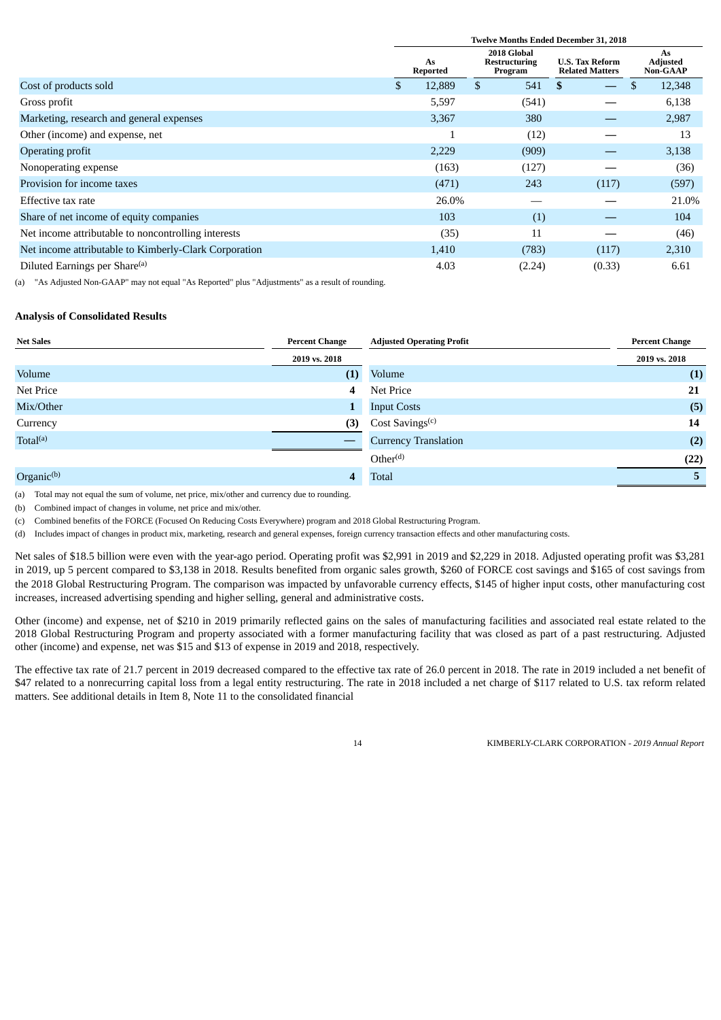|                                                       | <b>Twelve Months Ended December 31, 2018</b> |                       |                                                |        |                                                  |  |                                   |  |
|-------------------------------------------------------|----------------------------------------------|-----------------------|------------------------------------------------|--------|--------------------------------------------------|--|-----------------------------------|--|
|                                                       |                                              | As<br><b>Reported</b> | 2018 Global<br><b>Restructuring</b><br>Program |        | <b>U.S. Tax Reform</b><br><b>Related Matters</b> |  | As<br>Adjusted<br><b>Non-GAAP</b> |  |
| Cost of products sold                                 | <sup>\$</sup>                                | 12,889                | \$                                             | 541    | S.                                               |  | 12,348                            |  |
| Gross profit                                          |                                              | 5,597                 |                                                | (541)  |                                                  |  | 6,138                             |  |
| Marketing, research and general expenses              |                                              | 3,367                 |                                                | 380    |                                                  |  | 2,987                             |  |
| Other (income) and expense, net                       |                                              |                       |                                                | (12)   |                                                  |  | 13                                |  |
| Operating profit                                      |                                              | 2,229                 |                                                | (909)  |                                                  |  | 3,138                             |  |
| Nonoperating expense                                  |                                              | (163)                 |                                                | (127)  |                                                  |  | (36)                              |  |
| Provision for income taxes                            |                                              | (471)                 |                                                | 243    | (117)                                            |  | (597)                             |  |
| Effective tax rate                                    |                                              | 26.0%                 |                                                |        |                                                  |  | 21.0%                             |  |
| Share of net income of equity companies               |                                              | 103                   |                                                | (1)    |                                                  |  | 104                               |  |
| Net income attributable to noncontrolling interests   |                                              | (35)                  |                                                | 11     |                                                  |  | (46)                              |  |
| Net income attributable to Kimberly-Clark Corporation |                                              | 1,410                 |                                                | (783)  | (117)                                            |  | 2,310                             |  |
| Diluted Earnings per Share <sup>(a)</sup>             |                                              | 4.03                  |                                                | (2.24) | (0.33)                                           |  | 6.61                              |  |

(a) "As Adjusted Non-GAAP" may not equal "As Reported" plus "Adjustments" as a result of rounding.

#### **Analysis of Consolidated Results**

| <b>Net Sales</b>       | <b>Percent Change</b> | <b>Adjusted Operating Profit</b> | <b>Percent Change</b> |
|------------------------|-----------------------|----------------------------------|-----------------------|
|                        | 2019 vs. 2018         |                                  | 2019 vs. 2018         |
| Volume                 | (1)                   | Volume                           | (1)                   |
| Net Price              | 4                     | Net Price                        | 21                    |
| Mix/Other              | 1                     | <b>Input Costs</b>               | (5)                   |
| Currency               | (3)                   | Cost Savings <sup>(c)</sup>      | 14                    |
| Total <sup>(a)</sup>   |                       | <b>Currency Translation</b>      | (2)                   |
|                        |                       | Other <sup>(d)</sup>             | (22)                  |
| Organic <sup>(b)</sup> | $\boldsymbol{4}$      | <b>Total</b>                     | 5                     |

(a) Total may not equal the sum of volume, net price, mix/other and currency due to rounding.

(b) Combined impact of changes in volume, net price and mix/other.

(c) Combined benefits of the FORCE (Focused On Reducing Costs Everywhere) program and 2018 Global Restructuring Program.

(d) Includes impact of changes in product mix, marketing, research and general expenses, foreign currency transaction effects and other manufacturing costs.

Net sales of \$18.5 billion were even with the year-ago period. Operating profit was \$2,991 in 2019 and \$2,229 in 2018. Adjusted operating profit was \$3,281 in 2019, up 5 percent compared to \$3,138 in 2018. Results benefited from organic sales growth, \$260 of FORCE cost savings and \$165 of cost savings from the 2018 Global Restructuring Program. The comparison was impacted by unfavorable currency effects, \$145 of higher input costs, other manufacturing cost increases, increased advertising spending and higher selling, general and administrative costs.

Other (income) and expense, net of \$210 in 2019 primarily reflected gains on the sales of manufacturing facilities and associated real estate related to the 2018 Global Restructuring Program and property associated with a former manufacturing facility that was closed as part of a past restructuring. Adjusted other (income) and expense, net was \$15 and \$13 of expense in 2019 and 2018, respectively.

The effective tax rate of 21.7 percent in 2019 decreased compared to the effective tax rate of 26.0 percent in 2018. The rate in 2019 included a net benefit of \$47 related to a nonrecurring capital loss from a legal entity restructuring. The rate in 2018 included a net charge of \$117 related to U.S. tax reform related matters. See additional details in Item 8, Note 11 to the consolidated financial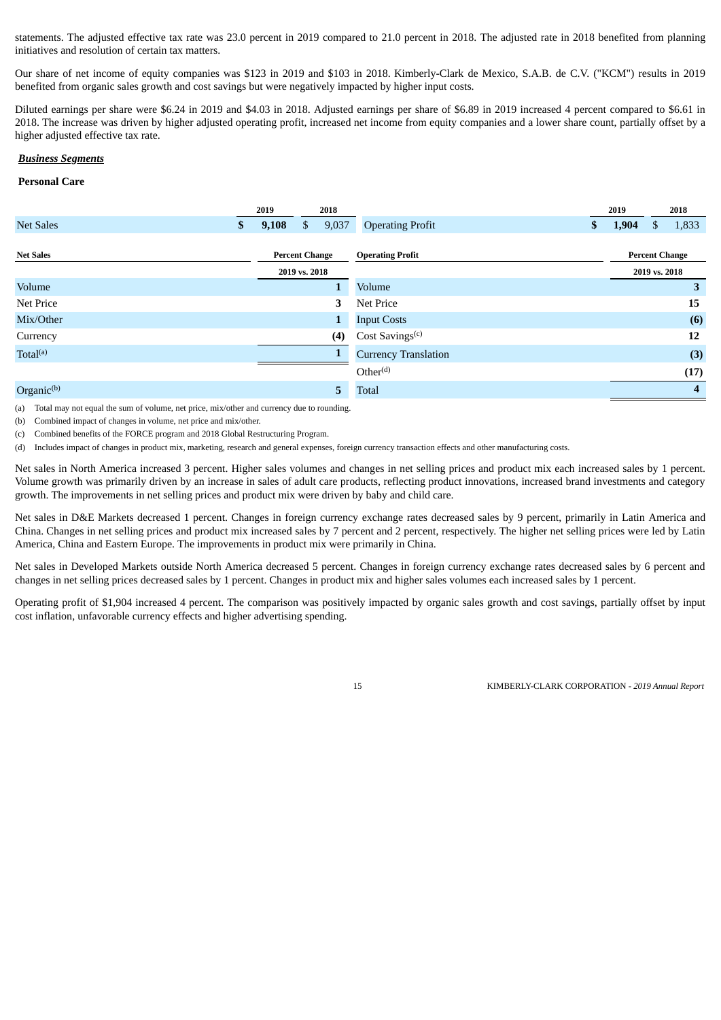statements. The adjusted effective tax rate was 23.0 percent in 2019 compared to 21.0 percent in 2018. The adjusted rate in 2018 benefited from planning initiatives and resolution of certain tax matters.

Our share of net income of equity companies was \$123 in 2019 and \$103 in 2018. Kimberly-Clark de Mexico, S.A.B. de C.V. ("KCM") results in 2019 benefited from organic sales growth and cost savings but were negatively impacted by higher input costs.

Diluted earnings per share were \$6.24 in 2019 and \$4.03 in 2018. Adjusted earnings per share of \$6.89 in 2019 increased 4 percent compared to \$6.61 in 2018. The increase was driven by higher adjusted operating profit, increased net income from equity companies and a lower share count, partially offset by a higher adjusted effective tax rate.

#### *Business Segments*

#### **Personal Care**

|                        |              | 2019                  | 2018           |                             |                                |                       | 2019  |               | 2018           |
|------------------------|--------------|-----------------------|----------------|-----------------------------|--------------------------------|-----------------------|-------|---------------|----------------|
| <b>Net Sales</b>       | \$           | 9,108                 | $\mathfrak{F}$ | 9,037                       | <b>Operating Profit</b><br>\$. |                       | 1,904 | S             | 1,833          |
| <b>Net Sales</b>       |              | <b>Percent Change</b> |                |                             | <b>Operating Profit</b>        | <b>Percent Change</b> |       |               |                |
|                        |              |                       | 2019 vs. 2018  |                             |                                |                       |       | 2019 vs. 2018 |                |
| Volume                 |              |                       |                |                             | Volume                         |                       |       |               | 3              |
| Net Price              |              | 3                     |                |                             | Net Price                      |                       |       | 15            |                |
| Mix/Other              |              |                       |                | $\mathbf{1}$                | <b>Input Costs</b>             |                       | (6)   |               |                |
| Currency               |              |                       |                | (4)                         | Cost Savings <sup>(c)</sup>    |                       |       |               | 12             |
| Total <sup>(a)</sup>   | $\mathbf{1}$ |                       |                | <b>Currency Translation</b> |                                |                       | (3)   |               |                |
|                        |              |                       |                |                             | Other <sup>(d)</sup>           |                       |       |               | (17)           |
| Organic <sup>(b)</sup> |              |                       |                | 5                           | <b>Total</b>                   |                       |       |               | $\overline{4}$ |

(a) Total may not equal the sum of volume, net price, mix/other and currency due to rounding.

(b) Combined impact of changes in volume, net price and mix/other.

(c) Combined benefits of the FORCE program and 2018 Global Restructuring Program.

(d) Includes impact of changes in product mix, marketing, research and general expenses, foreign currency transaction effects and other manufacturing costs.

Net sales in North America increased 3 percent. Higher sales volumes and changes in net selling prices and product mix each increased sales by 1 percent. Volume growth was primarily driven by an increase in sales of adult care products, reflecting product innovations, increased brand investments and category growth. The improvements in net selling prices and product mix were driven by baby and child care.

Net sales in D&E Markets decreased 1 percent. Changes in foreign currency exchange rates decreased sales by 9 percent, primarily in Latin America and China. Changes in net selling prices and product mix increased sales by 7 percent and 2 percent, respectively. The higher net selling prices were led by Latin America, China and Eastern Europe. The improvements in product mix were primarily in China.

Net sales in Developed Markets outside North America decreased 5 percent. Changes in foreign currency exchange rates decreased sales by 6 percent and changes in net selling prices decreased sales by 1 percent. Changes in product mix and higher sales volumes each increased sales by 1 percent.

Operating profit of \$1,904 increased 4 percent. The comparison was positively impacted by organic sales growth and cost savings, partially offset by input cost inflation, unfavorable currency effects and higher advertising spending.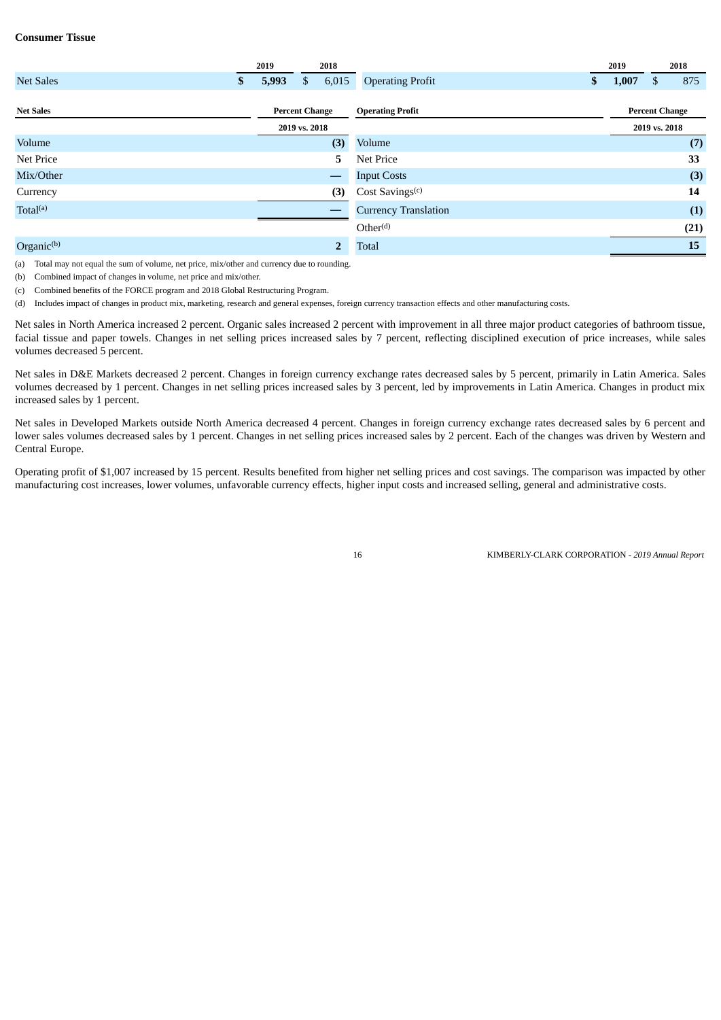|                        | 2019                  |               | 2018                             |                             | 2019        |                       | 2018 |
|------------------------|-----------------------|---------------|----------------------------------|-----------------------------|-------------|-----------------------|------|
| <b>Net Sales</b>       | \$<br>5,993           | \$            | 6,015                            | <b>Operating Profit</b>     | \$<br>1,007 | \$                    | 875  |
| <b>Net Sales</b>       | <b>Percent Change</b> |               |                                  | <b>Operating Profit</b>     |             | <b>Percent Change</b> |      |
|                        |                       | 2019 vs. 2018 |                                  |                             |             | 2019 vs. 2018         |      |
| Volume                 |                       |               | (3)                              | Volume                      |             |                       | (7)  |
| Net Price              |                       |               | 5.                               | Net Price                   |             |                       | 33   |
| Mix/Other              |                       |               |                                  | <b>Input Costs</b>          |             |                       | (3)  |
| Currency               |                       |               | (3)                              | Cost Savings <sup>(c)</sup> |             |                       | 14   |
| Total <sup>(a)</sup>   |                       |               | $\overbrace{\phantom{12322111}}$ | <b>Currency Translation</b> |             |                       | (1)  |
|                        |                       |               |                                  | Other <sup>(d)</sup>        |             |                       | (21) |
| Organic <sup>(b)</sup> |                       |               | 2 <sup>1</sup>                   | <b>Total</b>                |             |                       | 15   |

(a) Total may not equal the sum of volume, net price, mix/other and currency due to rounding.

(b) Combined impact of changes in volume, net price and mix/other.

(c) Combined benefits of the FORCE program and 2018 Global Restructuring Program.

(d) Includes impact of changes in product mix, marketing, research and general expenses, foreign currency transaction effects and other manufacturing costs.

Net sales in North America increased 2 percent. Organic sales increased 2 percent with improvement in all three major product categories of bathroom tissue, facial tissue and paper towels. Changes in net selling prices increased sales by 7 percent, reflecting disciplined execution of price increases, while sales volumes decreased 5 percent.

Net sales in D&E Markets decreased 2 percent. Changes in foreign currency exchange rates decreased sales by 5 percent, primarily in Latin America. Sales volumes decreased by 1 percent. Changes in net selling prices increased sales by 3 percent, led by improvements in Latin America. Changes in product mix increased sales by 1 percent.

Net sales in Developed Markets outside North America decreased 4 percent. Changes in foreign currency exchange rates decreased sales by 6 percent and lower sales volumes decreased sales by 1 percent. Changes in net selling prices increased sales by 2 percent. Each of the changes was driven by Western and Central Europe.

Operating profit of \$1,007 increased by 15 percent. Results benefited from higher net selling prices and cost savings. The comparison was impacted by other manufacturing cost increases, lower volumes, unfavorable currency effects, higher input costs and increased selling, general and administrative costs.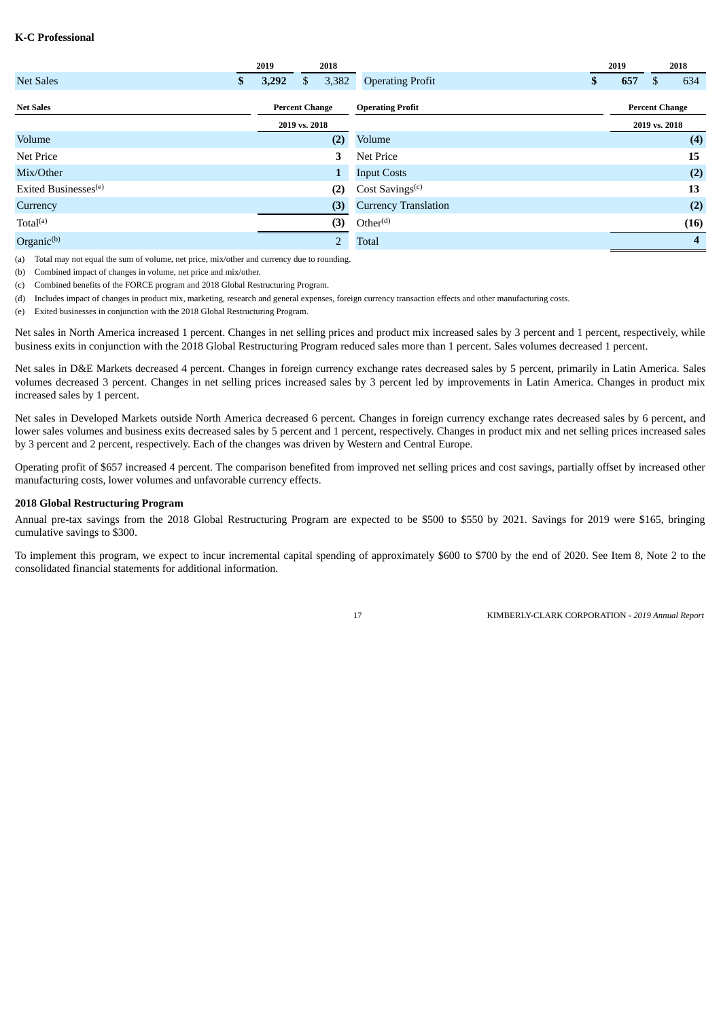## **K-C Professional**

|                                  | 2019                  |               | 2018           |                              | 2019 |                       | 2018           |
|----------------------------------|-----------------------|---------------|----------------|------------------------------|------|-----------------------|----------------|
| <b>Net Sales</b>                 | \$<br>3,292           | \$            | 3,382          | <b>Operating Profit</b><br>D | 657  | S                     | 634            |
| <b>Net Sales</b>                 | <b>Percent Change</b> |               |                | <b>Operating Profit</b>      |      | <b>Percent Change</b> |                |
|                                  |                       | 2019 vs. 2018 |                |                              |      | 2019 vs. 2018         |                |
| Volume                           |                       |               | (2)            | Volume                       |      |                       | (4)            |
| Net Price                        |                       |               | 3              | Net Price                    |      |                       | 15             |
| Mix/Other                        |                       |               | $\mathbf{1}$   | <b>Input Costs</b>           |      |                       | (2)            |
| Exited Businesses <sup>(e)</sup> |                       |               | (2)            | Cost Savings <sup>(c)</sup>  |      |                       | 13             |
| Currency                         |                       |               | (3)            | <b>Currency Translation</b>  |      |                       | (2)            |
| Total <sup>(a)</sup>             |                       |               | (3)            | Other <sup>(d)</sup>         |      |                       | (16)           |
| Organic <sup>(b)</sup>           |                       |               | $\overline{2}$ | <b>Total</b>                 |      |                       | $\overline{4}$ |

(a) Total may not equal the sum of volume, net price, mix/other and currency due to rounding.

(b) Combined impact of changes in volume, net price and mix/other.

(c) Combined benefits of the FORCE program and 2018 Global Restructuring Program.

(d) Includes impact of changes in product mix, marketing, research and general expenses, foreign currency transaction effects and other manufacturing costs.

(e) Exited businesses in conjunction with the 2018 Global Restructuring Program.

Net sales in North America increased 1 percent. Changes in net selling prices and product mix increased sales by 3 percent and 1 percent, respectively, while business exits in conjunction with the 2018 Global Restructuring Program reduced sales more than 1 percent. Sales volumes decreased 1 percent.

Net sales in D&E Markets decreased 4 percent. Changes in foreign currency exchange rates decreased sales by 5 percent, primarily in Latin America. Sales volumes decreased 3 percent. Changes in net selling prices increased sales by 3 percent led by improvements in Latin America. Changes in product mix increased sales by 1 percent.

Net sales in Developed Markets outside North America decreased 6 percent. Changes in foreign currency exchange rates decreased sales by 6 percent, and lower sales volumes and business exits decreased sales by 5 percent and 1 percent, respectively. Changes in product mix and net selling prices increased sales by 3 percent and 2 percent, respectively. Each of the changes was driven by Western and Central Europe.

Operating profit of \$657 increased 4 percent. The comparison benefited from improved net selling prices and cost savings, partially offset by increased other manufacturing costs, lower volumes and unfavorable currency effects.

#### **2018 Global Restructuring Program**

Annual pre-tax savings from the 2018 Global Restructuring Program are expected to be \$500 to \$550 by 2021. Savings for 2019 were \$165, bringing cumulative savings to \$300.

To implement this program, we expect to incur incremental capital spending of approximately \$600 to \$700 by the end of 2020. See Item 8, Note 2 to the consolidated financial statements for additional information.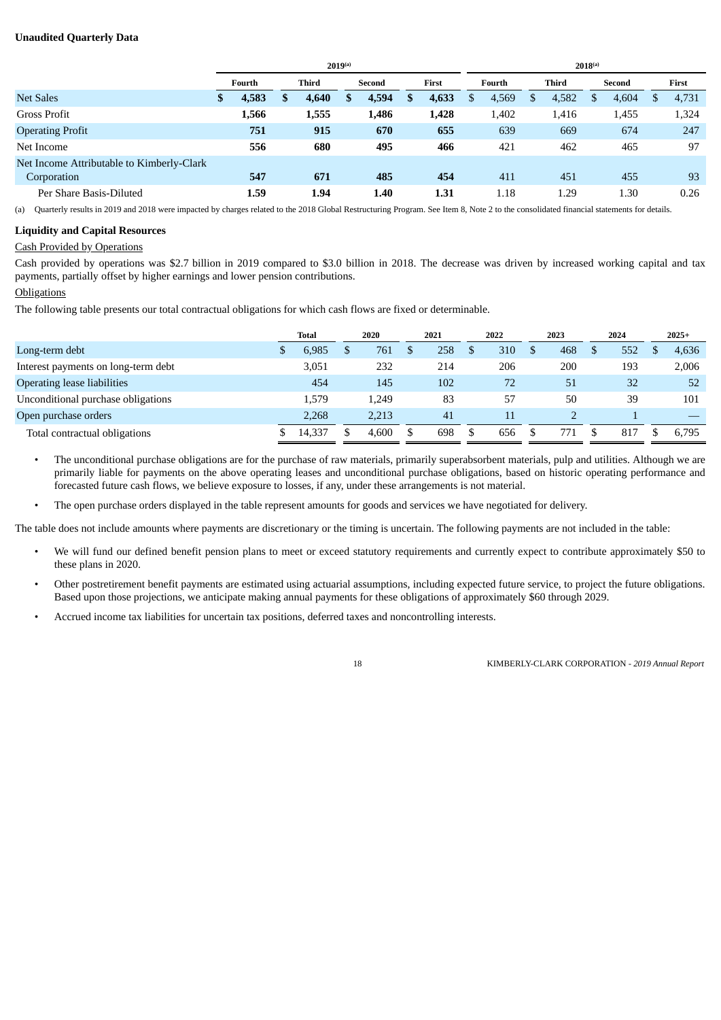## **Unaudited Quarterly Data**

|                                           | $2019^{(a)}$ |     |              |    |        |   |       | $2018^{(a)}$ |        |     |       |        |       |  |       |
|-------------------------------------------|--------------|-----|--------------|----|--------|---|-------|--------------|--------|-----|-------|--------|-------|--|-------|
|                                           | Fourth       |     | <b>Third</b> |    | Second |   | First |              | Fourth |     | Third | Second |       |  | First |
| <b>Net Sales</b>                          | \$<br>4,583  | \$. | 4,640        | \$ | 4,594  | S | 4,633 |              | 4,569  | \$. | 4,582 | \$.    | 4,604 |  | 4,731 |
| Gross Profit                              | 1,566        |     | 1,555        |    | 1,486  |   | 1,428 |              | 1,402  |     | 1,416 |        | 1,455 |  | 1,324 |
| <b>Operating Profit</b>                   | 751          |     | 915          |    | 670    |   | 655   |              | 639    |     | 669   |        | 674   |  | 247   |
| Net Income                                | 556          |     | 680          |    | 495    |   | 466   |              | 421    |     | 462   |        | 465   |  | 97    |
| Net Income Attributable to Kimberly-Clark |              |     |              |    |        |   |       |              |        |     |       |        |       |  |       |
| Corporation                               | 547          |     | 671          |    | 485    |   | 454   |              | 411    |     | 451   |        | 455   |  | 93    |
| Per Share Basis-Diluted                   | 1.59         |     | 1.94         |    | 1.40   |   | 1.31  |              | 1.18   |     | 1.29  |        | 1.30  |  | 0.26  |

(a) Quarterly results in 2019 and 2018 were impacted by charges related to the 2018 Global Restructuring Program. See Item 8, Note 2 to the consolidated financial statements for details.

# **Liquidity and Capital Resources**

## Cash Provided by Operations

Cash provided by operations was \$2.7 billion in 2019 compared to \$3.0 billion in 2018. The decrease was driven by increased working capital and tax payments, partially offset by higher earnings and lower pension contributions.

## Obligations

The following table presents our total contractual obligations for which cash flows are fixed or determinable.

|                                     | <b>Total</b> | 2020  | 2021 | 2022 | 2023 | 2024 | $2025+$ |
|-------------------------------------|--------------|-------|------|------|------|------|---------|
| Long-term debt                      | 6,985        | 761   | 258  | 310  | 468  | 552  | 4,636   |
| Interest payments on long-term debt | 3,051        | 232   | 214  | 206  | 200  | 193  | 2,006   |
| <b>Operating lease liabilities</b>  | 454          | 145   | 102  | 72   | 51   | 32   | 52      |
| Unconditional purchase obligations  | 1,579        | 1.249 | 83   | 57   | 50   | 39   | 101     |
| Open purchase orders                | 2.268        | 2,213 | 41   | 11   |      |      |         |
| Total contractual obligations       | 14.337       | 4.600 | 698  | 656  | 771  | 817  | 6.795   |

• The unconditional purchase obligations are for the purchase of raw materials, primarily superabsorbent materials, pulp and utilities. Although we are primarily liable for payments on the above operating leases and unconditional purchase obligations, based on historic operating performance and forecasted future cash flows, we believe exposure to losses, if any, under these arrangements is not material.

• The open purchase orders displayed in the table represent amounts for goods and services we have negotiated for delivery.

The table does not include amounts where payments are discretionary or the timing is uncertain. The following payments are not included in the table:

- We will fund our defined benefit pension plans to meet or exceed statutory requirements and currently expect to contribute approximately \$50 to these plans in 2020.
- Other postretirement benefit payments are estimated using actuarial assumptions, including expected future service, to project the future obligations. Based upon those projections, we anticipate making annual payments for these obligations of approximately \$60 through 2029.
- Accrued income tax liabilities for uncertain tax positions, deferred taxes and noncontrolling interests.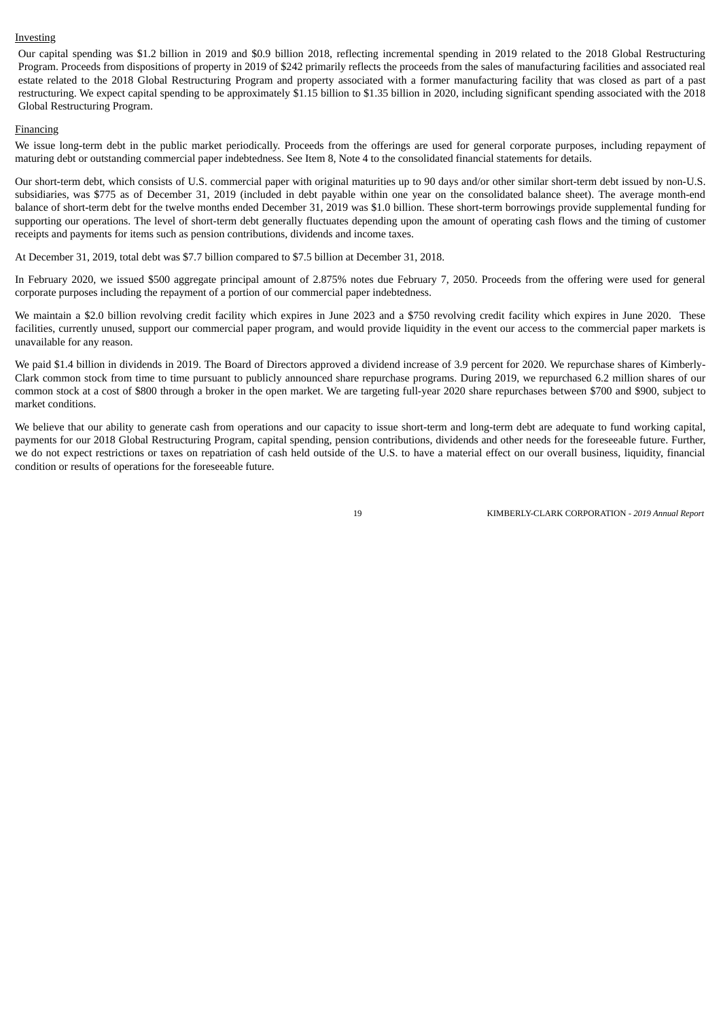#### Investing

Our capital spending was \$1.2 billion in 2019 and \$0.9 billion 2018, reflecting incremental spending in 2019 related to the 2018 Global Restructuring Program. Proceeds from dispositions of property in 2019 of \$242 primarily reflects the proceeds from the sales of manufacturing facilities and associated real estate related to the 2018 Global Restructuring Program and property associated with a former manufacturing facility that was closed as part of a past restructuring. We expect capital spending to be approximately \$1.15 billion to \$1.35 billion in 2020, including significant spending associated with the 2018 Global Restructuring Program.

#### Financing

We issue long-term debt in the public market periodically. Proceeds from the offerings are used for general corporate purposes, including repayment of maturing debt or outstanding commercial paper indebtedness. See Item 8, Note 4 to the consolidated financial statements for details.

Our short-term debt, which consists of U.S. commercial paper with original maturities up to 90 days and/or other similar short-term debt issued by non-U.S. subsidiaries, was \$775 as of December 31, 2019 (included in debt payable within one year on the consolidated balance sheet). The average month-end balance of short-term debt for the twelve months ended December 31, 2019 was \$1.0 billion. These short-term borrowings provide supplemental funding for supporting our operations. The level of short-term debt generally fluctuates depending upon the amount of operating cash flows and the timing of customer receipts and payments for items such as pension contributions, dividends and income taxes.

At December 31, 2019, total debt was \$7.7 billion compared to \$7.5 billion at December 31, 2018.

In February 2020, we issued \$500 aggregate principal amount of 2.875% notes due February 7, 2050. Proceeds from the offering were used for general corporate purposes including the repayment of a portion of our commercial paper indebtedness.

We maintain a \$2.0 billion revolving credit facility which expires in June 2023 and a \$750 revolving credit facility which expires in June 2020. These facilities, currently unused, support our commercial paper program, and would provide liquidity in the event our access to the commercial paper markets is unavailable for any reason.

We paid \$1.4 billion in dividends in 2019. The Board of Directors approved a dividend increase of 3.9 percent for 2020. We repurchase shares of Kimberly-Clark common stock from time to time pursuant to publicly announced share repurchase programs. During 2019, we repurchased 6.2 million shares of our common stock at a cost of \$800 through a broker in the open market. We are targeting full-year 2020 share repurchases between \$700 and \$900, subject to market conditions.

We believe that our ability to generate cash from operations and our capacity to issue short-term and long-term debt are adequate to fund working capital, payments for our 2018 Global Restructuring Program, capital spending, pension contributions, dividends and other needs for the foreseeable future. Further, we do not expect restrictions or taxes on repatriation of cash held outside of the U.S. to have a material effect on our overall business, liquidity, financial condition or results of operations for the foreseeable future.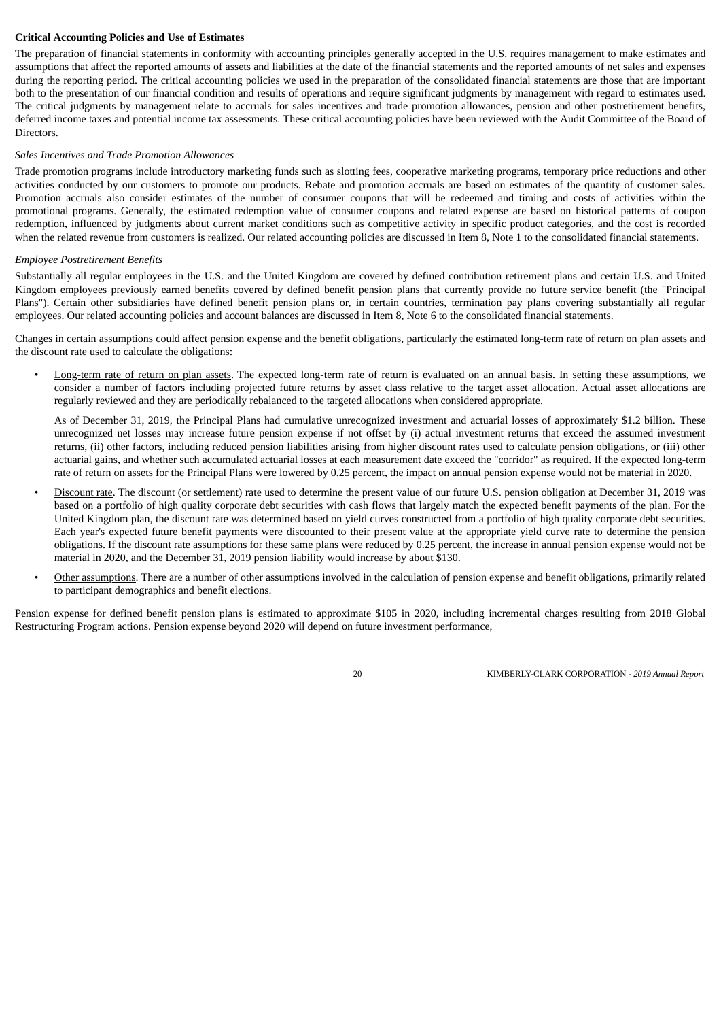## **Critical Accounting Policies and Use of Estimates**

The preparation of financial statements in conformity with accounting principles generally accepted in the U.S. requires management to make estimates and assumptions that affect the reported amounts of assets and liabilities at the date of the financial statements and the reported amounts of net sales and expenses during the reporting period. The critical accounting policies we used in the preparation of the consolidated financial statements are those that are important both to the presentation of our financial condition and results of operations and require significant judgments by management with regard to estimates used. The critical judgments by management relate to accruals for sales incentives and trade promotion allowances, pension and other postretirement benefits, deferred income taxes and potential income tax assessments. These critical accounting policies have been reviewed with the Audit Committee of the Board of **Directors** 

## *Sales Incentives and Trade Promotion Allowances*

Trade promotion programs include introductory marketing funds such as slotting fees, cooperative marketing programs, temporary price reductions and other activities conducted by our customers to promote our products. Rebate and promotion accruals are based on estimates of the quantity of customer sales. Promotion accruals also consider estimates of the number of consumer coupons that will be redeemed and timing and costs of activities within the promotional programs. Generally, the estimated redemption value of consumer coupons and related expense are based on historical patterns of coupon redemption, influenced by judgments about current market conditions such as competitive activity in specific product categories, and the cost is recorded when the related revenue from customers is realized. Our related accounting policies are discussed in Item 8, Note 1 to the consolidated financial statements.

## *Employee Postretirement Benefits*

Substantially all regular employees in the U.S. and the United Kingdom are covered by defined contribution retirement plans and certain U.S. and United Kingdom employees previously earned benefits covered by defined benefit pension plans that currently provide no future service benefit (the "Principal Plans"). Certain other subsidiaries have defined benefit pension plans or, in certain countries, termination pay plans covering substantially all regular employees. Our related accounting policies and account balances are discussed in Item 8, Note 6 to the consolidated financial statements.

Changes in certain assumptions could affect pension expense and the benefit obligations, particularly the estimated long-term rate of return on plan assets and the discount rate used to calculate the obligations:

• Long-term rate of return on plan assets. The expected long-term rate of return is evaluated on an annual basis. In setting these assumptions, we consider a number of factors including projected future returns by asset class relative to the target asset allocation. Actual asset allocations are regularly reviewed and they are periodically rebalanced to the targeted allocations when considered appropriate.

As of December 31, 2019, the Principal Plans had cumulative unrecognized investment and actuarial losses of approximately \$1.2 billion. These unrecognized net losses may increase future pension expense if not offset by (i) actual investment returns that exceed the assumed investment returns, (ii) other factors, including reduced pension liabilities arising from higher discount rates used to calculate pension obligations, or (iii) other actuarial gains, and whether such accumulated actuarial losses at each measurement date exceed the "corridor" as required*.* If the expected long-term rate of return on assets for the Principal Plans were lowered by 0.25 percent, the impact on annual pension expense would not be material in 2020.

- Discount rate. The discount (or settlement) rate used to determine the present value of our future U.S. pension obligation at December 31, 2019 was based on a portfolio of high quality corporate debt securities with cash flows that largely match the expected benefit payments of the plan. For the United Kingdom plan, the discount rate was determined based on yield curves constructed from a portfolio of high quality corporate debt securities. Each year's expected future benefit payments were discounted to their present value at the appropriate yield curve rate to determine the pension obligations. If the discount rate assumptions for these same plans were reduced by 0.25 percent, the increase in annual pension expense would not be material in 2020, and the December 31, 2019 pension liability would increase by about \$130.
- Other assumptions. There are a number of other assumptions involved in the calculation of pension expense and benefit obligations, primarily related to participant demographics and benefit elections.

Pension expense for defined benefit pension plans is estimated to approximate \$105 in 2020, including incremental charges resulting from 2018 Global Restructuring Program actions. Pension expense beyond 2020 will depend on future investment performance,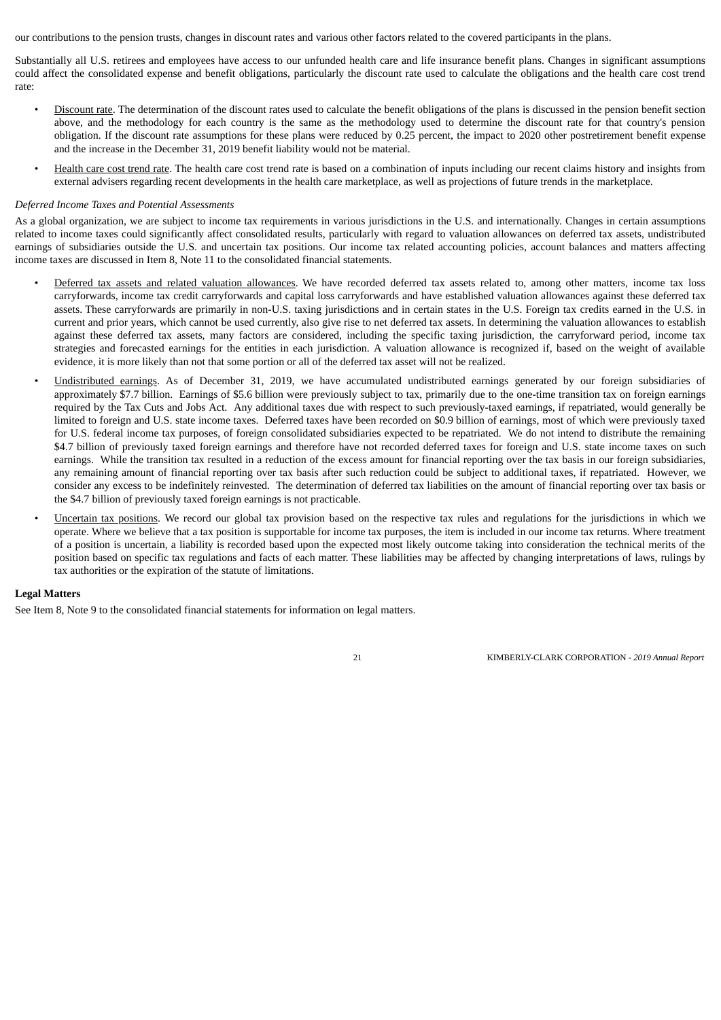our contributions to the pension trusts, changes in discount rates and various other factors related to the covered participants in the plans.

Substantially all U.S. retirees and employees have access to our unfunded health care and life insurance benefit plans. Changes in significant assumptions could affect the consolidated expense and benefit obligations, particularly the discount rate used to calculate the obligations and the health care cost trend rate:

- Discount rate. The determination of the discount rates used to calculate the benefit obligations of the plans is discussed in the pension benefit section above, and the methodology for each country is the same as the methodology used to determine the discount rate for that country's pension obligation. If the discount rate assumptions for these plans were reduced by 0.25 percent, the impact to 2020 other postretirement benefit expense and the increase in the December 31, 2019 benefit liability would not be material.
- Health care cost trend rate. The health care cost trend rate is based on a combination of inputs including our recent claims history and insights from external advisers regarding recent developments in the health care marketplace, as well as projections of future trends in the marketplace.

#### *Deferred Income Taxes and Potential Assessments*

As a global organization, we are subject to income tax requirements in various jurisdictions in the U.S. and internationally. Changes in certain assumptions related to income taxes could significantly affect consolidated results, particularly with regard to valuation allowances on deferred tax assets, undistributed earnings of subsidiaries outside the U.S. and uncertain tax positions. Our income tax related accounting policies, account balances and matters affecting income taxes are discussed in Item 8, Note 11 to the consolidated financial statements.

- Deferred tax assets and related valuation allowances. We have recorded deferred tax assets related to, among other matters, income tax loss carryforwards, income tax credit carryforwards and capital loss carryforwards and have established valuation allowances against these deferred tax assets. These carryforwards are primarily in non-U.S. taxing jurisdictions and in certain states in the U.S. Foreign tax credits earned in the U.S. in current and prior years, which cannot be used currently, also give rise to net deferred tax assets. In determining the valuation allowances to establish against these deferred tax assets, many factors are considered, including the specific taxing jurisdiction, the carryforward period, income tax strategies and forecasted earnings for the entities in each jurisdiction. A valuation allowance is recognized if, based on the weight of available evidence, it is more likely than not that some portion or all of the deferred tax asset will not be realized.
- Undistributed earnings. As of December 31, 2019, we have accumulated undistributed earnings generated by our foreign subsidiaries of approximately \$7.7 billion. Earnings of \$5.6 billion were previously subject to tax, primarily due to the one-time transition tax on foreign earnings required by the Tax Cuts and Jobs Act. Any additional taxes due with respect to such previously-taxed earnings, if repatriated, would generally be limited to foreign and U.S. state income taxes. Deferred taxes have been recorded on \$0.9 billion of earnings, most of which were previously taxed for U.S. federal income tax purposes, of foreign consolidated subsidiaries expected to be repatriated. We do not intend to distribute the remaining \$4.7 billion of previously taxed foreign earnings and therefore have not recorded deferred taxes for foreign and U.S. state income taxes on such earnings. While the transition tax resulted in a reduction of the excess amount for financial reporting over the tax basis in our foreign subsidiaries, any remaining amount of financial reporting over tax basis after such reduction could be subject to additional taxes, if repatriated. However, we consider any excess to be indefinitely reinvested. The determination of deferred tax liabilities on the amount of financial reporting over tax basis or the \$4.7 billion of previously taxed foreign earnings is not practicable.
- Uncertain tax positions. We record our global tax provision based on the respective tax rules and regulations for the jurisdictions in which we operate. Where we believe that a tax position is supportable for income tax purposes, the item is included in our income tax returns. Where treatment of a position is uncertain, a liability is recorded based upon the expected most likely outcome taking into consideration the technical merits of the position based on specific tax regulations and facts of each matter. These liabilities may be affected by changing interpretations of laws, rulings by tax authorities or the expiration of the statute of limitations.

## **Legal Matters**

See Item 8, Note 9 to the consolidated financial statements for information on legal matters.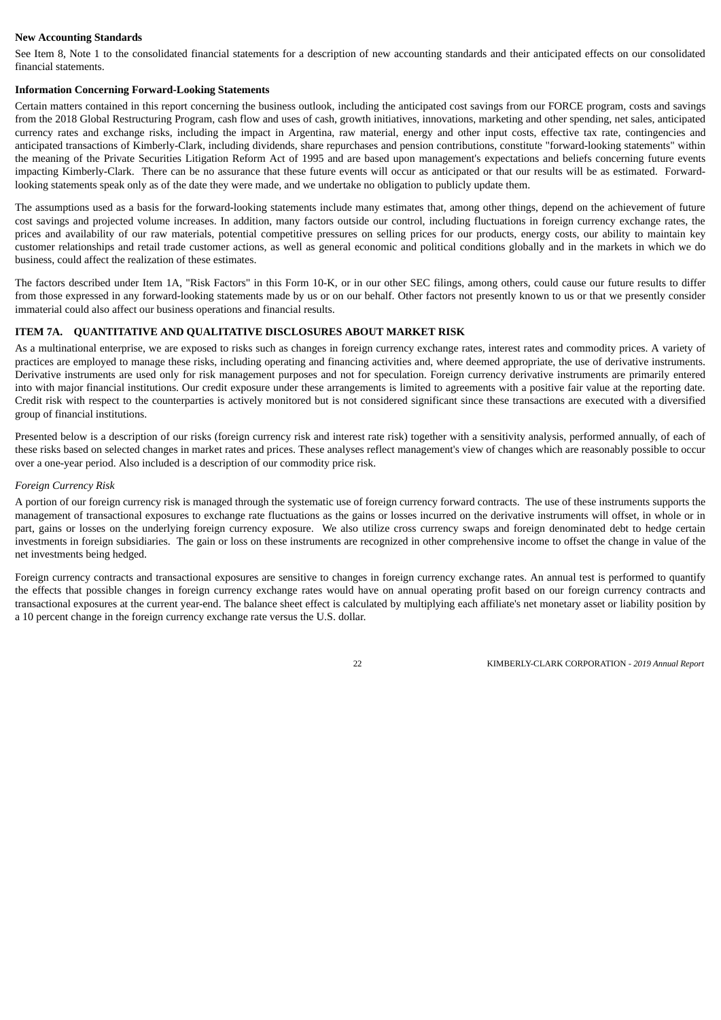#### **New Accounting Standards**

See Item 8, Note 1 to the consolidated financial statements for a description of new accounting standards and their anticipated effects on our consolidated financial statements.

#### **Information Concerning Forward-Looking Statements**

Certain matters contained in this report concerning the business outlook, including the anticipated cost savings from our FORCE program, costs and savings from the 2018 Global Restructuring Program, cash flow and uses of cash, growth initiatives, innovations, marketing and other spending, net sales, anticipated currency rates and exchange risks, including the impact in Argentina, raw material, energy and other input costs, effective tax rate, contingencies and anticipated transactions of Kimberly-Clark, including dividends, share repurchases and pension contributions, constitute "forward-looking statements" within the meaning of the Private Securities Litigation Reform Act of 1995 and are based upon management's expectations and beliefs concerning future events impacting Kimberly-Clark. There can be no assurance that these future events will occur as anticipated or that our results will be as estimated. Forwardlooking statements speak only as of the date they were made, and we undertake no obligation to publicly update them.

The assumptions used as a basis for the forward-looking statements include many estimates that, among other things, depend on the achievement of future cost savings and projected volume increases. In addition, many factors outside our control, including fluctuations in foreign currency exchange rates, the prices and availability of our raw materials, potential competitive pressures on selling prices for our products, energy costs, our ability to maintain key customer relationships and retail trade customer actions, as well as general economic and political conditions globally and in the markets in which we do business, could affect the realization of these estimates.

The factors described under Item 1A, "Risk Factors" in this Form 10-K, or in our other SEC filings, among others, could cause our future results to differ from those expressed in any forward-looking statements made by us or on our behalf. Other factors not presently known to us or that we presently consider immaterial could also affect our business operations and financial results.

## <span id="page-23-0"></span>**ITEM 7A. QUANTITATIVE AND QUALITATIVE DISCLOSURES ABOUT MARKET RISK**

As a multinational enterprise, we are exposed to risks such as changes in foreign currency exchange rates, interest rates and commodity prices. A variety of practices are employed to manage these risks, including operating and financing activities and, where deemed appropriate, the use of derivative instruments. Derivative instruments are used only for risk management purposes and not for speculation. Foreign currency derivative instruments are primarily entered into with major financial institutions. Our credit exposure under these arrangements is limited to agreements with a positive fair value at the reporting date. Credit risk with respect to the counterparties is actively monitored but is not considered significant since these transactions are executed with a diversified group of financial institutions.

Presented below is a description of our risks (foreign currency risk and interest rate risk) together with a sensitivity analysis, performed annually, of each of these risks based on selected changes in market rates and prices. These analyses reflect management's view of changes which are reasonably possible to occur over a one-year period. Also included is a description of our commodity price risk.

## *Foreign Currency Risk*

A portion of our foreign currency risk is managed through the systematic use of foreign currency forward contracts. The use of these instruments supports the management of transactional exposures to exchange rate fluctuations as the gains or losses incurred on the derivative instruments will offset, in whole or in part, gains or losses on the underlying foreign currency exposure. We also utilize cross currency swaps and foreign denominated debt to hedge certain investments in foreign subsidiaries. The gain or loss on these instruments are recognized in other comprehensive income to offset the change in value of the net investments being hedged.

Foreign currency contracts and transactional exposures are sensitive to changes in foreign currency exchange rates. An annual test is performed to quantify the effects that possible changes in foreign currency exchange rates would have on annual operating profit based on our foreign currency contracts and transactional exposures at the current year-end. The balance sheet effect is calculated by multiplying each affiliate's net monetary asset or liability position by a 10 percent change in the foreign currency exchange rate versus the U.S. dollar.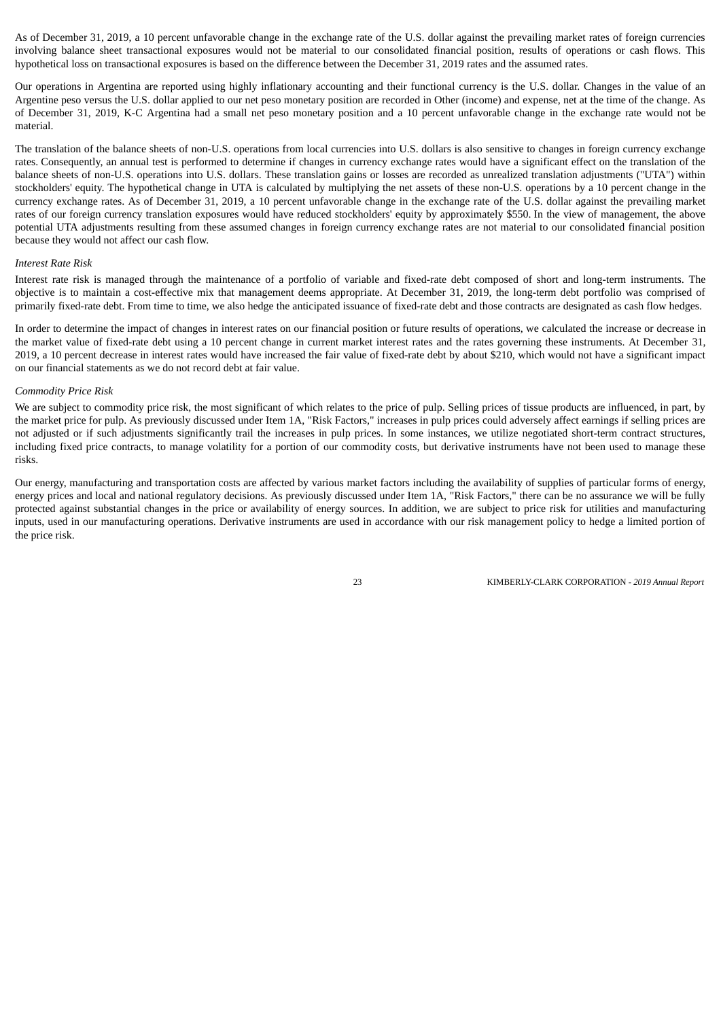As of December 31, 2019, a 10 percent unfavorable change in the exchange rate of the U.S. dollar against the prevailing market rates of foreign currencies involving balance sheet transactional exposures would not be material to our consolidated financial position, results of operations or cash flows. This hypothetical loss on transactional exposures is based on the difference between the December 31, 2019 rates and the assumed rates.

Our operations in Argentina are reported using highly inflationary accounting and their functional currency is the U.S. dollar. Changes in the value of an Argentine peso versus the U.S. dollar applied to our net peso monetary position are recorded in Other (income) and expense, net at the time of the change. As of December 31, 2019, K-C Argentina had a small net peso monetary position and a 10 percent unfavorable change in the exchange rate would not be material.

The translation of the balance sheets of non-U.S. operations from local currencies into U.S. dollars is also sensitive to changes in foreign currency exchange rates. Consequently, an annual test is performed to determine if changes in currency exchange rates would have a significant effect on the translation of the balance sheets of non-U.S. operations into U.S. dollars. These translation gains or losses are recorded as unrealized translation adjustments ("UTA") within stockholders' equity. The hypothetical change in UTA is calculated by multiplying the net assets of these non-U.S. operations by a 10 percent change in the currency exchange rates. As of December 31, 2019, a 10 percent unfavorable change in the exchange rate of the U.S. dollar against the prevailing market rates of our foreign currency translation exposures would have reduced stockholders' equity by approximately \$550. In the view of management, the above potential UTA adjustments resulting from these assumed changes in foreign currency exchange rates are not material to our consolidated financial position because they would not affect our cash flow.

#### *Interest Rate Risk*

Interest rate risk is managed through the maintenance of a portfolio of variable and fixed-rate debt composed of short and long-term instruments. The objective is to maintain a cost-effective mix that management deems appropriate. At December 31, 2019, the long-term debt portfolio was comprised of primarily fixed-rate debt. From time to time, we also hedge the anticipated issuance of fixed-rate debt and those contracts are designated as cash flow hedges.

In order to determine the impact of changes in interest rates on our financial position or future results of operations, we calculated the increase or decrease in the market value of fixed-rate debt using a 10 percent change in current market interest rates and the rates governing these instruments. At December 31, 2019, a 10 percent decrease in interest rates would have increased the fair value of fixed-rate debt by about \$210, which would not have a significant impact on our financial statements as we do not record debt at fair value.

#### *Commodity Price Risk*

We are subject to commodity price risk, the most significant of which relates to the price of pulp. Selling prices of tissue products are influenced, in part, by the market price for pulp. As previously discussed under Item 1A, "Risk Factors," increases in pulp prices could adversely affect earnings if selling prices are not adjusted or if such adjustments significantly trail the increases in pulp prices. In some instances, we utilize negotiated short-term contract structures, including fixed price contracts, to manage volatility for a portion of our commodity costs, but derivative instruments have not been used to manage these risks.

Our energy, manufacturing and transportation costs are affected by various market factors including the availability of supplies of particular forms of energy, energy prices and local and national regulatory decisions. As previously discussed under Item 1A, "Risk Factors," there can be no assurance we will be fully protected against substantial changes in the price or availability of energy sources. In addition, we are subject to price risk for utilities and manufacturing inputs, used in our manufacturing operations. Derivative instruments are used in accordance with our risk management policy to hedge a limited portion of the price risk.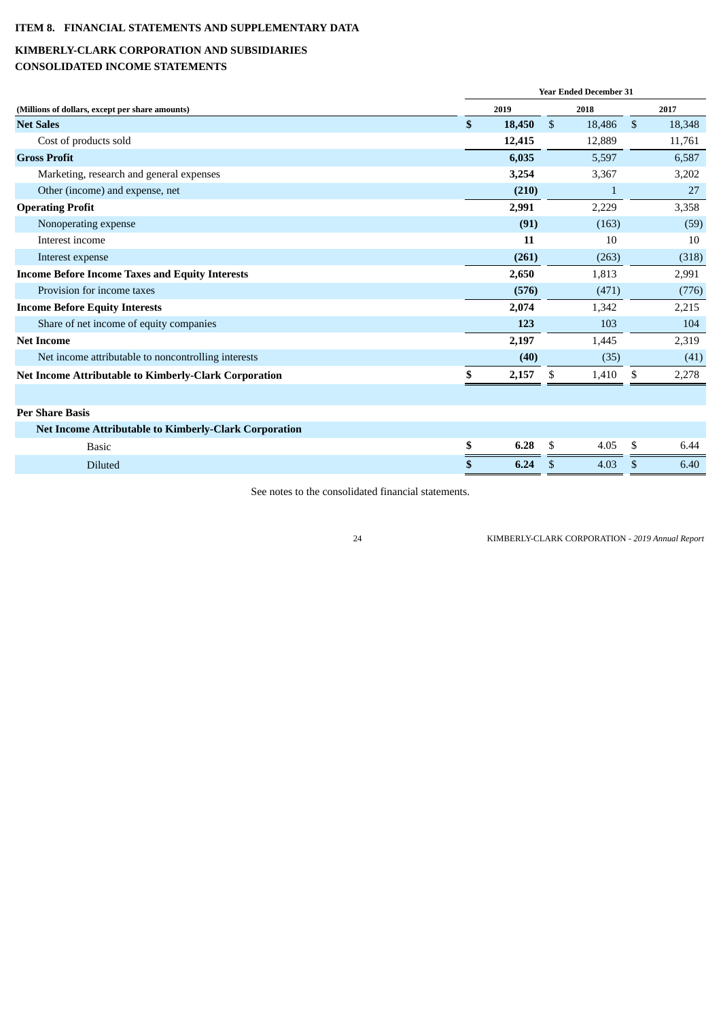# <span id="page-25-0"></span>**ITEM 8. FINANCIAL STATEMENTS AND SUPPLEMENTARY DATA**

# **KIMBERLY-CLARK CORPORATION AND SUBSIDIARIES CONSOLIDATED INCOME STATEMENTS**

|                                                        | <b>Year Ended December 31</b> |        |              |              |              |        |
|--------------------------------------------------------|-------------------------------|--------|--------------|--------------|--------------|--------|
| (Millions of dollars, except per share amounts)        |                               | 2019   |              | 2018         |              | 2017   |
| <b>Net Sales</b>                                       | $\mathbf{s}$                  | 18,450 | $\mathbb{S}$ | 18,486       | $\mathbb{S}$ | 18,348 |
| Cost of products sold                                  |                               | 12,415 |              | 12,889       |              | 11,761 |
| <b>Gross Profit</b>                                    |                               | 6,035  |              | 5,597        |              | 6,587  |
| Marketing, research and general expenses               |                               | 3,254  |              | 3,367        |              | 3,202  |
| Other (income) and expense, net                        |                               | (210)  |              | $\mathbf{1}$ |              | 27     |
| <b>Operating Profit</b>                                |                               | 2,991  |              | 2,229        |              | 3,358  |
| Nonoperating expense                                   |                               | (91)   |              | (163)        |              | (59)   |
| Interest income                                        |                               | 11     |              | 10           |              | 10     |
| Interest expense                                       |                               | (261)  |              | (263)        |              | (318)  |
| <b>Income Before Income Taxes and Equity Interests</b> |                               | 2,650  |              | 1,813        |              | 2,991  |
| Provision for income taxes                             |                               | (576)  |              | (471)        |              | (776)  |
| <b>Income Before Equity Interests</b>                  |                               | 2,074  |              | 1,342        |              | 2,215  |
| Share of net income of equity companies                |                               | 123    |              | 103          |              | 104    |
| <b>Net Income</b>                                      |                               | 2,197  |              | 1,445        |              | 2,319  |
| Net income attributable to noncontrolling interests    |                               | (40)   |              | (35)         |              | (41)   |
| Net Income Attributable to Kimberly-Clark Corporation  | \$                            | 2,157  | \$           | 1,410        | \$           | 2,278  |
|                                                        |                               |        |              |              |              |        |
| <b>Per Share Basis</b>                                 |                               |        |              |              |              |        |
| Net Income Attributable to Kimberly-Clark Corporation  |                               |        |              |              |              |        |
| <b>Basic</b>                                           | \$                            | 6.28   | \$           | 4.05         | \$           | 6.44   |
| <b>Diluted</b>                                         | \$                            | 6.24   | $\mathbb{S}$ | 4.03         | \$           | 6.40   |

See notes to the consolidated financial statements.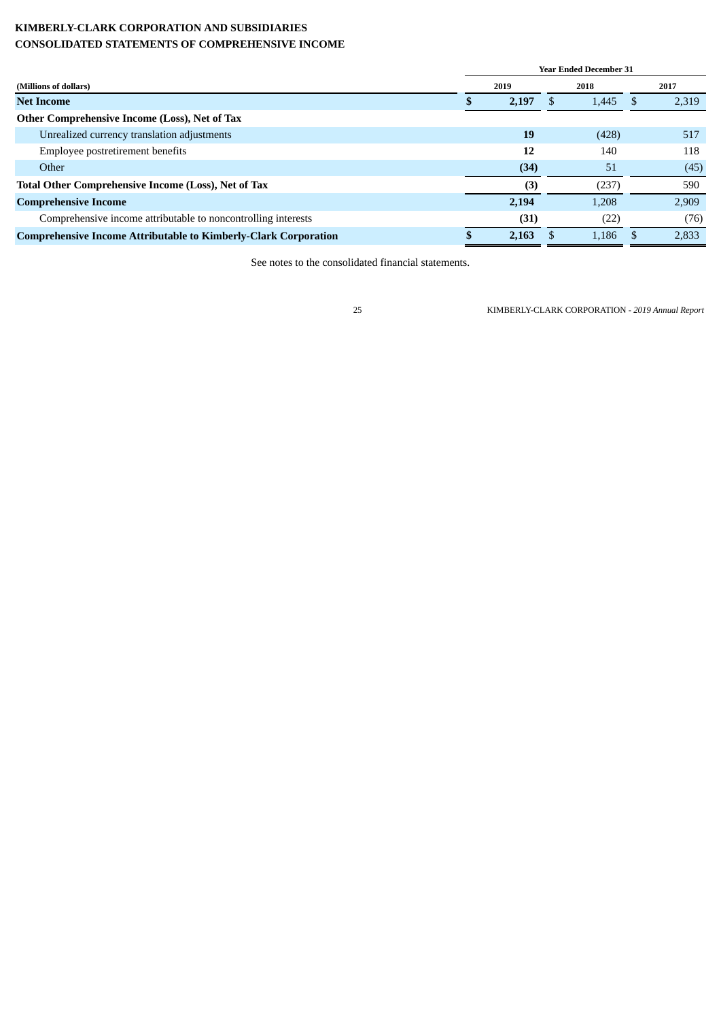# **KIMBERLY-CLARK CORPORATION AND SUBSIDIARIES CONSOLIDATED STATEMENTS OF COMPREHENSIVE INCOME**

|                                                                        | <b>Year Ended December 31</b> |                   |  |       |      |       |  |
|------------------------------------------------------------------------|-------------------------------|-------------------|--|-------|------|-------|--|
| (Millions of dollars)                                                  | 2019<br>2018                  |                   |  |       | 2017 |       |  |
| <b>Net Income</b>                                                      |                               | 2,197             |  | 1,445 |      | 2,319 |  |
| Other Comprehensive Income (Loss), Net of Tax                          |                               |                   |  |       |      |       |  |
| Unrealized currency translation adjustments                            |                               | 19                |  | (428) |      | 517   |  |
| Employee postretirement benefits                                       |                               | 12                |  | 140   |      | 118   |  |
| Other                                                                  |                               | (34)              |  | 51    |      | (45)  |  |
| Total Other Comprehensive Income (Loss), Net of Tax                    |                               | $\left( 3\right)$ |  | (237) |      | 590   |  |
| <b>Comprehensive Income</b>                                            |                               | 2,194             |  | 1.208 |      | 2,909 |  |
| Comprehensive income attributable to noncontrolling interests          |                               | (31)              |  | (22)  |      | (76)  |  |
| <b>Comprehensive Income Attributable to Kimberly-Clark Corporation</b> |                               | 2,163             |  | 1,186 |      | 2,833 |  |

See notes to the consolidated financial statements.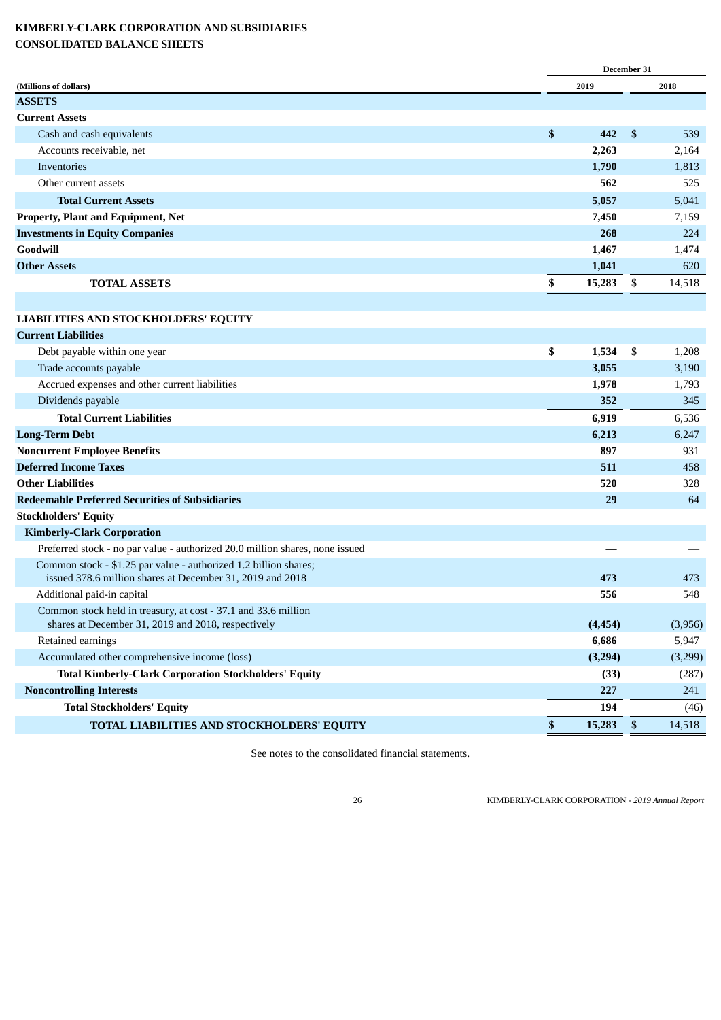# **KIMBERLY-CLARK CORPORATION AND SUBSIDIARIES CONSOLIDATED BALANCE SHEETS**

|                                        |              | December 31 |        |
|----------------------------------------|--------------|-------------|--------|
| (Millions of dollars)                  | 2019         |             | 2018   |
| <b>ASSETS</b>                          |              |             |        |
| <b>Current Assets</b>                  |              |             |        |
| Cash and cash equivalents              | \$           | 442<br>- \$ | 539    |
| Accounts receivable, net               | 2,263        |             | 2,164  |
| Inventories                            | 1,790        |             | 1,813  |
| Other current assets                   |              | 562         | 525    |
| <b>Total Current Assets</b>            | 5,057        |             | 5,041  |
| Property, Plant and Equipment, Net     | 7,450        |             | 7,159  |
| <b>Investments in Equity Companies</b> |              | 268         | 224    |
| Goodwill                               | 1,467        |             | 1,474  |
| <b>Other Assets</b>                    | 1,041        |             | 620    |
| <b>TOTAL ASSETS</b>                    | 15,283<br>\$ | \$          | 14,518 |

# **LIABILITIES AND STOCKHOLDERS' EQUITY**

| <b>Current Liabilities</b>                                                                                                    |              |    |         |
|-------------------------------------------------------------------------------------------------------------------------------|--------------|----|---------|
| Debt payable within one year                                                                                                  | \$<br>1,534  | \$ | 1,208   |
| Trade accounts payable                                                                                                        | 3,055        |    | 3,190   |
| Accrued expenses and other current liabilities                                                                                | 1,978        |    | 1,793   |
| Dividends payable                                                                                                             | 352          |    | 345     |
| <b>Total Current Liabilities</b>                                                                                              | 6,919        |    | 6,536   |
| <b>Long-Term Debt</b>                                                                                                         | 6,213        |    | 6,247   |
| <b>Noncurrent Employee Benefits</b>                                                                                           | 897          |    | 931     |
| <b>Deferred Income Taxes</b>                                                                                                  | 511          |    | 458     |
| <b>Other Liabilities</b>                                                                                                      | 520          |    | 328     |
| <b>Redeemable Preferred Securities of Subsidiaries</b>                                                                        | 29           |    | 64      |
| <b>Stockholders' Equity</b>                                                                                                   |              |    |         |
| <b>Kimberly-Clark Corporation</b>                                                                                             |              |    |         |
| Preferred stock - no par value - authorized 20.0 million shares, none issued                                                  |              |    |         |
| Common stock - \$1.25 par value - authorized 1.2 billion shares;<br>issued 378.6 million shares at December 31, 2019 and 2018 | 473          |    | 473     |
| Additional paid-in capital                                                                                                    | 556          |    | 548     |
| Common stock held in treasury, at cost - 37.1 and 33.6 million<br>shares at December 31, 2019 and 2018, respectively          | (4, 454)     |    | (3,956) |
| Retained earnings                                                                                                             | 6,686        |    | 5,947   |
| Accumulated other comprehensive income (loss)                                                                                 | (3,294)      |    | (3,299) |
| <b>Total Kimberly-Clark Corporation Stockholders' Equity</b>                                                                  | (33)         |    | (287)   |
| <b>Noncontrolling Interests</b>                                                                                               | 227          |    | 241     |
| <b>Total Stockholders' Equity</b>                                                                                             | 194          |    | (46)    |
| <b>TOTAL LIABILITIES AND STOCKHOLDERS' EQUITY</b>                                                                             | \$<br>15,283 | S  | 14,518  |
|                                                                                                                               |              |    |         |

See notes to the consolidated financial statements.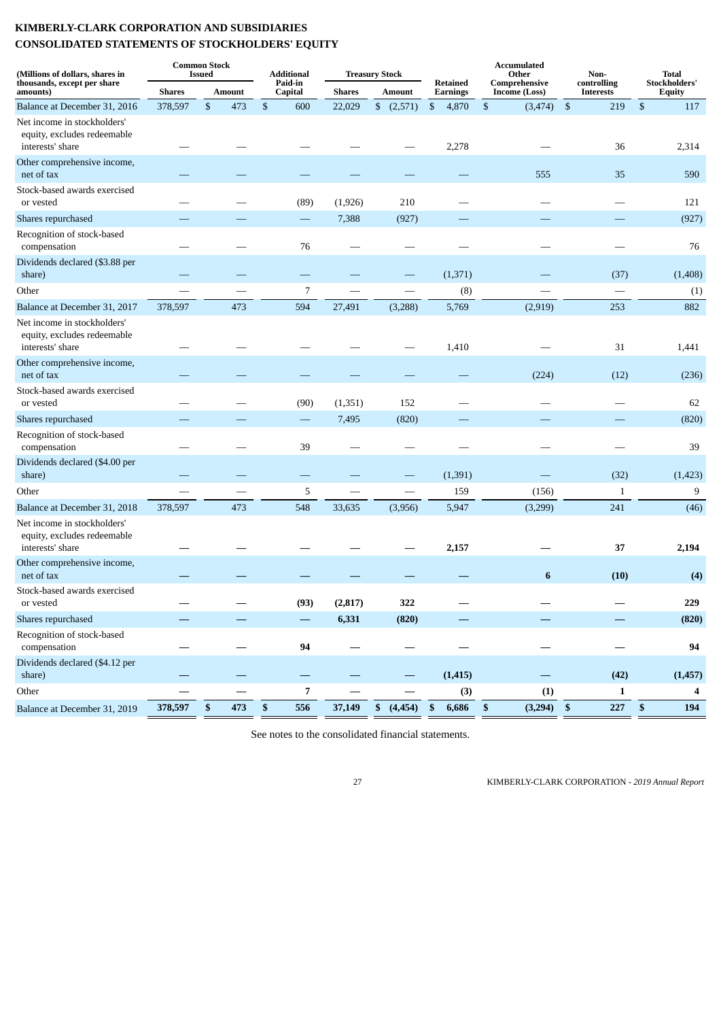# **KIMBERLY-CLARK CORPORATION AND SUBSIDIARIES CONSOLIDATED STATEMENTS OF STOCKHOLDERS' EQUITY**

| (Millions of dollars, shares in                                                | <b>Common Stock</b><br><b>Issued</b> |               | <b>Additional</b>                |               | <b>Treasury Stock</b> |                                    | <b>Accumulated</b><br>Other           | Non-                             | <b>Total</b>                     |
|--------------------------------------------------------------------------------|--------------------------------------|---------------|----------------------------------|---------------|-----------------------|------------------------------------|---------------------------------------|----------------------------------|----------------------------------|
| thousands, except per share<br>amounts)                                        | <b>Shares</b>                        | <b>Amount</b> | Paid-in<br>Capital               | <b>Shares</b> | Amount                | <b>Retained</b><br><b>Earnings</b> | Comprehensive<br><b>Income (Loss)</b> | controlling<br><b>Interests</b>  | Stockholders'<br><b>Equity</b>   |
| Balance at December 31, 2016                                                   | 378,597                              | \$<br>473     | $\boldsymbol{\mathsf{S}}$<br>600 | 22,029        | (2,571)               | \$<br>4,870                        | \$<br>(3, 474)                        | $\boldsymbol{\mathsf{S}}$<br>219 | $\boldsymbol{\mathsf{S}}$<br>117 |
| Net income in stockholders'<br>equity, excludes redeemable<br>interests' share |                                      |               |                                  |               |                       | 2,278                              |                                       | 36                               | 2,314                            |
| Other comprehensive income,<br>net of tax                                      |                                      |               |                                  |               |                       |                                    | 555                                   | 35                               | 590                              |
| Stock-based awards exercised<br>or vested                                      |                                      |               | (89)                             | (1,926)       | 210                   |                                    |                                       |                                  | 121                              |
| Shares repurchased                                                             |                                      |               |                                  | 7,388         | (927)                 |                                    |                                       |                                  | (927)                            |
| Recognition of stock-based<br>compensation                                     |                                      |               | 76                               |               |                       |                                    |                                       |                                  | 76                               |
| Dividends declared (\$3.88 per<br>share)                                       |                                      |               |                                  |               |                       | (1, 371)                           |                                       | (37)                             | (1, 408)                         |
| Other                                                                          |                                      |               | 7                                |               |                       | (8)                                |                                       |                                  | (1)                              |
| Balance at December 31, 2017                                                   | 378,597                              | 473           | 594                              | 27,491        | (3,288)               | 5,769                              | (2,919)                               | 253                              | 882                              |
| Net income in stockholders'<br>equity, excludes redeemable<br>interests' share |                                      |               |                                  |               |                       | 1,410                              |                                       | 31                               | 1,441                            |
| Other comprehensive income,<br>net of tax                                      |                                      |               |                                  |               |                       |                                    | (224)                                 | (12)                             | (236)                            |
| Stock-based awards exercised<br>or vested                                      |                                      |               | (90)                             | (1, 351)      | 152                   |                                    |                                       |                                  | 62                               |
| Shares repurchased                                                             |                                      |               |                                  | 7,495         | (820)                 |                                    |                                       |                                  | (820)                            |
| Recognition of stock-based<br>compensation                                     |                                      |               | 39                               |               |                       |                                    |                                       |                                  | 39                               |
| Dividends declared (\$4.00 per<br>share)                                       |                                      |               |                                  |               |                       | (1, 391)                           |                                       | (32)                             | (1, 423)                         |
| Other                                                                          |                                      |               | 5                                |               |                       | 159                                | (156)                                 | $\mathbf{1}$                     | 9                                |
| Balance at December 31, 2018                                                   | 378,597                              | 473           | 548                              | 33,635        | (3,956)               | 5,947                              | (3,299)                               | 241                              | (46)                             |
| Net income in stockholders'<br>equity, excludes redeemable<br>interests' share |                                      |               |                                  |               |                       | 2,157                              |                                       | 37                               | 2,194                            |
| Other comprehensive income,<br>net of tax                                      |                                      |               |                                  |               |                       |                                    | 6                                     | (10)                             | (4)                              |
| Stock-based awards exercised<br>or vested                                      |                                      |               | (93)                             | (2, 817)      | 322                   |                                    |                                       |                                  | 229                              |
| Shares repurchased                                                             |                                      |               |                                  | 6,331         | (820)                 |                                    |                                       |                                  | (820)                            |
| Recognition of stock-based<br>compensation                                     |                                      |               | 94                               |               |                       |                                    |                                       |                                  | 94                               |
| Dividends declared (\$4.12 per<br>share)                                       |                                      |               |                                  |               |                       | (1, 415)                           |                                       | (42)                             | (1, 457)                         |
| Other                                                                          |                                      |               | $\overline{7}$                   |               |                       | (3)                                | (1)                                   | $\mathbf{1}$                     | 4                                |
| Balance at December 31, 2019                                                   | 378,597                              | \$<br>473     | $\pmb{\mathbb{S}}$<br>556        | 37,149        | \$(4,454)             | \$<br>6,686                        | $\mathbf{\$}$<br>$(3,294)$ \$         | 227                              | $\mathbf{\$}$<br>194             |

See notes to the consolidated financial statements.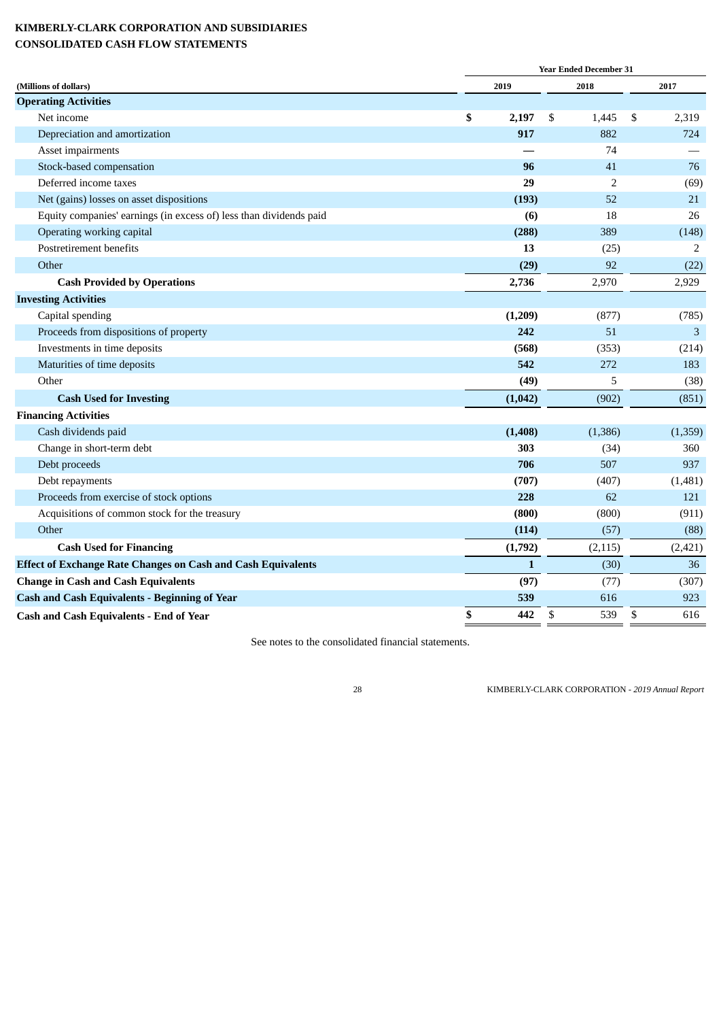# **KIMBERLY-CLARK CORPORATION AND SUBSIDIARIES CONSOLIDATED CASH FLOW STATEMENTS**

|                                                                     | <b>Year Ended December 31</b> |      |          |    |         |  |
|---------------------------------------------------------------------|-------------------------------|------|----------|----|---------|--|
| (Millions of dollars)                                               | 2019                          | 2018 |          |    |         |  |
| <b>Operating Activities</b>                                         |                               |      |          |    |         |  |
| Net income                                                          | \$<br>2,197                   | \$   | 1,445    | \$ | 2,319   |  |
| Depreciation and amortization                                       | 917                           |      | 882      |    | 724     |  |
| Asset impairments                                                   |                               |      | 74       |    |         |  |
| Stock-based compensation                                            | 96                            |      | 41       |    | 76      |  |
| Deferred income taxes                                               | 29                            |      | 2        |    | (69)    |  |
| Net (gains) losses on asset dispositions                            | (193)                         |      | 52       |    | 21      |  |
| Equity companies' earnings (in excess of) less than dividends paid  | (6)                           |      | 18       |    | 26      |  |
| Operating working capital                                           | (288)                         |      | 389      |    | (148)   |  |
| Postretirement benefits                                             | 13                            |      | (25)     |    | 2       |  |
| Other                                                               | (29)                          |      | 92       |    | (22)    |  |
| <b>Cash Provided by Operations</b>                                  | 2,736                         |      | 2,970    |    | 2,929   |  |
| <b>Investing Activities</b>                                         |                               |      |          |    |         |  |
| Capital spending                                                    | (1,209)                       |      | (877)    |    | (785)   |  |
| Proceeds from dispositions of property                              | 242                           |      | 51       |    | 3       |  |
| Investments in time deposits                                        | (568)                         |      | (353)    |    | (214)   |  |
| Maturities of time deposits                                         | 542                           |      | 272      |    | 183     |  |
| Other                                                               | (49)                          |      | 5        |    | (38)    |  |
| <b>Cash Used for Investing</b>                                      | (1, 042)                      |      | (902)    |    | (851)   |  |
| <b>Financing Activities</b>                                         |                               |      |          |    |         |  |
| Cash dividends paid                                                 | (1, 408)                      |      | (1,386)  |    | (1,359) |  |
| Change in short-term debt                                           | 303                           |      | (34)     |    | 360     |  |
| Debt proceeds                                                       | 706                           |      | 507      |    | 937     |  |
| Debt repayments                                                     | (707)                         |      | (407)    |    | (1,481) |  |
| Proceeds from exercise of stock options                             | 228                           |      | 62       |    | 121     |  |
| Acquisitions of common stock for the treasury                       | (800)                         |      | (800)    |    | (911)   |  |
| Other                                                               | (114)                         |      | (57)     |    | (88)    |  |
| <b>Cash Used for Financing</b>                                      | (1,792)                       |      | (2, 115) |    | (2,421) |  |
| <b>Effect of Exchange Rate Changes on Cash and Cash Equivalents</b> | $\mathbf{1}$                  |      | (30)     |    | 36      |  |
| <b>Change in Cash and Cash Equivalents</b>                          | (97)                          |      | (77)     |    | (307)   |  |
| <b>Cash and Cash Equivalents - Beginning of Year</b>                | 539                           |      | 616      |    | 923     |  |
| <b>Cash and Cash Equivalents - End of Year</b>                      | \$<br>442                     | \$   | 539      | \$ | 616     |  |

See notes to the consolidated financial statements.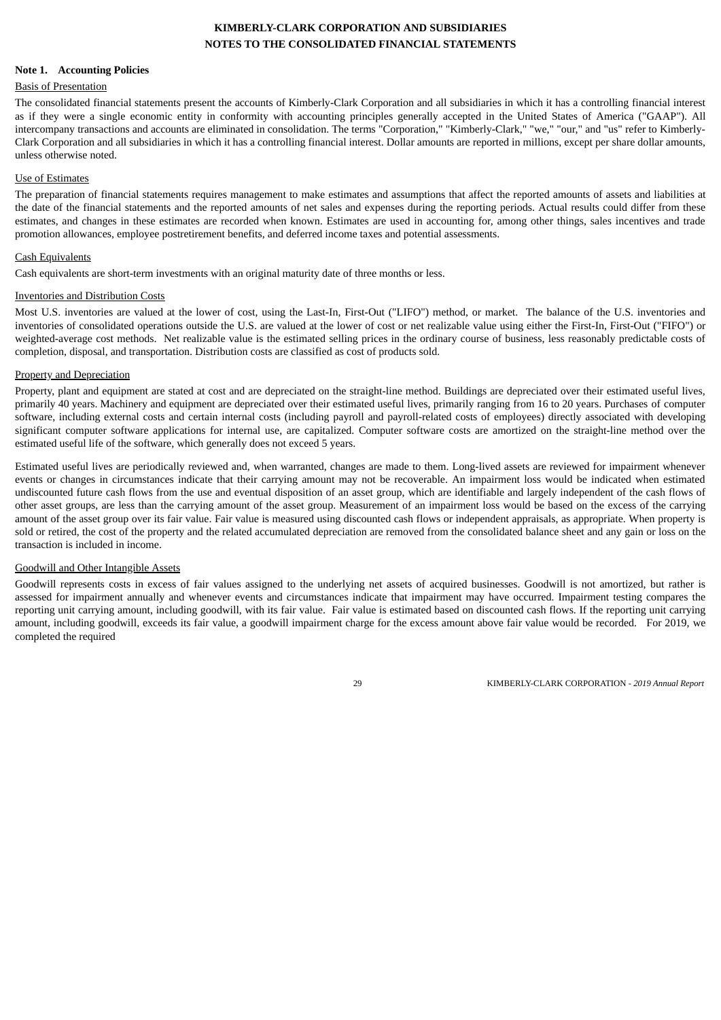# **KIMBERLY-CLARK CORPORATION AND SUBSIDIARIES NOTES TO THE CONSOLIDATED FINANCIAL STATEMENTS**

#### **Note 1. Accounting Policies**

## Basis of Presentation

The consolidated financial statements present the accounts of Kimberly-Clark Corporation and all subsidiaries in which it has a controlling financial interest as if they were a single economic entity in conformity with accounting principles generally accepted in the United States of America ("GAAP"). All intercompany transactions and accounts are eliminated in consolidation. The terms "Corporation," "Kimberly-Clark," "we," "our," and "us" refer to Kimberly-Clark Corporation and all subsidiaries in which it has a controlling financial interest. Dollar amounts are reported in millions, except per share dollar amounts, unless otherwise noted.

## Use of Estimates

The preparation of financial statements requires management to make estimates and assumptions that affect the reported amounts of assets and liabilities at the date of the financial statements and the reported amounts of net sales and expenses during the reporting periods. Actual results could differ from these estimates, and changes in these estimates are recorded when known. Estimates are used in accounting for, among other things, sales incentives and trade promotion allowances, employee postretirement benefits, and deferred income taxes and potential assessments.

#### Cash Equivalents

Cash equivalents are short-term investments with an original maturity date of three months or less.

## Inventories and Distribution Costs

Most U.S. inventories are valued at the lower of cost, using the Last-In, First-Out ("LIFO") method, or market. The balance of the U.S. inventories and inventories of consolidated operations outside the U.S. are valued at the lower of cost or net realizable value using either the First-In, First-Out ("FIFO") or weighted-average cost methods. Net realizable value is the estimated selling prices in the ordinary course of business, less reasonably predictable costs of completion, disposal, and transportation. Distribution costs are classified as cost of products sold.

#### Property and Depreciation

Property, plant and equipment are stated at cost and are depreciated on the straight-line method. Buildings are depreciated over their estimated useful lives, primarily 40 years. Machinery and equipment are depreciated over their estimated useful lives, primarily ranging from 16 to 20 years. Purchases of computer software, including external costs and certain internal costs (including payroll and payroll-related costs of employees) directly associated with developing significant computer software applications for internal use, are capitalized. Computer software costs are amortized on the straight-line method over the estimated useful life of the software, which generally does not exceed 5 years.

Estimated useful lives are periodically reviewed and, when warranted, changes are made to them. Long-lived assets are reviewed for impairment whenever events or changes in circumstances indicate that their carrying amount may not be recoverable. An impairment loss would be indicated when estimated undiscounted future cash flows from the use and eventual disposition of an asset group, which are identifiable and largely independent of the cash flows of other asset groups, are less than the carrying amount of the asset group. Measurement of an impairment loss would be based on the excess of the carrying amount of the asset group over its fair value. Fair value is measured using discounted cash flows or independent appraisals, as appropriate. When property is sold or retired, the cost of the property and the related accumulated depreciation are removed from the consolidated balance sheet and any gain or loss on the transaction is included in income.

## Goodwill and Other Intangible Assets

Goodwill represents costs in excess of fair values assigned to the underlying net assets of acquired businesses. Goodwill is not amortized, but rather is assessed for impairment annually and whenever events and circumstances indicate that impairment may have occurred. Impairment testing compares the reporting unit carrying amount, including goodwill, with its fair value. Fair value is estimated based on discounted cash flows. If the reporting unit carrying amount, including goodwill, exceeds its fair value, a goodwill impairment charge for the excess amount above fair value would be recorded. For 2019, we completed the required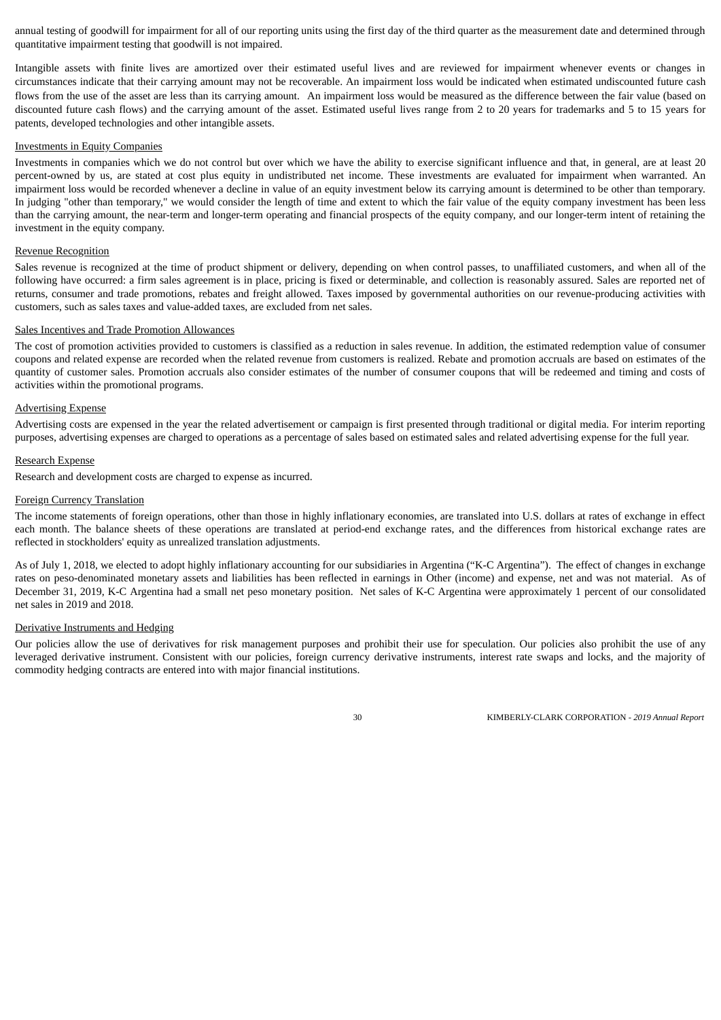annual testing of goodwill for impairment for all of our reporting units using the first day of the third quarter as the measurement date and determined through quantitative impairment testing that goodwill is not impaired.

Intangible assets with finite lives are amortized over their estimated useful lives and are reviewed for impairment whenever events or changes in circumstances indicate that their carrying amount may not be recoverable. An impairment loss would be indicated when estimated undiscounted future cash flows from the use of the asset are less than its carrying amount. An impairment loss would be measured as the difference between the fair value (based on discounted future cash flows) and the carrying amount of the asset. Estimated useful lives range from 2 to 20 years for trademarks and 5 to 15 years for patents, developed technologies and other intangible assets.

### Investments in Equity Companies

Investments in companies which we do not control but over which we have the ability to exercise significant influence and that, in general, are at least 20 percent-owned by us, are stated at cost plus equity in undistributed net income. These investments are evaluated for impairment when warranted. An impairment loss would be recorded whenever a decline in value of an equity investment below its carrying amount is determined to be other than temporary. In judging "other than temporary," we would consider the length of time and extent to which the fair value of the equity company investment has been less than the carrying amount, the near-term and longer-term operating and financial prospects of the equity company, and our longer-term intent of retaining the investment in the equity company.

#### Revenue Recognition

Sales revenue is recognized at the time of product shipment or delivery, depending on when control passes, to unaffiliated customers, and when all of the following have occurred: a firm sales agreement is in place, pricing is fixed or determinable, and collection is reasonably assured. Sales are reported net of returns, consumer and trade promotions, rebates and freight allowed. Taxes imposed by governmental authorities on our revenue-producing activities with customers, such as sales taxes and value-added taxes, are excluded from net sales.

#### Sales Incentives and Trade Promotion Allowances

The cost of promotion activities provided to customers is classified as a reduction in sales revenue. In addition, the estimated redemption value of consumer coupons and related expense are recorded when the related revenue from customers is realized. Rebate and promotion accruals are based on estimates of the quantity of customer sales. Promotion accruals also consider estimates of the number of consumer coupons that will be redeemed and timing and costs of activities within the promotional programs.

#### Advertising Expense

Advertising costs are expensed in the year the related advertisement or campaign is first presented through traditional or digital media. For interim reporting purposes, advertising expenses are charged to operations as a percentage of sales based on estimated sales and related advertising expense for the full year.

#### Research Expense

Research and development costs are charged to expense as incurred.

#### Foreign Currency Translation

The income statements of foreign operations, other than those in highly inflationary economies, are translated into U.S. dollars at rates of exchange in effect each month. The balance sheets of these operations are translated at period-end exchange rates, and the differences from historical exchange rates are reflected in stockholders' equity as unrealized translation adjustments.

As of July 1, 2018, we elected to adopt highly inflationary accounting for our subsidiaries in Argentina ("K-C Argentina"). The effect of changes in exchange rates on peso-denominated monetary assets and liabilities has been reflected in earnings in Other (income) and expense, net and was not material. As of December 31, 2019, K-C Argentina had a small net peso monetary position. Net sales of K-C Argentina were approximately 1 percent of our consolidated net sales in 2019 and 2018.

#### Derivative Instruments and Hedging

Our policies allow the use of derivatives for risk management purposes and prohibit their use for speculation. Our policies also prohibit the use of any leveraged derivative instrument. Consistent with our policies, foreign currency derivative instruments, interest rate swaps and locks, and the majority of commodity hedging contracts are entered into with major financial institutions.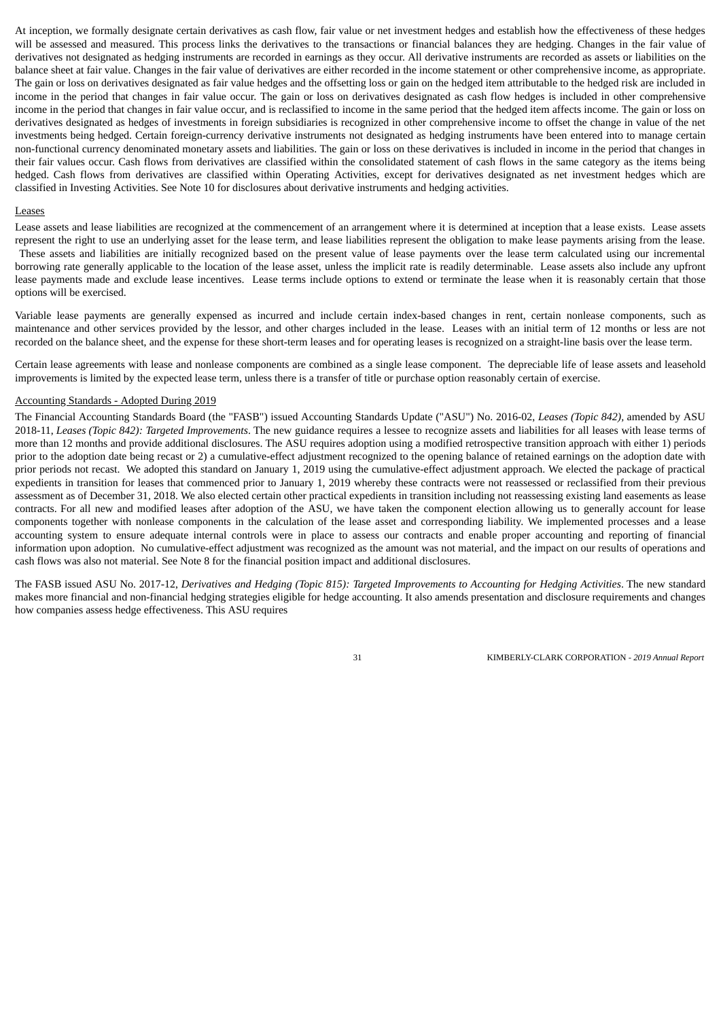At inception, we formally designate certain derivatives as cash flow, fair value or net investment hedges and establish how the effectiveness of these hedges will be assessed and measured. This process links the derivatives to the transactions or financial balances they are hedging. Changes in the fair value of derivatives not designated as hedging instruments are recorded in earnings as they occur. All derivative instruments are recorded as assets or liabilities on the balance sheet at fair value. Changes in the fair value of derivatives are either recorded in the income statement or other comprehensive income, as appropriate. The gain or loss on derivatives designated as fair value hedges and the offsetting loss or gain on the hedged item attributable to the hedged risk are included in income in the period that changes in fair value occur. The gain or loss on derivatives designated as cash flow hedges is included in other comprehensive income in the period that changes in fair value occur, and is reclassified to income in the same period that the hedged item affects income. The gain or loss on derivatives designated as hedges of investments in foreign subsidiaries is recognized in other comprehensive income to offset the change in value of the net investments being hedged. Certain foreign-currency derivative instruments not designated as hedging instruments have been entered into to manage certain non-functional currency denominated monetary assets and liabilities. The gain or loss on these derivatives is included in income in the period that changes in their fair values occur. Cash flows from derivatives are classified within the consolidated statement of cash flows in the same category as the items being hedged. Cash flows from derivatives are classified within Operating Activities, except for derivatives designated as net investment hedges which are classified in Investing Activities. See Note 10 for disclosures about derivative instruments and hedging activities.

#### Leases

Lease assets and lease liabilities are recognized at the commencement of an arrangement where it is determined at inception that a lease exists. Lease assets represent the right to use an underlying asset for the lease term, and lease liabilities represent the obligation to make lease payments arising from the lease. These assets and liabilities are initially recognized based on the present value of lease payments over the lease term calculated using our incremental borrowing rate generally applicable to the location of the lease asset, unless the implicit rate is readily determinable. Lease assets also include any upfront lease payments made and exclude lease incentives. Lease terms include options to extend or terminate the lease when it is reasonably certain that those options will be exercised.

Variable lease payments are generally expensed as incurred and include certain index-based changes in rent, certain nonlease components, such as maintenance and other services provided by the lessor, and other charges included in the lease. Leases with an initial term of 12 months or less are not recorded on the balance sheet, and the expense for these short-term leases and for operating leases is recognized on a straight-line basis over the lease term.

Certain lease agreements with lease and nonlease components are combined as a single lease component. The depreciable life of lease assets and leasehold improvements is limited by the expected lease term, unless there is a transfer of title or purchase option reasonably certain of exercise.

#### Accounting Standards - Adopted During 2019

The Financial Accounting Standards Board (the "FASB") issued Accounting Standards Update ("ASU") No. 2016-02, *Leases (Topic 842),* amended by ASU 2018-11, *Leases (Topic 842): Targeted Improvements*. The new guidance requires a lessee to recognize assets and liabilities for all leases with lease terms of more than 12 months and provide additional disclosures. The ASU requires adoption using a modified retrospective transition approach with either 1) periods prior to the adoption date being recast or 2) a cumulative-effect adjustment recognized to the opening balance of retained earnings on the adoption date with prior periods not recast. We adopted this standard on January 1, 2019 using the cumulative-effect adjustment approach. We elected the package of practical expedients in transition for leases that commenced prior to January 1, 2019 whereby these contracts were not reassessed or reclassified from their previous assessment as of December 31, 2018. We also elected certain other practical expedients in transition including not reassessing existing land easements as lease contracts. For all new and modified leases after adoption of the ASU, we have taken the component election allowing us to generally account for lease components together with nonlease components in the calculation of the lease asset and corresponding liability. We implemented processes and a lease accounting system to ensure adequate internal controls were in place to assess our contracts and enable proper accounting and reporting of financial information upon adoption. No cumulative-effect adjustment was recognized as the amount was not material, and the impact on our results of operations and cash flows was also not material. See Note 8 for the financial position impact and additional disclosures.

The FASB issued ASU No. 2017-12, Derivatives and Hedging (Topic 815): Targeted Improvements to Accounting for Hedging Activities. The new standard makes more financial and non-financial hedging strategies eligible for hedge accounting. It also amends presentation and disclosure requirements and changes how companies assess hedge effectiveness. This ASU requires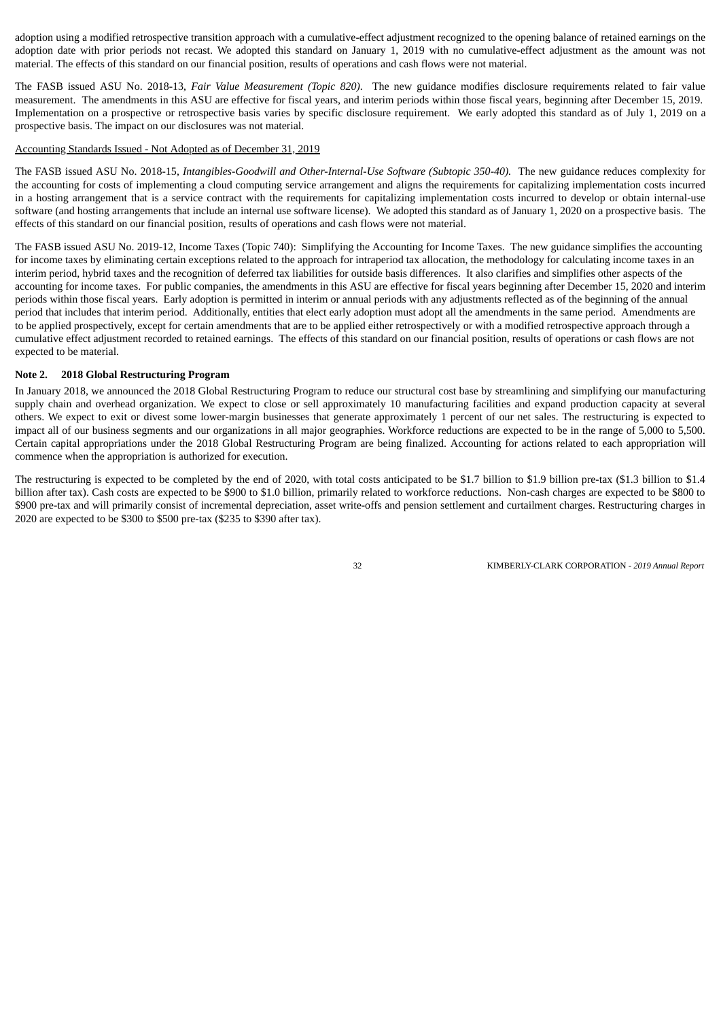adoption using a modified retrospective transition approach with a cumulative-effect adjustment recognized to the opening balance of retained earnings on the adoption date with prior periods not recast. We adopted this standard on January 1, 2019 with no cumulative-effect adjustment as the amount was not material. The effects of this standard on our financial position, results of operations and cash flows were not material.

The FASB issued ASU No. 2018-13, *Fair Value Measurement (Topic 820)*. The new guidance modifies disclosure requirements related to fair value measurement. The amendments in this ASU are effective for fiscal years, and interim periods within those fiscal years, beginning after December 15, 2019. Implementation on a prospective or retrospective basis varies by specific disclosure requirement. We early adopted this standard as of July 1, 2019 on a prospective basis. The impact on our disclosures was not material.

#### Accounting Standards Issued - Not Adopted as of December 31, 2019

The FASB issued ASU No. 2018-15, *Intangibles-Goodwill and Other-Internal-Use Software (Subtopic 350-40).* The new guidance reduces complexity for the accounting for costs of implementing a cloud computing service arrangement and aligns the requirements for capitalizing implementation costs incurred in a hosting arrangement that is a service contract with the requirements for capitalizing implementation costs incurred to develop or obtain internal-use software (and hosting arrangements that include an internal use software license). We adopted this standard as of January 1, 2020 on a prospective basis. The effects of this standard on our financial position, results of operations and cash flows were not material.

The FASB issued ASU No. 2019-12, Income Taxes (Topic 740): Simplifying the Accounting for Income Taxes. The new guidance simplifies the accounting for income taxes by eliminating certain exceptions related to the approach for intraperiod tax allocation, the methodology for calculating income taxes in an interim period, hybrid taxes and the recognition of deferred tax liabilities for outside basis differences. It also clarifies and simplifies other aspects of the accounting for income taxes. For public companies, the amendments in this ASU are effective for fiscal years beginning after December 15, 2020 and interim periods within those fiscal years. Early adoption is permitted in interim or annual periods with any adjustments reflected as of the beginning of the annual period that includes that interim period. Additionally, entities that elect early adoption must adopt all the amendments in the same period. Amendments are to be applied prospectively, except for certain amendments that are to be applied either retrospectively or with a modified retrospective approach through a cumulative effect adjustment recorded to retained earnings. The effects of this standard on our financial position, results of operations or cash flows are not expected to be material.

## **Note 2. 2018 Global Restructuring Program**

In January 2018, we announced the 2018 Global Restructuring Program to reduce our structural cost base by streamlining and simplifying our manufacturing supply chain and overhead organization. We expect to close or sell approximately 10 manufacturing facilities and expand production capacity at several others. We expect to exit or divest some lower-margin businesses that generate approximately 1 percent of our net sales. The restructuring is expected to impact all of our business segments and our organizations in all major geographies. Workforce reductions are expected to be in the range of 5,000 to 5,500. Certain capital appropriations under the 2018 Global Restructuring Program are being finalized. Accounting for actions related to each appropriation will commence when the appropriation is authorized for execution.

The restructuring is expected to be completed by the end of 2020, with total costs anticipated to be \$1.7 billion to \$1.9 billion pre-tax (\$1.3 billion to \$1.4 billion after tax). Cash costs are expected to be \$900 to \$1.0 billion, primarily related to workforce reductions. Non-cash charges are expected to be \$800 to \$900 pre-tax and will primarily consist of incremental depreciation, asset write-offs and pension settlement and curtailment charges. Restructuring charges in 2020 are expected to be \$300 to \$500 pre-tax (\$235 to \$390 after tax).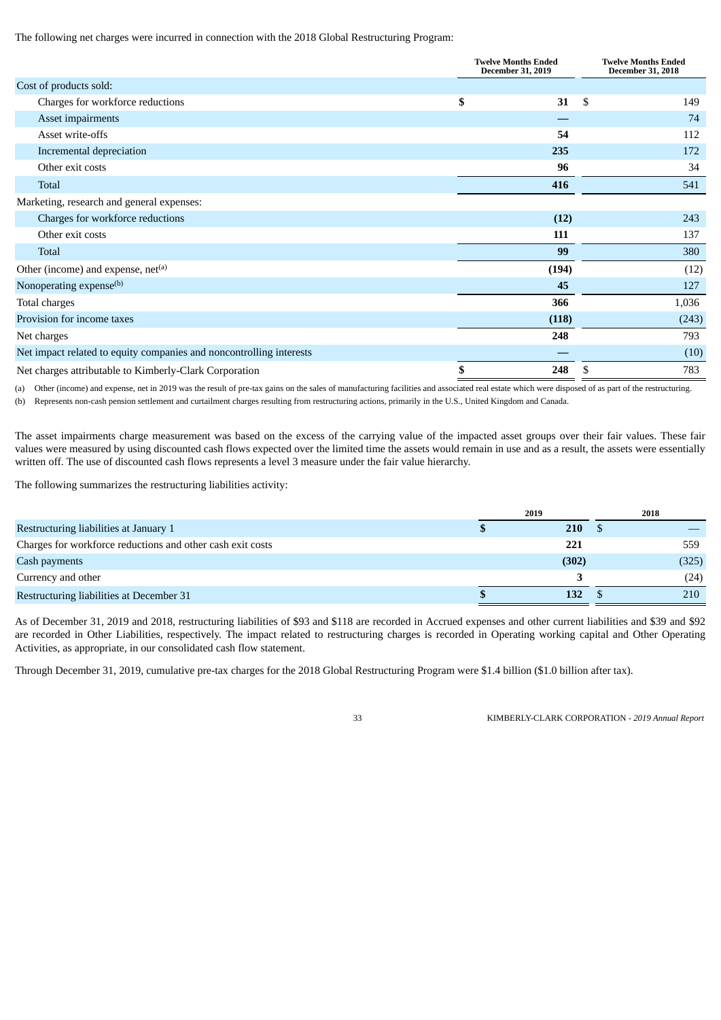The following net charges were incurred in connection with the 2018 Global Restructuring Program:

|                                                                     | <b>Twelve Months Ended</b><br><b>December 31, 2019</b> |                | <b>Twelve Months Ended</b><br><b>December 31, 2018</b> |
|---------------------------------------------------------------------|--------------------------------------------------------|----------------|--------------------------------------------------------|
| Cost of products sold:                                              |                                                        |                |                                                        |
| Charges for workforce reductions                                    | \$<br>31                                               | $\mathfrak{F}$ | 149                                                    |
| Asset impairments                                                   |                                                        |                | 74                                                     |
| Asset write-offs                                                    | 54                                                     |                | 112                                                    |
| Incremental depreciation                                            | 235                                                    |                | 172                                                    |
| Other exit costs                                                    | 96                                                     |                | 34                                                     |
| Total                                                               | 416                                                    |                | 541                                                    |
| Marketing, research and general expenses:                           |                                                        |                |                                                        |
| Charges for workforce reductions                                    | (12)                                                   |                | 243                                                    |
| Other exit costs                                                    | 111                                                    |                | 137                                                    |
| Total                                                               | 99                                                     |                | 380                                                    |
| Other (income) and expense, net <sup>(a)</sup>                      | (194)                                                  |                | (12)                                                   |
| Nonoperating expense <sup>(b)</sup>                                 | 45                                                     |                | 127                                                    |
| Total charges                                                       | 366                                                    |                | 1,036                                                  |
| Provision for income taxes                                          | (118)                                                  |                | (243)                                                  |
| Net charges                                                         | 248                                                    |                | 793                                                    |
| Net impact related to equity companies and noncontrolling interests |                                                        |                | (10)                                                   |
| Net charges attributable to Kimberly-Clark Corporation              | \$<br>248                                              | \$             | 783                                                    |

(a) Other (income) and expense, net in 2019 was the result of pre-tax gains on the sales of manufacturing facilities and associated real estate which were disposed of as part of the restructuring. (b) Represents non-cash pension settlement and curtailment charges resulting from restructuring actions, primarily in the U.S., United Kingdom and Canada.

The asset impairments charge measurement was based on the excess of the carrying value of the impacted asset groups over their fair values. These fair values were measured by using discounted cash flows expected over the limited time the assets would remain in use and as a result, the assets were essentially written off. The use of discounted cash flows represents a level 3 measure under the fair value hierarchy.

The following summarizes the restructuring liabilities activity:

|                                                            | 2019  | 2018  |
|------------------------------------------------------------|-------|-------|
| Restructuring liabilities at January 1                     | 210   |       |
| Charges for workforce reductions and other cash exit costs | 221   | 559   |
| Cash payments                                              | (302) | (325) |
| Currency and other                                         |       | (24)  |
| Restructuring liabilities at December 31                   | 132   | 210   |

As of December 31, 2019 and 2018, restructuring liabilities of \$93 and \$118 are recorded in Accrued expenses and other current liabilities and \$39 and \$92 are recorded in Other Liabilities, respectively. The impact related to restructuring charges is recorded in Operating working capital and Other Operating Activities, as appropriate, in our consolidated cash flow statement.

Through December 31, 2019, cumulative pre-tax charges for the 2018 Global Restructuring Program were \$1.4 billion (\$1.0 billion after tax).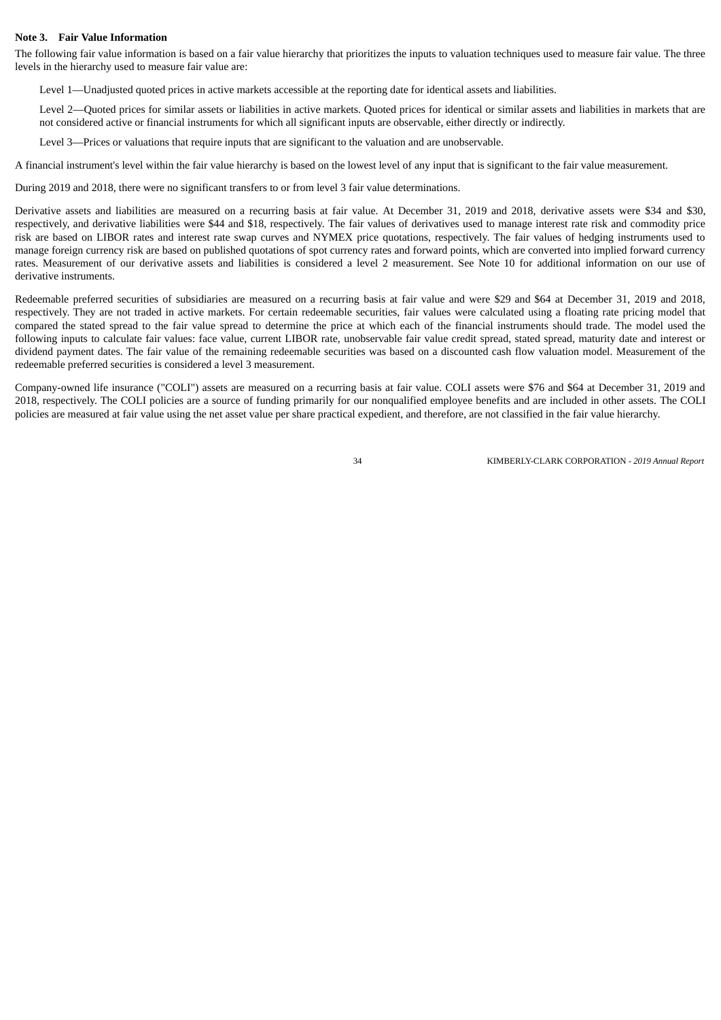#### **Note 3. Fair Value Information**

The following fair value information is based on a fair value hierarchy that prioritizes the inputs to valuation techniques used to measure fair value. The three levels in the hierarchy used to measure fair value are:

Level 1—Unadjusted quoted prices in active markets accessible at the reporting date for identical assets and liabilities.

Level 2—Quoted prices for similar assets or liabilities in active markets. Quoted prices for identical or similar assets and liabilities in markets that are not considered active or financial instruments for which all significant inputs are observable, either directly or indirectly.

Level 3—Prices or valuations that require inputs that are significant to the valuation and are unobservable.

A financial instrument's level within the fair value hierarchy is based on the lowest level of any input that is significant to the fair value measurement.

During 2019 and 2018, there were no significant transfers to or from level 3 fair value determinations.

Derivative assets and liabilities are measured on a recurring basis at fair value. At December 31, 2019 and 2018, derivative assets were \$34 and \$30, respectively, and derivative liabilities were \$44 and \$18, respectively. The fair values of derivatives used to manage interest rate risk and commodity price risk are based on LIBOR rates and interest rate swap curves and NYMEX price quotations, respectively. The fair values of hedging instruments used to manage foreign currency risk are based on published quotations of spot currency rates and forward points, which are converted into implied forward currency rates. Measurement of our derivative assets and liabilities is considered a level 2 measurement. See Note 10 for additional information on our use of derivative instruments.

Redeemable preferred securities of subsidiaries are measured on a recurring basis at fair value and were \$29 and \$64 at December 31, 2019 and 2018, respectively. They are not traded in active markets. For certain redeemable securities, fair values were calculated using a floating rate pricing model that compared the stated spread to the fair value spread to determine the price at which each of the financial instruments should trade. The model used the following inputs to calculate fair values: face value, current LIBOR rate, unobservable fair value credit spread, stated spread, maturity date and interest or dividend payment dates. The fair value of the remaining redeemable securities was based on a discounted cash flow valuation model. Measurement of the redeemable preferred securities is considered a level 3 measurement.

Company-owned life insurance ("COLI") assets are measured on a recurring basis at fair value. COLI assets were \$76 and \$64 at December 31, 2019 and 2018, respectively. The COLI policies are a source of funding primarily for our nonqualified employee benefits and are included in other assets. The COLI policies are measured at fair value using the net asset value per share practical expedient, and therefore, are not classified in the fair value hierarchy.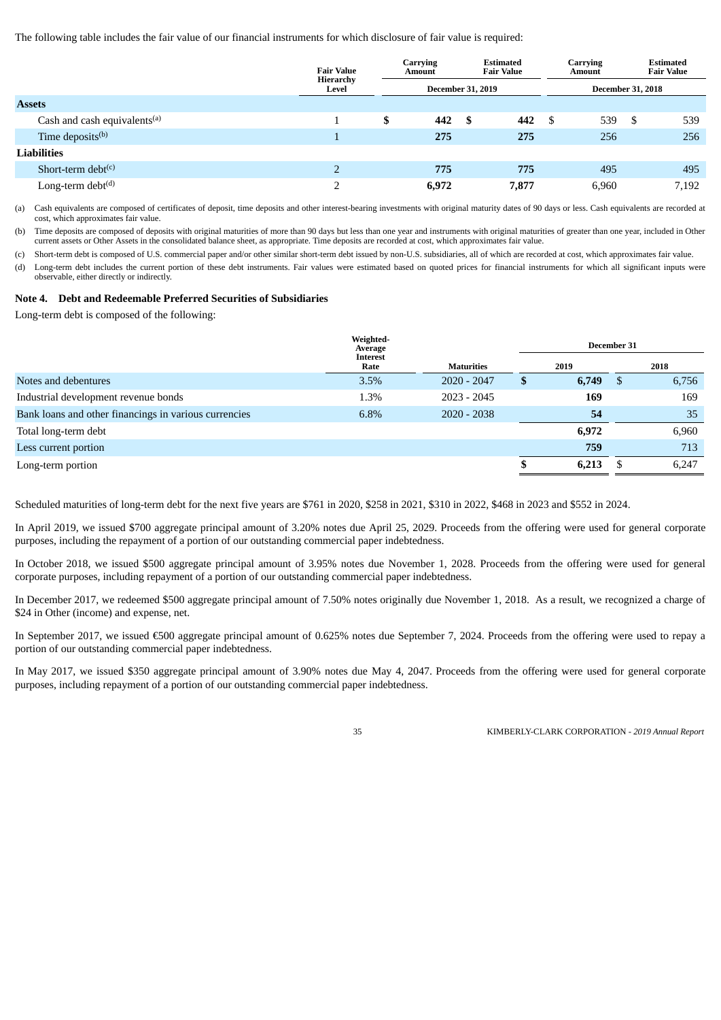The following table includes the fair value of our financial instruments for which disclosure of fair value is required:

|                                          | <b>Fair Value</b>  |                          | Carrying<br>Amount |    | <b>Estimated</b><br><b>Fair Value</b> |      | Carrying<br>Amount       | <b>Estimated</b><br><b>Fair Value</b> |       |  |
|------------------------------------------|--------------------|--------------------------|--------------------|----|---------------------------------------|------|--------------------------|---------------------------------------|-------|--|
|                                          | Hierarchy<br>Level | <b>December 31, 2019</b> |                    |    |                                       |      | <b>December 31, 2018</b> |                                       |       |  |
| <b>Assets</b>                            |                    |                          |                    |    |                                       |      |                          |                                       |       |  |
| Cash and cash equivalents <sup>(a)</sup> |                    | \$                       | 442                | \$ | 442                                   | - \$ | 539                      | S                                     | 539   |  |
| Time deposits <sup>(b)</sup>             |                    |                          | 275                |    | 275                                   |      | 256                      |                                       | 256   |  |
| Liabilities                              |                    |                          |                    |    |                                       |      |                          |                                       |       |  |
| Short-term debt $(c)$                    |                    |                          | 775                |    | 775                                   |      | 495                      |                                       | 495   |  |
| Long-term $debt(d)$                      |                    |                          | 6,972              |    | 7,877                                 |      | 6,960                    |                                       | 7,192 |  |

(a) Cash equivalents are composed of certificates of deposit, time deposits and other interest-bearing investments with original maturity dates of 90 days or less. Cash equivalents are recorded at cost, which approximates fair value.

(b) Time deposits are composed of deposits with original maturities of more than 90 days but less than one year and instruments with original maturities of greater than one year, included in Other current assets or Other Assets in the consolidated balance sheet, as appropriate. Time deposits are recorded at cost, which approximates fair value.

(c) Short-term debt is composed of U.S. commercial paper and/or other similar short-term debt issued by non-U.S. subsidiaries, all of which are recorded at cost, which approximates fair value.

(d) Long-term debt includes the current portion of these debt instruments. Fair values were estimated based on quoted prices for financial instruments for which all significant inputs were observable, either directly or indirectly.

# **Note 4. Debt and Redeemable Preferred Securities of Subsidiaries**

Long-term debt is composed of the following:

|                                                       | Weighted-<br>Average    |                   |      |       | December 31 |       |
|-------------------------------------------------------|-------------------------|-------------------|------|-------|-------------|-------|
|                                                       | <b>Interest</b><br>Rate | <b>Maturities</b> | 2019 |       |             | 2018  |
| Notes and debentures                                  | 3.5%                    | $2020 - 2047$     | D    | 6,749 | -S          | 6,756 |
| Industrial development revenue bonds                  | 1.3%                    | 2023 - 2045       |      | 169   |             | 169   |
| Bank loans and other financings in various currencies | 6.8%                    | $2020 - 2038$     |      | 54    |             | 35    |
| Total long-term debt                                  |                         |                   |      | 6,972 |             | 6,960 |
| Less current portion                                  |                         |                   |      | 759   |             | 713   |
| Long-term portion                                     |                         |                   |      | 6,213 | S           | 6,247 |

Scheduled maturities of long-term debt for the next five years are \$761 in 2020, \$258 in 2021, \$310 in 2022, \$468 in 2023 and \$552 in 2024.

In April 2019, we issued \$700 aggregate principal amount of 3.20% notes due April 25, 2029. Proceeds from the offering were used for general corporate purposes, including the repayment of a portion of our outstanding commercial paper indebtedness.

In October 2018, we issued \$500 aggregate principal amount of 3.95% notes due November 1, 2028. Proceeds from the offering were used for general corporate purposes, including repayment of a portion of our outstanding commercial paper indebtedness.

In December 2017, we redeemed \$500 aggregate principal amount of 7.50% notes originally due November 1, 2018. As a result, we recognized a charge of \$24 in Other (income) and expense, net.

In September 2017, we issued €500 aggregate principal amount of 0.625% notes due September 7, 2024. Proceeds from the offering were used to repay a portion of our outstanding commercial paper indebtedness.

In May 2017, we issued \$350 aggregate principal amount of 3.90% notes due May 4, 2047. Proceeds from the offering were used for general corporate purposes, including repayment of a portion of our outstanding commercial paper indebtedness.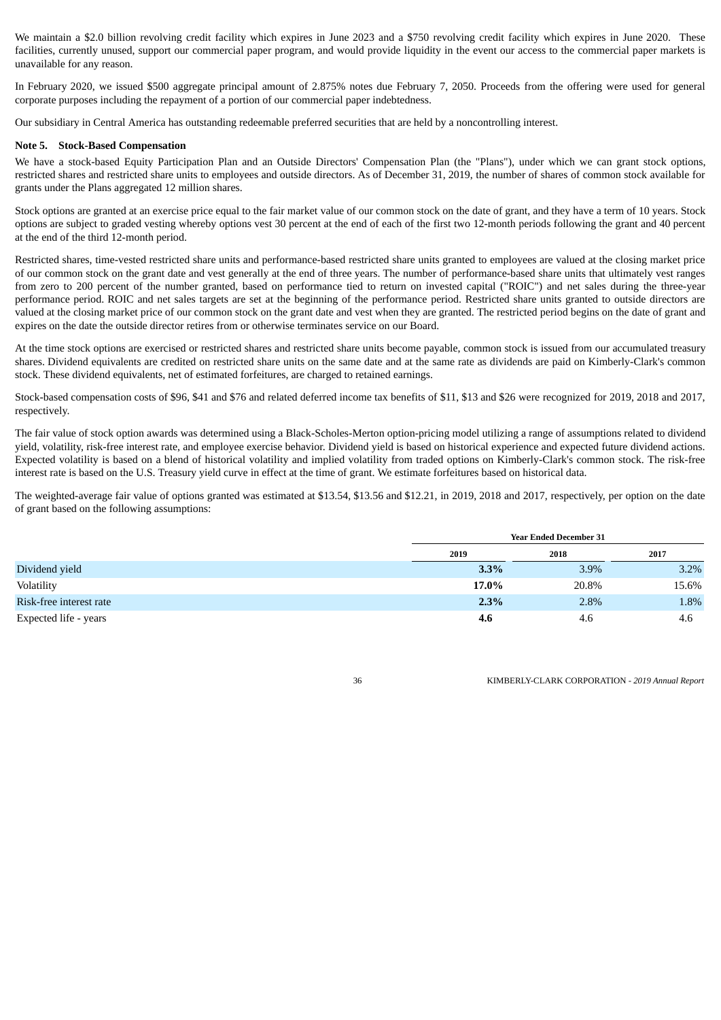We maintain a \$2.0 billion revolving credit facility which expires in June 2023 and a \$750 revolving credit facility which expires in June 2020. These facilities, currently unused, support our commercial paper program, and would provide liquidity in the event our access to the commercial paper markets is unavailable for any reason.

In February 2020, we issued \$500 aggregate principal amount of 2.875% notes due February 7, 2050. Proceeds from the offering were used for general corporate purposes including the repayment of a portion of our commercial paper indebtedness.

Our subsidiary in Central America has outstanding redeemable preferred securities that are held by a noncontrolling interest.

### **Note 5. Stock-Based Compensation**

We have a stock-based Equity Participation Plan and an Outside Directors' Compensation Plan (the "Plans"), under which we can grant stock options, restricted shares and restricted share units to employees and outside directors. As of December 31, 2019, the number of shares of common stock available for grants under the Plans aggregated 12 million shares.

Stock options are granted at an exercise price equal to the fair market value of our common stock on the date of grant, and they have a term of 10 years. Stock options are subject to graded vesting whereby options vest 30 percent at the end of each of the first two 12-month periods following the grant and 40 percent at the end of the third 12-month period.

Restricted shares, time-vested restricted share units and performance-based restricted share units granted to employees are valued at the closing market price of our common stock on the grant date and vest generally at the end of three years. The number of performance-based share units that ultimately vest ranges from zero to 200 percent of the number granted, based on performance tied to return on invested capital ("ROIC") and net sales during the three-year performance period. ROIC and net sales targets are set at the beginning of the performance period. Restricted share units granted to outside directors are valued at the closing market price of our common stock on the grant date and vest when they are granted. The restricted period begins on the date of grant and expires on the date the outside director retires from or otherwise terminates service on our Board.

At the time stock options are exercised or restricted shares and restricted share units become payable, common stock is issued from our accumulated treasury shares. Dividend equivalents are credited on restricted share units on the same date and at the same rate as dividends are paid on Kimberly-Clark's common stock. These dividend equivalents, net of estimated forfeitures, are charged to retained earnings.

Stock-based compensation costs of \$96, \$41 and \$76 and related deferred income tax benefits of \$11, \$13 and \$26 were recognized for 2019, 2018 and 2017, respectively.

The fair value of stock option awards was determined using a Black-Scholes-Merton option-pricing model utilizing a range of assumptions related to dividend yield, volatility, risk-free interest rate, and employee exercise behavior. Dividend yield is based on historical experience and expected future dividend actions. Expected volatility is based on a blend of historical volatility and implied volatility from traded options on Kimberly-Clark's common stock. The risk-free interest rate is based on the U.S. Treasury yield curve in effect at the time of grant. We estimate forfeitures based on historical data.

The weighted-average fair value of options granted was estimated at \$13.54, \$13.56 and \$12.21, in 2019, 2018 and 2017, respectively, per option on the date of grant based on the following assumptions:

|                         |       | <b>Year Ended December 31</b> |         |  |  |  |  |  |
|-------------------------|-------|-------------------------------|---------|--|--|--|--|--|
|                         | 2019  | 2018                          | 2017    |  |  |  |  |  |
| Dividend yield          | 3.3%  | 3.9%                          | $3.2\%$ |  |  |  |  |  |
| Volatility              | 17.0% | 20.8%                         | 15.6%   |  |  |  |  |  |
| Risk-free interest rate | 2.3%  | 2.8%                          | 1.8%    |  |  |  |  |  |
| Expected life - years   | 4.6   | 4.6                           | 4.6     |  |  |  |  |  |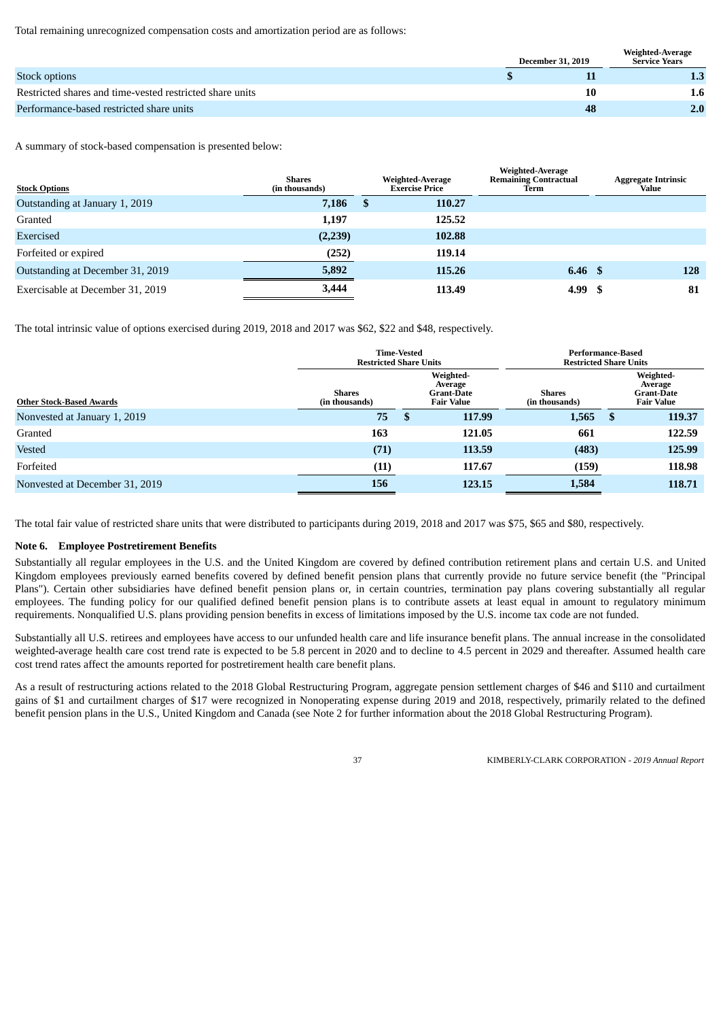Total remaining unrecognized compensation costs and amortization period are as follows:

|                                                          | <b>December 31, 2019</b> | Weighted-Average<br><b>Service Years</b> |     |
|----------------------------------------------------------|--------------------------|------------------------------------------|-----|
| <b>Stock options</b>                                     |                          |                                          |     |
| Restricted shares and time-vested restricted share units |                          | 10                                       | 1.6 |
| Performance-based restricted share units                 |                          | 48                                       | 2.0 |

A summary of stock-based compensation is presented below:

| <b>Stock Options</b>             | <b>Shares</b><br>(in thousands) | Weighted-Average<br><b>Remaining Contractual</b><br>Weighted-Average<br><b>Exercise Price</b><br>Term |        |                   |  | <b>Aggregate Intrinsic</b><br>Value |
|----------------------------------|---------------------------------|-------------------------------------------------------------------------------------------------------|--------|-------------------|--|-------------------------------------|
| Outstanding at January 1, 2019   | 7,186                           | S                                                                                                     | 110.27 |                   |  |                                     |
| Granted                          | 1,197                           |                                                                                                       | 125.52 |                   |  |                                     |
| Exercised                        | (2,239)                         |                                                                                                       | 102.88 |                   |  |                                     |
| Forfeited or expired             | (252)                           |                                                                                                       | 119.14 |                   |  |                                     |
| Outstanding at December 31, 2019 | 5,892                           |                                                                                                       | 115.26 | 6.46 <sup>5</sup> |  | 128                                 |
| Exercisable at December 31, 2019 | 3,444                           |                                                                                                       | 113.49 | 4.99              |  | 81                                  |

The total intrinsic value of options exercised during 2019, 2018 and 2017 was \$62, \$22 and \$48, respectively.

|                                 |                                 | <b>Time-Vested</b><br><b>Restricted Share Units</b>            |                                 | Performance-Based<br><b>Restricted Share Units</b> |                                                                |  |  |  |  |
|---------------------------------|---------------------------------|----------------------------------------------------------------|---------------------------------|----------------------------------------------------|----------------------------------------------------------------|--|--|--|--|
| <b>Other Stock-Based Awards</b> | <b>Shares</b><br>(in thousands) | Weighted-<br>Average<br><b>Grant-Date</b><br><b>Fair Value</b> | <b>Shares</b><br>(in thousands) |                                                    | Weighted-<br>Average<br><b>Grant-Date</b><br><b>Fair Value</b> |  |  |  |  |
| Nonvested at January 1, 2019    | 75                              | 117.99<br>S                                                    | 1,565                           | - S                                                | 119.37                                                         |  |  |  |  |
| Granted                         | 163                             | 121.05                                                         | 661                             |                                                    | 122.59                                                         |  |  |  |  |
| Vested                          | (71)                            | 113.59                                                         | (483)                           |                                                    | 125.99                                                         |  |  |  |  |
| Forfeited                       | (11)                            | 117.67                                                         | (159)                           |                                                    | 118.98                                                         |  |  |  |  |
| Nonvested at December 31, 2019  | 156                             | 123.15                                                         | 1,584                           |                                                    | 118.71                                                         |  |  |  |  |

The total fair value of restricted share units that were distributed to participants during 2019, 2018 and 2017 was \$75, \$65 and \$80, respectively.

### **Note 6. Employee Postretirement Benefits**

Substantially all regular employees in the U.S. and the United Kingdom are covered by defined contribution retirement plans and certain U.S. and United Kingdom employees previously earned benefits covered by defined benefit pension plans that currently provide no future service benefit (the "Principal Plans"). Certain other subsidiaries have defined benefit pension plans or, in certain countries, termination pay plans covering substantially all regular employees. The funding policy for our qualified defined benefit pension plans is to contribute assets at least equal in amount to regulatory minimum requirements. Nonqualified U.S. plans providing pension benefits in excess of limitations imposed by the U.S. income tax code are not funded.

Substantially all U.S. retirees and employees have access to our unfunded health care and life insurance benefit plans. The annual increase in the consolidated weighted-average health care cost trend rate is expected to be 5.8 percent in 2020 and to decline to 4.5 percent in 2029 and thereafter. Assumed health care cost trend rates affect the amounts reported for postretirement health care benefit plans.

As a result of restructuring actions related to the 2018 Global Restructuring Program, aggregate pension settlement charges of \$46 and \$110 and curtailment gains of \$1 and curtailment charges of \$17 were recognized in Nonoperating expense during 2019 and 2018, respectively, primarily related to the defined benefit pension plans in the U.S., United Kingdom and Canada (see Note 2 for further information about the 2018 Global Restructuring Program).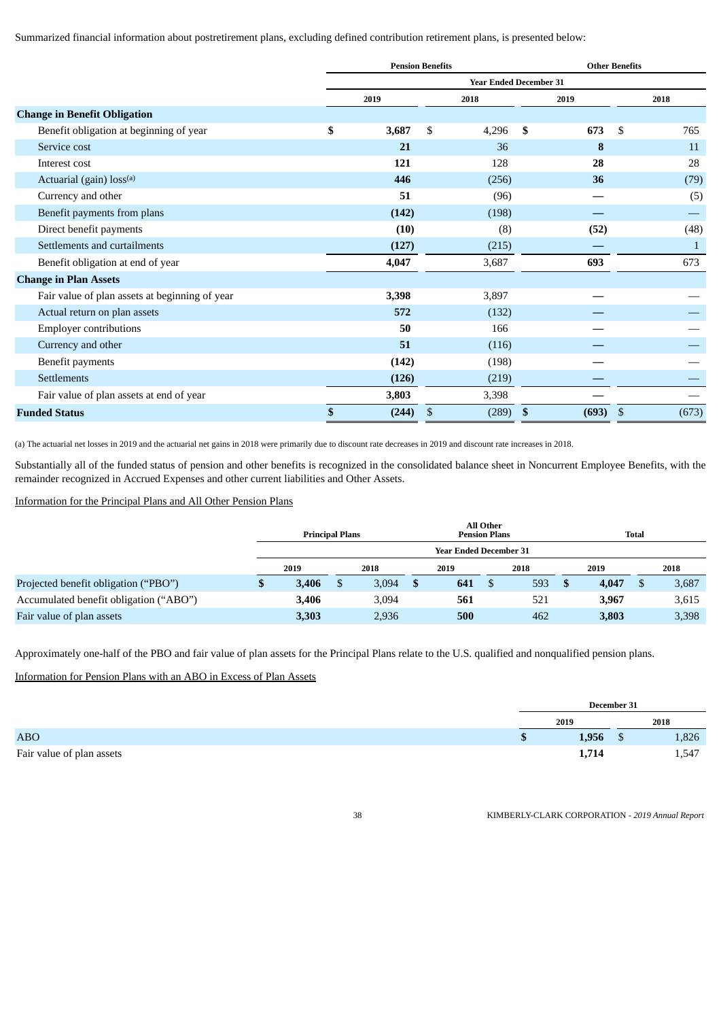Summarized financial information about postretirement plans, excluding defined contribution retirement plans, is presented below:

|                                                | <b>Other Benefits</b><br><b>Pension Benefits</b> |       |    |                               |    |       |    |              |
|------------------------------------------------|--------------------------------------------------|-------|----|-------------------------------|----|-------|----|--------------|
|                                                |                                                  |       |    | <b>Year Ended December 31</b> |    |       |    |              |
|                                                |                                                  | 2019  |    | 2018                          |    | 2019  |    | 2018         |
| <b>Change in Benefit Obligation</b>            |                                                  |       |    |                               |    |       |    |              |
| Benefit obligation at beginning of year        | \$                                               | 3,687 | \$ | 4,296                         | \$ | 673   | \$ | 765          |
| Service cost                                   |                                                  | 21    |    | 36                            |    | 8     |    | 11           |
| Interest cost                                  |                                                  | 121   |    | 128                           |    | 28    |    | 28           |
| Actuarial (gain) loss <sup>(a)</sup>           |                                                  | 446   |    | (256)                         |    | 36    |    | (79)         |
| Currency and other                             |                                                  | 51    |    | (96)                          |    |       |    | (5)          |
| Benefit payments from plans                    |                                                  | (142) |    | (198)                         |    |       |    |              |
| Direct benefit payments                        |                                                  | (10)  |    | (8)                           |    | (52)  |    | (48)         |
| Settlements and curtailments                   |                                                  | (127) |    | (215)                         |    |       |    | $\mathbf{1}$ |
| Benefit obligation at end of year              |                                                  | 4,047 |    | 3,687                         |    | 693   |    | 673          |
| <b>Change in Plan Assets</b>                   |                                                  |       |    |                               |    |       |    |              |
| Fair value of plan assets at beginning of year |                                                  | 3,398 |    | 3,897                         |    |       |    |              |
| Actual return on plan assets                   |                                                  | 572   |    | (132)                         |    |       |    |              |
| <b>Employer contributions</b>                  |                                                  | 50    |    | 166                           |    |       |    |              |
| Currency and other                             |                                                  | 51    |    | (116)                         |    |       |    |              |
| Benefit payments                               |                                                  | (142) |    | (198)                         |    |       |    |              |
| <b>Settlements</b>                             |                                                  | (126) |    | (219)                         |    |       |    |              |
| Fair value of plan assets at end of year       |                                                  | 3,803 |    | 3,398                         |    |       |    |              |
| <b>Funded Status</b>                           | S                                                | (244) | \$ | (289)                         | \$ | (693) | S  | (673)        |

(a) The actuarial net losses in 2019 and the actuarial net gains in 2018 were primarily due to discount rate decreases in 2019 and discount rate increases in 2018.

Substantially all of the funded status of pension and other benefits is recognized in the consolidated balance sheet in Noncurrent Employee Benefits, with the remainder recognized in Accrued Expenses and other current liabilities and Other Assets.

### Information for the Principal Plans and All Other Pension Plans

|                                        | <b>Principal Plans</b>        |  |       |  | All Other<br><b>Pension Plans</b> |  | <b>Total</b> |     |       |  |       |
|----------------------------------------|-------------------------------|--|-------|--|-----------------------------------|--|--------------|-----|-------|--|-------|
|                                        | <b>Year Ended December 31</b> |  |       |  |                                   |  |              |     |       |  |       |
|                                        | 2019                          |  | 2018  |  | 2019                              |  | 2018         |     | 2019  |  | 2018  |
| Projected benefit obligation ("PBO")   | 3,406                         |  | 3,094 |  | 641                               |  | 593          | - S | 4,047 |  | 3,687 |
| Accumulated benefit obligation ("ABO") | 3,406                         |  | 3,094 |  | 561                               |  | 521          |     | 3,967 |  | 3,615 |
| Fair value of plan assets              | 3,303                         |  | 2,936 |  | 500                               |  | 462          |     | 3,803 |  | 3,398 |

Approximately one-half of the PBO and fair value of plan assets for the Principal Plans relate to the U.S. qualified and nonqualified pension plans.

Information for Pension Plans with an ABO in Excess of Plan Assets

|                           |  | December 31 |   |       |
|---------------------------|--|-------------|---|-------|
|                           |  | 2019        |   | 2018  |
| <b>ABO</b>                |  | 1,956       | D | 1,826 |
| Fair value of plan assets |  | 1,714       |   | 1,547 |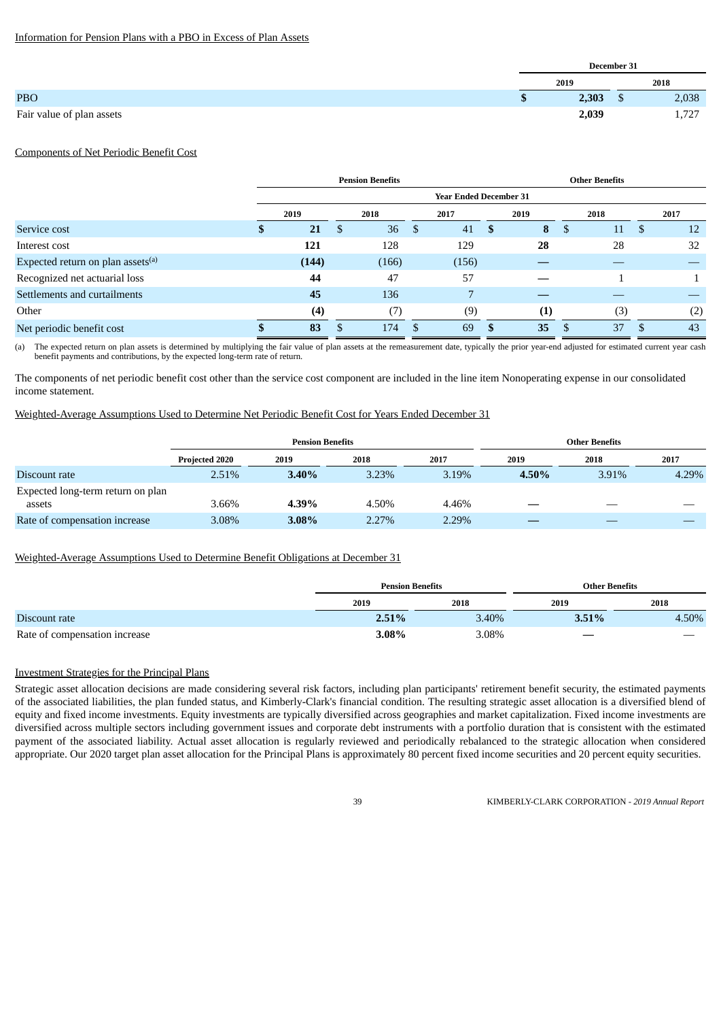|                           | December 31 |    |       |
|---------------------------|-------------|----|-------|
|                           | 2019        |    | 2018  |
| <b>PBO</b>                | 2,303       | ۵U | 2,038 |
| Fair value of plan assets | 2,039       |    | 1,727 |

# Components of Net Periodic Benefit Cost

|                                               |                               | <b>Pension Benefits</b> |   |       |    |       |    |      | <b>Other Benefits</b> |      |      |      |  |
|-----------------------------------------------|-------------------------------|-------------------------|---|-------|----|-------|----|------|-----------------------|------|------|------|--|
|                                               | <b>Year Ended December 31</b> |                         |   |       |    |       |    |      |                       |      |      |      |  |
|                                               |                               | 2019                    |   | 2018  |    | 2017  |    | 2019 |                       | 2018 |      | 2017 |  |
| Service cost                                  | D                             | 21                      | S | 36    | \$ | 41    | -S | 8    | S                     | 11   | - \$ | 12   |  |
| Interest cost                                 |                               | 121                     |   | 128   |    | 129   |    | 28   |                       | 28   |      | 32   |  |
| Expected return on plan assets <sup>(a)</sup> |                               | (144)                   |   | (166) |    | (156) |    |      |                       |      |      |      |  |
| Recognized net actuarial loss                 |                               | 44                      |   | 47    |    | 57    |    |      |                       |      |      |      |  |
| Settlements and curtailments                  |                               | 45                      |   | 136   |    | 7     |    |      |                       |      |      |      |  |
| Other                                         |                               | (4)                     |   |       |    | (9)   |    | (1)  |                       | (3)  |      | (2)  |  |
| Net periodic benefit cost                     | S                             | 83                      |   | 174   |    | 69    | -S | 35   |                       | 37   |      | 43   |  |

(a) The expected return on plan assets is determined by multiplying the fair value of plan assets at the remeasurement date, typically the prior year-end adjusted for estimated current year cash benefit payments and contributions, by the expected long-term rate of return.

The components of net periodic benefit cost other than the service cost component are included in the line item Nonoperating expense in our consolidated income statement.

### Weighted-Average Assumptions Used to Determine Net Periodic Benefit Cost for Years Ended December 31

|                                   |                       | <b>Pension Benefits</b> |       |       | <b>Other Benefits</b> |       |       |
|-----------------------------------|-----------------------|-------------------------|-------|-------|-----------------------|-------|-------|
|                                   | <b>Projected 2020</b> | 2019                    | 2018  | 2017  | 2019                  | 2018  | 2017  |
| Discount rate                     | 2.51%                 | 3.40%                   | 3.23% | 3.19% | 4.50%                 | 3.91% | 4.29% |
| Expected long-term return on plan |                       |                         |       |       |                       |       |       |
| assets                            | 3.66%                 | 4.39%                   | 4.50% | 4.46% |                       |       |       |
| Rate of compensation increase     | 3.08%                 | 3.08%                   | 2.27% | 2.29% |                       |       |       |

# Weighted-Average Assumptions Used to Determine Benefit Obligations at December 31

|                               | <b>Pension Benefits</b> |       | <b>Other Benefits</b> |       |  |  |
|-------------------------------|-------------------------|-------|-----------------------|-------|--|--|
|                               | 2018<br>2019            |       | 2019                  | 2018  |  |  |
| Discount rate                 | 2.51%                   | 3.40% | 3.51%                 | 4.50% |  |  |
| Rate of compensation increase | 3.08%                   | 3.08% |                       |       |  |  |

# Investment Strategies for the Principal Plans

Strategic asset allocation decisions are made considering several risk factors, including plan participants' retirement benefit security, the estimated payments of the associated liabilities, the plan funded status, and Kimberly-Clark's financial condition. The resulting strategic asset allocation is a diversified blend of equity and fixed income investments. Equity investments are typically diversified across geographies and market capitalization. Fixed income investments are diversified across multiple sectors including government issues and corporate debt instruments with a portfolio duration that is consistent with the estimated payment of the associated liability. Actual asset allocation is regularly reviewed and periodically rebalanced to the strategic allocation when considered appropriate. Our 2020 target plan asset allocation for the Principal Plans is approximately 80 percent fixed income securities and 20 percent equity securities.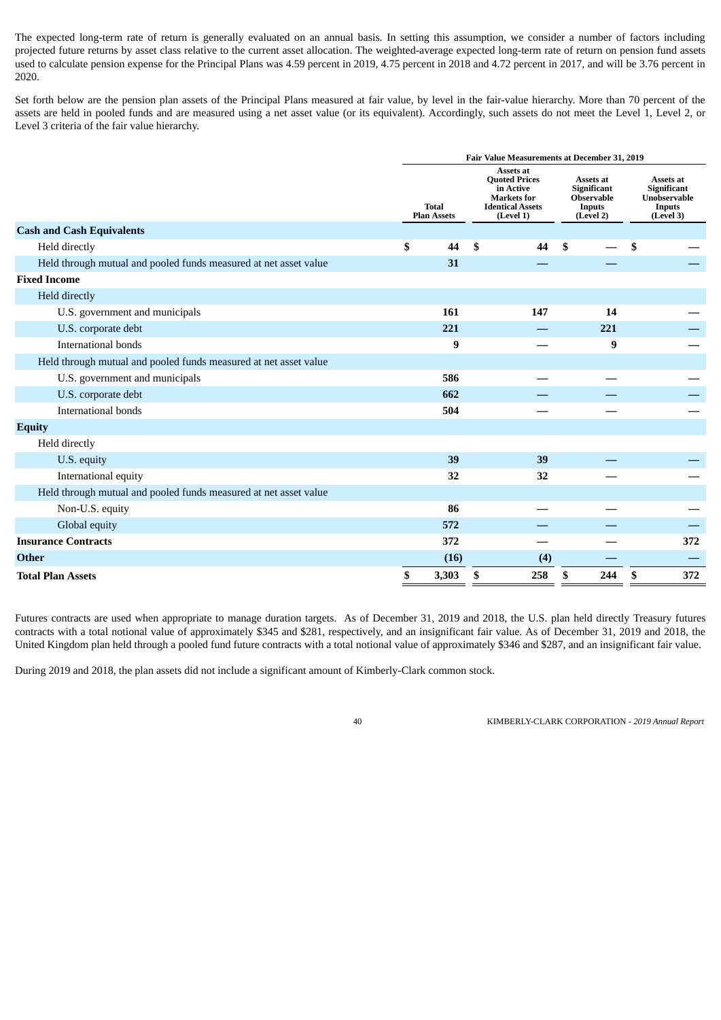The expected long-term rate of return is generally evaluated on an annual basis. In setting this assumption, we consider a number of factors including projected future returns by asset class relative to the current asset allocation. The weighted-average expected long-term rate of return on pension fund assets used to calculate pension expense for the Principal Plans was 4.59 percent in 2019, 4.75 percent in 2018 and 4.72 percent in 2017, and will be 3.76 percent in 2020.

Set forth below are the pension plan assets of the Principal Plans measured at fair value, by level in the fair-value hierarchy. More than 70 percent of the assets are held in pooled funds and are measured using a net asset value (or its equivalent). Accordingly, such assets do not meet the Level 1, Level 2, or Level 3 criteria of the fair value hierarchy.

|                                                                  | Fair Value Measurements at December 31, 2019 |       |                                                                                                              |                                                                                    |                                                                               |  |  |  |
|------------------------------------------------------------------|----------------------------------------------|-------|--------------------------------------------------------------------------------------------------------------|------------------------------------------------------------------------------------|-------------------------------------------------------------------------------|--|--|--|
|                                                                  | <b>Total</b><br><b>Plan Assets</b>           |       | Assets at<br><b>Ouoted Prices</b><br>in Active<br><b>Markets</b> for<br><b>Identical Assets</b><br>(Level 1) | Assets at<br><b>Significant</b><br><b>Observable</b><br><b>Inputs</b><br>(Level 2) | Assets at<br><b>Significant</b><br>Unobservable<br><b>Inputs</b><br>(Level 3) |  |  |  |
| <b>Cash and Cash Equivalents</b>                                 |                                              |       |                                                                                                              |                                                                                    |                                                                               |  |  |  |
| Held directly                                                    | \$                                           | 44    | \$<br>44                                                                                                     | \$                                                                                 | \$                                                                            |  |  |  |
| Held through mutual and pooled funds measured at net asset value |                                              | 31    |                                                                                                              |                                                                                    |                                                                               |  |  |  |
| <b>Fixed Income</b>                                              |                                              |       |                                                                                                              |                                                                                    |                                                                               |  |  |  |
| Held directly                                                    |                                              |       |                                                                                                              |                                                                                    |                                                                               |  |  |  |
| U.S. government and municipals                                   |                                              | 161   | 147                                                                                                          | 14                                                                                 |                                                                               |  |  |  |
| U.S. corporate debt                                              |                                              | 221   |                                                                                                              | 221                                                                                |                                                                               |  |  |  |
| International bonds                                              |                                              | 9     |                                                                                                              | 9                                                                                  |                                                                               |  |  |  |
| Held through mutual and pooled funds measured at net asset value |                                              |       |                                                                                                              |                                                                                    |                                                                               |  |  |  |
| U.S. government and municipals                                   |                                              | 586   |                                                                                                              |                                                                                    |                                                                               |  |  |  |
| U.S. corporate debt                                              |                                              | 662   |                                                                                                              |                                                                                    |                                                                               |  |  |  |
| International bonds                                              |                                              | 504   |                                                                                                              |                                                                                    |                                                                               |  |  |  |
| <b>Equity</b>                                                    |                                              |       |                                                                                                              |                                                                                    |                                                                               |  |  |  |
| Held directly                                                    |                                              |       |                                                                                                              |                                                                                    |                                                                               |  |  |  |
| U.S. equity                                                      |                                              | 39    | 39                                                                                                           |                                                                                    |                                                                               |  |  |  |
| International equity                                             |                                              | 32    | 32                                                                                                           |                                                                                    |                                                                               |  |  |  |
| Held through mutual and pooled funds measured at net asset value |                                              |       |                                                                                                              |                                                                                    |                                                                               |  |  |  |
| Non-U.S. equity                                                  |                                              | 86    |                                                                                                              |                                                                                    |                                                                               |  |  |  |
| Global equity                                                    |                                              | 572   |                                                                                                              |                                                                                    |                                                                               |  |  |  |
| <b>Insurance Contracts</b>                                       |                                              | 372   |                                                                                                              |                                                                                    | 372                                                                           |  |  |  |
| <b>Other</b>                                                     |                                              | (16)  | (4)                                                                                                          |                                                                                    |                                                                               |  |  |  |
| <b>Total Plan Assets</b>                                         | \$                                           | 3,303 | \$<br>258                                                                                                    | \$<br>244                                                                          | \$<br>372                                                                     |  |  |  |

Futures contracts are used when appropriate to manage duration targets. As of December 31, 2019 and 2018, the U.S. plan held directly Treasury futures contracts with a total notional value of approximately \$345 and \$281, respectively, and an insignificant fair value. As of December 31, 2019 and 2018, the United Kingdom plan held through a pooled fund future contracts with a total notional value of approximately \$346 and \$287, and an insignificant fair value.

During 2019 and 2018, the plan assets did not include a significant amount of Kimberly-Clark common stock.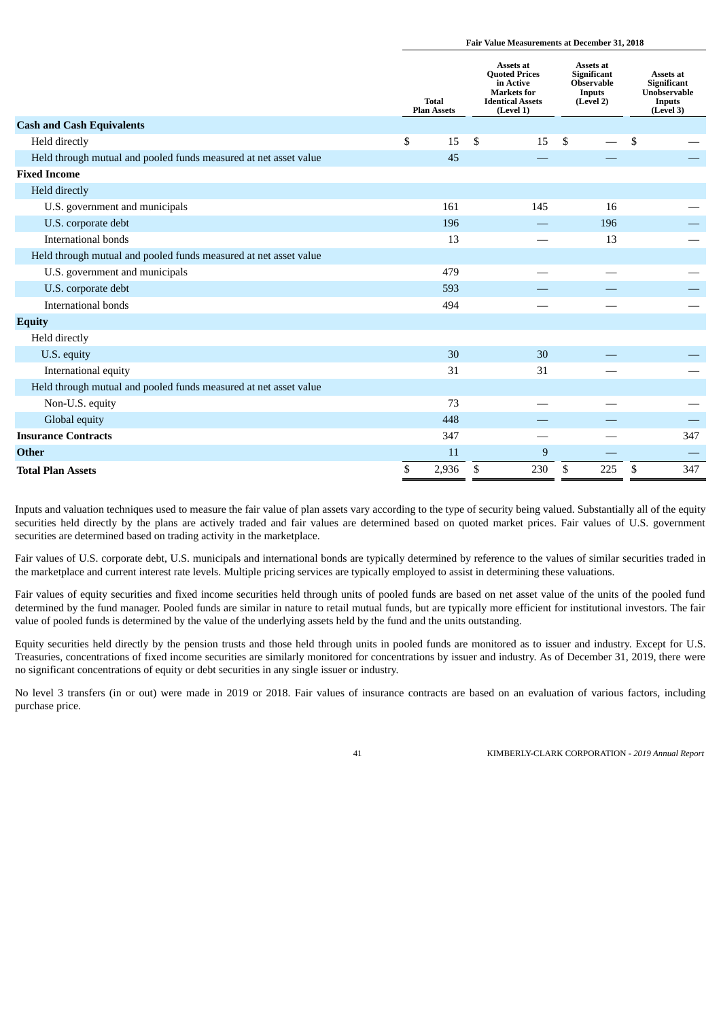|                                                                  | Fair Value Measurements at December 31, 2018 |       |                                                                                                              |                                                                                    |                                                                                      |  |  |  |  |
|------------------------------------------------------------------|----------------------------------------------|-------|--------------------------------------------------------------------------------------------------------------|------------------------------------------------------------------------------------|--------------------------------------------------------------------------------------|--|--|--|--|
|                                                                  | <b>Total</b><br><b>Plan Assets</b>           |       | Assets at<br><b>Quoted Prices</b><br>in Active<br><b>Markets</b> for<br><b>Identical Assets</b><br>(Level 1) | Assets at<br><b>Significant</b><br><b>Observable</b><br><b>Inputs</b><br>(Level 2) | Assets at<br><b>Significant</b><br><b>Unobservable</b><br><b>Inputs</b><br>(Level 3) |  |  |  |  |
| <b>Cash and Cash Equivalents</b>                                 |                                              |       |                                                                                                              |                                                                                    |                                                                                      |  |  |  |  |
| Held directly                                                    | \$                                           | 15    | \$<br>15                                                                                                     | \$                                                                                 | \$                                                                                   |  |  |  |  |
| Held through mutual and pooled funds measured at net asset value |                                              | 45    |                                                                                                              |                                                                                    |                                                                                      |  |  |  |  |
| <b>Fixed Income</b>                                              |                                              |       |                                                                                                              |                                                                                    |                                                                                      |  |  |  |  |
| Held directly                                                    |                                              |       |                                                                                                              |                                                                                    |                                                                                      |  |  |  |  |
| U.S. government and municipals                                   |                                              | 161   | 145                                                                                                          | 16                                                                                 |                                                                                      |  |  |  |  |
| U.S. corporate debt                                              |                                              | 196   |                                                                                                              | 196                                                                                |                                                                                      |  |  |  |  |
| <b>International bonds</b>                                       |                                              | 13    |                                                                                                              | 13                                                                                 |                                                                                      |  |  |  |  |
| Held through mutual and pooled funds measured at net asset value |                                              |       |                                                                                                              |                                                                                    |                                                                                      |  |  |  |  |
| U.S. government and municipals                                   |                                              | 479   |                                                                                                              |                                                                                    |                                                                                      |  |  |  |  |
| U.S. corporate debt                                              |                                              | 593   |                                                                                                              |                                                                                    |                                                                                      |  |  |  |  |
| <b>International bonds</b>                                       |                                              | 494   |                                                                                                              |                                                                                    |                                                                                      |  |  |  |  |
| <b>Equity</b>                                                    |                                              |       |                                                                                                              |                                                                                    |                                                                                      |  |  |  |  |
| Held directly                                                    |                                              |       |                                                                                                              |                                                                                    |                                                                                      |  |  |  |  |
| U.S. equity                                                      |                                              | 30    | 30                                                                                                           |                                                                                    |                                                                                      |  |  |  |  |
| International equity                                             |                                              | 31    | 31                                                                                                           |                                                                                    |                                                                                      |  |  |  |  |
| Held through mutual and pooled funds measured at net asset value |                                              |       |                                                                                                              |                                                                                    |                                                                                      |  |  |  |  |
| Non-U.S. equity                                                  |                                              | 73    |                                                                                                              |                                                                                    |                                                                                      |  |  |  |  |
| Global equity                                                    |                                              | 448   |                                                                                                              |                                                                                    |                                                                                      |  |  |  |  |
| <b>Insurance Contracts</b>                                       |                                              | 347   |                                                                                                              |                                                                                    | 347                                                                                  |  |  |  |  |
| <b>Other</b>                                                     |                                              | 11    | 9                                                                                                            |                                                                                    |                                                                                      |  |  |  |  |
| <b>Total Plan Assets</b>                                         | \$                                           | 2,936 | \$<br>230                                                                                                    | \$<br>225                                                                          | \$<br>347                                                                            |  |  |  |  |

Inputs and valuation techniques used to measure the fair value of plan assets vary according to the type of security being valued. Substantially all of the equity securities held directly by the plans are actively traded and fair values are determined based on quoted market prices. Fair values of U.S. government securities are determined based on trading activity in the marketplace.

Fair values of U.S. corporate debt, U.S. municipals and international bonds are typically determined by reference to the values of similar securities traded in the marketplace and current interest rate levels. Multiple pricing services are typically employed to assist in determining these valuations.

Fair values of equity securities and fixed income securities held through units of pooled funds are based on net asset value of the units of the pooled fund determined by the fund manager. Pooled funds are similar in nature to retail mutual funds, but are typically more efficient for institutional investors. The fair value of pooled funds is determined by the value of the underlying assets held by the fund and the units outstanding.

Equity securities held directly by the pension trusts and those held through units in pooled funds are monitored as to issuer and industry. Except for U.S. Treasuries, concentrations of fixed income securities are similarly monitored for concentrations by issuer and industry. As of December 31, 2019, there were no significant concentrations of equity or debt securities in any single issuer or industry.

No level 3 transfers (in or out) were made in 2019 or 2018. Fair values of insurance contracts are based on an evaluation of various factors, including purchase price.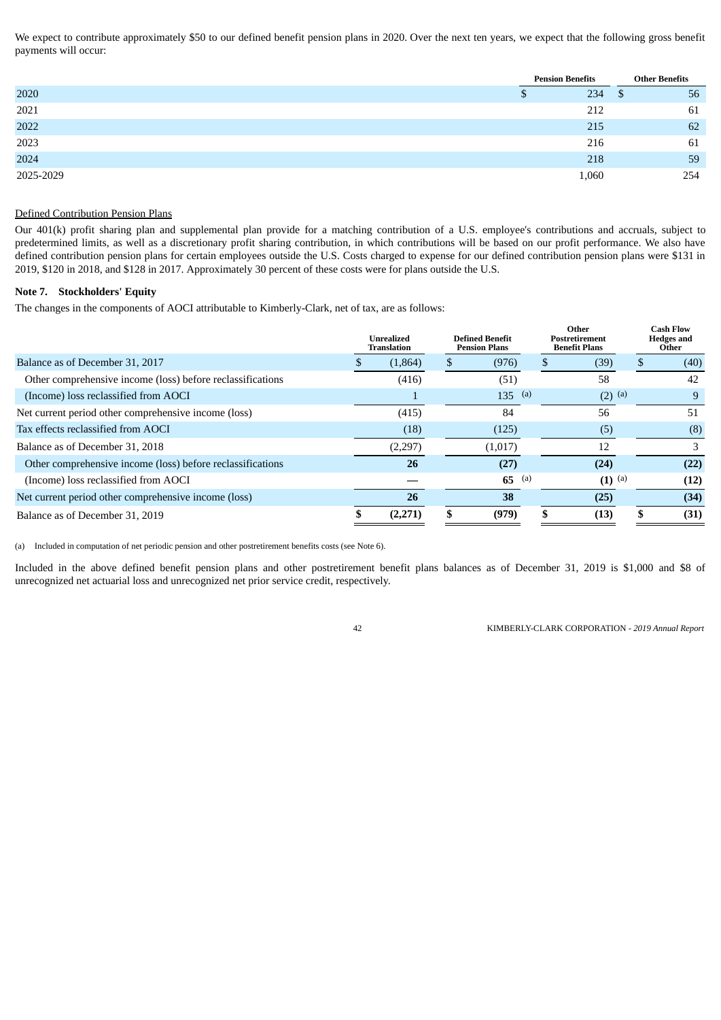We expect to contribute approximately \$50 to our defined benefit pension plans in 2020. Over the next ten years, we expect that the following gross benefit payments will occur:

|           | <b>Pension Benefits</b> | <b>Other Benefits</b> |  |
|-----------|-------------------------|-----------------------|--|
| 2020      | 234<br>ND.              | 56<br>-S              |  |
| 2021      | 212                     | 61                    |  |
| 2022      | 215                     | 62                    |  |
| 2023      | 216                     | 61                    |  |
| 2024      | 218                     | 59                    |  |
| 2025-2029 | 1,060                   | 254                   |  |

### Defined Contribution Pension Plans

Our 401(k) profit sharing plan and supplemental plan provide for a matching contribution of a U.S. employee's contributions and accruals, subject to predetermined limits, as well as a discretionary profit sharing contribution, in which contributions will be based on our profit performance. We also have defined contribution pension plans for certain employees outside the U.S. Costs charged to expense for our defined contribution pension plans were \$131 in 2019, \$120 in 2018, and \$128 in 2017. Approximately 30 percent of these costs were for plans outside the U.S.

### **Note 7. Stockholders' Equity**

The changes in the components of AOCI attributable to Kimberly-Clark, net of tax, are as follows:

|                                                            | Unrealized<br>Translation | <b>Defined Benefit</b><br><b>Pension Plans</b> | Other<br>Postretirement<br><b>Benefit Plans</b> |           | <b>Cash Flow</b><br><b>Hedges</b> and<br>Other |
|------------------------------------------------------------|---------------------------|------------------------------------------------|-------------------------------------------------|-----------|------------------------------------------------|
| Balance as of December 31, 2017                            | (1,864)                   | (976)                                          | (39)                                            |           | \$<br>(40)                                     |
| Other comprehensive income (loss) before reclassifications | (416)                     | (51)                                           | 58                                              |           | 42                                             |
| (Income) loss reclassified from AOCI                       |                           | 135 $(a)$                                      |                                                 | $(2)$ (a) | 9                                              |
| Net current period other comprehensive income (loss)       | (415)                     | 84                                             | 56                                              |           | 51                                             |
| Tax effects reclassified from AOCI                         | (18)                      | (125)                                          | (5)                                             |           | (8)                                            |
| Balance as of December 31, 2018                            | (2,297)                   | (1,017)                                        | 12                                              |           |                                                |
| Other comprehensive income (loss) before reclassifications | 26                        | (27)                                           | (24)                                            |           | (22)                                           |
| (Income) loss reclassified from AOCI                       |                           | 65 (a)                                         |                                                 | $(1)$ (a) | (12)                                           |
| Net current period other comprehensive income (loss)       | 26                        | 38                                             | (25)                                            |           | (34)                                           |
| Balance as of December 31, 2019                            | (2,271)                   | (979)                                          | (13)                                            |           | (31)                                           |

(a) Included in computation of net periodic pension and other postretirement benefits costs (see Note 6).

Included in the above defined benefit pension plans and other postretirement benefit plans balances as of December 31, 2019 is \$1,000 and \$8 of unrecognized net actuarial loss and unrecognized net prior service credit, respectively.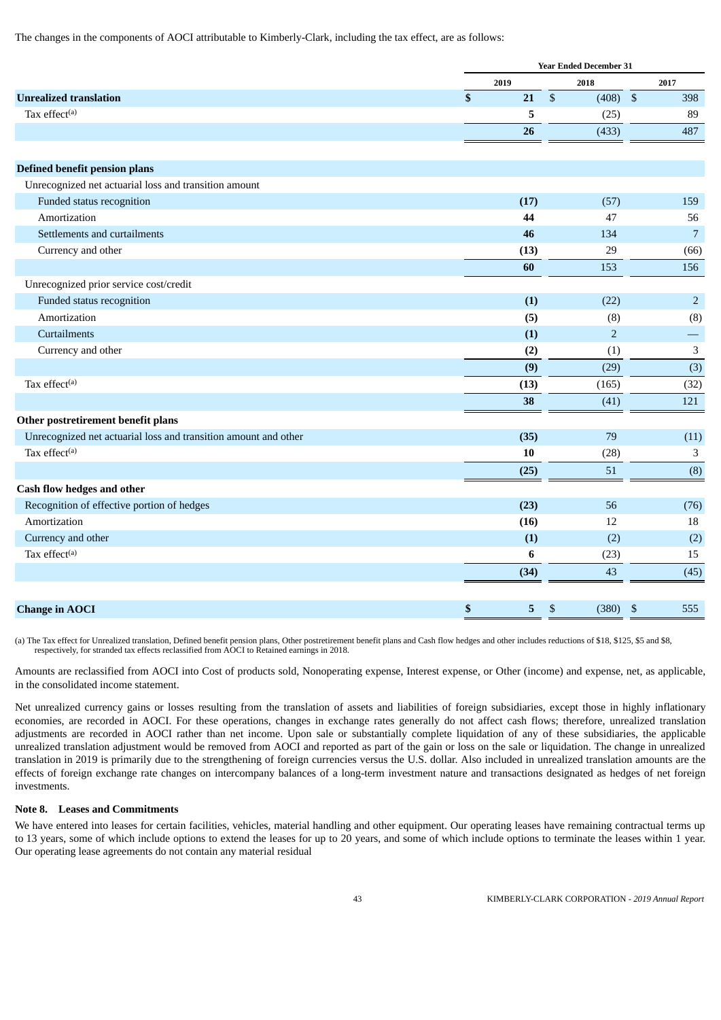The changes in the components of AOCI attributable to Kimberly-Clark, including the tax effect, are as follows:

|                                                                 | <b>Year Ended December 31</b> |                |                |                |                |
|-----------------------------------------------------------------|-------------------------------|----------------|----------------|----------------|----------------|
|                                                                 | 2019                          |                | 2018           |                | 2017           |
| <b>Unrealized translation</b>                                   | \$<br>21                      | $\mathfrak{s}$ | (408)          | $\mathfrak{S}$ | 398            |
| Tax effect <sup>(a)</sup>                                       | 5                             |                | (25)           |                | 89             |
|                                                                 | 26                            |                | (433)          |                | 487            |
| <b>Defined benefit pension plans</b>                            |                               |                |                |                |                |
| Unrecognized net actuarial loss and transition amount           |                               |                |                |                |                |
| Funded status recognition                                       | (17)                          |                | (57)           |                | 159            |
| Amortization                                                    | 44                            |                | 47             |                | 56             |
| Settlements and curtailments                                    | 46                            |                | 134            |                | $\overline{7}$ |
| Currency and other                                              | (13)                          |                | 29             |                | (66)           |
|                                                                 | 60                            |                | 153            |                | 156            |
| Unrecognized prior service cost/credit                          |                               |                |                |                |                |
| Funded status recognition                                       | (1)                           |                | (22)           |                | $\overline{2}$ |
| Amortization                                                    | (5)                           |                | (8)            |                | (8)            |
| Curtailments                                                    | (1)                           |                | $\overline{2}$ |                |                |
| Currency and other                                              | (2)                           |                | (1)            |                | 3              |
|                                                                 | (9)                           |                | (29)           |                | (3)            |
| Tax effect <sup>(a)</sup>                                       | (13)                          |                | (165)          |                | (32)           |
|                                                                 | 38                            |                | (41)           |                | 121            |
| Other postretirement benefit plans                              |                               |                |                |                |                |
| Unrecognized net actuarial loss and transition amount and other | (35)                          |                | 79             |                | (11)           |
| Tax effect <sup>(a)</sup>                                       | 10                            |                | (28)           |                | 3              |
|                                                                 | (25)                          |                | 51             |                | (8)            |
| <b>Cash flow hedges and other</b>                               |                               |                |                |                |                |
| Recognition of effective portion of hedges                      | (23)                          |                | 56             |                | (76)           |
| Amortization                                                    | (16)                          |                | 12             |                | 18             |
| Currency and other                                              | (1)                           |                | (2)            |                | (2)            |
| Tax effect <sup>(a)</sup>                                       | 6                             |                | (23)           |                | 15             |
|                                                                 | (34)                          |                | 43             |                | (45)           |
|                                                                 | 5                             |                |                |                |                |
| <b>Change in AOCI</b>                                           | \$                            | $\mathfrak{s}$ | (380)          | \$             | 555            |

(a) The Tax effect for Unrealized translation, Defined benefit pension plans, Other postretirement benefit plans and Cash flow hedges and other includes reductions of \$18, \$125, \$5 and \$8, respectively, for stranded tax effects reclassified from AOCI to Retained earnings in 2018.

Amounts are reclassified from AOCI into Cost of products sold, Nonoperating expense, Interest expense, or Other (income) and expense, net, as applicable, in the consolidated income statement.

Net unrealized currency gains or losses resulting from the translation of assets and liabilities of foreign subsidiaries, except those in highly inflationary economies, are recorded in AOCI. For these operations, changes in exchange rates generally do not affect cash flows; therefore, unrealized translation adjustments are recorded in AOCI rather than net income. Upon sale or substantially complete liquidation of any of these subsidiaries, the applicable unrealized translation adjustment would be removed from AOCI and reported as part of the gain or loss on the sale or liquidation. The change in unrealized translation in 2019 is primarily due to the strengthening of foreign currencies versus the U.S. dollar. Also included in unrealized translation amounts are the effects of foreign exchange rate changes on intercompany balances of a long-term investment nature and transactions designated as hedges of net foreign investments.

# **Note 8. Leases and Commitments**

We have entered into leases for certain facilities, vehicles, material handling and other equipment. Our operating leases have remaining contractual terms up to 13 years, some of which include options to extend the leases for up to 20 years, and some of which include options to terminate the leases within 1 year. Our operating lease agreements do not contain any material residual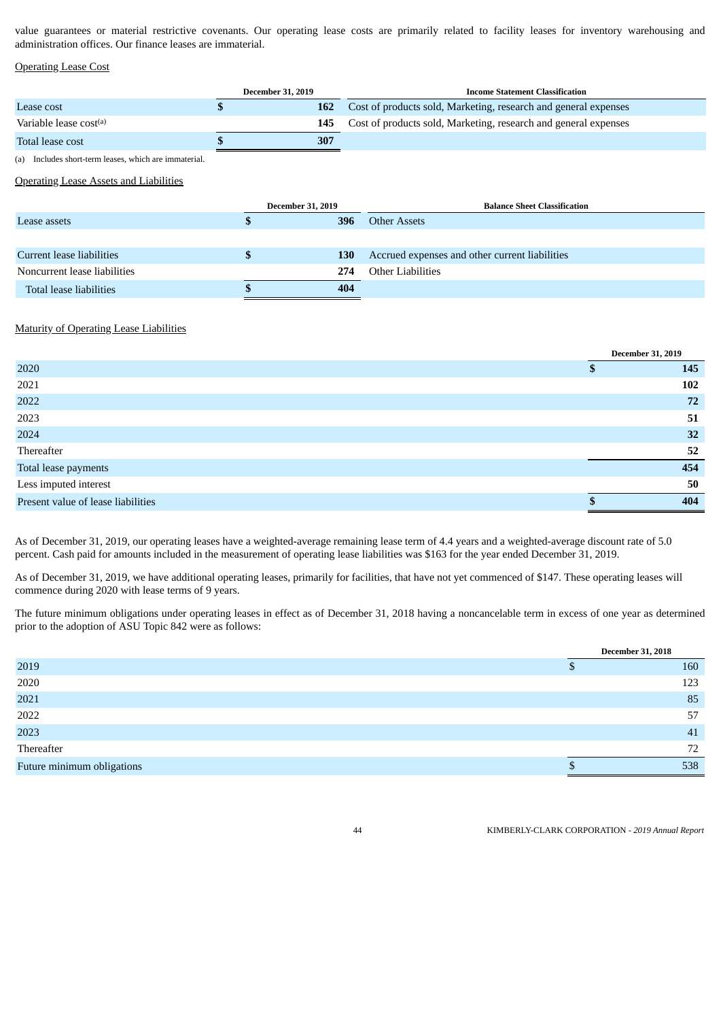value guarantees or material restrictive covenants. Our operating lease costs are primarily related to facility leases for inventory warehousing and administration offices. Our finance leases are immaterial.

### Operating Lease Cost

|                                    | <b>December 31, 2019</b> | <b>Income Statement Classification</b>                          |
|------------------------------------|--------------------------|-----------------------------------------------------------------|
| Lease cost                         | 162                      | Cost of products sold, Marketing, research and general expenses |
| Variable lease cost <sup>(a)</sup> | 145                      | Cost of products sold, Marketing, research and general expenses |
| Total lease cost                   | 307                      |                                                                 |

(a) Includes short-term leases, which are immaterial.

Operating Lease Assets and Liabilities

|                              | <b>December 31, 2019</b> | <b>Balance Sheet Classification</b>            |
|------------------------------|--------------------------|------------------------------------------------|
| Lease assets                 | 396                      | <b>Other Assets</b>                            |
|                              |                          |                                                |
| Current lease liabilities    | 130                      | Accrued expenses and other current liabilities |
| Noncurrent lease liabilities | 274                      | Other Liabilities                              |
| Total lease liabilities      | 404                      |                                                |

# Maturity of Operating Lease Liabilities

|                                    | December 31, 2019 |
|------------------------------------|-------------------|
| 2020                               | 145               |
| 2021                               | 102               |
| 2022                               | 72                |
| 2023                               | 51                |
| 2024                               | 32                |
| Thereafter                         | 52                |
| Total lease payments               | 454               |
| Less imputed interest              | 50                |
| Present value of lease liabilities | 404               |

As of December 31, 2019, our operating leases have a weighted-average remaining lease term of 4.4 years and a weighted-average discount rate of 5.0 percent. Cash paid for amounts included in the measurement of operating lease liabilities was \$163 for the year ended December 31, 2019.

As of December 31, 2019, we have additional operating leases, primarily for facilities, that have not yet commenced of \$147. These operating leases will commence during 2020 with lease terms of 9 years.

The future minimum obligations under operating leases in effect as of December 31, 2018 having a noncancelable term in excess of one year as determined prior to the adoption of ASU Topic 842 were as follows:

|                            | <b>December 31, 2018</b> |  |  |
|----------------------------|--------------------------|--|--|
| 2019                       | 160                      |  |  |
| 2020                       | 123                      |  |  |
| 2021                       | 85                       |  |  |
| 2022                       | 57                       |  |  |
| 2023                       | 41                       |  |  |
| Thereafter                 | 72                       |  |  |
| Future minimum obligations | 538                      |  |  |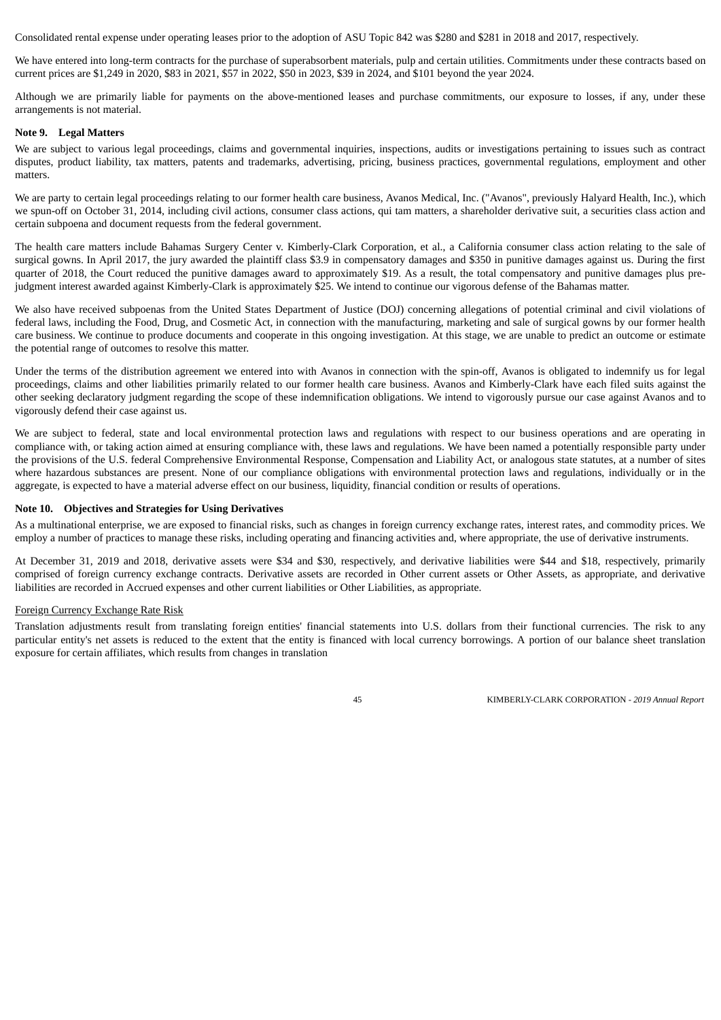Consolidated rental expense under operating leases prior to the adoption of ASU Topic 842 was \$280 and \$281 in 2018 and 2017, respectively.

We have entered into long-term contracts for the purchase of superabsorbent materials, pulp and certain utilities. Commitments under these contracts based on current prices are \$1,249 in 2020, \$83 in 2021, \$57 in 2022, \$50 in 2023, \$39 in 2024, and \$101 beyond the year 2024.

Although we are primarily liable for payments on the above-mentioned leases and purchase commitments, our exposure to losses, if any, under these arrangements is not material.

### **Note 9. Legal Matters**

We are subject to various legal proceedings, claims and governmental inquiries, inspections, audits or investigations pertaining to issues such as contract disputes, product liability, tax matters, patents and trademarks, advertising, pricing, business practices, governmental regulations, employment and other matters.

We are party to certain legal proceedings relating to our former health care business, Avanos Medical, Inc. ("Avanos", previously Halyard Health, Inc.), which we spun-off on October 31, 2014, including civil actions, consumer class actions, qui tam matters, a shareholder derivative suit, a securities class action and certain subpoena and document requests from the federal government.

The health care matters include Bahamas Surgery Center v. Kimberly-Clark Corporation, et al., a California consumer class action relating to the sale of surgical gowns. In April 2017, the jury awarded the plaintiff class \$3.9 in compensatory damages and \$350 in punitive damages against us. During the first quarter of 2018, the Court reduced the punitive damages award to approximately \$19. As a result, the total compensatory and punitive damages plus prejudgment interest awarded against Kimberly-Clark is approximately \$25. We intend to continue our vigorous defense of the Bahamas matter.

We also have received subpoenas from the United States Department of Justice (DOJ) concerning allegations of potential criminal and civil violations of federal laws, including the Food, Drug, and Cosmetic Act, in connection with the manufacturing, marketing and sale of surgical gowns by our former health care business. We continue to produce documents and cooperate in this ongoing investigation. At this stage, we are unable to predict an outcome or estimate the potential range of outcomes to resolve this matter.

Under the terms of the distribution agreement we entered into with Avanos in connection with the spin-off, Avanos is obligated to indemnify us for legal proceedings, claims and other liabilities primarily related to our former health care business. Avanos and Kimberly-Clark have each filed suits against the other seeking declaratory judgment regarding the scope of these indemnification obligations. We intend to vigorously pursue our case against Avanos and to vigorously defend their case against us.

We are subject to federal, state and local environmental protection laws and regulations with respect to our business operations and are operating in compliance with, or taking action aimed at ensuring compliance with, these laws and regulations. We have been named a potentially responsible party under the provisions of the U.S. federal Comprehensive Environmental Response, Compensation and Liability Act, or analogous state statutes, at a number of sites where hazardous substances are present. None of our compliance obligations with environmental protection laws and regulations, individually or in the aggregate, is expected to have a material adverse effect on our business, liquidity, financial condition or results of operations.

### **Note 10. Objectives and Strategies for Using Derivatives**

As a multinational enterprise, we are exposed to financial risks, such as changes in foreign currency exchange rates, interest rates, and commodity prices. We employ a number of practices to manage these risks, including operating and financing activities and, where appropriate, the use of derivative instruments.

At December 31, 2019 and 2018, derivative assets were \$34 and \$30, respectively, and derivative liabilities were \$44 and \$18, respectively, primarily comprised of foreign currency exchange contracts. Derivative assets are recorded in Other current assets or Other Assets, as appropriate, and derivative liabilities are recorded in Accrued expenses and other current liabilities or Other Liabilities, as appropriate.

### Foreign Currency Exchange Rate Risk

Translation adjustments result from translating foreign entities' financial statements into U.S. dollars from their functional currencies. The risk to any particular entity's net assets is reduced to the extent that the entity is financed with local currency borrowings. A portion of our balance sheet translation exposure for certain affiliates, which results from changes in translation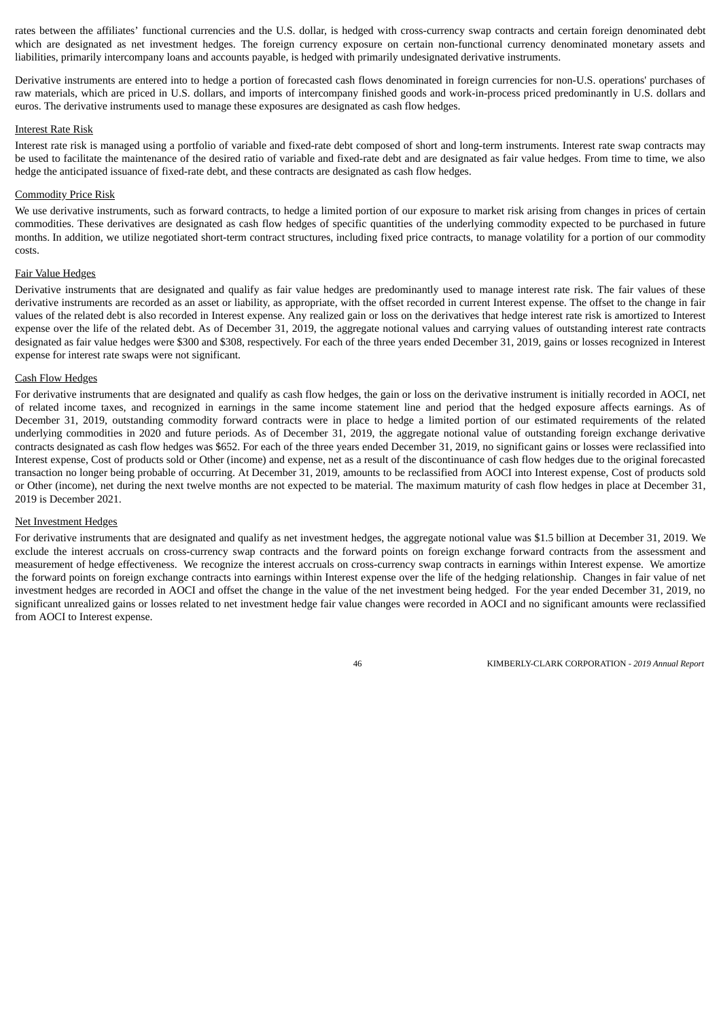rates between the affiliates' functional currencies and the U.S. dollar, is hedged with cross-currency swap contracts and certain foreign denominated debt which are designated as net investment hedges. The foreign currency exposure on certain non-functional currency denominated monetary assets and liabilities, primarily intercompany loans and accounts payable, is hedged with primarily undesignated derivative instruments.

Derivative instruments are entered into to hedge a portion of forecasted cash flows denominated in foreign currencies for non-U.S. operations' purchases of raw materials, which are priced in U.S. dollars, and imports of intercompany finished goods and work-in-process priced predominantly in U.S. dollars and euros. The derivative instruments used to manage these exposures are designated as cash flow hedges.

### Interest Rate Risk

Interest rate risk is managed using a portfolio of variable and fixed-rate debt composed of short and long-term instruments. Interest rate swap contracts may be used to facilitate the maintenance of the desired ratio of variable and fixed-rate debt and are designated as fair value hedges. From time to time, we also hedge the anticipated issuance of fixed-rate debt, and these contracts are designated as cash flow hedges.

# Commodity Price Risk

We use derivative instruments, such as forward contracts, to hedge a limited portion of our exposure to market risk arising from changes in prices of certain commodities. These derivatives are designated as cash flow hedges of specific quantities of the underlying commodity expected to be purchased in future months. In addition, we utilize negotiated short-term contract structures, including fixed price contracts, to manage volatility for a portion of our commodity costs.

# Fair Value Hedges

Derivative instruments that are designated and qualify as fair value hedges are predominantly used to manage interest rate risk. The fair values of these derivative instruments are recorded as an asset or liability, as appropriate, with the offset recorded in current Interest expense. The offset to the change in fair values of the related debt is also recorded in Interest expense. Any realized gain or loss on the derivatives that hedge interest rate risk is amortized to Interest expense over the life of the related debt. As of December 31, 2019, the aggregate notional values and carrying values of outstanding interest rate contracts designated as fair value hedges were \$300 and \$308, respectively. For each of the three years ended December 31, 2019, gains or losses recognized in Interest expense for interest rate swaps were not significant.

### Cash Flow Hedges

For derivative instruments that are designated and qualify as cash flow hedges, the gain or loss on the derivative instrument is initially recorded in AOCI, net of related income taxes, and recognized in earnings in the same income statement line and period that the hedged exposure affects earnings. As of December 31, 2019, outstanding commodity forward contracts were in place to hedge a limited portion of our estimated requirements of the related underlying commodities in 2020 and future periods. As of December 31, 2019, the aggregate notional value of outstanding foreign exchange derivative contracts designated as cash flow hedges was \$652. For each of the three years ended December 31, 2019, no significant gains or losses were reclassified into Interest expense, Cost of products sold or Other (income) and expense, net as a result of the discontinuance of cash flow hedges due to the original forecasted transaction no longer being probable of occurring. At December 31, 2019, amounts to be reclassified from AOCI into Interest expense, Cost of products sold or Other (income), net during the next twelve months are not expected to be material. The maximum maturity of cash flow hedges in place at December 31, 2019 is December 2021.

# Net Investment Hedges

For derivative instruments that are designated and qualify as net investment hedges, the aggregate notional value was \$1.5 billion at December 31, 2019. We exclude the interest accruals on cross-currency swap contracts and the forward points on foreign exchange forward contracts from the assessment and measurement of hedge effectiveness. We recognize the interest accruals on cross-currency swap contracts in earnings within Interest expense. We amortize the forward points on foreign exchange contracts into earnings within Interest expense over the life of the hedging relationship. Changes in fair value of net investment hedges are recorded in AOCI and offset the change in the value of the net investment being hedged. For the year ended December 31, 2019, no significant unrealized gains or losses related to net investment hedge fair value changes were recorded in AOCI and no significant amounts were reclassified from AOCI to Interest expense.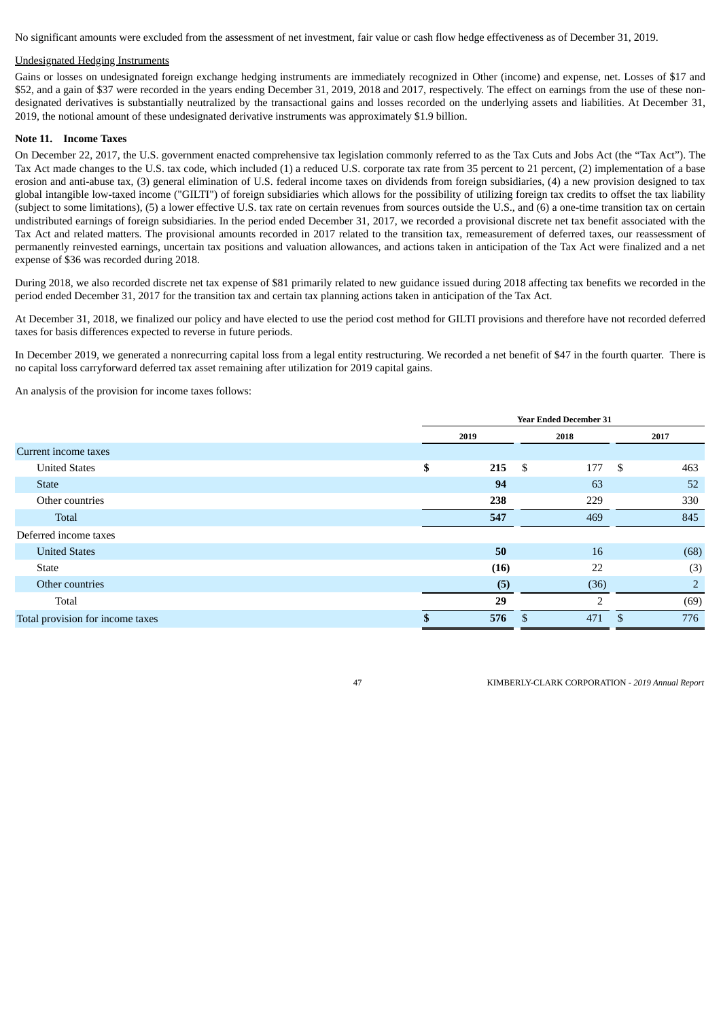No significant amounts were excluded from the assessment of net investment, fair value or cash flow hedge effectiveness as of December 31, 2019.

### Undesignated Hedging Instruments

Gains or losses on undesignated foreign exchange hedging instruments are immediately recognized in Other (income) and expense, net. Losses of \$17 and \$52, and a gain of \$37 were recorded in the years ending December 31, 2019, 2018 and 2017, respectively. The effect on earnings from the use of these nondesignated derivatives is substantially neutralized by the transactional gains and losses recorded on the underlying assets and liabilities. At December 31, 2019, the notional amount of these undesignated derivative instruments was approximately \$1.9 billion.

### **Note 11. Income Taxes**

On December 22, 2017, the U.S. government enacted comprehensive tax legislation commonly referred to as the Tax Cuts and Jobs Act (the "Tax Act"). The Tax Act made changes to the U.S. tax code, which included (1) a reduced U.S. corporate tax rate from 35 percent to 21 percent, (2) implementation of a base erosion and anti-abuse tax, (3) general elimination of U.S. federal income taxes on dividends from foreign subsidiaries, (4) a new provision designed to tax global intangible low-taxed income ("GILTI") of foreign subsidiaries which allows for the possibility of utilizing foreign tax credits to offset the tax liability (subject to some limitations), (5) a lower effective U.S. tax rate on certain revenues from sources outside the U.S., and (6) a one-time transition tax on certain undistributed earnings of foreign subsidiaries. In the period ended December 31, 2017, we recorded a provisional discrete net tax benefit associated with the Tax Act and related matters. The provisional amounts recorded in 2017 related to the transition tax, remeasurement of deferred taxes, our reassessment of permanently reinvested earnings, uncertain tax positions and valuation allowances, and actions taken in anticipation of the Tax Act were finalized and a net expense of \$36 was recorded during 2018.

During 2018, we also recorded discrete net tax expense of \$81 primarily related to new guidance issued during 2018 affecting tax benefits we recorded in the period ended December 31, 2017 for the transition tax and certain tax planning actions taken in anticipation of the Tax Act.

At December 31, 2018, we finalized our policy and have elected to use the period cost method for GILTI provisions and therefore have not recorded deferred taxes for basis differences expected to reverse in future periods.

In December 2019, we generated a nonrecurring capital loss from a legal entity restructuring. We recorded a net benefit of \$47 in the fourth quarter. There is no capital loss carryforward deferred tax asset remaining after utilization for 2019 capital gains.

An analysis of the provision for income taxes follows:

|                                  | <b>Year Ended December 31</b> |      |           |  |                |  |
|----------------------------------|-------------------------------|------|-----------|--|----------------|--|
|                                  |                               | 2019 | 2018      |  | 2017           |  |
| Current income taxes             |                               |      |           |  |                |  |
| <b>United States</b>             | \$                            | 215  | \$<br>177 |  | \$<br>463      |  |
| <b>State</b>                     |                               | 94   | 63        |  | 52             |  |
| Other countries                  |                               | 238  | 229       |  | 330            |  |
| Total                            |                               | 547  | 469       |  | 845            |  |
| Deferred income taxes            |                               |      |           |  |                |  |
| <b>United States</b>             |                               | 50   | 16        |  | (68)           |  |
| State                            |                               | (16) | 22        |  | (3)            |  |
| Other countries                  |                               | (5)  | (36)      |  | $\overline{2}$ |  |
| Total                            |                               | 29   | ר         |  | (69)           |  |
| Total provision for income taxes |                               | 576  | 471       |  | 776<br>\$      |  |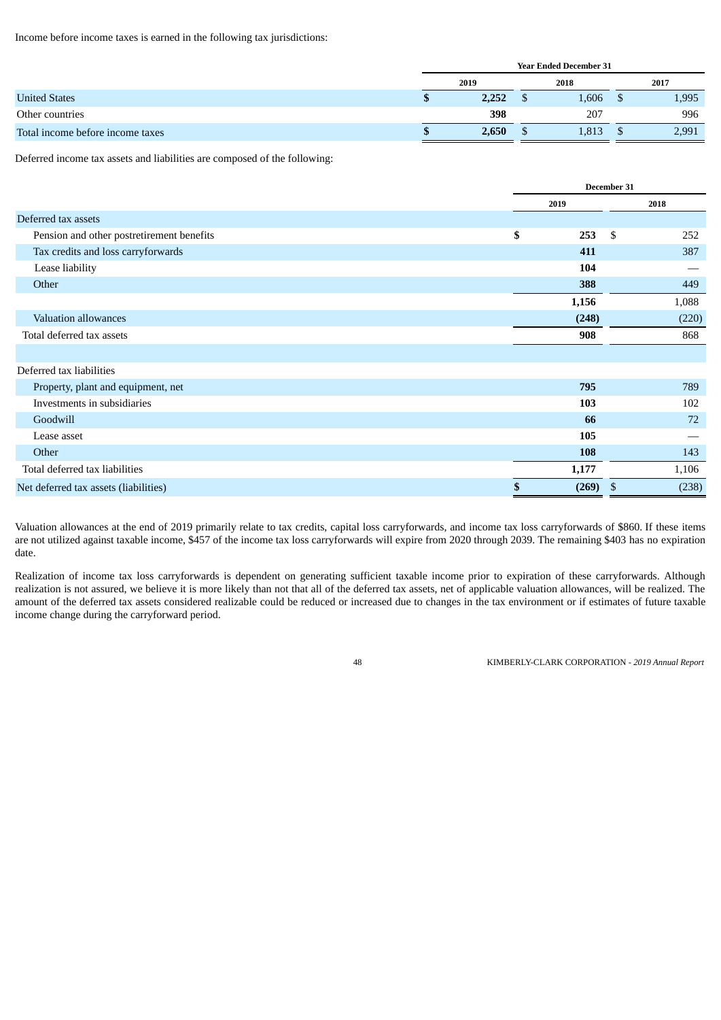Income before income taxes is earned in the following tax jurisdictions:

|                                  | <b>Year Ended December 31</b> |       |  |       |      |       |  |
|----------------------------------|-------------------------------|-------|--|-------|------|-------|--|
|                                  | 2019                          |       |  | 2018  | 2017 |       |  |
| <b>United States</b>             |                               | 2,252 |  | 1,606 |      | 1,995 |  |
| Other countries                  |                               | 398   |  | 207   |      | 996   |  |
| Total income before income taxes |                               | 2,650 |  | 1,813 | w    | 2,991 |  |

Deferred income tax assets and liabilities are composed of the following:

|                                           | December 31 |              |  |  |  |  |
|-------------------------------------------|-------------|--------------|--|--|--|--|
|                                           | 2019        | 2018         |  |  |  |  |
| Deferred tax assets                       |             |              |  |  |  |  |
| Pension and other postretirement benefits | \$<br>253   | \$<br>252    |  |  |  |  |
| Tax credits and loss carryforwards        | 411         | 387          |  |  |  |  |
| Lease liability                           | 104         |              |  |  |  |  |
| Other                                     | 388         | 449          |  |  |  |  |
|                                           | 1,156       | 1,088        |  |  |  |  |
| <b>Valuation allowances</b>               | (248)       | (220)        |  |  |  |  |
| Total deferred tax assets                 | 908         | 868          |  |  |  |  |
|                                           |             |              |  |  |  |  |
| Deferred tax liabilities                  |             |              |  |  |  |  |
| Property, plant and equipment, net        | 795         | 789          |  |  |  |  |
| Investments in subsidiaries               | 103         | 102          |  |  |  |  |
| Goodwill                                  | 66          | 72           |  |  |  |  |
| Lease asset                               | 105         |              |  |  |  |  |
| Other                                     | 108         | 143          |  |  |  |  |
| Total deferred tax liabilities            | 1,177       | 1,106        |  |  |  |  |
| Net deferred tax assets (liabilities)     | \$<br>(269) | -\$<br>(238) |  |  |  |  |

Valuation allowances at the end of 2019 primarily relate to tax credits, capital loss carryforwards, and income tax loss carryforwards of \$860. If these items are not utilized against taxable income, \$457 of the income tax loss carryforwards will expire from 2020 through 2039. The remaining \$403 has no expiration date.

Realization of income tax loss carryforwards is dependent on generating sufficient taxable income prior to expiration of these carryforwards. Although realization is not assured, we believe it is more likely than not that all of the deferred tax assets, net of applicable valuation allowances, will be realized. The amount of the deferred tax assets considered realizable could be reduced or increased due to changes in the tax environment or if estimates of future taxable income change during the carryforward period.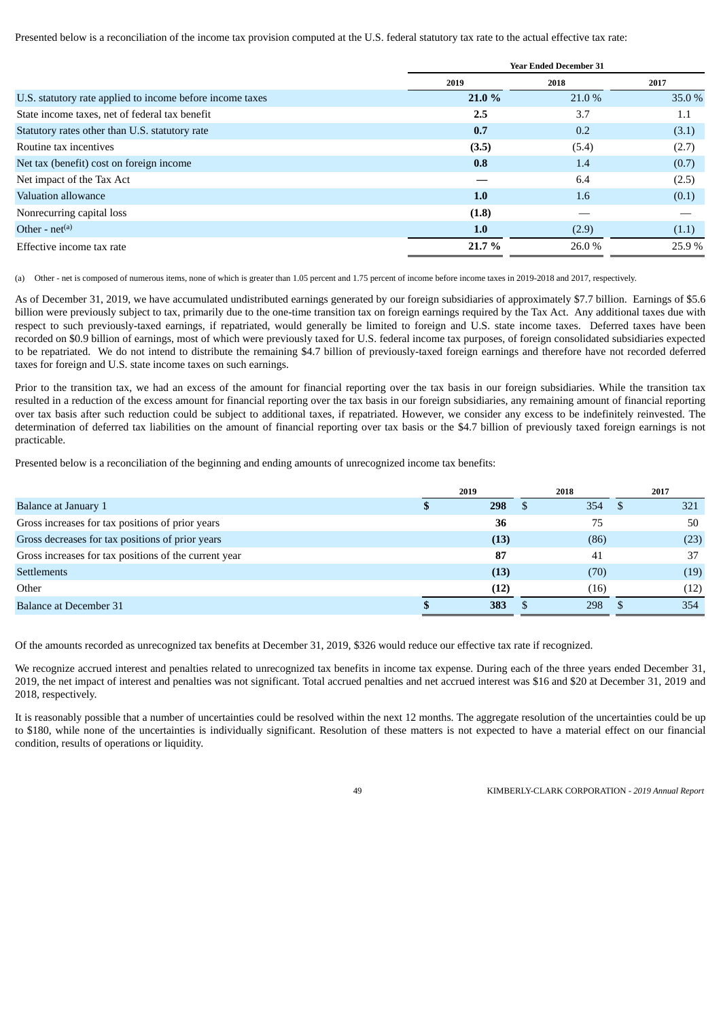Presented below is a reconciliation of the income tax provision computed at the U.S. federal statutory tax rate to the actual effective tax rate:

|                                                           | <b>Year Ended December 31</b> |        |        |  |  |  |  |  |
|-----------------------------------------------------------|-------------------------------|--------|--------|--|--|--|--|--|
|                                                           | 2019                          | 2018   | 2017   |  |  |  |  |  |
| U.S. statutory rate applied to income before income taxes | 21.0%                         | 21.0 % | 35.0 % |  |  |  |  |  |
| State income taxes, net of federal tax benefit            | 2.5                           | 3.7    | 1.1    |  |  |  |  |  |
| Statutory rates other than U.S. statutory rate            | 0.7                           | 0.2    | (3.1)  |  |  |  |  |  |
| Routine tax incentives                                    | (3.5)                         | (5.4)  | (2.7)  |  |  |  |  |  |
| Net tax (benefit) cost on foreign income                  | 0.8                           | 1.4    | (0.7)  |  |  |  |  |  |
| Net impact of the Tax Act                                 |                               | 6.4    | (2.5)  |  |  |  |  |  |
| Valuation allowance                                       | 1.0                           | 1.6    | (0.1)  |  |  |  |  |  |
| Nonrecurring capital loss                                 | (1.8)                         |        |        |  |  |  |  |  |
| Other - $net(a)$                                          | 1.0                           | (2.9)  | (1.1)  |  |  |  |  |  |
| Effective income tax rate                                 | 21.7 %                        | 26.0%  | 25.9%  |  |  |  |  |  |

(a) Other - net is composed of numerous items, none of which is greater than 1.05 percent and 1.75 percent of income before income taxes in 2019-2018 and 2017, respectively.

As of December 31, 2019, we have accumulated undistributed earnings generated by our foreign subsidiaries of approximately \$7.7 billion. Earnings of \$5.6 billion were previously subject to tax, primarily due to the one-time transition tax on foreign earnings required by the Tax Act. Any additional taxes due with respect to such previously-taxed earnings, if repatriated, would generally be limited to foreign and U.S. state income taxes. Deferred taxes have been recorded on \$0.9 billion of earnings, most of which were previously taxed for U.S. federal income tax purposes, of foreign consolidated subsidiaries expected to be repatriated. We do not intend to distribute the remaining \$4.7 billion of previously-taxed foreign earnings and therefore have not recorded deferred taxes for foreign and U.S. state income taxes on such earnings.

Prior to the transition tax, we had an excess of the amount for financial reporting over the tax basis in our foreign subsidiaries. While the transition tax resulted in a reduction of the excess amount for financial reporting over the tax basis in our foreign subsidiaries, any remaining amount of financial reporting over tax basis after such reduction could be subject to additional taxes, if repatriated. However, we consider any excess to be indefinitely reinvested. The determination of deferred tax liabilities on the amount of financial reporting over tax basis or the \$4.7 billion of previously taxed foreign earnings is not practicable.

Presented below is a reconciliation of the beginning and ending amounts of unrecognized income tax benefits:

|                                                       | 2019 |      | 2018 | 2017 |
|-------------------------------------------------------|------|------|------|------|
| <b>Balance at January 1</b>                           |      | 298  | 354  | 321  |
| Gross increases for tax positions of prior years      |      | 36   | 75   | 50   |
| Gross decreases for tax positions of prior years      |      | (13) | (86) | (23) |
| Gross increases for tax positions of the current year |      | 87   | 41   | 37   |
| <b>Settlements</b>                                    |      | (13) | (70) | (19) |
| Other                                                 |      | (12) | (16) | (12) |
| <b>Balance at December 31</b>                         |      | 383  | 298  | 354  |

Of the amounts recorded as unrecognized tax benefits at December 31, 2019, \$326 would reduce our effective tax rate if recognized.

We recognize accrued interest and penalties related to unrecognized tax benefits in income tax expense. During each of the three years ended December 31, 2019, the net impact of interest and penalties was not significant. Total accrued penalties and net accrued interest was \$16 and \$20 at December 31, 2019 and 2018, respectively.

It is reasonably possible that a number of uncertainties could be resolved within the next 12 months. The aggregate resolution of the uncertainties could be up to \$180, while none of the uncertainties is individually significant. Resolution of these matters is not expected to have a material effect on our financial condition, results of operations or liquidity.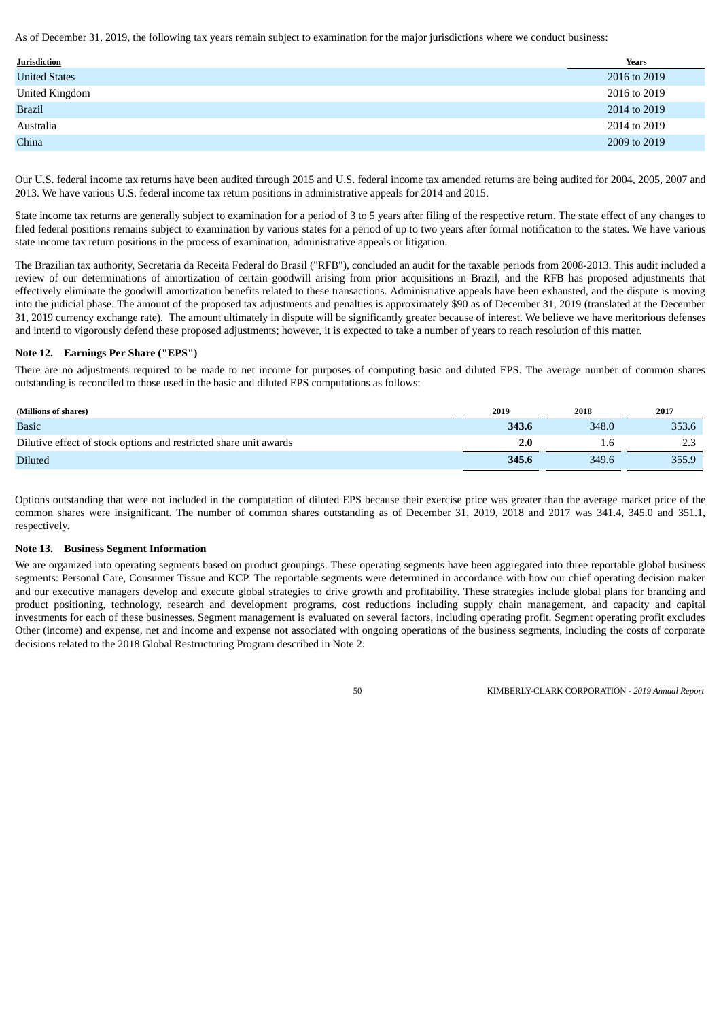As of December 31, 2019, the following tax years remain subject to examination for the major jurisdictions where we conduct business:

| <b>Jurisdiction</b>   | <b>Years</b> |
|-----------------------|--------------|
| <b>United States</b>  | 2016 to 2019 |
| <b>United Kingdom</b> | 2016 to 2019 |
| <b>Brazil</b>         | 2014 to 2019 |
| Australia             | 2014 to 2019 |
| China                 | 2009 to 2019 |

Our U.S. federal income tax returns have been audited through 2015 and U.S. federal income tax amended returns are being audited for 2004, 2005, 2007 and 2013. We have various U.S. federal income tax return positions in administrative appeals for 2014 and 2015.

State income tax returns are generally subject to examination for a period of 3 to 5 years after filing of the respective return. The state effect of any changes to filed federal positions remains subject to examination by various states for a period of up to two years after formal notification to the states. We have various state income tax return positions in the process of examination, administrative appeals or litigation.

The Brazilian tax authority, Secretaria da Receita Federal do Brasil ("RFB"), concluded an audit for the taxable periods from 2008-2013. This audit included a review of our determinations of amortization of certain goodwill arising from prior acquisitions in Brazil, and the RFB has proposed adjustments that effectively eliminate the goodwill amortization benefits related to these transactions. Administrative appeals have been exhausted, and the dispute is moving into the judicial phase. The amount of the proposed tax adjustments and penalties is approximately \$90 as of December 31, 2019 (translated at the December 31, 2019 currency exchange rate). The amount ultimately in dispute will be significantly greater because of interest. We believe we have meritorious defenses and intend to vigorously defend these proposed adjustments; however, it is expected to take a number of years to reach resolution of this matter.

# **Note 12. Earnings Per Share ("EPS")**

There are no adjustments required to be made to net income for purposes of computing basic and diluted EPS. The average number of common shares outstanding is reconciled to those used in the basic and diluted EPS computations as follows:

| (Millions of shares)                                              | 2019  | 2018  | 2017  |
|-------------------------------------------------------------------|-------|-------|-------|
| <b>Basic</b>                                                      | 343.6 | 348.0 | 353.6 |
| Dilutive effect of stock options and restricted share unit awards | 2.0   | 1.t   | ں ک   |
| <b>Diluted</b>                                                    | 345.6 | 349.6 | 355.9 |

Options outstanding that were not included in the computation of diluted EPS because their exercise price was greater than the average market price of the common shares were insignificant. The number of common shares outstanding as of December 31, 2019, 2018 and 2017 was 341.4, 345.0 and 351.1, respectively.

# **Note 13. Business Segment Information**

We are organized into operating segments based on product groupings. These operating segments have been aggregated into three reportable global business segments: Personal Care, Consumer Tissue and KCP. The reportable segments were determined in accordance with how our chief operating decision maker and our executive managers develop and execute global strategies to drive growth and profitability. These strategies include global plans for branding and product positioning, technology, research and development programs, cost reductions including supply chain management, and capacity and capital investments for each of these businesses. Segment management is evaluated on several factors, including operating profit. Segment operating profit excludes Other (income) and expense, net and income and expense not associated with ongoing operations of the business segments, including the costs of corporate decisions related to the 2018 Global Restructuring Program described in Note 2.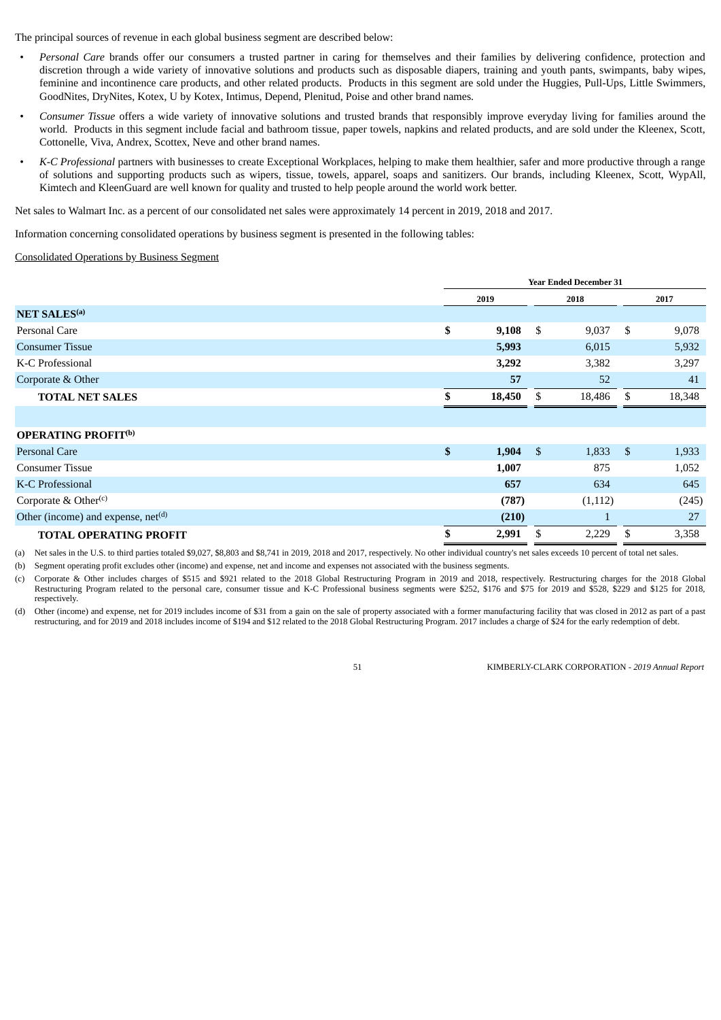The principal sources of revenue in each global business segment are described below:

- *Personal Care* brands offer our consumers a trusted partner in caring for themselves and their families by delivering confidence, protection and discretion through a wide variety of innovative solutions and products such as disposable diapers, training and youth pants, swimpants, baby wipes, feminine and incontinence care products, and other related products. Products in this segment are sold under the Huggies, Pull-Ups, Little Swimmers, GoodNites, DryNites, Kotex, U by Kotex, Intimus, Depend, Plenitud, Poise and other brand names.
- *Consumer Tissue* offers a wide variety of innovative solutions and trusted brands that responsibly improve everyday living for families around the world. Products in this segment include facial and bathroom tissue, paper towels, napkins and related products, and are sold under the Kleenex, Scott, Cottonelle, Viva, Andrex, Scottex, Neve and other brand names.
- *K-C Professional* partners with businesses to create Exceptional Workplaces, helping to make them healthier, safer and more productive through a range of solutions and supporting products such as wipers, tissue, towels, apparel, soaps and sanitizers. Our brands, including Kleenex, Scott, WypAll, Kimtech and KleenGuard are well known for quality and trusted to help people around the world work better.

Net sales to Walmart Inc. as a percent of our consolidated net sales were approximately 14 percent in 2019, 2018 and 2017.

Information concerning consolidated operations by business segment is presented in the following tables:

### Consolidated Operations by Business Segment

|                                                | <b>Year Ended December 31</b> |      |         |                |        |  |  |  |
|------------------------------------------------|-------------------------------|------|---------|----------------|--------|--|--|--|
|                                                | 2019                          | 2018 |         |                | 2017   |  |  |  |
| <b>NET SALES</b> <sup>(a)</sup>                |                               |      |         |                |        |  |  |  |
| Personal Care                                  | \$<br>9,108                   | \$   | 9,037   | \$             | 9,078  |  |  |  |
| <b>Consumer Tissue</b>                         | 5,993                         |      | 6,015   |                | 5,932  |  |  |  |
| K-C Professional                               | 3,292                         |      | 3,382   |                | 3,297  |  |  |  |
| Corporate & Other                              | 57                            |      | 52      |                | 41     |  |  |  |
| <b>TOTAL NET SALES</b>                         | \$<br>18,450                  | \$   | 18,486  | \$.            | 18,348 |  |  |  |
|                                                |                               |      |         |                |        |  |  |  |
| <b>OPERATING PROFIT<sup>(b)</sup></b>          |                               |      |         |                |        |  |  |  |
| Personal Care                                  | \$<br>1,904                   | \$   | 1,833   | $\mathfrak{S}$ | 1,933  |  |  |  |
| <b>Consumer Tissue</b>                         | 1,007                         |      | 875     |                | 1,052  |  |  |  |
| K-C Professional                               | 657                           |      | 634     |                | 645    |  |  |  |
| Corporate & Other $(c)$                        | (787)                         |      | (1,112) |                | (245)  |  |  |  |
| Other (income) and expense, net <sup>(d)</sup> | (210)                         |      |         |                | 27     |  |  |  |
| <b>TOTAL OPERATING PROFIT</b>                  | \$<br>2,991                   | \$   | 2,229   | \$             | 3,358  |  |  |  |

(a) Net sales in the U.S. to third parties totaled \$9,027, \$8,803 and \$8,741 in 2019, 2018 and 2017, respectively. No other individual country's net sales exceeds 10 percent of total net sales.

(b) Segment operating profit excludes other (income) and expense, net and income and expenses not associated with the business segments.

(c) Corporate & Other includes charges of \$515 and \$921 related to the 2018 Global Restructuring Program in 2019 and 2018, respectively. Restructuring charges for the 2018 Global Restructuring Program related to the personal care, consumer tissue and K-C Professional business segments were \$252, \$176 and \$75 for 2019 and \$528, \$229 and \$125 for 2018, respectively.

(d) Other (income) and expense, net for 2019 includes income of \$31 from a gain on the sale of property associated with a former manufacturing facility that was closed in 2012 as part of a past restructuring, and for 2019 and 2018 includes income of \$194 and \$12 related to the 2018 Global Restructuring Program. 2017 includes a charge of \$24 for the early redemption of debt.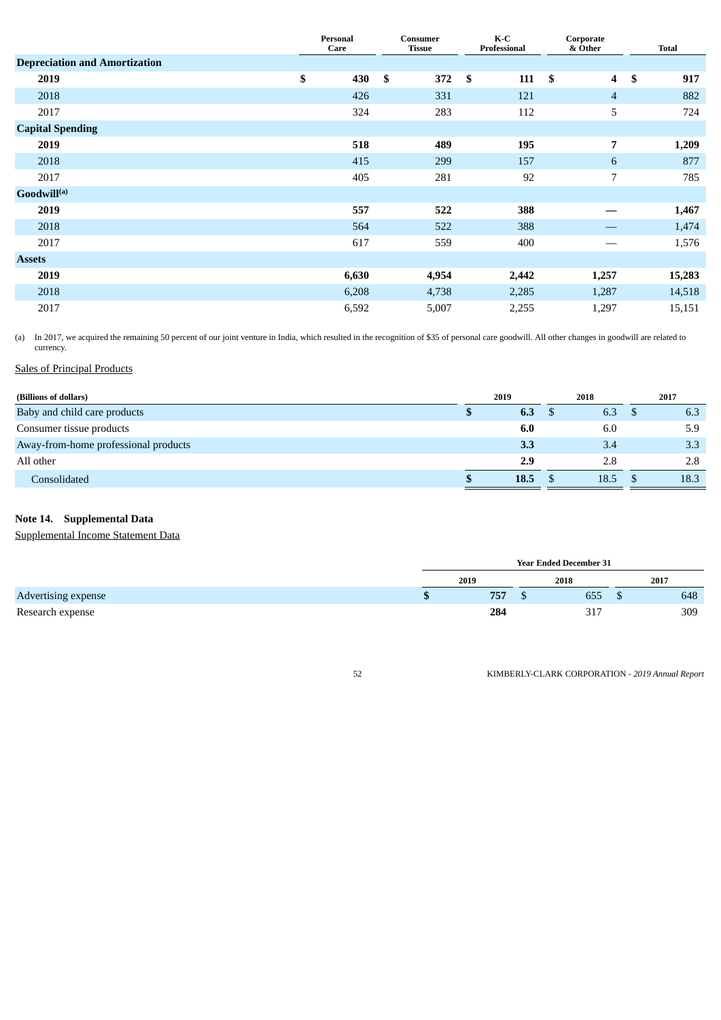|                                      |    | Care  |    | Personal |    | <b>Tissue</b> |    | Consumer       |           | K-C<br>Professional | Corporate<br>& Other |  | <b>Total</b> |
|--------------------------------------|----|-------|----|----------|----|---------------|----|----------------|-----------|---------------------|----------------------|--|--------------|
| <b>Depreciation and Amortization</b> |    |       |    |          |    |               |    |                |           |                     |                      |  |              |
| 2019                                 | \$ | 430   | \$ | 372      | \$ | 111           | \$ | 4              | \$<br>917 |                     |                      |  |              |
| 2018                                 |    | 426   |    | 331      |    | 121           |    | $\overline{4}$ | 882       |                     |                      |  |              |
| 2017                                 |    | 324   |    | 283      |    | 112           |    | 5              | 724       |                     |                      |  |              |
| <b>Capital Spending</b>              |    |       |    |          |    |               |    |                |           |                     |                      |  |              |
| 2019                                 |    | 518   |    | 489      |    | 195           |    | 7              | 1,209     |                     |                      |  |              |
| 2018                                 |    | 415   |    | 299      |    | 157           |    | 6              | 877       |                     |                      |  |              |
| 2017                                 |    | 405   |    | 281      |    | 92            |    | 7              | 785       |                     |                      |  |              |
| Goodwill <sup>(a)</sup>              |    |       |    |          |    |               |    |                |           |                     |                      |  |              |
| 2019                                 |    | 557   |    | 522      |    | 388           |    |                | 1,467     |                     |                      |  |              |
| 2018                                 |    | 564   |    | 522      |    | 388           |    |                | 1,474     |                     |                      |  |              |
| 2017                                 |    | 617   |    | 559      |    | 400           |    |                | 1,576     |                     |                      |  |              |
| <b>Assets</b>                        |    |       |    |          |    |               |    |                |           |                     |                      |  |              |
| 2019                                 |    | 6,630 |    | 4,954    |    | 2,442         |    | 1,257          | 15,283    |                     |                      |  |              |
| 2018                                 |    | 6,208 |    | 4,738    |    | 2,285         |    | 1,287          | 14,518    |                     |                      |  |              |
| 2017                                 |    | 6,592 |    | 5,007    |    | 2,255         |    | 1,297          | 15,151    |                     |                      |  |              |

(a) In 2017, we acquired the remaining 50 percent of our joint venture in India, which resulted in the recognition of \$35 of personal care goodwill. All other changes in goodwill are related to currency.

# Sales of Principal Products

| (Billions of dollars)                | 2019 |      | 2018 | 2017 |      |  |
|--------------------------------------|------|------|------|------|------|--|
| Baby and child care products         |      | 6.3  | 6.3  |      | 6.3  |  |
| Consumer tissue products             |      | 6.0  | 6.0  |      | 5.9  |  |
| Away-from-home professional products |      | 3.3  | 3.4  |      | 3.3  |  |
| All other                            |      | 2.9  | 2.8  |      | 2.8  |  |
| Consolidated                         |      | 18.5 | 18.5 |      | 18.3 |  |

# **Note 14. Supplemental Data**

Supplemental Income Statement Data

|                     |  | <b>Year Ended December 31</b> |     |  |             |      |     |  |  |  |  |
|---------------------|--|-------------------------------|-----|--|-------------|------|-----|--|--|--|--|
|                     |  | 2019                          |     |  | 2018        | 2017 |     |  |  |  |  |
| Advertising expense |  |                               | 757 |  | 655         |      | 648 |  |  |  |  |
| Research expense    |  |                               | 284 |  | : 31<br>لدك |      | 309 |  |  |  |  |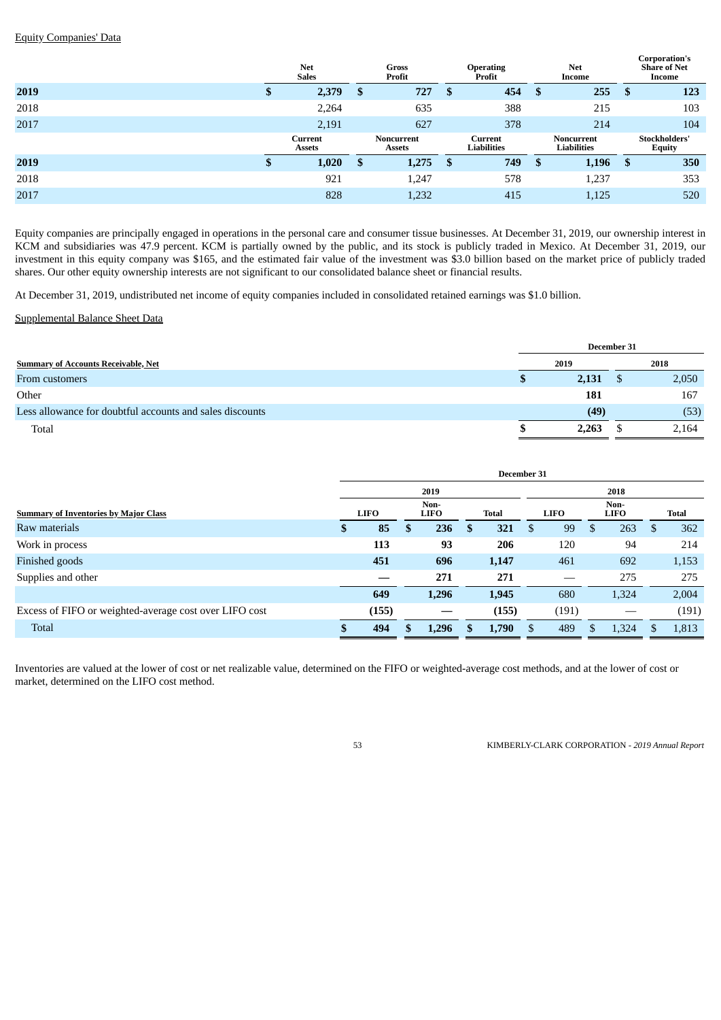# Equity Companies' Data

|      |    | <b>Net</b><br><b>Net</b><br><b>Gross</b><br><b>Operating</b><br>Profit<br><b>Sales</b><br>Profit<br>Income |    |                             |    |                               |      |                                  | Corporation's<br><b>Share of Net</b><br>Income |  |
|------|----|------------------------------------------------------------------------------------------------------------|----|-----------------------------|----|-------------------------------|------|----------------------------------|------------------------------------------------|--|
| 2019 | Ф  | 2,379                                                                                                      | -S | 727                         | \$ | 454                           | -56  | 255                              | \$<br>123                                      |  |
| 2018 |    | 2,264                                                                                                      |    | 635                         |    | 388                           |      | 215                              | 103                                            |  |
| 2017 |    | 2,191                                                                                                      |    | 627                         |    | 378                           |      | 214                              | 104                                            |  |
|      |    | <b>Current</b><br>Assets                                                                                   |    | <b>Noncurrent</b><br>Assets |    | Current<br><b>Liabilities</b> |      | Noncurrent<br><b>Liabilities</b> | Stockholders'<br><b>Equity</b>                 |  |
| 2019 | \$ | 1,020                                                                                                      | S, | 1,275                       | S  | 749                           | - \$ | 1,196                            | \$<br>350                                      |  |
| 2018 |    | 921                                                                                                        |    | 1,247                       |    | 578                           |      | 1,237                            | 353                                            |  |
| 2017 |    | 828                                                                                                        |    | 1,232                       |    | 415                           |      | 1,125                            | 520                                            |  |
|      |    |                                                                                                            |    |                             |    |                               |      |                                  |                                                |  |

Equity companies are principally engaged in operations in the personal care and consumer tissue businesses. At December 31, 2019, our ownership interest in KCM and subsidiaries was 47.9 percent. KCM is partially owned by the public, and its stock is publicly traded in Mexico. At December 31, 2019, our investment in this equity company was \$165, and the estimated fair value of the investment was \$3.0 billion based on the market price of publicly traded shares. Our other equity ownership interests are not significant to our consolidated balance sheet or financial results.

At December 31, 2019, undistributed net income of equity companies included in consolidated retained earnings was \$1.0 billion.

Supplemental Balance Sheet Data

|                                                          |  | December 31 |      |       |  |
|----------------------------------------------------------|--|-------------|------|-------|--|
| <b>Summary of Accounts Receivable, Net</b>               |  | 2019        | 2018 |       |  |
| From customers                                           |  | 2,131       |      | 2,050 |  |
| Other                                                    |  | 181         |      | 167   |  |
| Less allowance for doubtful accounts and sales discounts |  | (49)        |      | (53)  |  |
| Total                                                    |  | 2,263       |      | 2,164 |  |

|                                                        |   |                                    |      |       |     | December 31  |             |       |                     |       |  |              |
|--------------------------------------------------------|---|------------------------------------|------|-------|-----|--------------|-------------|-------|---------------------|-------|--|--------------|
|                                                        |   |                                    | 2019 |       |     |              |             |       |                     |       |  |              |
| <b>Summary of Inventories by Major Class</b>           |   | Non-<br><b>LIFO</b><br><b>LIFO</b> |      |       |     | <b>Total</b> | <b>LIFO</b> |       | Non-<br><b>LIFO</b> |       |  | <b>Total</b> |
| Raw materials                                          | S | 85                                 | \$   | 236   | \$. | 321          | S           | 99    | \$                  | 263   |  | 362          |
| Work in process                                        |   | 113                                |      | 93    |     | 206          |             | 120   |                     | 94    |  | 214          |
| Finished goods                                         |   | 451                                |      | 696   |     | 1,147        |             | 461   |                     | 692   |  | 1,153        |
| Supplies and other                                     |   |                                    |      | 271   |     | 271          |             |       |                     | 275   |  | 275          |
|                                                        |   | 649                                |      | 1,296 |     | 1,945        |             | 680   |                     | 1,324 |  | 2,004        |
| Excess of FIFO or weighted-average cost over LIFO cost |   | (155)                              |      |       |     | (155)        |             | (191) |                     |       |  | (191)        |
| <b>Total</b>                                           |   | 494                                |      | 1,296 |     | 1,790        |             | 489   |                     | 1,324 |  | 1,813        |
|                                                        |   |                                    |      |       |     |              |             |       |                     |       |  |              |

Inventories are valued at the lower of cost or net realizable value, determined on the FIFO or weighted-average cost methods, and at the lower of cost or market, determined on the LIFO cost method.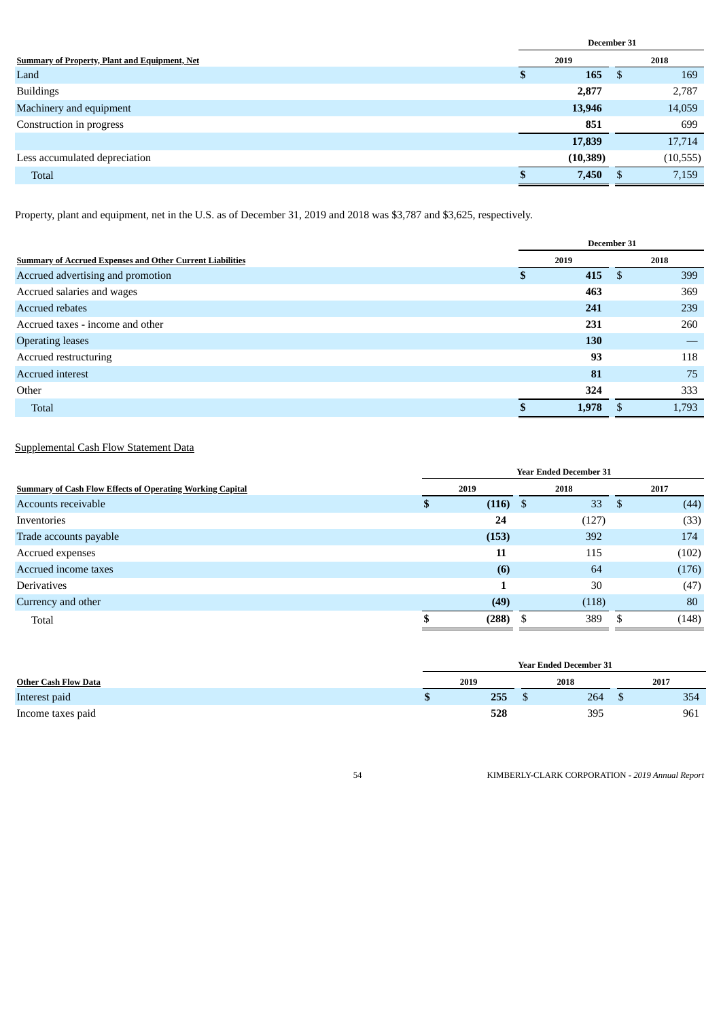|                                                      |  |           | December 31 |           |  |  |
|------------------------------------------------------|--|-----------|-------------|-----------|--|--|
| <b>Summary of Property, Plant and Equipment, Net</b> |  | 2019      | 2018        |           |  |  |
| Land                                                 |  | 165       | - \$        | 169       |  |  |
| <b>Buildings</b>                                     |  | 2,877     |             | 2,787     |  |  |
| Machinery and equipment                              |  | 13,946    |             | 14,059    |  |  |
| Construction in progress                             |  | 851       |             | 699       |  |  |
|                                                      |  | 17,839    |             | 17,714    |  |  |
| Less accumulated depreciation                        |  | (10, 389) |             | (10, 555) |  |  |
| <b>Total</b>                                         |  | 7,450     | -5          | 7,159     |  |  |

Property, plant and equipment, net in the U.S. as of December 31, 2019 and 2018 was \$3,787 and \$3,625, respectively.

|                                                                  | December 31 |       |     |       |  |  |  |  |
|------------------------------------------------------------------|-------------|-------|-----|-------|--|--|--|--|
| <b>Summary of Accrued Expenses and Other Current Liabilities</b> | 2019        |       |     | 2018  |  |  |  |  |
| Accrued advertising and promotion                                |             | 415   | - S | 399   |  |  |  |  |
| Accrued salaries and wages                                       |             | 463   |     | 369   |  |  |  |  |
| Accrued rebates                                                  |             | 241   |     | 239   |  |  |  |  |
| Accrued taxes - income and other                                 |             | 231   |     | 260   |  |  |  |  |
| <b>Operating leases</b>                                          |             | 130   |     |       |  |  |  |  |
| Accrued restructuring                                            |             | 93    |     | 118   |  |  |  |  |
| <b>Accrued</b> interest                                          |             | 81    |     | 75    |  |  |  |  |
| Other                                                            |             | 324   |     | 333   |  |  |  |  |
| Total                                                            |             | 1,978 |     | 1,793 |  |  |  |  |

# Supplemental Cash Flow Statement Data

|                                                                  | <b>Year Ended December 31</b> |          |              |  |  |  |  |  |
|------------------------------------------------------------------|-------------------------------|----------|--------------|--|--|--|--|--|
| <b>Summary of Cash Flow Effects of Operating Working Capital</b> | 2019                          | 2018     | 2017         |  |  |  |  |  |
| Accounts receivable                                              | (116)                         | 33<br>S. | (44)<br>- \$ |  |  |  |  |  |
| Inventories                                                      | 24                            | (127)    | (33)         |  |  |  |  |  |
| Trade accounts payable                                           | (153)                         | 392      | 174          |  |  |  |  |  |
| Accrued expenses                                                 | 11                            | 115      | (102)        |  |  |  |  |  |
| Accrued income taxes                                             | (6)                           | 64       | (176)        |  |  |  |  |  |
| <b>Derivatives</b>                                               |                               | 30       | (47)         |  |  |  |  |  |
| Currency and other                                               | (49)                          | (118)    | 80           |  |  |  |  |  |
| Total                                                            | (288)                         | 389<br>S | (148)        |  |  |  |  |  |

|                             | <b>Year Ended December 31</b> |              |  |     |      |     |  |  |  |  |
|-----------------------------|-------------------------------|--------------|--|-----|------|-----|--|--|--|--|
| <b>Other Cash Flow Data</b> |                               | 2018<br>2019 |  |     | 2017 |     |  |  |  |  |
| Interest paid               |                               | 255          |  | 264 |      | 354 |  |  |  |  |
| Income taxes paid           |                               | 528          |  | 395 |      | 961 |  |  |  |  |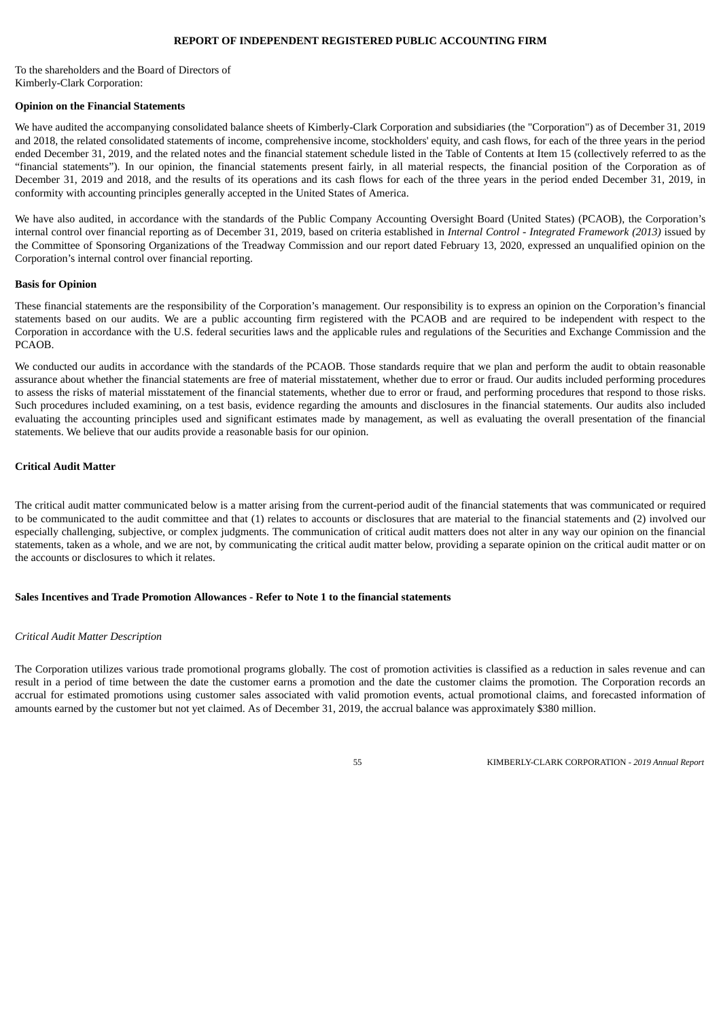# **REPORT OF INDEPENDENT REGISTERED PUBLIC ACCOUNTING FIRM**

### To the shareholders and the Board of Directors of Kimberly-Clark Corporation:

#### **Opinion on the Financial Statements**

We have audited the accompanying consolidated balance sheets of Kimberly-Clark Corporation and subsidiaries (the "Corporation") as of December 31, 2019 and 2018, the related consolidated statements of income, comprehensive income, stockholders' equity, and cash flows, for each of the three years in the period ended December 31, 2019, and the related notes and the financial statement schedule listed in the Table of Contents at Item 15 (collectively referred to as the "financial statements"). In our opinion, the financial statements present fairly, in all material respects, the financial position of the Corporation as of December 31, 2019 and 2018, and the results of its operations and its cash flows for each of the three years in the period ended December 31, 2019, in conformity with accounting principles generally accepted in the United States of America.

We have also audited, in accordance with the standards of the Public Company Accounting Oversight Board (United States) (PCAOB), the Corporation's internal control over financial reporting as of December 31, 2019, based on criteria established in *Internal Control - Integrated Framework (2013)* issued by the Committee of Sponsoring Organizations of the Treadway Commission and our report dated February 13, 2020, expressed an unqualified opinion on the Corporation's internal control over financial reporting.

#### **Basis for Opinion**

These financial statements are the responsibility of the Corporation's management. Our responsibility is to express an opinion on the Corporation's financial statements based on our audits. We are a public accounting firm registered with the PCAOB and are required to be independent with respect to the Corporation in accordance with the U.S. federal securities laws and the applicable rules and regulations of the Securities and Exchange Commission and the PCAOB.

We conducted our audits in accordance with the standards of the PCAOB. Those standards require that we plan and perform the audit to obtain reasonable assurance about whether the financial statements are free of material misstatement, whether due to error or fraud. Our audits included performing procedures to assess the risks of material misstatement of the financial statements, whether due to error or fraud, and performing procedures that respond to those risks. Such procedures included examining, on a test basis, evidence regarding the amounts and disclosures in the financial statements. Our audits also included evaluating the accounting principles used and significant estimates made by management, as well as evaluating the overall presentation of the financial statements. We believe that our audits provide a reasonable basis for our opinion.

### **Critical Audit Matter**

The critical audit matter communicated below is a matter arising from the current-period audit of the financial statements that was communicated or required to be communicated to the audit committee and that (1) relates to accounts or disclosures that are material to the financial statements and (2) involved our especially challenging, subjective, or complex judgments. The communication of critical audit matters does not alter in any way our opinion on the financial statements, taken as a whole, and we are not, by communicating the critical audit matter below, providing a separate opinion on the critical audit matter or on the accounts or disclosures to which it relates.

#### **Sales Incentives and Trade Promotion Allowances - Refer to Note 1 to the financial statements**

#### *Critical Audit Matter Description*

The Corporation utilizes various trade promotional programs globally. The cost of promotion activities is classified as a reduction in sales revenue and can result in a period of time between the date the customer earns a promotion and the date the customer claims the promotion. The Corporation records an accrual for estimated promotions using customer sales associated with valid promotion events, actual promotional claims, and forecasted information of amounts earned by the customer but not yet claimed. As of December 31, 2019, the accrual balance was approximately \$380 million.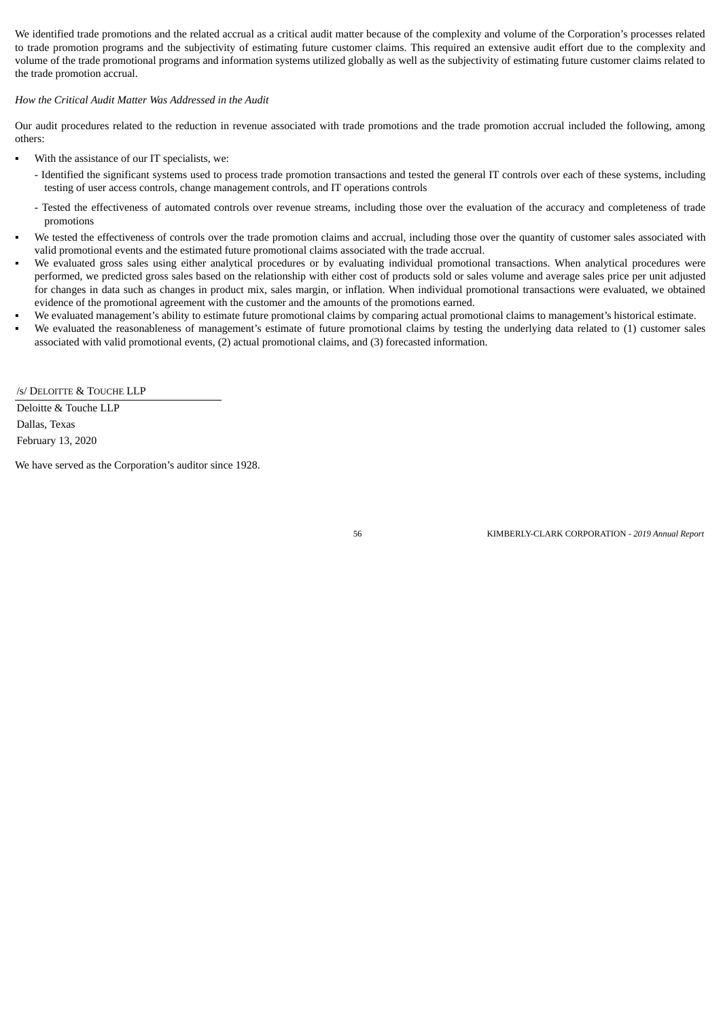We identified trade promotions and the related accrual as a critical audit matter because of the complexity and volume of the Corporation's processes related to trade promotion programs and the subjectivity of estimating future customer claims. This required an extensive audit effort due to the complexity and volume of the trade promotional programs and information systems utilized globally as well as the subjectivity of estimating future customer claims related to the trade promotion accrual.

# *How the Critical Audit Matter Was Addressed in the Audit*

Our audit procedures related to the reduction in revenue associated with trade promotions and the trade promotion accrual included the following, among others:

- With the assistance of our IT specialists, we:
	- Identified the significant systems used to process trade promotion transactions and tested the general IT controls over each of these systems, including testing of user access controls, change management controls, and IT operations controls
	- Tested the effectiveness of automated controls over revenue streams, including those over the evaluation of the accuracy and completeness of trade promotions
- We tested the effectiveness of controls over the trade promotion claims and accrual, including those over the quantity of customer sales associated with valid promotional events and the estimated future promotional claims associated with the trade accrual.
- We evaluated gross sales using either analytical procedures or by evaluating individual promotional transactions. When analytical procedures were performed, we predicted gross sales based on the relationship with either cost of products sold or sales volume and average sales price per unit adjusted for changes in data such as changes in product mix, sales margin, or inflation. When individual promotional transactions were evaluated, we obtained evidence of the promotional agreement with the customer and the amounts of the promotions earned.
- We evaluated management's ability to estimate future promotional claims by comparing actual promotional claims to management's historical estimate.
- We evaluated the reasonableness of management's estimate of future promotional claims by testing the underlying data related to (1) customer sales associated with valid promotional events, (2) actual promotional claims, and (3) forecasted information.

/s/ DELOITTE & TOUCHE LLP

Deloitte & Touche LLP Dallas, Texas February 13, 2020

We have served as the Corporation's auditor since 1928.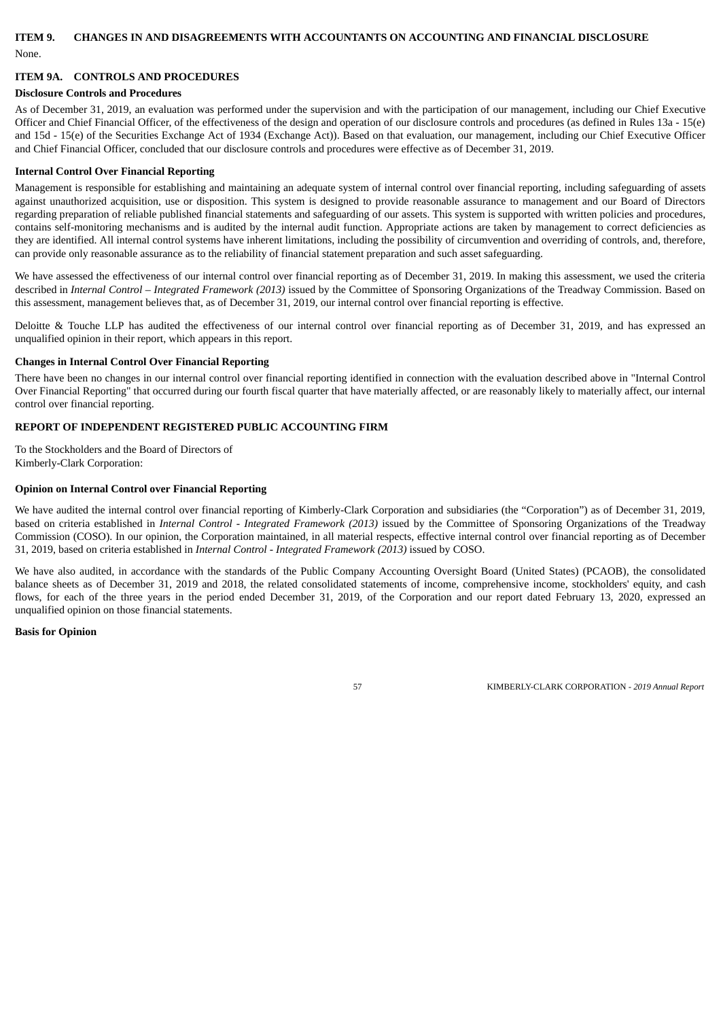# **ITEM 9. CHANGES IN AND DISAGREEMENTS WITH ACCOUNTANTS ON ACCOUNTING AND FINANCIAL DISCLOSURE** None.

# **ITEM 9A. CONTROLS AND PROCEDURES**

# **Disclosure Controls and Procedures**

As of December 31, 2019, an evaluation was performed under the supervision and with the participation of our management, including our Chief Executive Officer and Chief Financial Officer, of the effectiveness of the design and operation of our disclosure controls and procedures (as defined in Rules 13a - 15(e) and 15d - 15(e) of the Securities Exchange Act of 1934 (Exchange Act)). Based on that evaluation, our management, including our Chief Executive Officer and Chief Financial Officer, concluded that our disclosure controls and procedures were effective as of December 31, 2019.

# **Internal Control Over Financial Reporting**

Management is responsible for establishing and maintaining an adequate system of internal control over financial reporting, including safeguarding of assets against unauthorized acquisition, use or disposition. This system is designed to provide reasonable assurance to management and our Board of Directors regarding preparation of reliable published financial statements and safeguarding of our assets. This system is supported with written policies and procedures, contains self-monitoring mechanisms and is audited by the internal audit function. Appropriate actions are taken by management to correct deficiencies as they are identified. All internal control systems have inherent limitations, including the possibility of circumvention and overriding of controls, and, therefore, can provide only reasonable assurance as to the reliability of financial statement preparation and such asset safeguarding.

We have assessed the effectiveness of our internal control over financial reporting as of December 31, 2019. In making this assessment, we used the criteria described in *Internal Control – Integrated Framework (2013)* issued by the Committee of Sponsoring Organizations of the Treadway Commission. Based on this assessment, management believes that, as of December 31, 2019, our internal control over financial reporting is effective.

Deloitte & Touche LLP has audited the effectiveness of our internal control over financial reporting as of December 31, 2019, and has expressed an unqualified opinion in their report, which appears in this report.

### **Changes in Internal Control Over Financial Reporting**

There have been no changes in our internal control over financial reporting identified in connection with the evaluation described above in "Internal Control Over Financial Reporting" that occurred during our fourth fiscal quarter that have materially affected, or are reasonably likely to materially affect, our internal control over financial reporting.

# **REPORT OF INDEPENDENT REGISTERED PUBLIC ACCOUNTING FIRM**

To the Stockholders and the Board of Directors of Kimberly-Clark Corporation:

### **Opinion on Internal Control over Financial Reporting**

We have audited the internal control over financial reporting of Kimberly-Clark Corporation and subsidiaries (the "Corporation") as of December 31, 2019, based on criteria established in *Internal Control - Integrated Framework (2013)* issued by the Committee of Sponsoring Organizations of the Treadway Commission (COSO). In our opinion, the Corporation maintained, in all material respects, effective internal control over financial reporting as of December 31, 2019, based on criteria established in *Internal Control - Integrated Framework (2013)* issued by COSO.

We have also audited, in accordance with the standards of the Public Company Accounting Oversight Board (United States) (PCAOB), the consolidated balance sheets as of December 31, 2019 and 2018, the related consolidated statements of income, comprehensive income, stockholders' equity, and cash flows, for each of the three years in the period ended December 31, 2019, of the Corporation and our report dated February 13, 2020, expressed an unqualified opinion on those financial statements.

### **Basis for Opinion**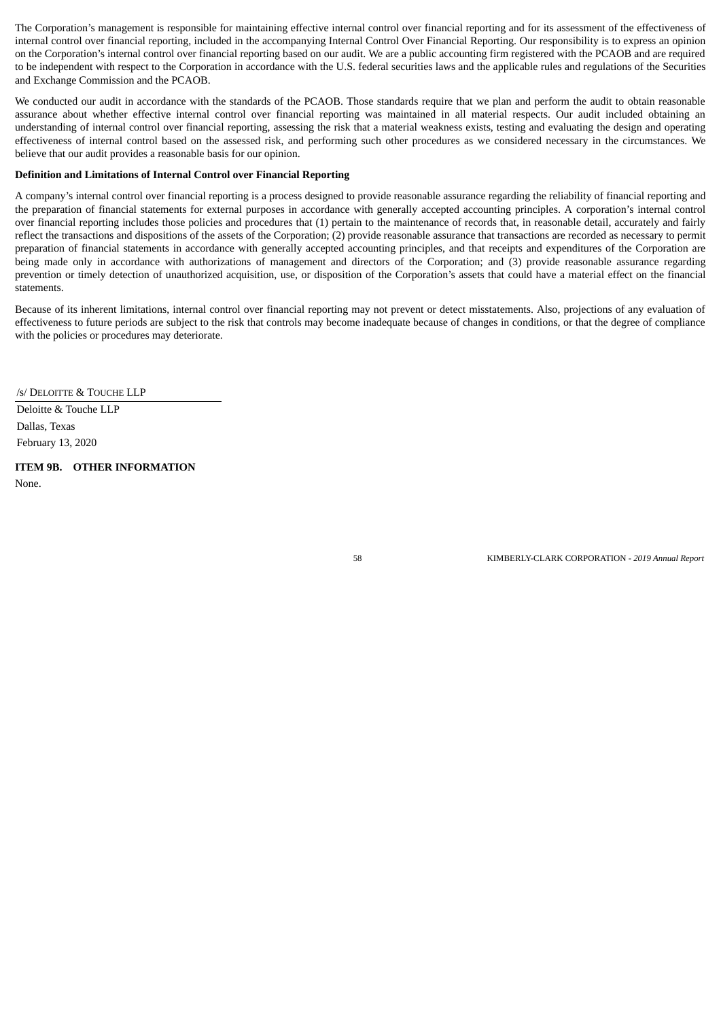The Corporation's management is responsible for maintaining effective internal control over financial reporting and for its assessment of the effectiveness of internal control over financial reporting, included in the accompanying Internal Control Over Financial Reporting. Our responsibility is to express an opinion on the Corporation's internal control over financial reporting based on our audit. We are a public accounting firm registered with the PCAOB and are required to be independent with respect to the Corporation in accordance with the U.S. federal securities laws and the applicable rules and regulations of the Securities and Exchange Commission and the PCAOB.

We conducted our audit in accordance with the standards of the PCAOB. Those standards require that we plan and perform the audit to obtain reasonable assurance about whether effective internal control over financial reporting was maintained in all material respects. Our audit included obtaining an understanding of internal control over financial reporting, assessing the risk that a material weakness exists, testing and evaluating the design and operating effectiveness of internal control based on the assessed risk, and performing such other procedures as we considered necessary in the circumstances. We believe that our audit provides a reasonable basis for our opinion.

# **Definition and Limitations of Internal Control over Financial Reporting**

A company's internal control over financial reporting is a process designed to provide reasonable assurance regarding the reliability of financial reporting and the preparation of financial statements for external purposes in accordance with generally accepted accounting principles. A corporation's internal control over financial reporting includes those policies and procedures that (1) pertain to the maintenance of records that, in reasonable detail, accurately and fairly reflect the transactions and dispositions of the assets of the Corporation; (2) provide reasonable assurance that transactions are recorded as necessary to permit preparation of financial statements in accordance with generally accepted accounting principles, and that receipts and expenditures of the Corporation are being made only in accordance with authorizations of management and directors of the Corporation; and (3) provide reasonable assurance regarding prevention or timely detection of unauthorized acquisition, use, or disposition of the Corporation's assets that could have a material effect on the financial statements.

Because of its inherent limitations, internal control over financial reporting may not prevent or detect misstatements. Also, projections of any evaluation of effectiveness to future periods are subject to the risk that controls may become inadequate because of changes in conditions, or that the degree of compliance with the policies or procedures may deteriorate.

/s/ DELOITTE & TOUCHE LLP

Deloitte & Touche LLP Dallas, Texas February 13, 2020

**ITEM 9B. OTHER INFORMATION** None.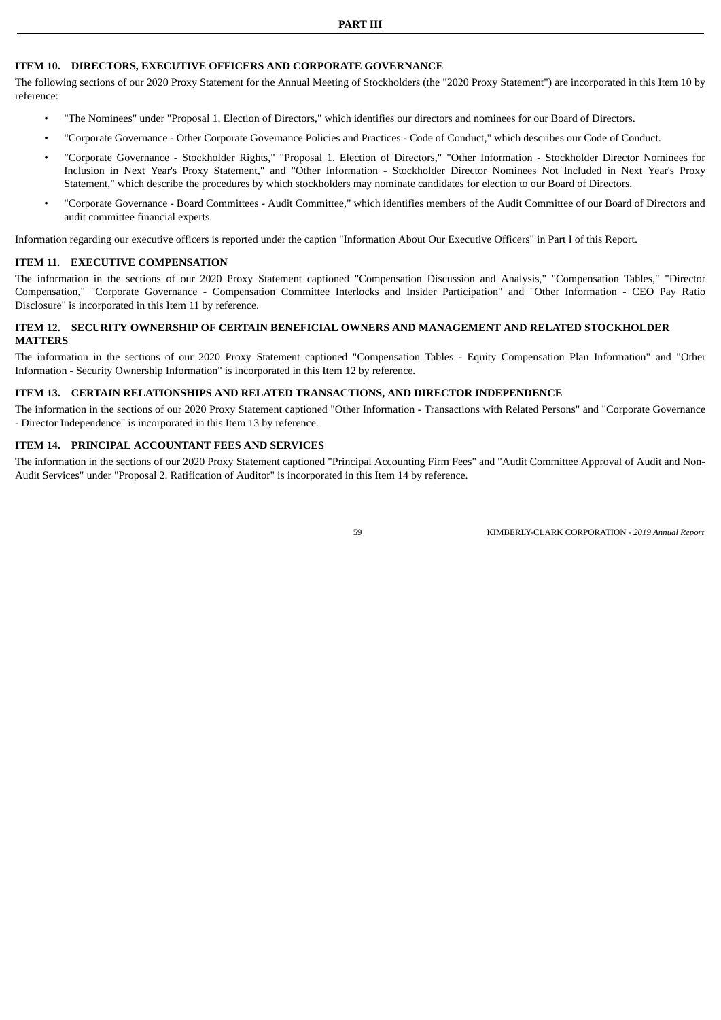# **ITEM 10. DIRECTORS, EXECUTIVE OFFICERS AND CORPORATE GOVERNANCE**

The following sections of our 2020 Proxy Statement for the Annual Meeting of Stockholders (the "2020 Proxy Statement") are incorporated in this Item 10 by reference:

- "The Nominees" under "Proposal 1. Election of Directors," which identifies our directors and nominees for our Board of Directors.
- "Corporate Governance Other Corporate Governance Policies and Practices Code of Conduct," which describes our Code of Conduct.
- "Corporate Governance Stockholder Rights," "Proposal 1. Election of Directors," "Other Information Stockholder Director Nominees for Inclusion in Next Year's Proxy Statement," and "Other Information - Stockholder Director Nominees Not Included in Next Year's Proxy Statement," which describe the procedures by which stockholders may nominate candidates for election to our Board of Directors.
- "Corporate Governance Board Committees Audit Committee," which identifies members of the Audit Committee of our Board of Directors and audit committee financial experts.

Information regarding our executive officers is reported under the caption "Information About Our Executive Officers" in Part I of this Report.

### **ITEM 11. EXECUTIVE COMPENSATION**

The information in the sections of our 2020 Proxy Statement captioned "Compensation Discussion and Analysis," "Compensation Tables," "Director Compensation," "Corporate Governance - Compensation Committee Interlocks and Insider Participation" and "Other Information - CEO Pay Ratio Disclosure" is incorporated in this Item 11 by reference.

# **ITEM 12. SECURITY OWNERSHIP OF CERTAIN BENEFICIAL OWNERS AND MANAGEMENT AND RELATED STOCKHOLDER MATTERS**

The information in the sections of our 2020 Proxy Statement captioned "Compensation Tables - Equity Compensation Plan Information" and "Other Information - Security Ownership Information" is incorporated in this Item 12 by reference.

### **ITEM 13. CERTAIN RELATIONSHIPS AND RELATED TRANSACTIONS, AND DIRECTOR INDEPENDENCE**

The information in the sections of our 2020 Proxy Statement captioned "Other Information - Transactions with Related Persons" and "Corporate Governance - Director Independence" is incorporated in this Item 13 by reference.

### **ITEM 14. PRINCIPAL ACCOUNTANT FEES AND SERVICES**

The information in the sections of our 2020 Proxy Statement captioned "Principal Accounting Firm Fees" and "Audit Committee Approval of Audit and Non-Audit Services" under "Proposal 2. Ratification of Auditor" is incorporated in this Item 14 by reference.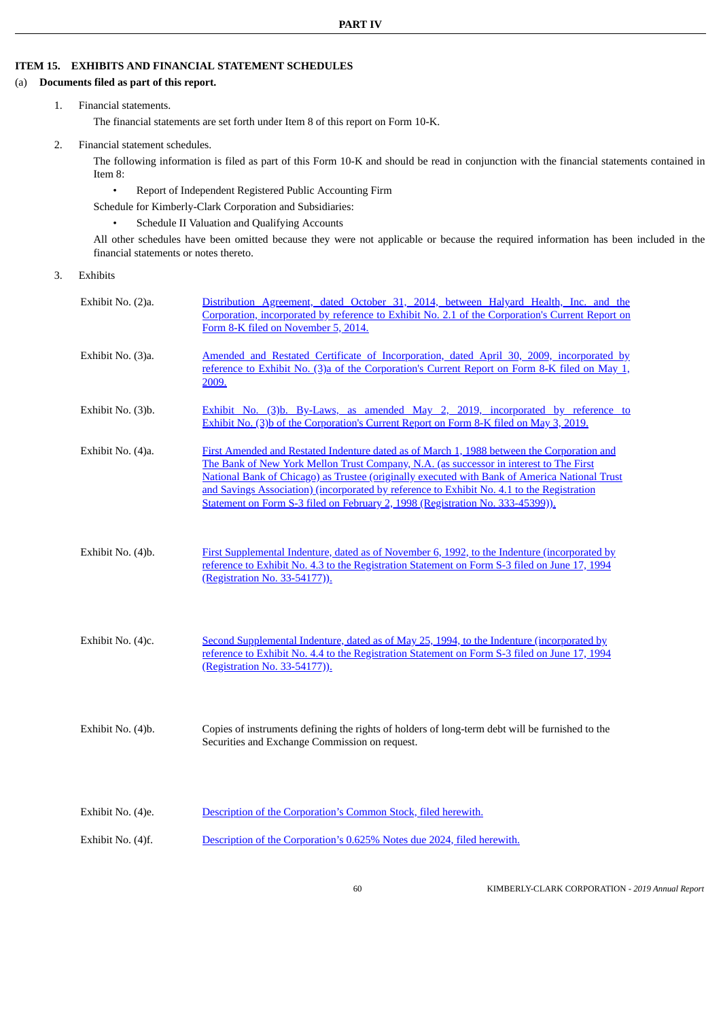# **ITEM 15. EXHIBITS AND FINANCIAL STATEMENT SCHEDULES**

# (a) **Documents filed as part of this report.**

1. Financial statements.

The financial statements are set forth under Item 8 of this report on Form 10-K.

2. Financial statement schedules.

The following information is filed as part of this Form 10-K and should be read in conjunction with the financial statements contained in Item 8:

• Report of Independent Registered Public Accounting Firm

- Schedule for Kimberly-Clark Corporation and Subsidiaries:
	- Schedule II Valuation and Qualifying Accounts

All other schedules have been omitted because they were not applicable or because the required information has been included in the financial statements or notes thereto.

3. Exhibits

| Exhibit No. (2)a. | Distribution Agreement, dated October 31, 2014, between Halyard Health, Inc. and the<br>Corporation, incorporated by reference to Exhibit No. 2.1 of the Corporation's Current Report on<br>Form 8-K filed on November 5, 2014.                                                                                                                                                                                                                                       |
|-------------------|-----------------------------------------------------------------------------------------------------------------------------------------------------------------------------------------------------------------------------------------------------------------------------------------------------------------------------------------------------------------------------------------------------------------------------------------------------------------------|
| Exhibit No. (3)a. | Amended and Restated Certificate of Incorporation, dated April 30, 2009, incorporated by<br>reference to Exhibit No. (3)a of the Corporation's Current Report on Form 8-K filed on May 1,<br>2009.                                                                                                                                                                                                                                                                    |
| Exhibit No. (3)b. | Exhibit No. (3)b. By-Laws, as amended May 2, 2019, incorporated by reference to<br>Exhibit No. (3) b of the Corporation's Current Report on Form 8-K filed on May 3, 2019.                                                                                                                                                                                                                                                                                            |
| Exhibit No. (4)a. | First Amended and Restated Indenture dated as of March 1, 1988 between the Corporation and<br>The Bank of New York Mellon Trust Company, N.A. (as successor in interest to The First<br>National Bank of Chicago) as Trustee (originally executed with Bank of America National Trust<br>and Savings Association) (incorporated by reference to Exhibit No. 4.1 to the Registration<br>Statement on Form S-3 filed on February 2, 1998 (Registration No. 333-45399)). |
| Exhibit No. (4)b. | First Supplemental Indenture, dated as of November 6, 1992, to the Indenture (incorporated by<br>reference to Exhibit No. 4.3 to the Registration Statement on Form S-3 filed on June 17, 1994<br>(Registration No. 33-54177)).                                                                                                                                                                                                                                       |
| Exhibit No. (4)c. | Second Supplemental Indenture, dated as of May 25, 1994, to the Indenture (incorporated by<br>reference to Exhibit No. 4.4 to the Registration Statement on Form S-3 filed on June 17, 1994<br>(Registration No. 33-54177)).                                                                                                                                                                                                                                          |
| Exhibit No. (4)b. | Copies of instruments defining the rights of holders of long-term debt will be furnished to the<br>Securities and Exchange Commission on request.                                                                                                                                                                                                                                                                                                                     |
| Exhibit No. (4)e. | Description of the Corporation's Common Stock, filed herewith.                                                                                                                                                                                                                                                                                                                                                                                                        |
| Exhibit No. (4)f. | Description of the Corporation's 0.625% Notes due 2024, filed herewith.                                                                                                                                                                                                                                                                                                                                                                                               |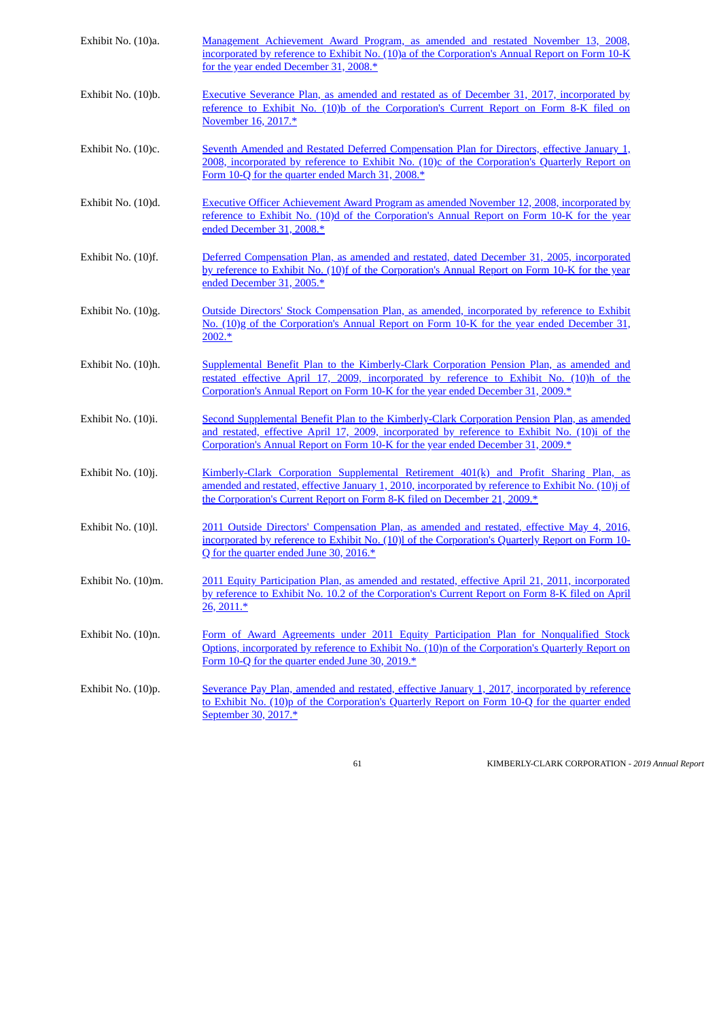| Exhibit No. (10)a. | Management Achievement Award Program, as amended and restated November 13, 2008,<br>incorporated by reference to Exhibit No. (10)a of the Corporation's Annual Report on Form 10-K<br>for the year ended December 31, 2008.*                                                    |
|--------------------|---------------------------------------------------------------------------------------------------------------------------------------------------------------------------------------------------------------------------------------------------------------------------------|
| Exhibit No. (10)b. | Executive Severance Plan, as amended and restated as of December 31, 2017, incorporated by<br>reference to Exhibit No. (10)b of the Corporation's Current Report on Form 8-K filed on<br>November 16, 2017.*                                                                    |
| Exhibit No. (10)c. | Seventh Amended and Restated Deferred Compensation Plan for Directors, effective January 1,<br>2008, incorporated by reference to Exhibit No. (10)c of the Corporation's Quarterly Report on<br>Form 10-Q for the quarter ended March 31, 2008.*                                |
| Exhibit No. (10)d. | <b>Executive Officer Achievement Award Program as amended November 12, 2008, incorporated by</b><br>reference to Exhibit No. (10)d of the Corporation's Annual Report on Form 10-K for the year<br>ended December 31, 2008.*                                                    |
| Exhibit No. (10)f. | Deferred Compensation Plan, as amended and restated, dated December 31, 2005, incorporated<br>by reference to Exhibit No. (10)f of the Corporation's Annual Report on Form 10-K for the year<br>ended December 31, 2005.*                                                       |
| Exhibit No. (10)g. | <b>Outside Directors' Stock Compensation Plan, as amended, incorporated by reference to Exhibit</b><br>No. (10)g of the Corporation's Annual Report on Form 10-K for the year ended December 31,<br>$2002.*$                                                                    |
| Exhibit No. (10)h. | Supplemental Benefit Plan to the Kimberly-Clark Corporation Pension Plan, as amended and<br>restated effective April 17, 2009, incorporated by reference to Exhibit No. (10)h of the<br>Corporation's Annual Report on Form 10-K for the year ended December 31, 2009.*         |
| Exhibit No. (10)i. | Second Supplemental Benefit Plan to the Kimberly-Clark Corporation Pension Plan, as amended<br>and restated, effective April 17, 2009, incorporated by reference to Exhibit No. (10)i of the<br>Corporation's Annual Report on Form 10-K for the year ended December 31, 2009.* |
| Exhibit No. (10)j. | Kimberly-Clark Corporation Supplemental Retirement 401(k) and Profit Sharing Plan, as<br>amended and restated, effective January 1, 2010, incorporated by reference to Exhibit No. (10)j of<br>the Corporation's Current Report on Form 8-K filed on December 21, 2009.*        |
| Exhibit No. (10)l. | 2011 Outside Directors' Compensation Plan, as amended and restated, effective May 4, 2016,<br>incorporated by reference to Exhibit No. (10) of the Corporation's Quarterly Report on Form 10-<br>Q for the quarter ended June 30, 2016.*                                        |
| Exhibit No. (10)m. | 2011 Equity Participation Plan, as amended and restated, effective April 21, 2011, incorporated<br>by reference to Exhibit No. 10.2 of the Corporation's Current Report on Form 8-K filed on April<br>$26, 2011.*$                                                              |
| Exhibit No. (10)n. | Form of Award Agreements under 2011 Equity Participation Plan for Nonqualified Stock<br>Options, incorporated by reference to Exhibit No. (10)n of the Corporation's Quarterly Report on<br>Form 10-Q for the quarter ended June 30, 2019.*                                     |
| Exhibit No. (10)p. | Severance Pay Plan, amended and restated, effective January 1, 2017, incorporated by reference<br>to Exhibit No. (10)p of the Corporation's Quarterly Report on Form 10-Q for the quarter ended<br>September 30, 2017.*                                                         |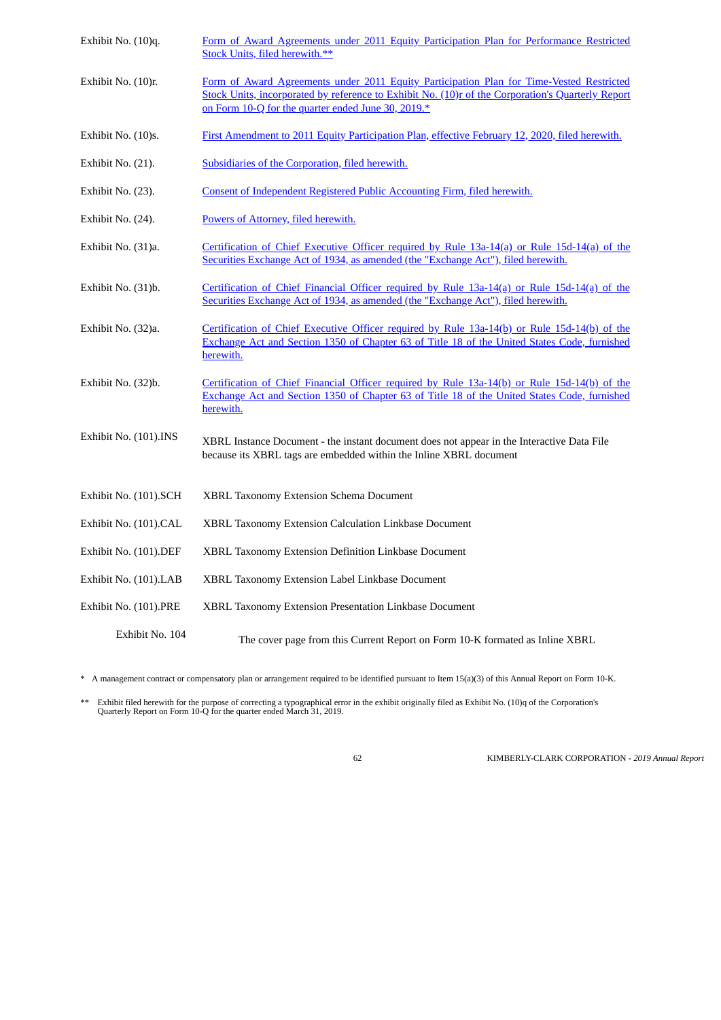| Exhibit No. (10)q.    | Form of Award Agreements under 2011 Equity Participation Plan for Performance Restricted<br>Stock Units, filed herewith.**                                                                                                                          |
|-----------------------|-----------------------------------------------------------------------------------------------------------------------------------------------------------------------------------------------------------------------------------------------------|
| Exhibit No. (10)r.    | Form of Award Agreements under 2011 Equity Participation Plan for Time-Vested Restricted<br>Stock Units, incorporated by reference to Exhibit No. (10)r of the Corporation's Quarterly Report<br>on Form 10-Q for the quarter ended June 30, 2019.* |
| Exhibit No. (10)s.    | First Amendment to 2011 Equity Participation Plan, effective February 12, 2020, filed herewith.                                                                                                                                                     |
| Exhibit No. (21).     | Subsidiaries of the Corporation, filed herewith.                                                                                                                                                                                                    |
| Exhibit No. (23).     | Consent of Independent Registered Public Accounting Firm, filed herewith.                                                                                                                                                                           |
| Exhibit No. (24).     | Powers of Attorney, filed herewith.                                                                                                                                                                                                                 |
| Exhibit No. (31)a.    | Certification of Chief Executive Officer required by Rule 13a-14(a) or Rule 15d-14(a) of the<br>Securities Exchange Act of 1934, as amended (the "Exchange Act"), filed herewith.                                                                   |
| Exhibit No. (31)b.    | Certification of Chief Financial Officer required by Rule 13a-14(a) or Rule 15d-14(a) of the<br>Securities Exchange Act of 1934, as amended (the "Exchange Act"), filed herewith.                                                                   |
| Exhibit No. (32)a.    | Certification of Chief Executive Officer required by Rule 13a-14(b) or Rule 15d-14(b) of the<br>Exchange Act and Section 1350 of Chapter 63 of Title 18 of the United States Code, furnished<br>herewith.                                           |
| Exhibit No. (32)b.    | Certification of Chief Financial Officer required by Rule 13a-14(b) or Rule 15d-14(b) of the<br>Exchange Act and Section 1350 of Chapter 63 of Title 18 of the United States Code, furnished<br>herewith.                                           |
| Exhibit No. (101).INS | XBRL Instance Document - the instant document does not appear in the Interactive Data File<br>because its XBRL tags are embedded within the Inline XBRL document                                                                                    |
| Exhibit No. (101).SCH | <b>XBRL Taxonomy Extension Schema Document</b>                                                                                                                                                                                                      |
| Exhibit No. (101).CAL | XBRL Taxonomy Extension Calculation Linkbase Document                                                                                                                                                                                               |
| Exhibit No. (101).DEF | XBRL Taxonomy Extension Definition Linkbase Document                                                                                                                                                                                                |
| Exhibit No. (101).LAB | XBRL Taxonomy Extension Label Linkbase Document                                                                                                                                                                                                     |
| Exhibit No. (101).PRE | XBRL Taxonomy Extension Presentation Linkbase Document                                                                                                                                                                                              |
| Exhibit No. 104       | The cover page from this Current Report on Form 10-K formated as Inline XBRL                                                                                                                                                                        |

\* A management contract or compensatory plan or arrangement required to be identified pursuant to Item 15(a)(3) of this Annual Report on Form 10-K.

\*\* Exhibit filed herewith for the purpose of correcting a typographical error in the exhibit originally filed as Exhibit No. (10)q of the Corporation's Quarterly Report on Form 10-Q for the quarter ended March 31, 2019.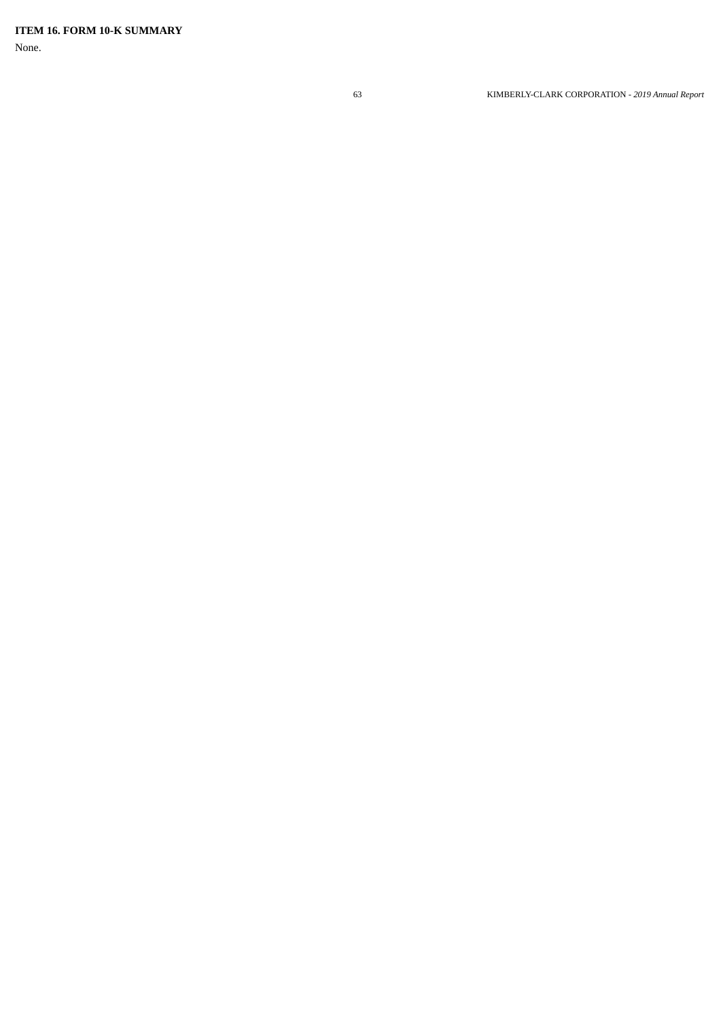None.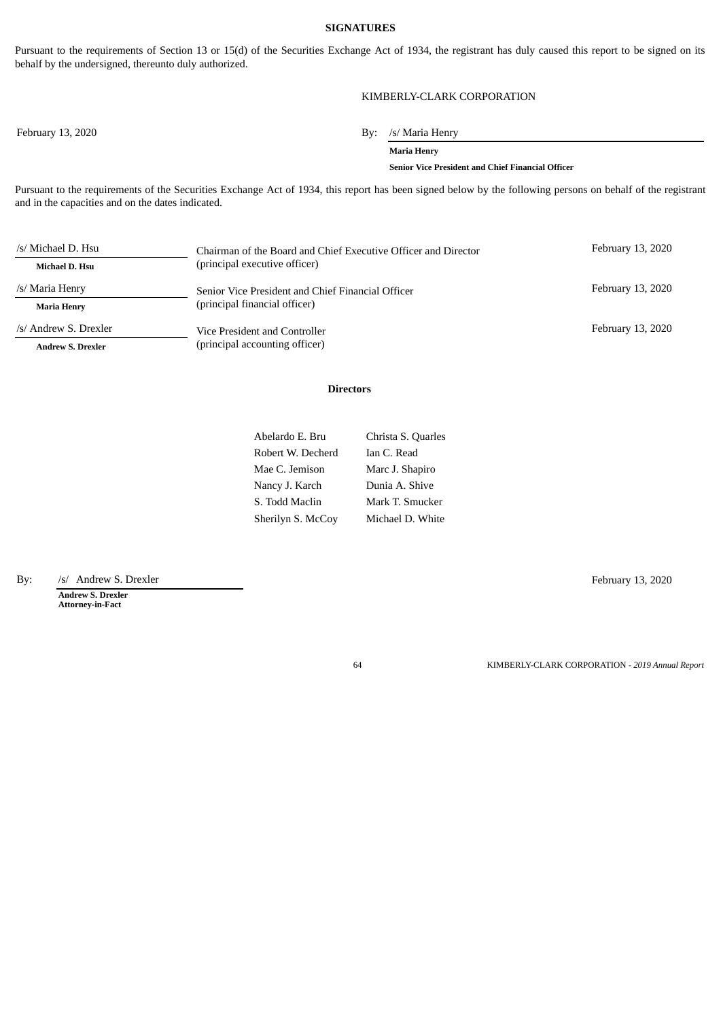### **SIGNATURES**

Pursuant to the requirements of Section 13 or 15(d) of the Securities Exchange Act of 1934, the registrant has duly caused this report to be signed on its behalf by the undersigned, thereunto duly authorized.

# KIMBERLY-CLARK CORPORATION

February 13, 2020 By: /s/ Maria Henry

**Maria Henry**

**Senior Vice President and Chief Financial Officer**

Pursuant to the requirements of the Securities Exchange Act of 1934, this report has been signed below by the following persons on behalf of the registrant and in the capacities and on the dates indicated.

| /s/ Michael D. Hsu    | February 13, 2020                                 |                   |
|-----------------------|---------------------------------------------------|-------------------|
| Michael D. Hsu        | (principal executive officer)                     |                   |
| /s/ Maria Henry       | Senior Vice President and Chief Financial Officer | February 13, 2020 |
| <b>Maria Henry</b>    | (principal financial officer)                     |                   |
| /s/ Andrew S. Drexler | Vice President and Controller                     | February 13, 2020 |
| Andrew S. Drexler     | (principal accounting officer)                    |                   |

### **Directors**

| Abelardo E. Bru   | Christa S. Quarles |
|-------------------|--------------------|
| Robert W. Decherd | Ian C. Read        |
| Mae C. Jemison    | Marc J. Shapiro    |
| Nancy J. Karch    | Dunia A. Shive     |
| S. Todd Maclin    | Mark T. Smucker    |
| Sherilyn S. McCoy | Michael D. White   |

By: /s/ Andrew S. Drexler February 13, 2020 **Andrew S. Drexler Attorney-in-Fact**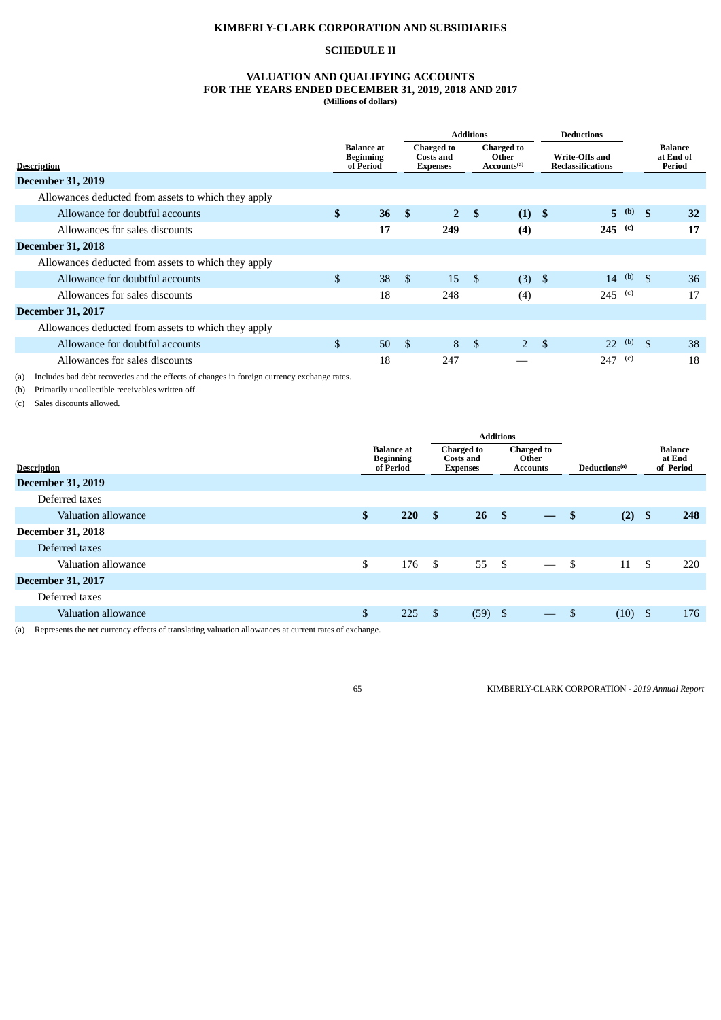# **KIMBERLY-CLARK CORPORATION AND SUBSIDIARIES**

# **SCHEDULE II**

### **VALUATION AND QUALIFYING ACCOUNTS FOR THE YEARS ENDED DECEMBER 31, 2019, 2018 AND 2017 (Millions of dollars)**

|                                                                                                    |    |                                       | <b>Additions</b>                      |                 |                    |                         | <b>Deductions</b>          |                          |                |        |  |                             |  |
|----------------------------------------------------------------------------------------------------|----|---------------------------------------|---------------------------------------|-----------------|--------------------|-------------------------|----------------------------|--------------------------|----------------|--------|--|-----------------------------|--|
|                                                                                                    |    | <b>Balance</b> at<br><b>Beginning</b> | <b>Charged to</b><br><b>Costs and</b> |                 |                    |                         | <b>Charged to</b><br>Other |                          | Write-Offs and |        |  | <b>Balance</b><br>at End of |  |
| <b>Description</b>                                                                                 |    | of Period                             |                                       | <b>Expenses</b> |                    | Accounts <sup>(a)</sup> |                            | <b>Reclassifications</b> |                | Period |  |                             |  |
| <b>December 31, 2019</b>                                                                           |    |                                       |                                       |                 |                    |                         |                            |                          |                |        |  |                             |  |
| Allowances deducted from assets to which they apply                                                |    |                                       |                                       |                 |                    |                         |                            |                          |                |        |  |                             |  |
| Allowance for doubtful accounts                                                                    | \$ | 36                                    | - \$                                  | 2 <sup>1</sup>  | \$                 | (1)                     | $\sqrt{s}$                 | $5^{(b)}$ \$             |                | 32     |  |                             |  |
| Allowances for sales discounts                                                                     |    | 17                                    |                                       | 249             |                    | (4)                     |                            | $245$ (c)                |                | 17     |  |                             |  |
| <b>December 31, 2018</b>                                                                           |    |                                       |                                       |                 |                    |                         |                            |                          |                |        |  |                             |  |
| Allowances deducted from assets to which they apply                                                |    |                                       |                                       |                 |                    |                         |                            |                          |                |        |  |                             |  |
| Allowance for doubtful accounts                                                                    | \$ | 38                                    | - \$                                  | 15              | - \$               | (3)                     | - \$                       | 14                       | $(b)$ \$       | 36     |  |                             |  |
| Allowances for sales discounts                                                                     |    | 18                                    |                                       | 248             |                    | (4)                     |                            | 245 (c)                  |                | 17     |  |                             |  |
| <b>December 31, 2017</b>                                                                           |    |                                       |                                       |                 |                    |                         |                            |                          |                |        |  |                             |  |
| Allowances deducted from assets to which they apply                                                |    |                                       |                                       |                 |                    |                         |                            |                          |                |        |  |                             |  |
| Allowance for doubtful accounts                                                                    | \$ | 50 <sup>°</sup>                       | - \$                                  | 8               | $\mathbf{\hat{S}}$ | $\overline{2}$          | - \$                       | 22                       | $(b)$ \$       | 38     |  |                             |  |
| Allowances for sales discounts                                                                     |    | 18                                    |                                       | 247             |                    |                         |                            | (c)<br>247               |                | 18     |  |                             |  |
| Includes bad debt recoveries and the effects of changes in foreign currency exchange rates.<br>(a) |    |                                       |                                       |                 |                    |                         |                            |                          |                |        |  |                             |  |

(b) Primarily uncollectible receivables written off.

(c) Sales discounts allowed.

|                                                                                                         |                                                    |            |                                                          | <b>Additions</b> |                                        |                          |                           |           |                                       |     |
|---------------------------------------------------------------------------------------------------------|----------------------------------------------------|------------|----------------------------------------------------------|------------------|----------------------------------------|--------------------------|---------------------------|-----------|---------------------------------------|-----|
| <b>Description</b>                                                                                      | <b>Balance</b> at<br><b>Beginning</b><br>of Period |            | <b>Charged to</b><br><b>Costs and</b><br><b>Expenses</b> |                  | <b>Charged to</b><br>Other<br>Accounts |                          | Deductions <sup>(a)</sup> |           | <b>Balance</b><br>at End<br>of Period |     |
| <b>December 31, 2019</b>                                                                                |                                                    |            |                                                          |                  |                                        |                          |                           |           |                                       |     |
| Deferred taxes                                                                                          |                                                    |            |                                                          |                  |                                        |                          |                           |           |                                       |     |
| Valuation allowance                                                                                     | \$                                                 | <b>220</b> | \$                                                       | 26               | - \$                                   | $\overline{\phantom{0}}$ | \$                        | (2)       | - \$                                  | 248 |
| <b>December 31, 2018</b>                                                                                |                                                    |            |                                                          |                  |                                        |                          |                           |           |                                       |     |
| Deferred taxes                                                                                          |                                                    |            |                                                          |                  |                                        |                          |                           |           |                                       |     |
| Valuation allowance                                                                                     | \$                                                 | 176        | -\$                                                      | 55 \$            |                                        |                          | -S                        | 11        | -S                                    | 220 |
| <b>December 31, 2017</b>                                                                                |                                                    |            |                                                          |                  |                                        |                          |                           |           |                                       |     |
| Deferred taxes                                                                                          |                                                    |            |                                                          |                  |                                        |                          |                           |           |                                       |     |
| Valuation allowance                                                                                     | \$                                                 | 225        | \$                                                       | $(59)$ \$        |                                        | $\overline{\phantom{0}}$ | -\$                       | $(10)$ \$ |                                       | 176 |
| (a) Depresents the net aurenous effects of translating voluntion allowances at gument rates of avokange |                                                    |            |                                                          |                  |                                        |                          |                           |           |                                       |     |

(a) Represents the net currency effects of translating valuation allowances at current rates of exchange.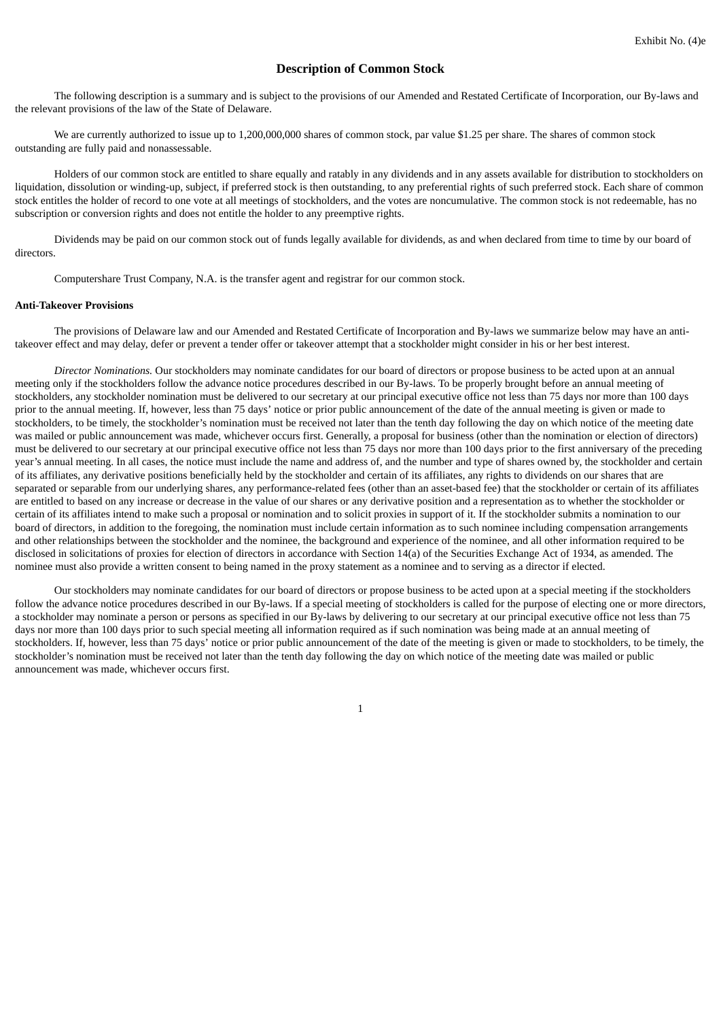# **Description of Common Stock**

<span id="page-67-0"></span>The following description is a summary and is subject to the provisions of our Amended and Restated Certificate of Incorporation, our By-laws and the relevant provisions of the law of the State of Delaware.

We are currently authorized to issue up to 1,200,000,000 shares of common stock, par value \$1.25 per share. The shares of common stock outstanding are fully paid and nonassessable.

Holders of our common stock are entitled to share equally and ratably in any dividends and in any assets available for distribution to stockholders on liquidation, dissolution or winding-up, subject, if preferred stock is then outstanding, to any preferential rights of such preferred stock. Each share of common stock entitles the holder of record to one vote at all meetings of stockholders, and the votes are noncumulative. The common stock is not redeemable, has no subscription or conversion rights and does not entitle the holder to any preemptive rights.

Dividends may be paid on our common stock out of funds legally available for dividends, as and when declared from time to time by our board of directors.

Computershare Trust Company, N.A. is the transfer agent and registrar for our common stock.

#### **Anti-Takeover Provisions**

The provisions of Delaware law and our Amended and Restated Certificate of Incorporation and By-laws we summarize below may have an antitakeover effect and may delay, defer or prevent a tender offer or takeover attempt that a stockholder might consider in his or her best interest.

*Director Nominations.* Our stockholders may nominate candidates for our board of directors or propose business to be acted upon at an annual meeting only if the stockholders follow the advance notice procedures described in our By-laws. To be properly brought before an annual meeting of stockholders, any stockholder nomination must be delivered to our secretary at our principal executive office not less than 75 days nor more than 100 days prior to the annual meeting. If, however, less than 75 days' notice or prior public announcement of the date of the annual meeting is given or made to stockholders, to be timely, the stockholder's nomination must be received not later than the tenth day following the day on which notice of the meeting date was mailed or public announcement was made, whichever occurs first. Generally, a proposal for business (other than the nomination or election of directors) must be delivered to our secretary at our principal executive office not less than 75 days nor more than 100 days prior to the first anniversary of the preceding year's annual meeting. In all cases, the notice must include the name and address of, and the number and type of shares owned by, the stockholder and certain of its affiliates, any derivative positions beneficially held by the stockholder and certain of its affiliates, any rights to dividends on our shares that are separated or separable from our underlying shares, any performance-related fees (other than an asset-based fee) that the stockholder or certain of its affiliates are entitled to based on any increase or decrease in the value of our shares or any derivative position and a representation as to whether the stockholder or certain of its affiliates intend to make such a proposal or nomination and to solicit proxies in support of it. If the stockholder submits a nomination to our board of directors, in addition to the foregoing, the nomination must include certain information as to such nominee including compensation arrangements and other relationships between the stockholder and the nominee, the background and experience of the nominee, and all other information required to be disclosed in solicitations of proxies for election of directors in accordance with Section 14(a) of the Securities Exchange Act of 1934, as amended. The nominee must also provide a written consent to being named in the proxy statement as a nominee and to serving as a director if elected.

Our stockholders may nominate candidates for our board of directors or propose business to be acted upon at a special meeting if the stockholders follow the advance notice procedures described in our By-laws. If a special meeting of stockholders is called for the purpose of electing one or more directors, a stockholder may nominate a person or persons as specified in our By-laws by delivering to our secretary at our principal executive office not less than 75 days nor more than 100 days prior to such special meeting all information required as if such nomination was being made at an annual meeting of stockholders. If, however, less than 75 days' notice or prior public announcement of the date of the meeting is given or made to stockholders, to be timely, the stockholder's nomination must be received not later than the tenth day following the day on which notice of the meeting date was mailed or public announcement was made, whichever occurs first.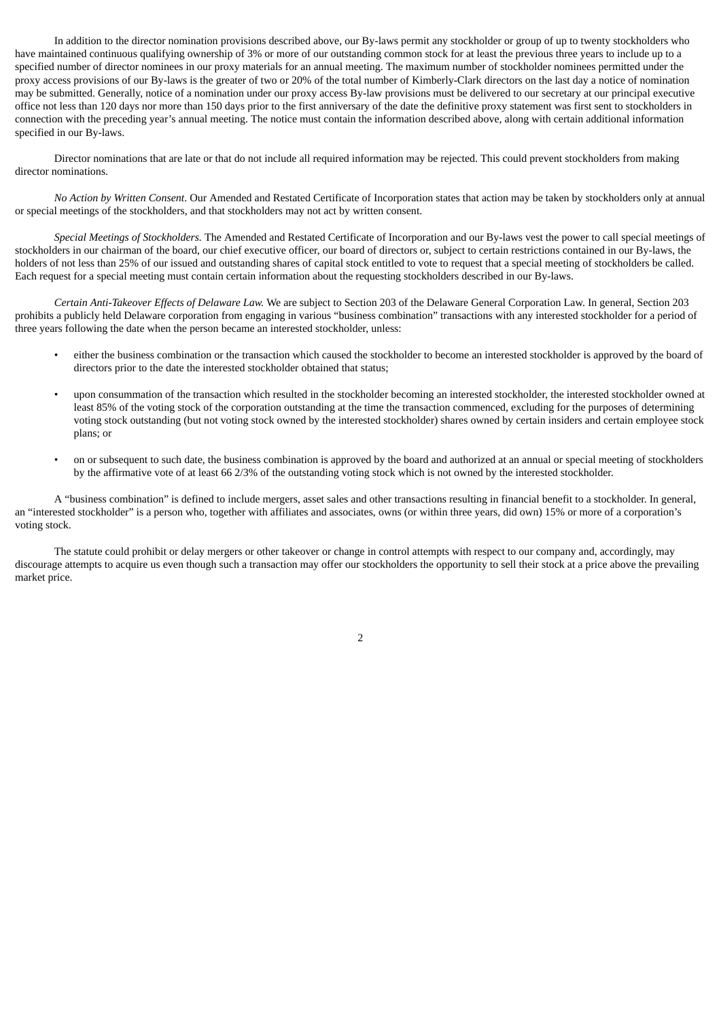In addition to the director nomination provisions described above, our By-laws permit any stockholder or group of up to twenty stockholders who have maintained continuous qualifying ownership of 3% or more of our outstanding common stock for at least the previous three years to include up to a specified number of director nominees in our proxy materials for an annual meeting. The maximum number of stockholder nominees permitted under the proxy access provisions of our By-laws is the greater of two or 20% of the total number of Kimberly-Clark directors on the last day a notice of nomination may be submitted. Generally, notice of a nomination under our proxy access By-law provisions must be delivered to our secretary at our principal executive office not less than 120 days nor more than 150 days prior to the first anniversary of the date the definitive proxy statement was first sent to stockholders in connection with the preceding year's annual meeting. The notice must contain the information described above, along with certain additional information specified in our By-laws.

Director nominations that are late or that do not include all required information may be rejected. This could prevent stockholders from making director nominations.

*No Action by Written Consent*. Our Amended and Restated Certificate of Incorporation states that action may be taken by stockholders only at annual or special meetings of the stockholders, and that stockholders may not act by written consent.

*Special Meetings of Stockholders.* The Amended and Restated Certificate of Incorporation and our By-laws vest the power to call special meetings of stockholders in our chairman of the board, our chief executive officer, our board of directors or, subject to certain restrictions contained in our By-laws, the holders of not less than 25% of our issued and outstanding shares of capital stock entitled to vote to request that a special meeting of stockholders be called. Each request for a special meeting must contain certain information about the requesting stockholders described in our By-laws.

*Certain Anti-Takeover Effects of Delaware Law.* We are subject to Section 203 of the Delaware General Corporation Law. In general, Section 203 prohibits a publicly held Delaware corporation from engaging in various "business combination" transactions with any interested stockholder for a period of three years following the date when the person became an interested stockholder, unless:

- either the business combination or the transaction which caused the stockholder to become an interested stockholder is approved by the board of directors prior to the date the interested stockholder obtained that status;
- upon consummation of the transaction which resulted in the stockholder becoming an interested stockholder, the interested stockholder owned at least 85% of the voting stock of the corporation outstanding at the time the transaction commenced, excluding for the purposes of determining voting stock outstanding (but not voting stock owned by the interested stockholder) shares owned by certain insiders and certain employee stock plans; or
- on or subsequent to such date, the business combination is approved by the board and authorized at an annual or special meeting of stockholders by the affirmative vote of at least 66 2/3% of the outstanding voting stock which is not owned by the interested stockholder.

A "business combination" is defined to include mergers, asset sales and other transactions resulting in financial benefit to a stockholder. In general, an "interested stockholder" is a person who, together with affiliates and associates, owns (or within three years, did own) 15% or more of a corporation's voting stock.

The statute could prohibit or delay mergers or other takeover or change in control attempts with respect to our company and, accordingly, may discourage attempts to acquire us even though such a transaction may offer our stockholders the opportunity to sell their stock at a price above the prevailing market price.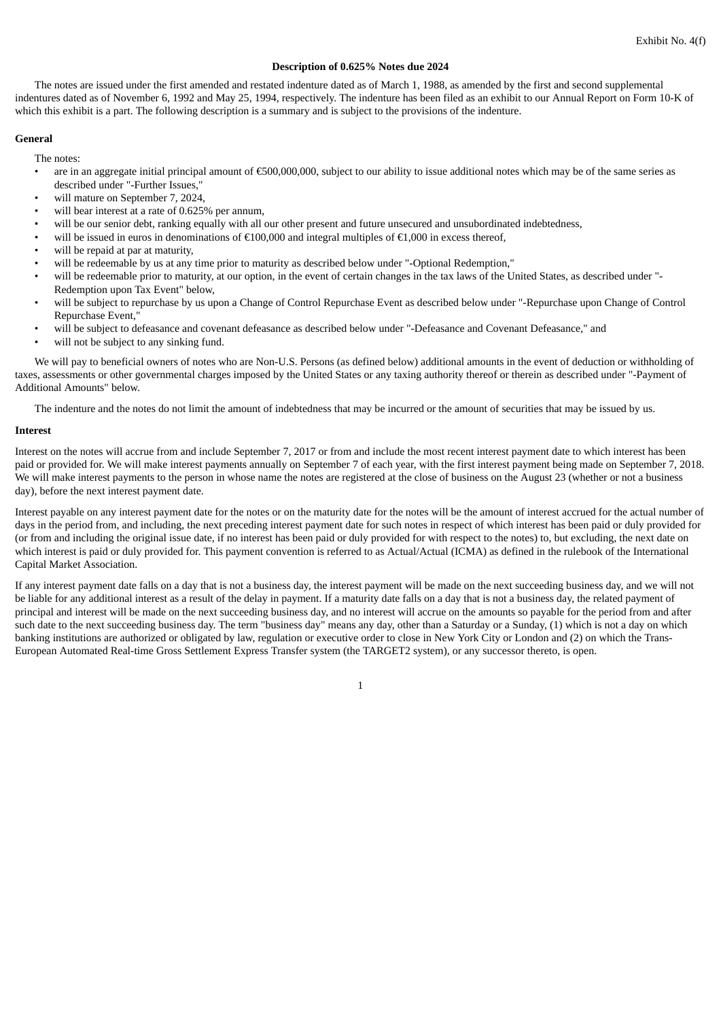### **Description of 0.625% Notes due 2024**

<span id="page-69-0"></span>The notes are issued under the first amended and restated indenture dated as of March 1, 1988, as amended by the first and second supplemental indentures dated as of November 6, 1992 and May 25, 1994, respectively. The indenture has been filed as an exhibit to our Annual Report on Form 10-K of which this exhibit is a part. The following description is a summary and is subject to the provisions of the indenture.

### **General**

The notes:

- are in an aggregate initial principal amount of €500,000,000, subject to our ability to issue additional notes which may be of the same series as described under "-Further Issues,"
- will mature on September 7, 2024,
- will bear interest at a rate of 0.625% per annum.
- will be our senior debt, ranking equally with all our other present and future unsecured and unsubordinated indebtedness,
- will be issued in euros in denominations of  $\epsilon$ 100,000 and integral multiples of  $\epsilon$ 1,000 in excess thereof,
- will be repaid at par at maturity,
- will be redeemable by us at any time prior to maturity as described below under "-Optional Redemption,"
- will be redeemable prior to maturity, at our option, in the event of certain changes in the tax laws of the United States, as described under "-Redemption upon Tax Event" below,
- will be subject to repurchase by us upon a Change of Control Repurchase Event as described below under "-Repurchase upon Change of Control Repurchase Event,"
- will be subject to defeasance and covenant defeasance as described below under "-Defeasance and Covenant Defeasance," and
- will not be subject to any sinking fund.

We will pay to beneficial owners of notes who are Non-U.S. Persons (as defined below) additional amounts in the event of deduction or withholding of taxes, assessments or other governmental charges imposed by the United States or any taxing authority thereof or therein as described under "-Payment of Additional Amounts" below.

The indenture and the notes do not limit the amount of indebtedness that may be incurred or the amount of securities that may be issued by us.

### **Interest**

Interest on the notes will accrue from and include September 7, 2017 or from and include the most recent interest payment date to which interest has been paid or provided for. We will make interest payments annually on September 7 of each year, with the first interest payment being made on September 7, 2018. We will make interest payments to the person in whose name the notes are registered at the close of business on the August 23 (whether or not a business day), before the next interest payment date.

Interest payable on any interest payment date for the notes or on the maturity date for the notes will be the amount of interest accrued for the actual number of days in the period from, and including, the next preceding interest payment date for such notes in respect of which interest has been paid or duly provided for (or from and including the original issue date, if no interest has been paid or duly provided for with respect to the notes) to, but excluding, the next date on which interest is paid or duly provided for. This payment convention is referred to as Actual/Actual (ICMA) as defined in the rulebook of the International Capital Market Association.

If any interest payment date falls on a day that is not a business day, the interest payment will be made on the next succeeding business day, and we will not be liable for any additional interest as a result of the delay in payment. If a maturity date falls on a day that is not a business day, the related payment of principal and interest will be made on the next succeeding business day, and no interest will accrue on the amounts so payable for the period from and after such date to the next succeeding business day. The term "business day" means any day, other than a Saturday or a Sunday, (1) which is not a day on which banking institutions are authorized or obligated by law, regulation or executive order to close in New York City or London and (2) on which the Trans-European Automated Real-time Gross Settlement Express Transfer system (the TARGET2 system), or any successor thereto, is open.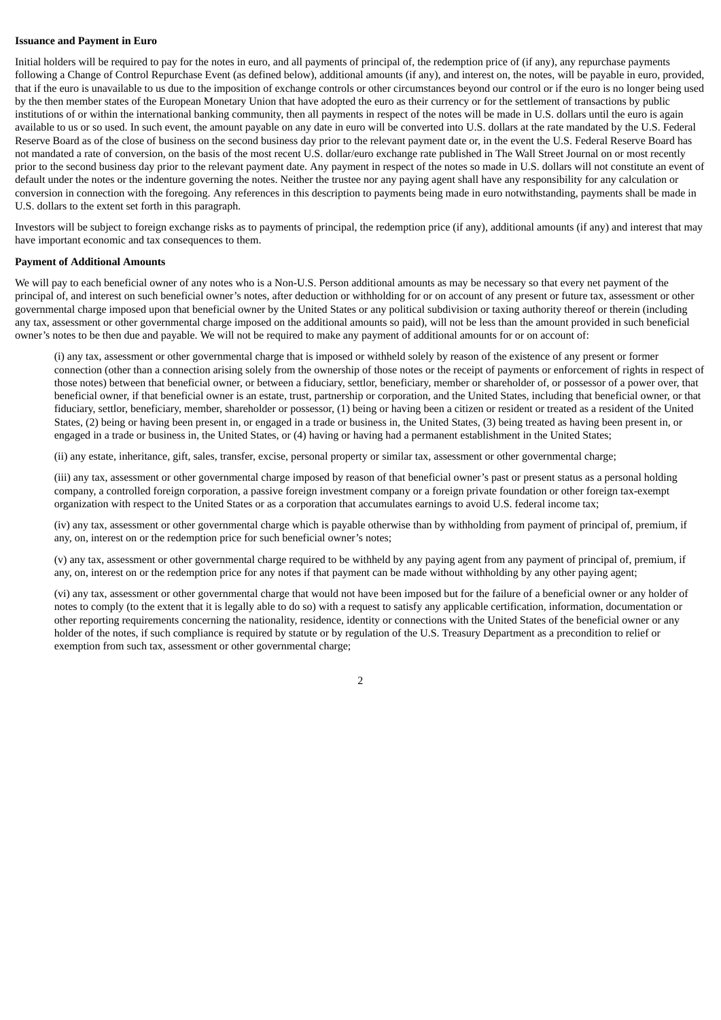### **Issuance and Payment in Euro**

Initial holders will be required to pay for the notes in euro, and all payments of principal of, the redemption price of (if any), any repurchase payments following a Change of Control Repurchase Event (as defined below), additional amounts (if any), and interest on, the notes, will be payable in euro, provided, that if the euro is unavailable to us due to the imposition of exchange controls or other circumstances beyond our control or if the euro is no longer being used by the then member states of the European Monetary Union that have adopted the euro as their currency or for the settlement of transactions by public institutions of or within the international banking community, then all payments in respect of the notes will be made in U.S. dollars until the euro is again available to us or so used. In such event, the amount payable on any date in euro will be converted into U.S. dollars at the rate mandated by the U.S. Federal Reserve Board as of the close of business on the second business day prior to the relevant payment date or, in the event the U.S. Federal Reserve Board has not mandated a rate of conversion, on the basis of the most recent U.S. dollar/euro exchange rate published in The Wall Street Journal on or most recently prior to the second business day prior to the relevant payment date. Any payment in respect of the notes so made in U.S. dollars will not constitute an event of default under the notes or the indenture governing the notes. Neither the trustee nor any paying agent shall have any responsibility for any calculation or conversion in connection with the foregoing. Any references in this description to payments being made in euro notwithstanding, payments shall be made in U.S. dollars to the extent set forth in this paragraph.

Investors will be subject to foreign exchange risks as to payments of principal, the redemption price (if any), additional amounts (if any) and interest that may have important economic and tax consequences to them.

### **Payment of Additional Amounts**

We will pay to each beneficial owner of any notes who is a Non-U.S. Person additional amounts as may be necessary so that every net payment of the principal of, and interest on such beneficial owner's notes, after deduction or withholding for or on account of any present or future tax, assessment or other governmental charge imposed upon that beneficial owner by the United States or any political subdivision or taxing authority thereof or therein (including any tax, assessment or other governmental charge imposed on the additional amounts so paid), will not be less than the amount provided in such beneficial owner's notes to be then due and payable. We will not be required to make any payment of additional amounts for or on account of:

(i) any tax, assessment or other governmental charge that is imposed or withheld solely by reason of the existence of any present or former connection (other than a connection arising solely from the ownership of those notes or the receipt of payments or enforcement of rights in respect of those notes) between that beneficial owner, or between a fiduciary, settlor, beneficiary, member or shareholder of, or possessor of a power over, that beneficial owner, if that beneficial owner is an estate, trust, partnership or corporation, and the United States, including that beneficial owner, or that fiduciary, settlor, beneficiary, member, shareholder or possessor, (1) being or having been a citizen or resident or treated as a resident of the United States, (2) being or having been present in, or engaged in a trade or business in, the United States, (3) being treated as having been present in, or engaged in a trade or business in, the United States, or (4) having or having had a permanent establishment in the United States;

(ii) any estate, inheritance, gift, sales, transfer, excise, personal property or similar tax, assessment or other governmental charge;

(iii) any tax, assessment or other governmental charge imposed by reason of that beneficial owner's past or present status as a personal holding company, a controlled foreign corporation, a passive foreign investment company or a foreign private foundation or other foreign tax-exempt organization with respect to the United States or as a corporation that accumulates earnings to avoid U.S. federal income tax;

(iv) any tax, assessment or other governmental charge which is payable otherwise than by withholding from payment of principal of, premium, if any, on, interest on or the redemption price for such beneficial owner's notes;

(v) any tax, assessment or other governmental charge required to be withheld by any paying agent from any payment of principal of, premium, if any, on, interest on or the redemption price for any notes if that payment can be made without withholding by any other paying agent;

(vi) any tax, assessment or other governmental charge that would not have been imposed but for the failure of a beneficial owner or any holder of notes to comply (to the extent that it is legally able to do so) with a request to satisfy any applicable certification, information, documentation or other reporting requirements concerning the nationality, residence, identity or connections with the United States of the beneficial owner or any holder of the notes, if such compliance is required by statute or by regulation of the U.S. Treasury Department as a precondition to relief or exemption from such tax, assessment or other governmental charge;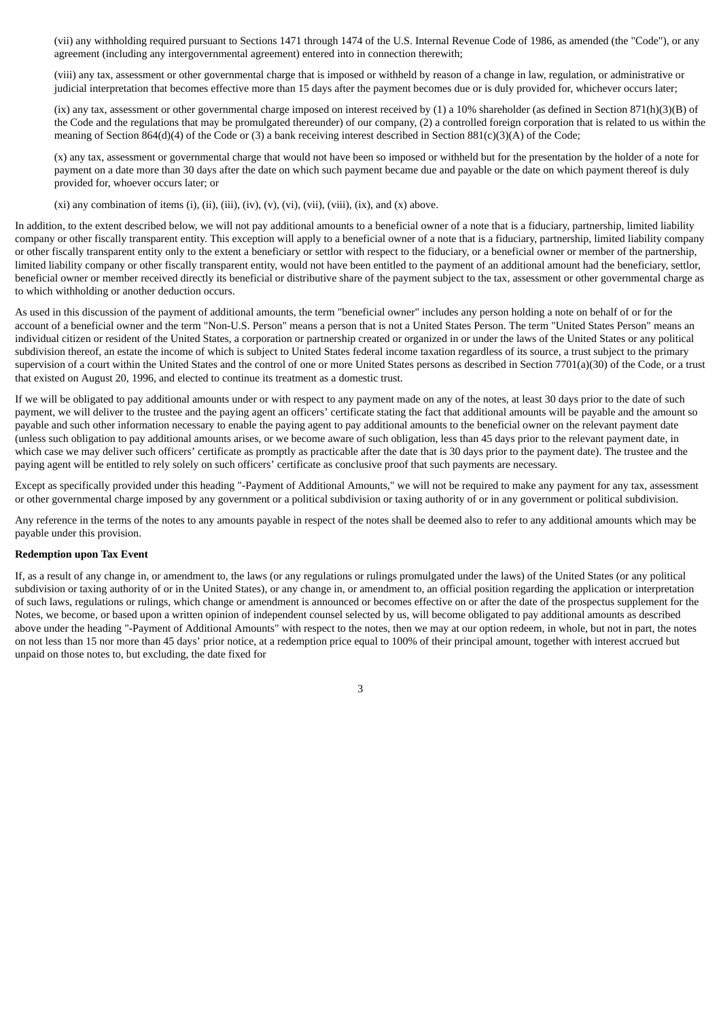(vii) any withholding required pursuant to Sections 1471 through 1474 of the U.S. Internal Revenue Code of 1986, as amended (the "Code"), or any agreement (including any intergovernmental agreement) entered into in connection therewith;

(viii) any tax, assessment or other governmental charge that is imposed or withheld by reason of a change in law, regulation, or administrative or judicial interpretation that becomes effective more than 15 days after the payment becomes due or is duly provided for, whichever occurs later;

(ix) any tax, assessment or other governmental charge imposed on interest received by (1) a 10% shareholder (as defined in Section 871(h)(3)(B) of the Code and the regulations that may be promulgated thereunder) of our company, (2) a controlled foreign corporation that is related to us within the meaning of Section 864(d)(4) of the Code or (3) a bank receiving interest described in Section 881(c)(3)(A) of the Code;

(x) any tax, assessment or governmental charge that would not have been so imposed or withheld but for the presentation by the holder of a note for payment on a date more than 30 days after the date on which such payment became due and payable or the date on which payment thereof is duly provided for, whoever occurs later; or

 $(xi)$  any combination of items (i), (ii), (iii), (iv),  $(v)$ ,  $(vi)$ ,  $(vii)$ ,  $(viii)$ ,  $(ix)$ , and  $(x)$  above.

In addition, to the extent described below, we will not pay additional amounts to a beneficial owner of a note that is a fiduciary, partnership, limited liability company or other fiscally transparent entity. This exception will apply to a beneficial owner of a note that is a fiduciary, partnership, limited liability company or other fiscally transparent entity only to the extent a beneficiary or settlor with respect to the fiduciary, or a beneficial owner or member of the partnership, limited liability company or other fiscally transparent entity, would not have been entitled to the payment of an additional amount had the beneficiary, settlor, beneficial owner or member received directly its beneficial or distributive share of the payment subject to the tax, assessment or other governmental charge as to which withholding or another deduction occurs.

As used in this discussion of the payment of additional amounts, the term "beneficial owner" includes any person holding a note on behalf of or for the account of a beneficial owner and the term "Non-U.S. Person" means a person that is not a United States Person. The term "United States Person" means an individual citizen or resident of the United States, a corporation or partnership created or organized in or under the laws of the United States or any political subdivision thereof, an estate the income of which is subject to United States federal income taxation regardless of its source, a trust subject to the primary supervision of a court within the United States and the control of one or more United States persons as described in Section 7701(a)(30) of the Code, or a trust that existed on August 20, 1996, and elected to continue its treatment as a domestic trust.

If we will be obligated to pay additional amounts under or with respect to any payment made on any of the notes, at least 30 days prior to the date of such payment, we will deliver to the trustee and the paying agent an officers' certificate stating the fact that additional amounts will be payable and the amount so payable and such other information necessary to enable the paying agent to pay additional amounts to the beneficial owner on the relevant payment date (unless such obligation to pay additional amounts arises, or we become aware of such obligation, less than 45 days prior to the relevant payment date, in which case we may deliver such officers' certificate as promptly as practicable after the date that is 30 days prior to the payment date). The trustee and the paying agent will be entitled to rely solely on such officers' certificate as conclusive proof that such payments are necessary.

Except as specifically provided under this heading "-Payment of Additional Amounts," we will not be required to make any payment for any tax, assessment or other governmental charge imposed by any government or a political subdivision or taxing authority of or in any government or political subdivision.

Any reference in the terms of the notes to any amounts payable in respect of the notes shall be deemed also to refer to any additional amounts which may be payable under this provision.

# **Redemption upon Tax Event**

If, as a result of any change in, or amendment to, the laws (or any regulations or rulings promulgated under the laws) of the United States (or any political subdivision or taxing authority of or in the United States), or any change in, or amendment to, an official position regarding the application or interpretation of such laws, regulations or rulings, which change or amendment is announced or becomes effective on or after the date of the prospectus supplement for the Notes, we become, or based upon a written opinion of independent counsel selected by us, will become obligated to pay additional amounts as described above under the heading "-Payment of Additional Amounts" with respect to the notes, then we may at our option redeem, in whole, but not in part, the notes on not less than 15 nor more than 45 days' prior notice, at a redemption price equal to 100% of their principal amount, together with interest accrued but unpaid on those notes to, but excluding, the date fixed for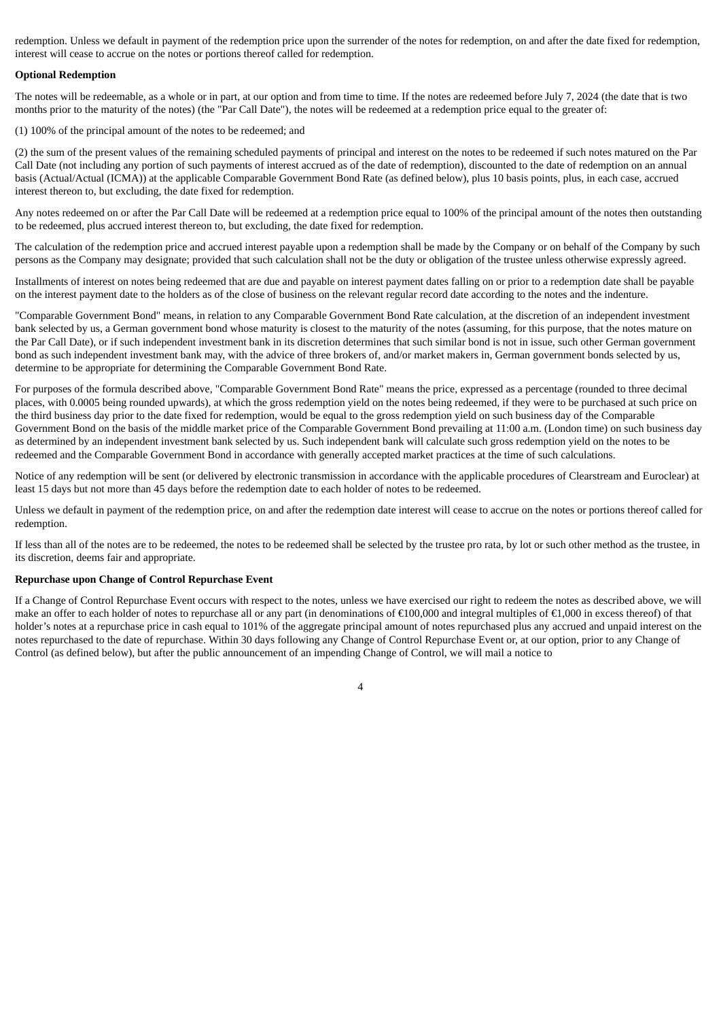redemption. Unless we default in payment of the redemption price upon the surrender of the notes for redemption, on and after the date fixed for redemption, interest will cease to accrue on the notes or portions thereof called for redemption.

#### **Optional Redemption**

The notes will be redeemable, as a whole or in part, at our option and from time to time. If the notes are redeemed before July 7, 2024 (the date that is two months prior to the maturity of the notes) (the "Par Call Date"), the notes will be redeemed at a redemption price equal to the greater of:

(1) 100% of the principal amount of the notes to be redeemed; and

(2) the sum of the present values of the remaining scheduled payments of principal and interest on the notes to be redeemed if such notes matured on the Par Call Date (not including any portion of such payments of interest accrued as of the date of redemption), discounted to the date of redemption on an annual basis (Actual/Actual (ICMA)) at the applicable Comparable Government Bond Rate (as defined below), plus 10 basis points, plus, in each case, accrued interest thereon to, but excluding, the date fixed for redemption.

Any notes redeemed on or after the Par Call Date will be redeemed at a redemption price equal to 100% of the principal amount of the notes then outstanding to be redeemed, plus accrued interest thereon to, but excluding, the date fixed for redemption.

The calculation of the redemption price and accrued interest payable upon a redemption shall be made by the Company or on behalf of the Company by such persons as the Company may designate; provided that such calculation shall not be the duty or obligation of the trustee unless otherwise expressly agreed.

Installments of interest on notes being redeemed that are due and payable on interest payment dates falling on or prior to a redemption date shall be payable on the interest payment date to the holders as of the close of business on the relevant regular record date according to the notes and the indenture.

"Comparable Government Bond" means, in relation to any Comparable Government Bond Rate calculation, at the discretion of an independent investment bank selected by us, a German government bond whose maturity is closest to the maturity of the notes (assuming, for this purpose, that the notes mature on the Par Call Date), or if such independent investment bank in its discretion determines that such similar bond is not in issue, such other German government bond as such independent investment bank may, with the advice of three brokers of, and/or market makers in, German government bonds selected by us, determine to be appropriate for determining the Comparable Government Bond Rate.

For purposes of the formula described above, "Comparable Government Bond Rate" means the price, expressed as a percentage (rounded to three decimal places, with 0.0005 being rounded upwards), at which the gross redemption yield on the notes being redeemed, if they were to be purchased at such price on the third business day prior to the date fixed for redemption, would be equal to the gross redemption yield on such business day of the Comparable Government Bond on the basis of the middle market price of the Comparable Government Bond prevailing at 11:00 a.m. (London time) on such business day as determined by an independent investment bank selected by us. Such independent bank will calculate such gross redemption yield on the notes to be redeemed and the Comparable Government Bond in accordance with generally accepted market practices at the time of such calculations.

Notice of any redemption will be sent (or delivered by electronic transmission in accordance with the applicable procedures of Clearstream and Euroclear) at least 15 days but not more than 45 days before the redemption date to each holder of notes to be redeemed.

Unless we default in payment of the redemption price, on and after the redemption date interest will cease to accrue on the notes or portions thereof called for redemption.

If less than all of the notes are to be redeemed, the notes to be redeemed shall be selected by the trustee pro rata, by lot or such other method as the trustee, in its discretion, deems fair and appropriate.

#### **Repurchase upon Change of Control Repurchase Event**

If a Change of Control Repurchase Event occurs with respect to the notes, unless we have exercised our right to redeem the notes as described above, we will make an offer to each holder of notes to repurchase all or any part (in denominations of €100,000 and integral multiples of €1,000 in excess thereof) of that holder's notes at a repurchase price in cash equal to 101% of the aggregate principal amount of notes repurchased plus any accrued and unpaid interest on the notes repurchased to the date of repurchase. Within 30 days following any Change of Control Repurchase Event or, at our option, prior to any Change of Control (as defined below), but after the public announcement of an impending Change of Control, we will mail a notice to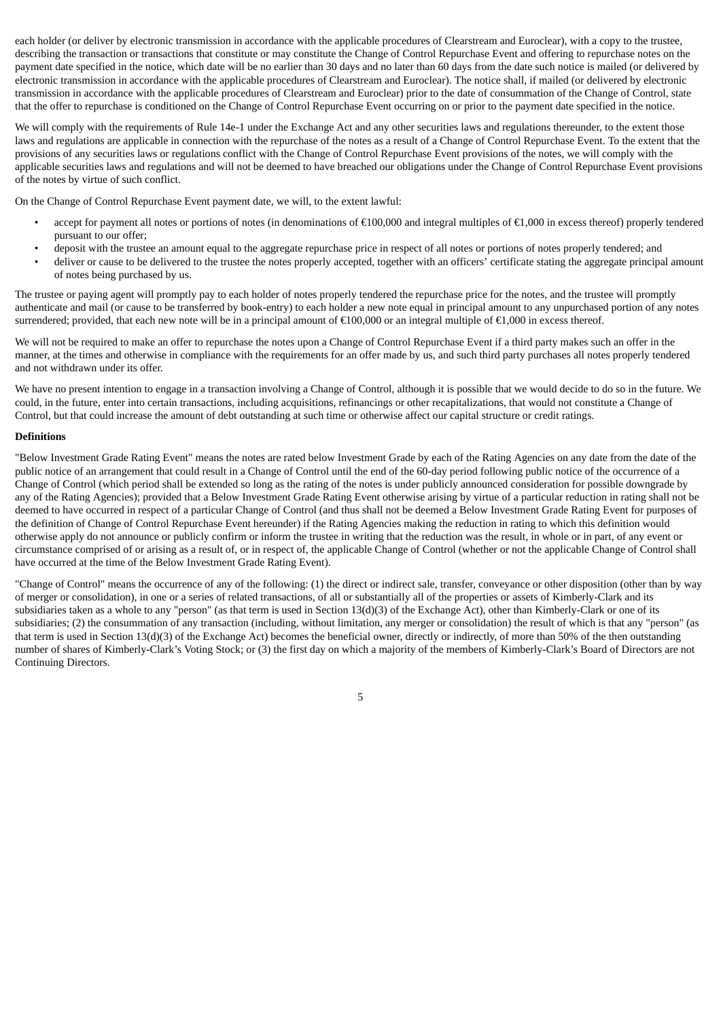each holder (or deliver by electronic transmission in accordance with the applicable procedures of Clearstream and Euroclear), with a copy to the trustee, describing the transaction or transactions that constitute or may constitute the Change of Control Repurchase Event and offering to repurchase notes on the payment date specified in the notice, which date will be no earlier than 30 days and no later than 60 days from the date such notice is mailed (or delivered by electronic transmission in accordance with the applicable procedures of Clearstream and Euroclear). The notice shall, if mailed (or delivered by electronic transmission in accordance with the applicable procedures of Clearstream and Euroclear) prior to the date of consummation of the Change of Control, state that the offer to repurchase is conditioned on the Change of Control Repurchase Event occurring on or prior to the payment date specified in the notice.

We will comply with the requirements of Rule 14e-1 under the Exchange Act and any other securities laws and regulations thereunder, to the extent those laws and regulations are applicable in connection with the repurchase of the notes as a result of a Change of Control Repurchase Event. To the extent that the provisions of any securities laws or regulations conflict with the Change of Control Repurchase Event provisions of the notes, we will comply with the applicable securities laws and regulations and will not be deemed to have breached our obligations under the Change of Control Repurchase Event provisions of the notes by virtue of such conflict.

On the Change of Control Repurchase Event payment date, we will, to the extent lawful:

- accept for payment all notes or portions of notes (in denominations of €100,000 and integral multiples of €1,000 in excess thereof) properly tendered pursuant to our offer:
- deposit with the trustee an amount equal to the aggregate repurchase price in respect of all notes or portions of notes properly tendered; and
- deliver or cause to be delivered to the trustee the notes properly accepted, together with an officers' certificate stating the aggregate principal amount of notes being purchased by us.

The trustee or paying agent will promptly pay to each holder of notes properly tendered the repurchase price for the notes, and the trustee will promptly authenticate and mail (or cause to be transferred by book-entry) to each holder a new note equal in principal amount to any unpurchased portion of any notes surrendered; provided, that each new note will be in a principal amount of €100,000 or an integral multiple of €1,000 in excess thereof.

We will not be required to make an offer to repurchase the notes upon a Change of Control Repurchase Event if a third party makes such an offer in the manner, at the times and otherwise in compliance with the requirements for an offer made by us, and such third party purchases all notes properly tendered and not withdrawn under its offer.

We have no present intention to engage in a transaction involving a Change of Control, although it is possible that we would decide to do so in the future. We could, in the future, enter into certain transactions, including acquisitions, refinancings or other recapitalizations, that would not constitute a Change of Control, but that could increase the amount of debt outstanding at such time or otherwise affect our capital structure or credit ratings.

#### **Definitions**

"Below Investment Grade Rating Event" means the notes are rated below Investment Grade by each of the Rating Agencies on any date from the date of the public notice of an arrangement that could result in a Change of Control until the end of the 60-day period following public notice of the occurrence of a Change of Control (which period shall be extended so long as the rating of the notes is under publicly announced consideration for possible downgrade by any of the Rating Agencies); provided that a Below Investment Grade Rating Event otherwise arising by virtue of a particular reduction in rating shall not be deemed to have occurred in respect of a particular Change of Control (and thus shall not be deemed a Below Investment Grade Rating Event for purposes of the definition of Change of Control Repurchase Event hereunder) if the Rating Agencies making the reduction in rating to which this definition would otherwise apply do not announce or publicly confirm or inform the trustee in writing that the reduction was the result, in whole or in part, of any event or circumstance comprised of or arising as a result of, or in respect of, the applicable Change of Control (whether or not the applicable Change of Control shall have occurred at the time of the Below Investment Grade Rating Event).

"Change of Control" means the occurrence of any of the following: (1) the direct or indirect sale, transfer, conveyance or other disposition (other than by way of merger or consolidation), in one or a series of related transactions, of all or substantially all of the properties or assets of Kimberly-Clark and its subsidiaries taken as a whole to any "person" (as that term is used in Section 13(d)(3) of the Exchange Act), other than Kimberly-Clark or one of its subsidiaries; (2) the consummation of any transaction (including, without limitation, any merger or consolidation) the result of which is that any "person" (as that term is used in Section 13(d)(3) of the Exchange Act) becomes the beneficial owner, directly or indirectly, of more than 50% of the then outstanding number of shares of Kimberly-Clark's Voting Stock; or (3) the first day on which a majority of the members of Kimberly-Clark's Board of Directors are not Continuing Directors.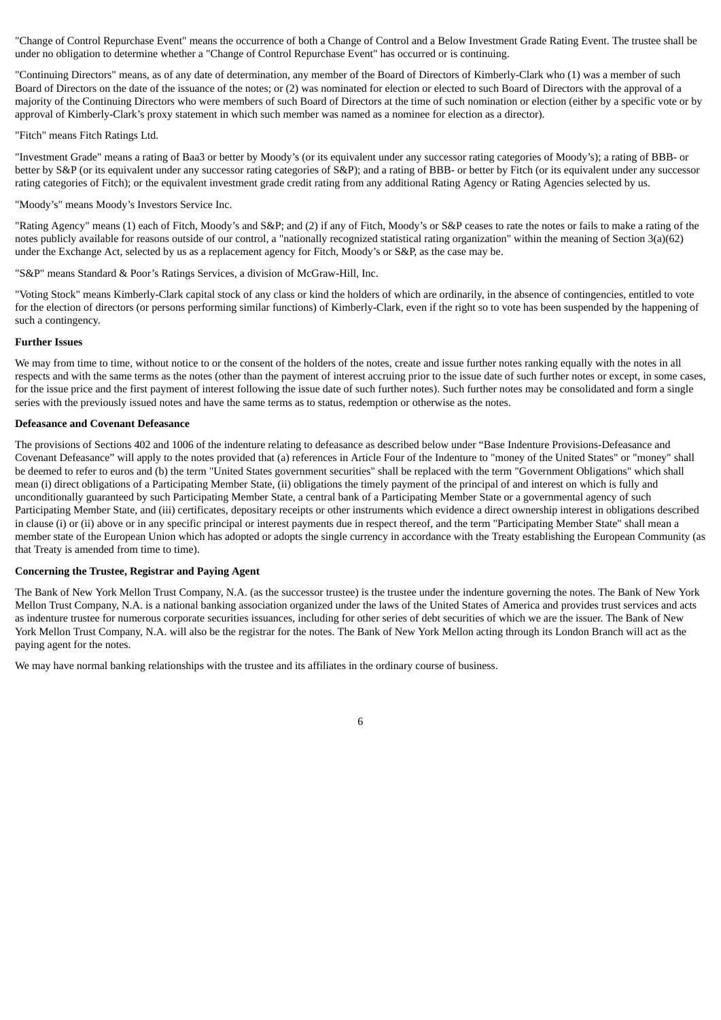"Change of Control Repurchase Event" means the occurrence of both a Change of Control and a Below Investment Grade Rating Event. The trustee shall be under no obligation to determine whether a "Change of Control Repurchase Event" has occurred or is continuing.

"Continuing Directors" means, as of any date of determination, any member of the Board of Directors of Kimberly-Clark who (1) was a member of such Board of Directors on the date of the issuance of the notes; or (2) was nominated for election or elected to such Board of Directors with the approval of a majority of the Continuing Directors who were members of such Board of Directors at the time of such nomination or election (either by a specific vote or by approval of Kimberly-Clark's proxy statement in which such member was named as a nominee for election as a director).

#### "Fitch" means Fitch Ratings Ltd.

"Investment Grade" means a rating of Baa3 or better by Moody's (or its equivalent under any successor rating categories of Moody's); a rating of BBB- or better by S&P (or its equivalent under any successor rating categories of S&P); and a rating of BBB- or better by Fitch (or its equivalent under any successor rating categories of Fitch); or the equivalent investment grade credit rating from any additional Rating Agency or Rating Agencies selected by us.

#### "Moody's" means Moody's Investors Service Inc.

"Rating Agency" means (1) each of Fitch, Moody's and S&P; and (2) if any of Fitch, Moody's or S&P ceases to rate the notes or fails to make a rating of the notes publicly available for reasons outside of our control, a "nationally recognized statistical rating organization" within the meaning of Section 3(a)(62) under the Exchange Act, selected by us as a replacement agency for Fitch, Moody's or S&P, as the case may be.

"S&P" means Standard & Poor's Ratings Services, a division of McGraw-Hill, Inc.

"Voting Stock" means Kimberly-Clark capital stock of any class or kind the holders of which are ordinarily, in the absence of contingencies, entitled to vote for the election of directors (or persons performing similar functions) of Kimberly-Clark, even if the right so to vote has been suspended by the happening of such a contingency.

#### **Further Issues**

We may from time to time, without notice to or the consent of the holders of the notes, create and issue further notes ranking equally with the notes in all respects and with the same terms as the notes (other than the payment of interest accruing prior to the issue date of such further notes or except, in some cases, for the issue price and the first payment of interest following the issue date of such further notes). Such further notes may be consolidated and form a single series with the previously issued notes and have the same terms as to status, redemption or otherwise as the notes.

#### **Defeasance and Covenant Defeasance**

The provisions of Sections 402 and 1006 of the indenture relating to defeasance as described below under "Base Indenture Provisions-Defeasance and Covenant Defeasance" will apply to the notes provided that (a) references in Article Four of the Indenture to "money of the United States" or "money" shall be deemed to refer to euros and (b) the term "United States government securities" shall be replaced with the term "Government Obligations" which shall mean (i) direct obligations of a Participating Member State, (ii) obligations the timely payment of the principal of and interest on which is fully and unconditionally guaranteed by such Participating Member State, a central bank of a Participating Member State or a governmental agency of such Participating Member State, and (iii) certificates, depositary receipts or other instruments which evidence a direct ownership interest in obligations described in clause (i) or (ii) above or in any specific principal or interest payments due in respect thereof, and the term "Participating Member State" shall mean a member state of the European Union which has adopted or adopts the single currency in accordance with the Treaty establishing the European Community (as that Treaty is amended from time to time).

#### **Concerning the Trustee, Registrar and Paying Agent**

The Bank of New York Mellon Trust Company, N.A. (as the successor trustee) is the trustee under the indenture governing the notes. The Bank of New York Mellon Trust Company, N.A. is a national banking association organized under the laws of the United States of America and provides trust services and acts as indenture trustee for numerous corporate securities issuances, including for other series of debt securities of which we are the issuer. The Bank of New York Mellon Trust Company, N.A. will also be the registrar for the notes. The Bank of New York Mellon acting through its London Branch will act as the paying agent for the notes.

We may have normal banking relationships with the trustee and its affiliates in the ordinary course of business.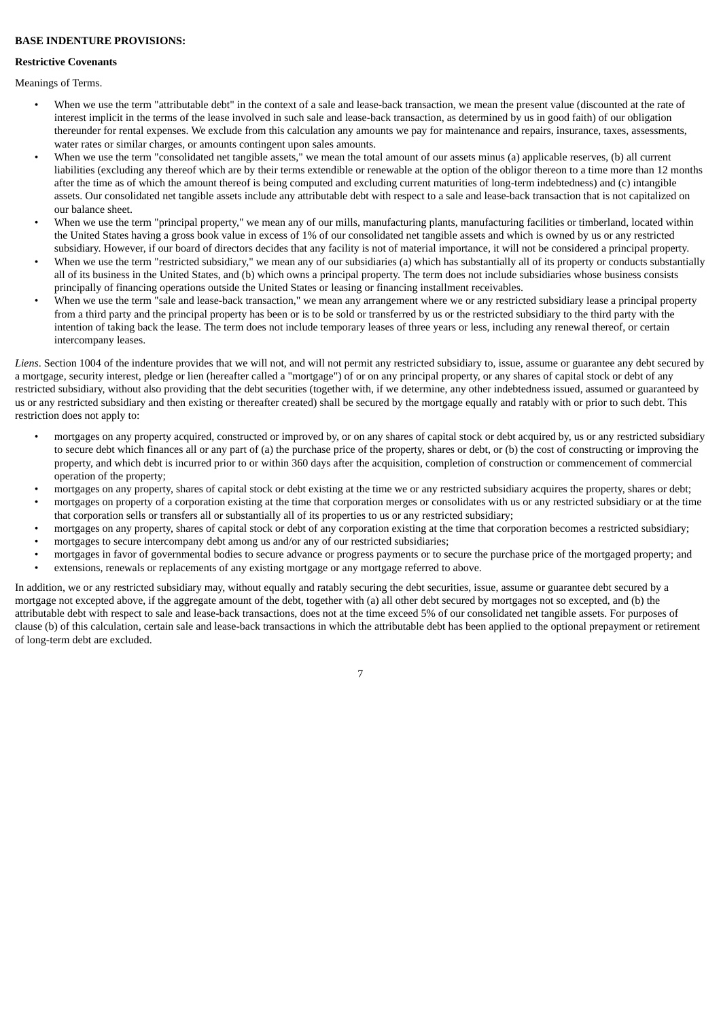#### **BASE INDENTURE PROVISIONS:**

#### **Restrictive Covenants**

Meanings of Terms.

- When we use the term "attributable debt" in the context of a sale and lease-back transaction, we mean the present value (discounted at the rate of interest implicit in the terms of the lease involved in such sale and lease-back transaction, as determined by us in good faith) of our obligation thereunder for rental expenses. We exclude from this calculation any amounts we pay for maintenance and repairs, insurance, taxes, assessments, water rates or similar charges, or amounts contingent upon sales amounts.
- When we use the term "consolidated net tangible assets," we mean the total amount of our assets minus (a) applicable reserves, (b) all current liabilities (excluding any thereof which are by their terms extendible or renewable at the option of the obligor thereon to a time more than 12 months after the time as of which the amount thereof is being computed and excluding current maturities of long-term indebtedness) and (c) intangible assets. Our consolidated net tangible assets include any attributable debt with respect to a sale and lease-back transaction that is not capitalized on our balance sheet.
- When we use the term "principal property," we mean any of our mills, manufacturing plants, manufacturing facilities or timberland, located within the United States having a gross book value in excess of 1% of our consolidated net tangible assets and which is owned by us or any restricted subsidiary. However, if our board of directors decides that any facility is not of material importance, it will not be considered a principal property.
- When we use the term "restricted subsidiary," we mean any of our subsidiaries (a) which has substantially all of its property or conducts substantially all of its business in the United States, and (b) which owns a principal property. The term does not include subsidiaries whose business consists principally of financing operations outside the United States or leasing or financing installment receivables.
- When we use the term "sale and lease-back transaction," we mean any arrangement where we or any restricted subsidiary lease a principal property from a third party and the principal property has been or is to be sold or transferred by us or the restricted subsidiary to the third party with the intention of taking back the lease. The term does not include temporary leases of three years or less, including any renewal thereof, or certain intercompany leases.

*Liens*. Section 1004 of the indenture provides that we will not, and will not permit any restricted subsidiary to, issue, assume or guarantee any debt secured by a mortgage, security interest, pledge or lien (hereafter called a "mortgage") of or on any principal property, or any shares of capital stock or debt of any restricted subsidiary, without also providing that the debt securities (together with, if we determine, any other indebtedness issued, assumed or guaranteed by us or any restricted subsidiary and then existing or thereafter created) shall be secured by the mortgage equally and ratably with or prior to such debt. This restriction does not apply to:

- mortgages on any property acquired, constructed or improved by, or on any shares of capital stock or debt acquired by, us or any restricted subsidiary to secure debt which finances all or any part of (a) the purchase price of the property, shares or debt, or (b) the cost of constructing or improving the property, and which debt is incurred prior to or within 360 days after the acquisition, completion of construction or commencement of commercial operation of the property;
- mortgages on any property, shares of capital stock or debt existing at the time we or any restricted subsidiary acquires the property, shares or debt;
- mortgages on property of a corporation existing at the time that corporation merges or consolidates with us or any restricted subsidiary or at the time that corporation sells or transfers all or substantially all of its properties to us or any restricted subsidiary;
- mortgages on any property, shares of capital stock or debt of any corporation existing at the time that corporation becomes a restricted subsidiary;
- mortgages to secure intercompany debt among us and/or any of our restricted subsidiaries;
- mortgages in favor of governmental bodies to secure advance or progress payments or to secure the purchase price of the mortgaged property; and
- extensions, renewals or replacements of any existing mortgage or any mortgage referred to above.

In addition, we or any restricted subsidiary may, without equally and ratably securing the debt securities, issue, assume or guarantee debt secured by a mortgage not excepted above, if the aggregate amount of the debt, together with (a) all other debt secured by mortgages not so excepted, and (b) the attributable debt with respect to sale and lease-back transactions, does not at the time exceed 5% of our consolidated net tangible assets. For purposes of clause (b) of this calculation, certain sale and lease-back transactions in which the attributable debt has been applied to the optional prepayment or retirement of long-term debt are excluded.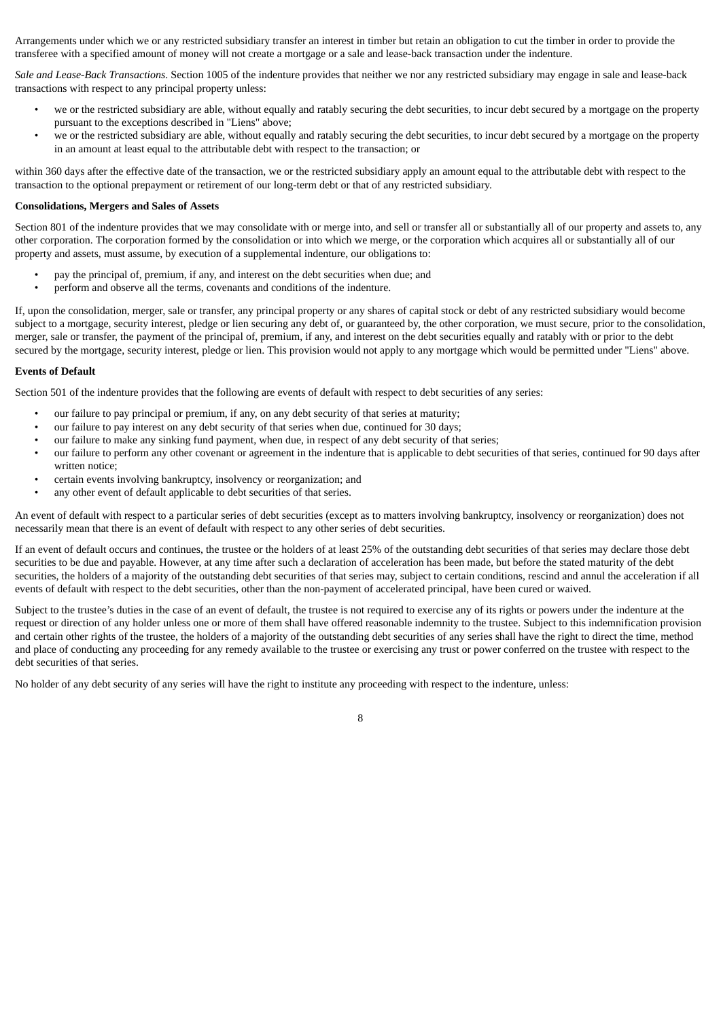Arrangements under which we or any restricted subsidiary transfer an interest in timber but retain an obligation to cut the timber in order to provide the transferee with a specified amount of money will not create a mortgage or a sale and lease-back transaction under the indenture.

*Sale and Lease-Back Transactions*. Section 1005 of the indenture provides that neither we nor any restricted subsidiary may engage in sale and lease-back transactions with respect to any principal property unless:

- we or the restricted subsidiary are able, without equally and ratably securing the debt securities, to incur debt secured by a mortgage on the property pursuant to the exceptions described in "Liens" above;
- we or the restricted subsidiary are able, without equally and ratably securing the debt securities, to incur debt secured by a mortgage on the property in an amount at least equal to the attributable debt with respect to the transaction; or

within 360 days after the effective date of the transaction, we or the restricted subsidiary apply an amount equal to the attributable debt with respect to the transaction to the optional prepayment or retirement of our long-term debt or that of any restricted subsidiary.

#### **Consolidations, Mergers and Sales of Assets**

Section 801 of the indenture provides that we may consolidate with or merge into, and sell or transfer all or substantially all of our property and assets to, any other corporation. The corporation formed by the consolidation or into which we merge, or the corporation which acquires all or substantially all of our property and assets, must assume, by execution of a supplemental indenture, our obligations to:

- pay the principal of, premium, if any, and interest on the debt securities when due; and
- perform and observe all the terms, covenants and conditions of the indenture.

If, upon the consolidation, merger, sale or transfer, any principal property or any shares of capital stock or debt of any restricted subsidiary would become subject to a mortgage, security interest, pledge or lien securing any debt of, or guaranteed by, the other corporation, we must secure, prior to the consolidation, merger, sale or transfer, the payment of the principal of, premium, if any, and interest on the debt securities equally and ratably with or prior to the debt secured by the mortgage, security interest, pledge or lien. This provision would not apply to any mortgage which would be permitted under "Liens" above.

#### **Events of Default**

Section 501 of the indenture provides that the following are events of default with respect to debt securities of any series:

- our failure to pay principal or premium, if any, on any debt security of that series at maturity;
- our failure to pay interest on any debt security of that series when due, continued for 30 days;
- our failure to make any sinking fund payment, when due, in respect of any debt security of that series;
- our failure to perform any other covenant or agreement in the indenture that is applicable to debt securities of that series, continued for 90 days after written notice;
- certain events involving bankruptcy, insolvency or reorganization; and
- any other event of default applicable to debt securities of that series.

An event of default with respect to a particular series of debt securities (except as to matters involving bankruptcy, insolvency or reorganization) does not necessarily mean that there is an event of default with respect to any other series of debt securities.

If an event of default occurs and continues, the trustee or the holders of at least 25% of the outstanding debt securities of that series may declare those debt securities to be due and payable. However, at any time after such a declaration of acceleration has been made, but before the stated maturity of the debt securities, the holders of a majority of the outstanding debt securities of that series may, subject to certain conditions, rescind and annul the acceleration if all events of default with respect to the debt securities, other than the non-payment of accelerated principal, have been cured or waived.

Subject to the trustee's duties in the case of an event of default, the trustee is not required to exercise any of its rights or powers under the indenture at the request or direction of any holder unless one or more of them shall have offered reasonable indemnity to the trustee. Subject to this indemnification provision and certain other rights of the trustee, the holders of a majority of the outstanding debt securities of any series shall have the right to direct the time, method and place of conducting any proceeding for any remedy available to the trustee or exercising any trust or power conferred on the trustee with respect to the debt securities of that series.

No holder of any debt security of any series will have the right to institute any proceeding with respect to the indenture, unless: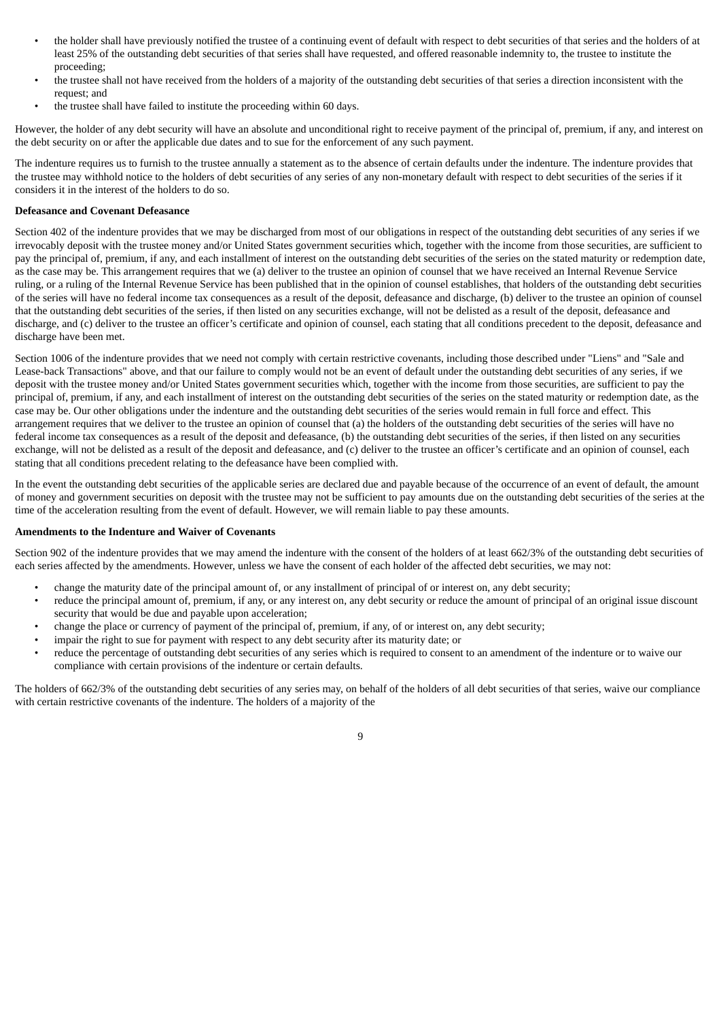- the holder shall have previously notified the trustee of a continuing event of default with respect to debt securities of that series and the holders of at least 25% of the outstanding debt securities of that series shall have requested, and offered reasonable indemnity to, the trustee to institute the proceeding;
- the trustee shall not have received from the holders of a majority of the outstanding debt securities of that series a direction inconsistent with the request; and
- the trustee shall have failed to institute the proceeding within 60 days.

However, the holder of any debt security will have an absolute and unconditional right to receive payment of the principal of, premium, if any, and interest on the debt security on or after the applicable due dates and to sue for the enforcement of any such payment.

The indenture requires us to furnish to the trustee annually a statement as to the absence of certain defaults under the indenture. The indenture provides that the trustee may withhold notice to the holders of debt securities of any series of any non-monetary default with respect to debt securities of the series if it considers it in the interest of the holders to do so.

#### **Defeasance and Covenant Defeasance**

Section 402 of the indenture provides that we may be discharged from most of our obligations in respect of the outstanding debt securities of any series if we irrevocably deposit with the trustee money and/or United States government securities which, together with the income from those securities, are sufficient to pay the principal of, premium, if any, and each installment of interest on the outstanding debt securities of the series on the stated maturity or redemption date, as the case may be. This arrangement requires that we (a) deliver to the trustee an opinion of counsel that we have received an Internal Revenue Service ruling, or a ruling of the Internal Revenue Service has been published that in the opinion of counsel establishes, that holders of the outstanding debt securities of the series will have no federal income tax consequences as a result of the deposit, defeasance and discharge, (b) deliver to the trustee an opinion of counsel that the outstanding debt securities of the series, if then listed on any securities exchange, will not be delisted as a result of the deposit, defeasance and discharge, and (c) deliver to the trustee an officer's certificate and opinion of counsel, each stating that all conditions precedent to the deposit, defeasance and discharge have been met.

Section 1006 of the indenture provides that we need not comply with certain restrictive covenants, including those described under "Liens" and "Sale and Lease-back Transactions" above, and that our failure to comply would not be an event of default under the outstanding debt securities of any series, if we deposit with the trustee money and/or United States government securities which, together with the income from those securities, are sufficient to pay the principal of, premium, if any, and each installment of interest on the outstanding debt securities of the series on the stated maturity or redemption date, as the case may be. Our other obligations under the indenture and the outstanding debt securities of the series would remain in full force and effect. This arrangement requires that we deliver to the trustee an opinion of counsel that (a) the holders of the outstanding debt securities of the series will have no federal income tax consequences as a result of the deposit and defeasance, (b) the outstanding debt securities of the series, if then listed on any securities exchange, will not be delisted as a result of the deposit and defeasance, and (c) deliver to the trustee an officer's certificate and an opinion of counsel, each stating that all conditions precedent relating to the defeasance have been complied with.

In the event the outstanding debt securities of the applicable series are declared due and payable because of the occurrence of an event of default, the amount of money and government securities on deposit with the trustee may not be sufficient to pay amounts due on the outstanding debt securities of the series at the time of the acceleration resulting from the event of default. However, we will remain liable to pay these amounts.

#### **Amendments to the Indenture and Waiver of Covenants**

Section 902 of the indenture provides that we may amend the indenture with the consent of the holders of at least 662/3% of the outstanding debt securities of each series affected by the amendments. However, unless we have the consent of each holder of the affected debt securities, we may not:

- change the maturity date of the principal amount of, or any installment of principal of or interest on, any debt security;
- reduce the principal amount of, premium, if any, or any interest on, any debt security or reduce the amount of principal of an original issue discount security that would be due and payable upon acceleration;
- change the place or currency of payment of the principal of, premium, if any, of or interest on, any debt security;
- impair the right to sue for payment with respect to any debt security after its maturity date; or
- reduce the percentage of outstanding debt securities of any series which is required to consent to an amendment of the indenture or to waive our compliance with certain provisions of the indenture or certain defaults.

The holders of 662/3% of the outstanding debt securities of any series may, on behalf of the holders of all debt securities of that series, waive our compliance with certain restrictive covenants of the indenture. The holders of a majority of the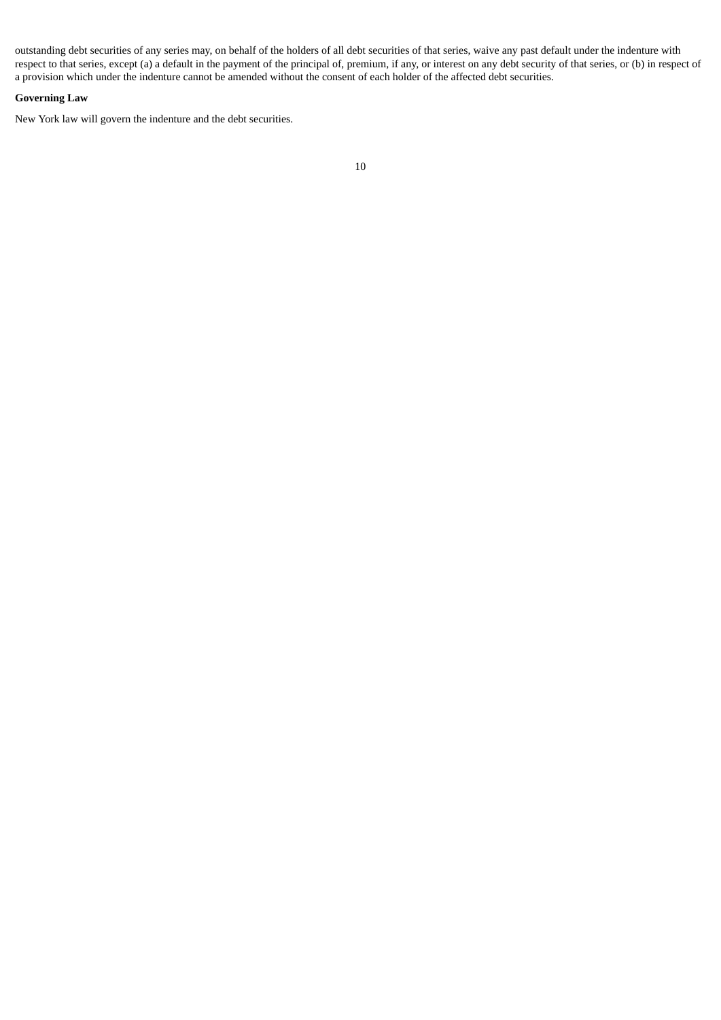outstanding debt securities of any series may, on behalf of the holders of all debt securities of that series, waive any past default under the indenture with respect to that series, except (a) a default in the payment of the principal of, premium, if any, or interest on any debt security of that series, or (b) in respect of a provision which under the indenture cannot be amended without the consent of each holder of the affected debt securities.

#### **Governing Law**

New York law will govern the indenture and the debt securities.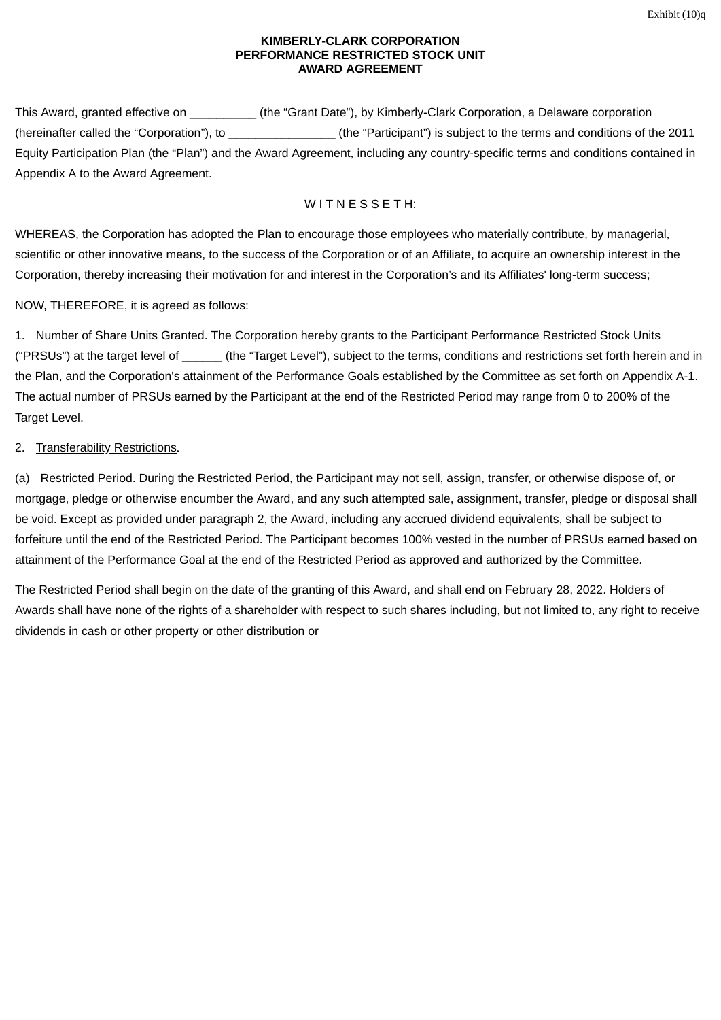Exhibit (10)q

### **KIMBERLY-CLARK CORPORATION PERFORMANCE RESTRICTED STOCK UNIT AWARD AGREEMENT**

This Award, granted effective on \_\_\_\_\_\_\_\_\_\_ (the "Grant Date"), by Kimberly-Clark Corporation, a Delaware corporation (hereinafter called the "Corporation"), to \_\_\_\_\_\_\_\_\_\_\_\_\_\_\_\_ (the "Participant") is subject to the terms and conditions of the 2011 Equity Participation Plan (the "Plan") and the Award Agreement, including any country-specific terms and conditions contained in Appendix A to the Award Agreement.

# $W I I N E S S E I H$ :

WHEREAS, the Corporation has adopted the Plan to encourage those employees who materially contribute, by managerial, scientific or other innovative means, to the success of the Corporation or of an Affiliate, to acquire an ownership interest in the Corporation, thereby increasing their motivation for and interest in the Corporation's and its Affiliates' long-term success;

NOW, THEREFORE, it is agreed as follows:

1. Number of Share Units Granted. The Corporation hereby grants to the Participant Performance Restricted Stock Units ("PRSUs") at the target level of \_\_\_\_\_\_ (the "Target Level"), subject to the terms, conditions and restrictions set forth herein and in the Plan, and the Corporation's attainment of the Performance Goals established by the Committee as set forth on Appendix A-1. The actual number of PRSUs earned by the Participant at the end of the Restricted Period may range from 0 to 200% of the Target Level.

2. Transferability Restrictions.

(a) Restricted Period. During the Restricted Period, the Participant may not sell, assign, transfer, or otherwise dispose of, or mortgage, pledge or otherwise encumber the Award, and any such attempted sale, assignment, transfer, pledge or disposal shall be void. Except as provided under paragraph 2, the Award, including any accrued dividend equivalents, shall be subject to forfeiture until the end of the Restricted Period. The Participant becomes 100% vested in the number of PRSUs earned based on attainment of the Performance Goal at the end of the Restricted Period as approved and authorized by the Committee.

The Restricted Period shall begin on the date of the granting of this Award, and shall end on February 28, 2022. Holders of Awards shall have none of the rights of a shareholder with respect to such shares including, but not limited to, any right to receive dividends in cash or other property or other distribution or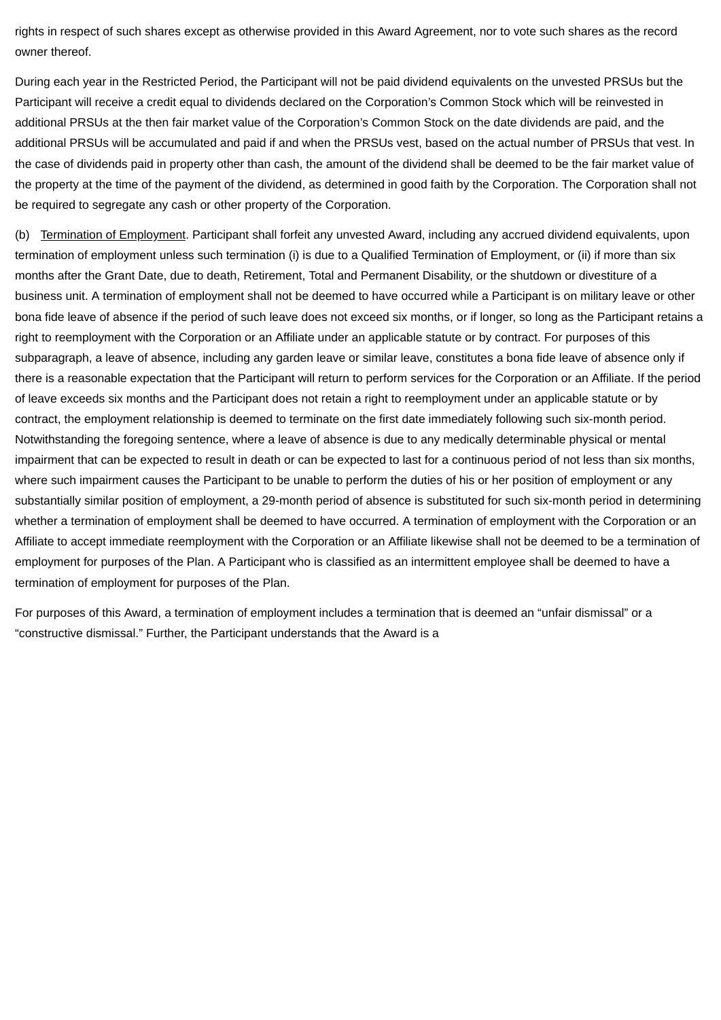rights in respect of such shares except as otherwise provided in this Award Agreement, nor to vote such shares as the record owner thereof.

During each year in the Restricted Period, the Participant will not be paid dividend equivalents on the unvested PRSUs but the Participant will receive a credit equal to dividends declared on the Corporation's Common Stock which will be reinvested in additional PRSUs at the then fair market value of the Corporation's Common Stock on the date dividends are paid, and the additional PRSUs will be accumulated and paid if and when the PRSUs vest, based on the actual number of PRSUs that vest. In the case of dividends paid in property other than cash, the amount of the dividend shall be deemed to be the fair market value of the property at the time of the payment of the dividend, as determined in good faith by the Corporation. The Corporation shall not be required to segregate any cash or other property of the Corporation.

(b) Termination of Employment. Participant shall forfeit any unvested Award, including any accrued dividend equivalents, upon termination of employment unless such termination (i) is due to a Qualified Termination of Employment, or (ii) if more than six months after the Grant Date, due to death, Retirement, Total and Permanent Disability, or the shutdown or divestiture of a business unit. A termination of employment shall not be deemed to have occurred while a Participant is on military leave or other bona fide leave of absence if the period of such leave does not exceed six months, or if longer, so long as the Participant retains a right to reemployment with the Corporation or an Affiliate under an applicable statute or by contract. For purposes of this subparagraph, a leave of absence, including any garden leave or similar leave, constitutes a bona fide leave of absence only if there is a reasonable expectation that the Participant will return to perform services for the Corporation or an Affiliate. If the period of leave exceeds six months and the Participant does not retain a right to reemployment under an applicable statute or by contract, the employment relationship is deemed to terminate on the first date immediately following such six-month period. Notwithstanding the foregoing sentence, where a leave of absence is due to any medically determinable physical or mental impairment that can be expected to result in death or can be expected to last for a continuous period of not less than six months, where such impairment causes the Participant to be unable to perform the duties of his or her position of employment or any substantially similar position of employment, a 29-month period of absence is substituted for such six-month period in determining whether a termination of employment shall be deemed to have occurred. A termination of employment with the Corporation or an Affiliate to accept immediate reemployment with the Corporation or an Affiliate likewise shall not be deemed to be a termination of employment for purposes of the Plan. A Participant who is classified as an intermittent employee shall be deemed to have a termination of employment for purposes of the Plan.

For purposes of this Award, a termination of employment includes a termination that is deemed an "unfair dismissal" or a "constructive dismissal." Further, the Participant understands that the Award is a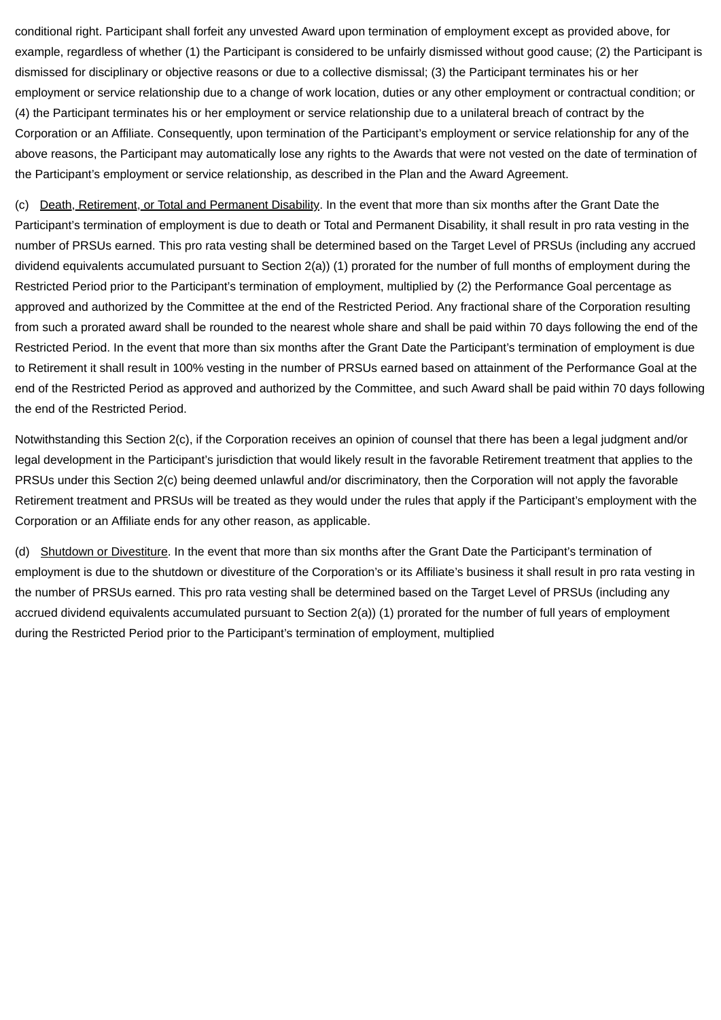conditional right. Participant shall forfeit any unvested Award upon termination of employment except as provided above, for example, regardless of whether (1) the Participant is considered to be unfairly dismissed without good cause; (2) the Participant is dismissed for disciplinary or objective reasons or due to a collective dismissal; (3) the Participant terminates his or her employment or service relationship due to a change of work location, duties or any other employment or contractual condition; or (4) the Participant terminates his or her employment or service relationship due to a unilateral breach of contract by the Corporation or an Affiliate. Consequently, upon termination of the Participant's employment or service relationship for any of the above reasons, the Participant may automatically lose any rights to the Awards that were not vested on the date of termination of the Participant's employment or service relationship, as described in the Plan and the Award Agreement.

(c) Death, Retirement, or Total and Permanent Disability. In the event that more than six months after the Grant Date the Participant's termination of employment is due to death or Total and Permanent Disability, it shall result in pro rata vesting in the number of PRSUs earned. This pro rata vesting shall be determined based on the Target Level of PRSUs (including any accrued dividend equivalents accumulated pursuant to Section 2(a)) (1) prorated for the number of full months of employment during the Restricted Period prior to the Participant's termination of employment, multiplied by (2) the Performance Goal percentage as approved and authorized by the Committee at the end of the Restricted Period. Any fractional share of the Corporation resulting from such a prorated award shall be rounded to the nearest whole share and shall be paid within 70 days following the end of the Restricted Period. In the event that more than six months after the Grant Date the Participant's termination of employment is due to Retirement it shall result in 100% vesting in the number of PRSUs earned based on attainment of the Performance Goal at the end of the Restricted Period as approved and authorized by the Committee, and such Award shall be paid within 70 days following the end of the Restricted Period.

Notwithstanding this Section 2(c), if the Corporation receives an opinion of counsel that there has been a legal judgment and/or legal development in the Participant's jurisdiction that would likely result in the favorable Retirement treatment that applies to the PRSUs under this Section 2(c) being deemed unlawful and/or discriminatory, then the Corporation will not apply the favorable Retirement treatment and PRSUs will be treated as they would under the rules that apply if the Participant's employment with the Corporation or an Affiliate ends for any other reason, as applicable.

(d) Shutdown or Divestiture. In the event that more than six months after the Grant Date the Participant's termination of employment is due to the shutdown or divestiture of the Corporation's or its Affiliate's business it shall result in pro rata vesting in the number of PRSUs earned. This pro rata vesting shall be determined based on the Target Level of PRSUs (including any accrued dividend equivalents accumulated pursuant to Section 2(a)) (1) prorated for the number of full years of employment during the Restricted Period prior to the Participant's termination of employment, multiplied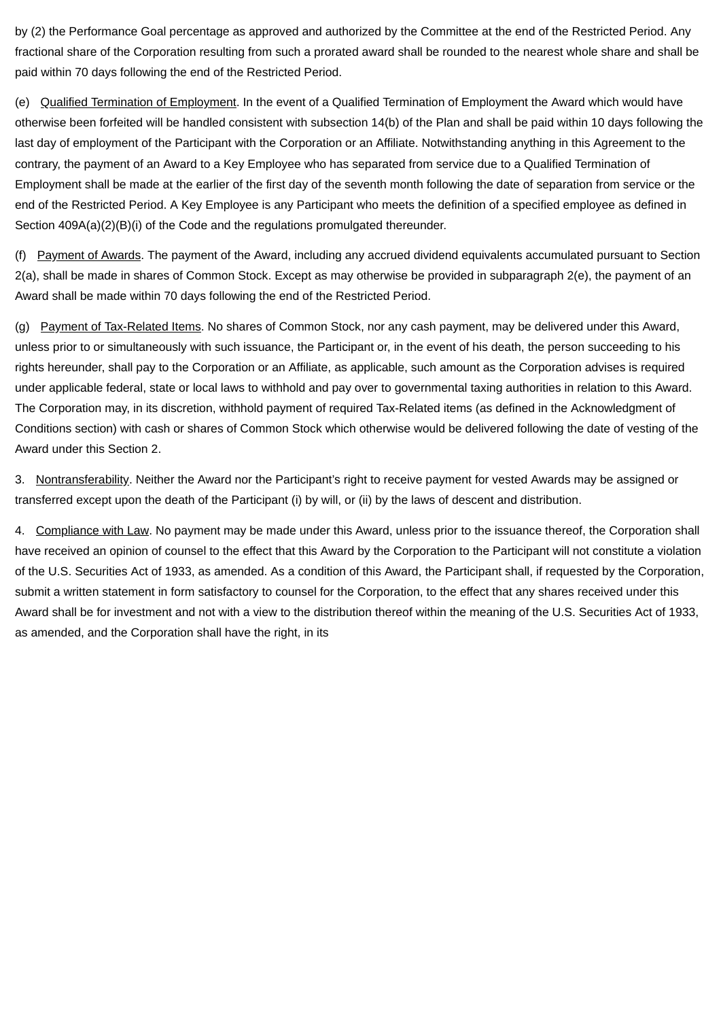by (2) the Performance Goal percentage as approved and authorized by the Committee at the end of the Restricted Period. Any fractional share of the Corporation resulting from such a prorated award shall be rounded to the nearest whole share and shall be paid within 70 days following the end of the Restricted Period.

(e) Qualified Termination of Employment. In the event of a Qualified Termination of Employment the Award which would have otherwise been forfeited will be handled consistent with subsection 14(b) of the Plan and shall be paid within 10 days following the last day of employment of the Participant with the Corporation or an Affiliate. Notwithstanding anything in this Agreement to the contrary, the payment of an Award to a Key Employee who has separated from service due to a Qualified Termination of Employment shall be made at the earlier of the first day of the seventh month following the date of separation from service or the end of the Restricted Period. A Key Employee is any Participant who meets the definition of a specified employee as defined in Section 409A(a)(2)(B)(i) of the Code and the regulations promulgated thereunder.

(f) Payment of Awards. The payment of the Award, including any accrued dividend equivalents accumulated pursuant to Section 2(a), shall be made in shares of Common Stock. Except as may otherwise be provided in subparagraph 2(e), the payment of an Award shall be made within 70 days following the end of the Restricted Period.

(g) Payment of Tax-Related Items. No shares of Common Stock, nor any cash payment, may be delivered under this Award, unless prior to or simultaneously with such issuance, the Participant or, in the event of his death, the person succeeding to his rights hereunder, shall pay to the Corporation or an Affiliate, as applicable, such amount as the Corporation advises is required under applicable federal, state or local laws to withhold and pay over to governmental taxing authorities in relation to this Award. The Corporation may, in its discretion, withhold payment of required Tax-Related items (as defined in the Acknowledgment of Conditions section) with cash or shares of Common Stock which otherwise would be delivered following the date of vesting of the Award under this Section 2.

3. Nontransferability. Neither the Award nor the Participant's right to receive payment for vested Awards may be assigned or transferred except upon the death of the Participant (i) by will, or (ii) by the laws of descent and distribution.

4. Compliance with Law. No payment may be made under this Award, unless prior to the issuance thereof, the Corporation shall have received an opinion of counsel to the effect that this Award by the Corporation to the Participant will not constitute a violation of the U.S. Securities Act of 1933, as amended. As a condition of this Award, the Participant shall, if requested by the Corporation, submit a written statement in form satisfactory to counsel for the Corporation, to the effect that any shares received under this Award shall be for investment and not with a view to the distribution thereof within the meaning of the U.S. Securities Act of 1933, as amended, and the Corporation shall have the right, in its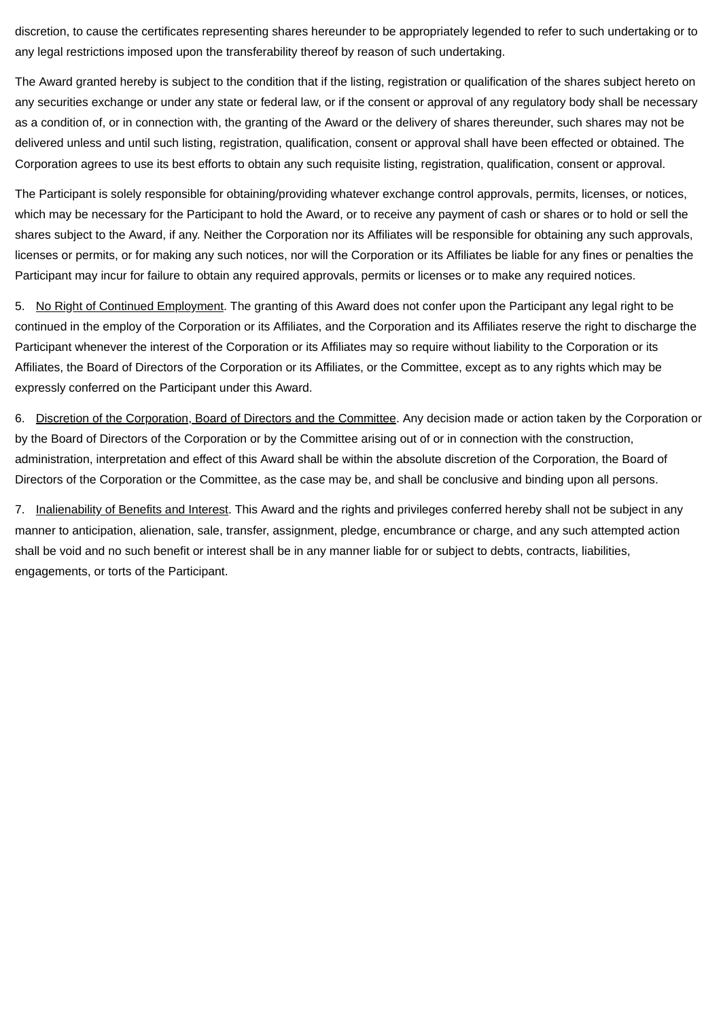discretion, to cause the certificates representing shares hereunder to be appropriately legended to refer to such undertaking or to any legal restrictions imposed upon the transferability thereof by reason of such undertaking.

The Award granted hereby is subject to the condition that if the listing, registration or qualification of the shares subject hereto on any securities exchange or under any state or federal law, or if the consent or approval of any regulatory body shall be necessary as a condition of, or in connection with, the granting of the Award or the delivery of shares thereunder, such shares may not be delivered unless and until such listing, registration, qualification, consent or approval shall have been effected or obtained. The Corporation agrees to use its best efforts to obtain any such requisite listing, registration, qualification, consent or approval.

The Participant is solely responsible for obtaining/providing whatever exchange control approvals, permits, licenses, or notices, which may be necessary for the Participant to hold the Award, or to receive any payment of cash or shares or to hold or sell the shares subject to the Award, if any. Neither the Corporation nor its Affiliates will be responsible for obtaining any such approvals, licenses or permits, or for making any such notices, nor will the Corporation or its Affiliates be liable for any fines or penalties the Participant may incur for failure to obtain any required approvals, permits or licenses or to make any required notices.

5. No Right of Continued Employment. The granting of this Award does not confer upon the Participant any legal right to be continued in the employ of the Corporation or its Affiliates, and the Corporation and its Affiliates reserve the right to discharge the Participant whenever the interest of the Corporation or its Affiliates may so require without liability to the Corporation or its Affiliates, the Board of Directors of the Corporation or its Affiliates, or the Committee, except as to any rights which may be expressly conferred on the Participant under this Award.

6. Discretion of the Corporation, Board of Directors and the Committee. Any decision made or action taken by the Corporation or by the Board of Directors of the Corporation or by the Committee arising out of or in connection with the construction, administration, interpretation and effect of this Award shall be within the absolute discretion of the Corporation, the Board of Directors of the Corporation or the Committee, as the case may be, and shall be conclusive and binding upon all persons.

7. Inalienability of Benefits and Interest. This Award and the rights and privileges conferred hereby shall not be subject in any manner to anticipation, alienation, sale, transfer, assignment, pledge, encumbrance or charge, and any such attempted action shall be void and no such benefit or interest shall be in any manner liable for or subject to debts, contracts, liabilities, engagements, or torts of the Participant.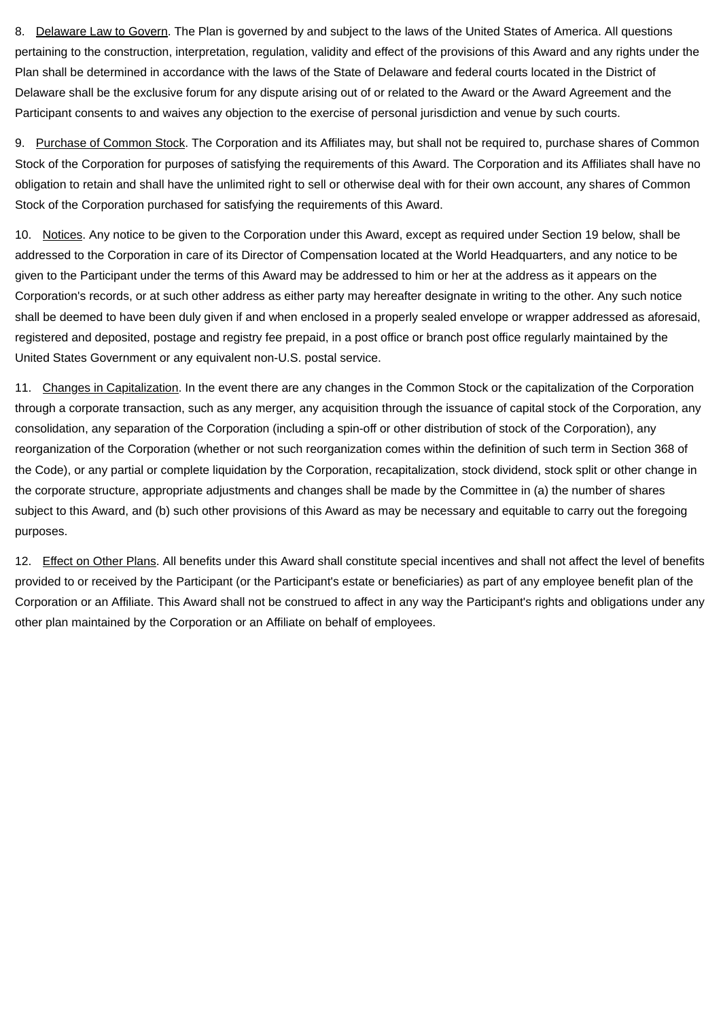8. Delaware Law to Govern. The Plan is governed by and subject to the laws of the United States of America. All questions pertaining to the construction, interpretation, regulation, validity and effect of the provisions of this Award and any rights under the Plan shall be determined in accordance with the laws of the State of Delaware and federal courts located in the District of Delaware shall be the exclusive forum for any dispute arising out of or related to the Award or the Award Agreement and the Participant consents to and waives any objection to the exercise of personal jurisdiction and venue by such courts.

9. Purchase of Common Stock. The Corporation and its Affiliates may, but shall not be required to, purchase shares of Common Stock of the Corporation for purposes of satisfying the requirements of this Award. The Corporation and its Affiliates shall have no obligation to retain and shall have the unlimited right to sell or otherwise deal with for their own account, any shares of Common Stock of the Corporation purchased for satisfying the requirements of this Award.

10. Notices. Any notice to be given to the Corporation under this Award, except as required under Section 19 below, shall be addressed to the Corporation in care of its Director of Compensation located at the World Headquarters, and any notice to be given to the Participant under the terms of this Award may be addressed to him or her at the address as it appears on the Corporation's records, or at such other address as either party may hereafter designate in writing to the other. Any such notice shall be deemed to have been duly given if and when enclosed in a properly sealed envelope or wrapper addressed as aforesaid, registered and deposited, postage and registry fee prepaid, in a post office or branch post office regularly maintained by the United States Government or any equivalent non-U.S. postal service.

11. Changes in Capitalization. In the event there are any changes in the Common Stock or the capitalization of the Corporation through a corporate transaction, such as any merger, any acquisition through the issuance of capital stock of the Corporation, any consolidation, any separation of the Corporation (including a spin-off or other distribution of stock of the Corporation), any reorganization of the Corporation (whether or not such reorganization comes within the definition of such term in Section 368 of the Code), or any partial or complete liquidation by the Corporation, recapitalization, stock dividend, stock split or other change in the corporate structure, appropriate adjustments and changes shall be made by the Committee in (a) the number of shares subject to this Award, and (b) such other provisions of this Award as may be necessary and equitable to carry out the foregoing purposes.

12. Effect on Other Plans. All benefits under this Award shall constitute special incentives and shall not affect the level of benefits provided to or received by the Participant (or the Participant's estate or beneficiaries) as part of any employee benefit plan of the Corporation or an Affiliate. This Award shall not be construed to affect in any way the Participant's rights and obligations under any other plan maintained by the Corporation or an Affiliate on behalf of employees.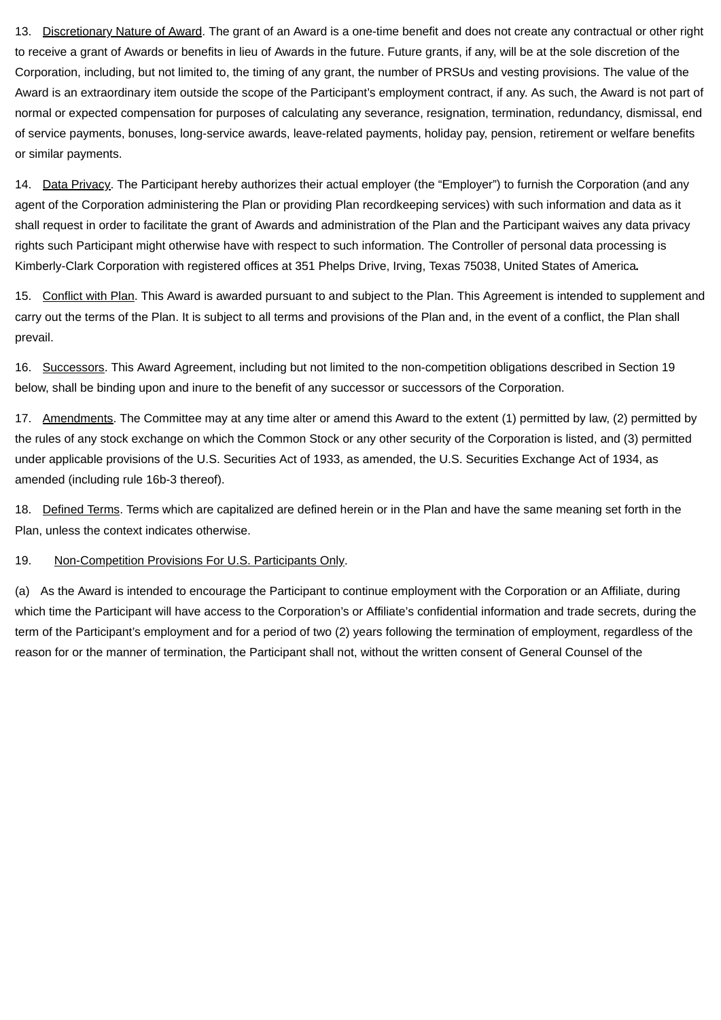13. Discretionary Nature of Award. The grant of an Award is a one-time benefit and does not create any contractual or other right to receive a grant of Awards or benefits in lieu of Awards in the future. Future grants, if any, will be at the sole discretion of the Corporation, including, but not limited to, the timing of any grant, the number of PRSUs and vesting provisions. The value of the Award is an extraordinary item outside the scope of the Participant's employment contract, if any. As such, the Award is not part of normal or expected compensation for purposes of calculating any severance, resignation, termination, redundancy, dismissal, end of service payments, bonuses, long-service awards, leave-related payments, holiday pay, pension, retirement or welfare benefits or similar payments.

14. Data Privacy. The Participant hereby authorizes their actual employer (the "Employer") to furnish the Corporation (and any agent of the Corporation administering the Plan or providing Plan recordkeeping services) with such information and data as it shall request in order to facilitate the grant of Awards and administration of the Plan and the Participant waives any data privacy rights such Participant might otherwise have with respect to such information. The Controller of personal data processing is Kimberly-Clark Corporation with registered offices at 351 Phelps Drive, Irving, Texas 75038, United States of America*.*

15. Conflict with Plan. This Award is awarded pursuant to and subject to the Plan. This Agreement is intended to supplement and carry out the terms of the Plan. It is subject to all terms and provisions of the Plan and, in the event of a conflict, the Plan shall prevail.

16. Successors. This Award Agreement, including but not limited to the non-competition obligations described in Section 19 below, shall be binding upon and inure to the benefit of any successor or successors of the Corporation.

17. Amendments. The Committee may at any time alter or amend this Award to the extent (1) permitted by law, (2) permitted by the rules of any stock exchange on which the Common Stock or any other security of the Corporation is listed, and (3) permitted under applicable provisions of the U.S. Securities Act of 1933, as amended, the U.S. Securities Exchange Act of 1934, as amended (including rule 16b-3 thereof).

18. Defined Terms. Terms which are capitalized are defined herein or in the Plan and have the same meaning set forth in the Plan, unless the context indicates otherwise.

## 19. Non-Competition Provisions For U.S. Participants Only.

(a) As the Award is intended to encourage the Participant to continue employment with the Corporation or an Affiliate, during which time the Participant will have access to the Corporation's or Affiliate's confidential information and trade secrets, during the term of the Participant's employment and for a period of two (2) years following the termination of employment, regardless of the reason for or the manner of termination, the Participant shall not, without the written consent of General Counsel of the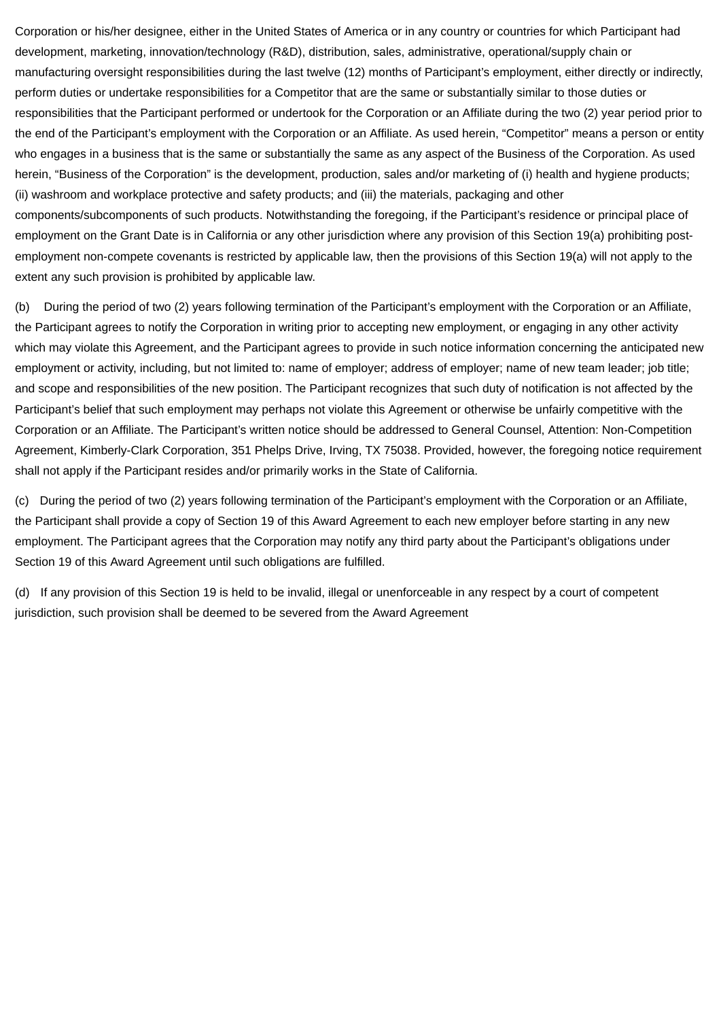Corporation or his/her designee, either in the United States of America or in any country or countries for which Participant had development, marketing, innovation/technology (R&D), distribution, sales, administrative, operational/supply chain or manufacturing oversight responsibilities during the last twelve (12) months of Participant's employment, either directly or indirectly, perform duties or undertake responsibilities for a Competitor that are the same or substantially similar to those duties or responsibilities that the Participant performed or undertook for the Corporation or an Affiliate during the two (2) year period prior to the end of the Participant's employment with the Corporation or an Affiliate. As used herein, "Competitor" means a person or entity who engages in a business that is the same or substantially the same as any aspect of the Business of the Corporation. As used herein, "Business of the Corporation" is the development, production, sales and/or marketing of (i) health and hygiene products; (ii) washroom and workplace protective and safety products; and (iii) the materials, packaging and other components/subcomponents of such products. Notwithstanding the foregoing, if the Participant's residence or principal place of employment on the Grant Date is in California or any other jurisdiction where any provision of this Section 19(a) prohibiting postemployment non-compete covenants is restricted by applicable law, then the provisions of this Section 19(a) will not apply to the extent any such provision is prohibited by applicable law.

(b) During the period of two (2) years following termination of the Participant's employment with the Corporation or an Affiliate, the Participant agrees to notify the Corporation in writing prior to accepting new employment, or engaging in any other activity which may violate this Agreement, and the Participant agrees to provide in such notice information concerning the anticipated new employment or activity, including, but not limited to: name of employer; address of employer; name of new team leader; job title; and scope and responsibilities of the new position. The Participant recognizes that such duty of notification is not affected by the Participant's belief that such employment may perhaps not violate this Agreement or otherwise be unfairly competitive with the Corporation or an Affiliate. The Participant's written notice should be addressed to General Counsel, Attention: Non-Competition Agreement, Kimberly-Clark Corporation, 351 Phelps Drive, Irving, TX 75038. Provided, however, the foregoing notice requirement shall not apply if the Participant resides and/or primarily works in the State of California.

(c) During the period of two (2) years following termination of the Participant's employment with the Corporation or an Affiliate, the Participant shall provide a copy of Section 19 of this Award Agreement to each new employer before starting in any new employment. The Participant agrees that the Corporation may notify any third party about the Participant's obligations under Section 19 of this Award Agreement until such obligations are fulfilled.

(d) If any provision of this Section 19 is held to be invalid, illegal or unenforceable in any respect by a court of competent jurisdiction, such provision shall be deemed to be severed from the Award Agreement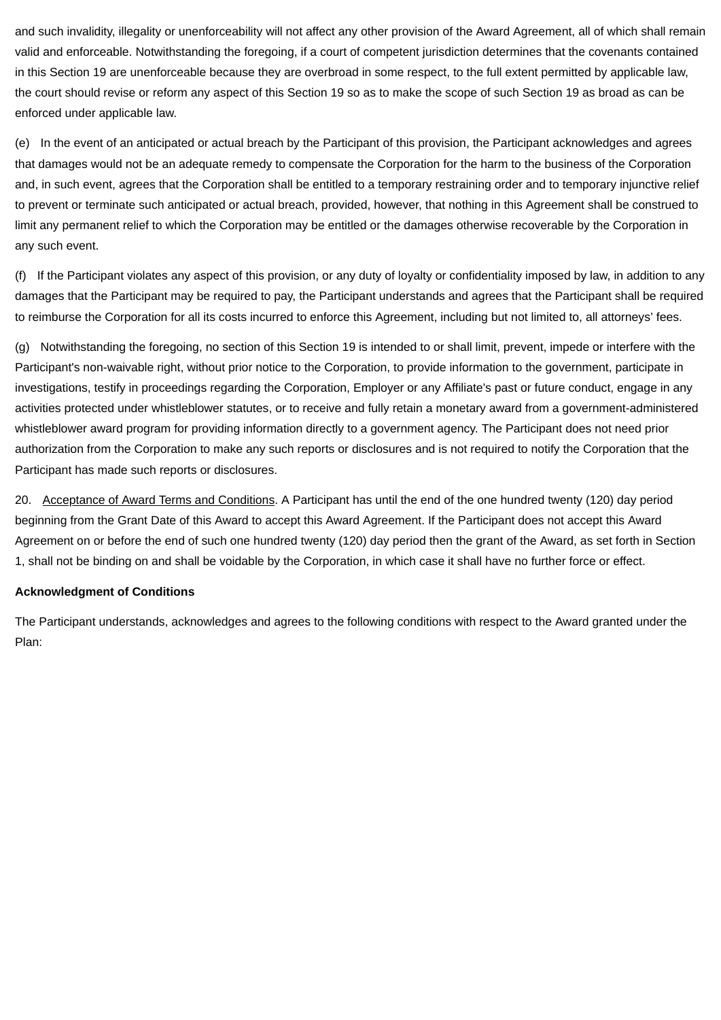and such invalidity, illegality or unenforceability will not affect any other provision of the Award Agreement, all of which shall remain valid and enforceable. Notwithstanding the foregoing, if a court of competent jurisdiction determines that the covenants contained in this Section 19 are unenforceable because they are overbroad in some respect, to the full extent permitted by applicable law, the court should revise or reform any aspect of this Section 19 so as to make the scope of such Section 19 as broad as can be enforced under applicable law.

(e) In the event of an anticipated or actual breach by the Participant of this provision, the Participant acknowledges and agrees that damages would not be an adequate remedy to compensate the Corporation for the harm to the business of the Corporation and, in such event, agrees that the Corporation shall be entitled to a temporary restraining order and to temporary injunctive relief to prevent or terminate such anticipated or actual breach, provided, however, that nothing in this Agreement shall be construed to limit any permanent relief to which the Corporation may be entitled or the damages otherwise recoverable by the Corporation in any such event.

(f) If the Participant violates any aspect of this provision, or any duty of loyalty or confidentiality imposed by law, in addition to any damages that the Participant may be required to pay, the Participant understands and agrees that the Participant shall be required to reimburse the Corporation for all its costs incurred to enforce this Agreement, including but not limited to, all attorneys' fees.

(g) Notwithstanding the foregoing, no section of this Section 19 is intended to or shall limit, prevent, impede or interfere with the Participant's non-waivable right, without prior notice to the Corporation, to provide information to the government, participate in investigations, testify in proceedings regarding the Corporation, Employer or any Affiliate's past or future conduct, engage in any activities protected under whistleblower statutes, or to receive and fully retain a monetary award from a government-administered whistleblower award program for providing information directly to a government agency. The Participant does not need prior authorization from the Corporation to make any such reports or disclosures and is not required to notify the Corporation that the Participant has made such reports or disclosures.

20. Acceptance of Award Terms and Conditions. A Participant has until the end of the one hundred twenty (120) day period beginning from the Grant Date of this Award to accept this Award Agreement. If the Participant does not accept this Award Agreement on or before the end of such one hundred twenty (120) day period then the grant of the Award, as set forth in Section 1, shall not be binding on and shall be voidable by the Corporation, in which case it shall have no further force or effect.

## **Acknowledgment of Conditions**

The Participant understands, acknowledges and agrees to the following conditions with respect to the Award granted under the Plan: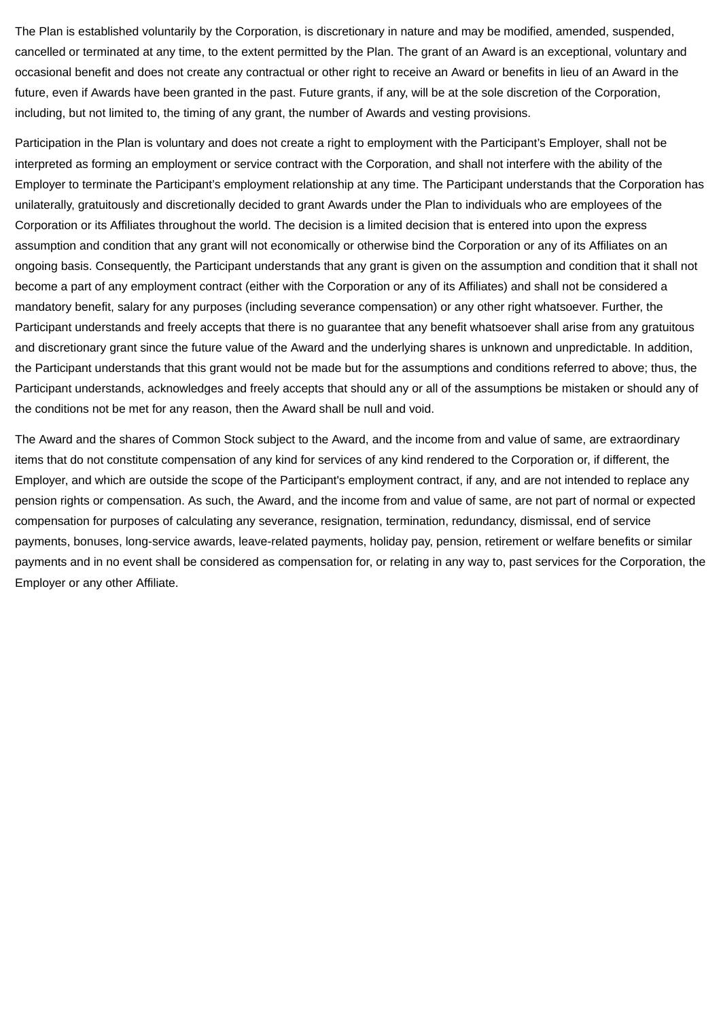The Plan is established voluntarily by the Corporation, is discretionary in nature and may be modified, amended, suspended, cancelled or terminated at any time, to the extent permitted by the Plan. The grant of an Award is an exceptional, voluntary and occasional benefit and does not create any contractual or other right to receive an Award or benefits in lieu of an Award in the future, even if Awards have been granted in the past. Future grants, if any, will be at the sole discretion of the Corporation, including, but not limited to, the timing of any grant, the number of Awards and vesting provisions.

Participation in the Plan is voluntary and does not create a right to employment with the Participant's Employer, shall not be interpreted as forming an employment or service contract with the Corporation, and shall not interfere with the ability of the Employer to terminate the Participant's employment relationship at any time. The Participant understands that the Corporation has unilaterally, gratuitously and discretionally decided to grant Awards under the Plan to individuals who are employees of the Corporation or its Affiliates throughout the world. The decision is a limited decision that is entered into upon the express assumption and condition that any grant will not economically or otherwise bind the Corporation or any of its Affiliates on an ongoing basis. Consequently, the Participant understands that any grant is given on the assumption and condition that it shall not become a part of any employment contract (either with the Corporation or any of its Affiliates) and shall not be considered a mandatory benefit, salary for any purposes (including severance compensation) or any other right whatsoever. Further, the Participant understands and freely accepts that there is no guarantee that any benefit whatsoever shall arise from any gratuitous and discretionary grant since the future value of the Award and the underlying shares is unknown and unpredictable. In addition, the Participant understands that this grant would not be made but for the assumptions and conditions referred to above; thus, the Participant understands, acknowledges and freely accepts that should any or all of the assumptions be mistaken or should any of the conditions not be met for any reason, then the Award shall be null and void.

The Award and the shares of Common Stock subject to the Award, and the income from and value of same, are extraordinary items that do not constitute compensation of any kind for services of any kind rendered to the Corporation or, if different, the Employer, and which are outside the scope of the Participant's employment contract, if any, and are not intended to replace any pension rights or compensation. As such, the Award, and the income from and value of same, are not part of normal or expected compensation for purposes of calculating any severance, resignation, termination, redundancy, dismissal, end of service payments, bonuses, long-service awards, leave-related payments, holiday pay, pension, retirement or welfare benefits or similar payments and in no event shall be considered as compensation for, or relating in any way to, past services for the Corporation, the Employer or any other Affiliate.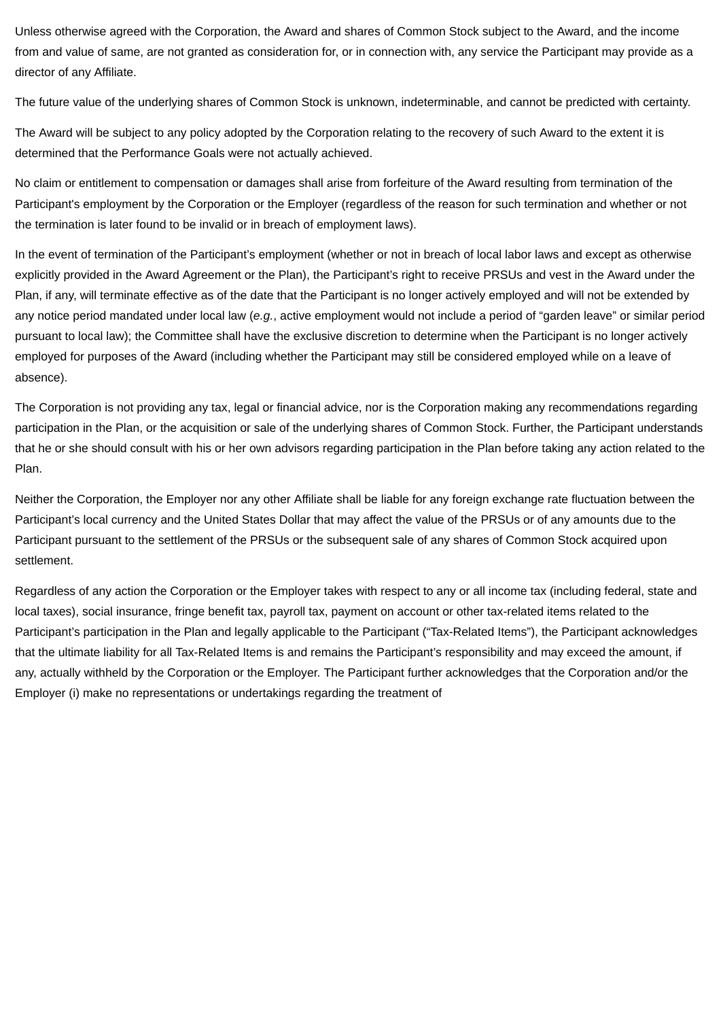Unless otherwise agreed with the Corporation, the Award and shares of Common Stock subject to the Award, and the income from and value of same, are not granted as consideration for, or in connection with, any service the Participant may provide as a director of any Affiliate.

The future value of the underlying shares of Common Stock is unknown, indeterminable, and cannot be predicted with certainty.

The Award will be subject to any policy adopted by the Corporation relating to the recovery of such Award to the extent it is determined that the Performance Goals were not actually achieved.

No claim or entitlement to compensation or damages shall arise from forfeiture of the Award resulting from termination of the Participant's employment by the Corporation or the Employer (regardless of the reason for such termination and whether or not the termination is later found to be invalid or in breach of employment laws).

In the event of termination of the Participant's employment (whether or not in breach of local labor laws and except as otherwise explicitly provided in the Award Agreement or the Plan), the Participant's right to receive PRSUs and vest in the Award under the Plan, if any, will terminate effective as of the date that the Participant is no longer actively employed and will not be extended by any notice period mandated under local law (*e.g.*, active employment would not include a period of "garden leave" or similar period pursuant to local law); the Committee shall have the exclusive discretion to determine when the Participant is no longer actively employed for purposes of the Award (including whether the Participant may still be considered employed while on a leave of absence).

The Corporation is not providing any tax, legal or financial advice, nor is the Corporation making any recommendations regarding participation in the Plan, or the acquisition or sale of the underlying shares of Common Stock. Further, the Participant understands that he or she should consult with his or her own advisors regarding participation in the Plan before taking any action related to the Plan.

Neither the Corporation, the Employer nor any other Affiliate shall be liable for any foreign exchange rate fluctuation between the Participant's local currency and the United States Dollar that may affect the value of the PRSUs or of any amounts due to the Participant pursuant to the settlement of the PRSUs or the subsequent sale of any shares of Common Stock acquired upon settlement.

Regardless of any action the Corporation or the Employer takes with respect to any or all income tax (including federal, state and local taxes), social insurance, fringe benefit tax, payroll tax, payment on account or other tax-related items related to the Participant's participation in the Plan and legally applicable to the Participant ("Tax-Related Items"), the Participant acknowledges that the ultimate liability for all Tax-Related Items is and remains the Participant's responsibility and may exceed the amount, if any, actually withheld by the Corporation or the Employer. The Participant further acknowledges that the Corporation and/or the Employer (i) make no representations or undertakings regarding the treatment of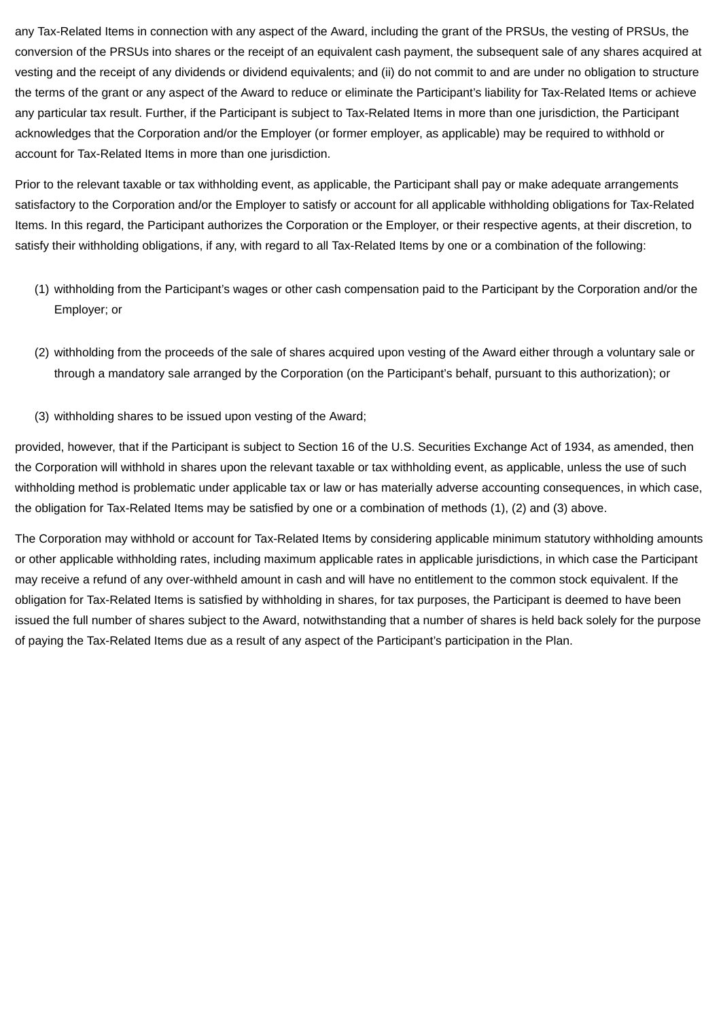any Tax-Related Items in connection with any aspect of the Award, including the grant of the PRSUs, the vesting of PRSUs, the conversion of the PRSUs into shares or the receipt of an equivalent cash payment, the subsequent sale of any shares acquired at vesting and the receipt of any dividends or dividend equivalents; and (ii) do not commit to and are under no obligation to structure the terms of the grant or any aspect of the Award to reduce or eliminate the Participant's liability for Tax-Related Items or achieve any particular tax result. Further, if the Participant is subject to Tax-Related Items in more than one jurisdiction, the Participant acknowledges that the Corporation and/or the Employer (or former employer, as applicable) may be required to withhold or account for Tax-Related Items in more than one jurisdiction.

Prior to the relevant taxable or tax withholding event, as applicable, the Participant shall pay or make adequate arrangements satisfactory to the Corporation and/or the Employer to satisfy or account for all applicable withholding obligations for Tax-Related Items. In this regard, the Participant authorizes the Corporation or the Employer, or their respective agents, at their discretion, to satisfy their withholding obligations, if any, with regard to all Tax-Related Items by one or a combination of the following:

- (1) withholding from the Participant's wages or other cash compensation paid to the Participant by the Corporation and/or the Employer; or
- (2) withholding from the proceeds of the sale of shares acquired upon vesting of the Award either through a voluntary sale or through a mandatory sale arranged by the Corporation (on the Participant's behalf, pursuant to this authorization); or
- (3) withholding shares to be issued upon vesting of the Award;

provided, however, that if the Participant is subject to Section 16 of the U.S. Securities Exchange Act of 1934, as amended, then the Corporation will withhold in shares upon the relevant taxable or tax withholding event, as applicable, unless the use of such withholding method is problematic under applicable tax or law or has materially adverse accounting consequences, in which case, the obligation for Tax-Related Items may be satisfied by one or a combination of methods (1), (2) and (3) above.

The Corporation may withhold or account for Tax-Related Items by considering applicable minimum statutory withholding amounts or other applicable withholding rates, including maximum applicable rates in applicable jurisdictions, in which case the Participant may receive a refund of any over-withheld amount in cash and will have no entitlement to the common stock equivalent. If the obligation for Tax-Related Items is satisfied by withholding in shares, for tax purposes, the Participant is deemed to have been issued the full number of shares subject to the Award, notwithstanding that a number of shares is held back solely for the purpose of paying the Tax-Related Items due as a result of any aspect of the Participant's participation in the Plan.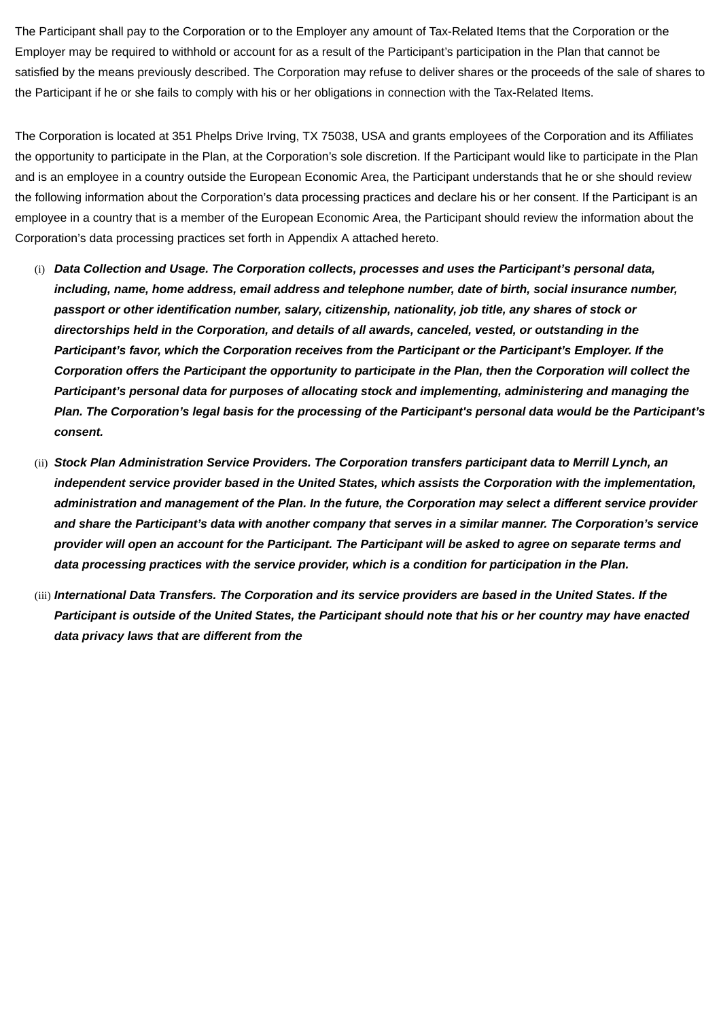The Participant shall pay to the Corporation or to the Employer any amount of Tax-Related Items that the Corporation or the Employer may be required to withhold or account for as a result of the Participant's participation in the Plan that cannot be satisfied by the means previously described. The Corporation may refuse to deliver shares or the proceeds of the sale of shares to the Participant if he or she fails to comply with his or her obligations in connection with the Tax-Related Items.

The Corporation is located at 351 Phelps Drive Irving, TX 75038, USA and grants employees of the Corporation and its Affiliates the opportunity to participate in the Plan, at the Corporation's sole discretion. If the Participant would like to participate in the Plan and is an employee in a country outside the European Economic Area, the Participant understands that he or she should review the following information about the Corporation's data processing practices and declare his or her consent. If the Participant is an employee in a country that is a member of the European Economic Area, the Participant should review the information about the Corporation's data processing practices set forth in Appendix A attached hereto.

- (i) *Data Collection and Usage. The Corporation collects, processes and uses the Participant's personal data, including, name, home address, email address and telephone number, date of birth, social insurance number, passport or other identification number, salary, citizenship, nationality, job title, any shares of stock or directorships held in the Corporation, and details of all awards, canceled, vested, or outstanding in the Participant's favor, which the Corporation receives from the Participant or the Participant's Employer. If the* Corporation offers the Participant the opportunity to participate in the Plan, then the Corporation will collect the *Participant's personal data for purposes of allocating stock and implementing, administering and managing the* Plan. The Corporation's legal basis for the processing of the Participant's personal data would be the Participant's *consent.*
- (ii) *Stock Plan Administration Service Providers. The Corporation transfers participant data to Merrill Lynch, an independent service provider based in the United States, which assists the Corporation with the implementation,* administration and management of the Plan. In the future, the Corporation may select a different service provider and share the Participant's data with another company that serves in a similar manner. The Corporation's service provider will open an account for the Participant. The Participant will be asked to agree on separate terms and *data processing practices with the service provider, which is a condition for participation in the Plan.*
- (iii) International Data Transfers. The Corporation and its service providers are based in the United States. If the Participant is outside of the United States, the Participant should note that his or her country may have enacted *data privacy laws that are different from the*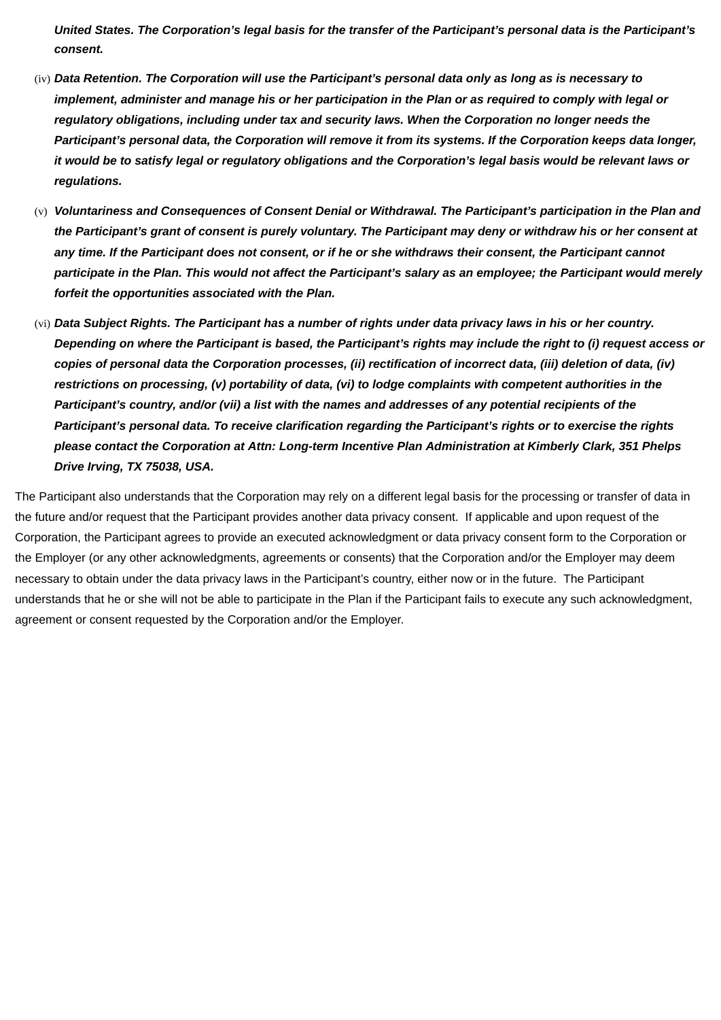United States. The Corporation's legal basis for the transfer of the Participant's personal data is the Participant's *consent.*

- (iv) Data Retention. The Corporation will use the Participant's personal data only as long as is necessary to implement, administer and manage his or her participation in the Plan or as required to comply with legal or *regulatory obligations, including under tax and security laws. When the Corporation no longer needs the* Participant's personal data, the Corporation will remove it from its systems. If the Corporation keeps data longer, it would be to satisfy legal or regulatory obligations and the Corporation's legal basis would be relevant laws or *regulations.*
- (v) *Voluntariness and Consequences of Consent Denial or Withdrawal. The Participant's participation in the Plan and* the Participant's grant of consent is purely voluntary. The Participant may deny or withdraw his or her consent at any time. If the Participant does not consent, or if he or she withdraws their consent, the Participant cannot participate in the Plan. This would not affect the Participant's salary as an employee; the Participant would merely *forfeit the opportunities associated with the Plan.*
- (vi) Data Subject Rights. The Participant has a number of rights under data privacy laws in his or her country. Depending on where the Participant is based, the Participant's rights may include the right to (i) request access or copies of personal data the Corporation processes, (ii) rectification of incorrect data, (iii) deletion of data, (iv) *restrictions on processing, (v) portability of data, (vi) to lodge complaints with competent authorities in the* Participant's country, and/or (vii) a list with the names and addresses of any potential recipients of the *Participant's personal data. To receive clarification regarding the Participant's rights or to exercise the rights please contact the Corporation at Attn: Long-term Incentive Plan Administration at Kimberly Clark, 351 Phelps Drive Irving, TX 75038, USA.*

The Participant also understands that the Corporation may rely on a different legal basis for the processing or transfer of data in the future and/or request that the Participant provides another data privacy consent. If applicable and upon request of the Corporation, the Participant agrees to provide an executed acknowledgment or data privacy consent form to the Corporation or the Employer (or any other acknowledgments, agreements or consents) that the Corporation and/or the Employer may deem necessary to obtain under the data privacy laws in the Participant's country, either now or in the future. The Participant understands that he or she will not be able to participate in the Plan if the Participant fails to execute any such acknowledgment, agreement or consent requested by the Corporation and/or the Employer.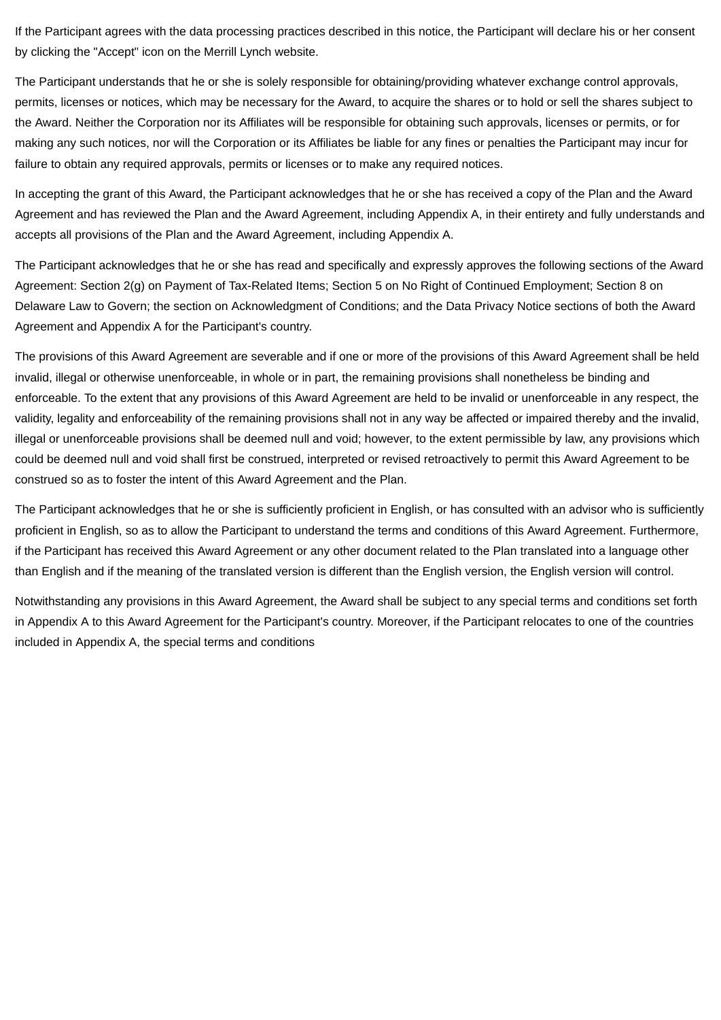If the Participant agrees with the data processing practices described in this notice, the Participant will declare his or her consent by clicking the "Accept" icon on the Merrill Lynch website.

The Participant understands that he or she is solely responsible for obtaining/providing whatever exchange control approvals, permits, licenses or notices, which may be necessary for the Award, to acquire the shares or to hold or sell the shares subject to the Award. Neither the Corporation nor its Affiliates will be responsible for obtaining such approvals, licenses or permits, or for making any such notices, nor will the Corporation or its Affiliates be liable for any fines or penalties the Participant may incur for failure to obtain any required approvals, permits or licenses or to make any required notices.

In accepting the grant of this Award, the Participant acknowledges that he or she has received a copy of the Plan and the Award Agreement and has reviewed the Plan and the Award Agreement, including Appendix A, in their entirety and fully understands and accepts all provisions of the Plan and the Award Agreement, including Appendix A.

The Participant acknowledges that he or she has read and specifically and expressly approves the following sections of the Award Agreement: Section 2(g) on Payment of Tax-Related Items; Section 5 on No Right of Continued Employment; Section 8 on Delaware Law to Govern; the section on Acknowledgment of Conditions; and the Data Privacy Notice sections of both the Award Agreement and Appendix A for the Participant's country.

The provisions of this Award Agreement are severable and if one or more of the provisions of this Award Agreement shall be held invalid, illegal or otherwise unenforceable, in whole or in part, the remaining provisions shall nonetheless be binding and enforceable. To the extent that any provisions of this Award Agreement are held to be invalid or unenforceable in any respect, the validity, legality and enforceability of the remaining provisions shall not in any way be affected or impaired thereby and the invalid, illegal or unenforceable provisions shall be deemed null and void; however, to the extent permissible by law, any provisions which could be deemed null and void shall first be construed, interpreted or revised retroactively to permit this Award Agreement to be construed so as to foster the intent of this Award Agreement and the Plan.

The Participant acknowledges that he or she is sufficiently proficient in English, or has consulted with an advisor who is sufficiently proficient in English, so as to allow the Participant to understand the terms and conditions of this Award Agreement. Furthermore, if the Participant has received this Award Agreement or any other document related to the Plan translated into a language other than English and if the meaning of the translated version is different than the English version, the English version will control.

Notwithstanding any provisions in this Award Agreement, the Award shall be subject to any special terms and conditions set forth in Appendix A to this Award Agreement for the Participant's country. Moreover, if the Participant relocates to one of the countries included in Appendix A, the special terms and conditions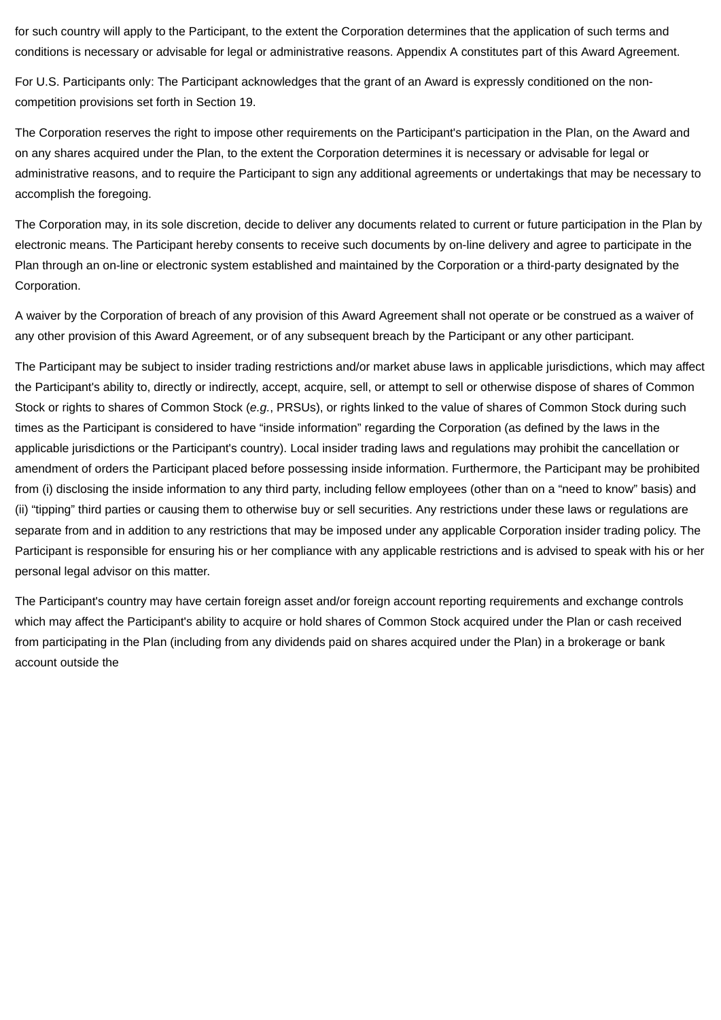for such country will apply to the Participant, to the extent the Corporation determines that the application of such terms and conditions is necessary or advisable for legal or administrative reasons. Appendix A constitutes part of this Award Agreement.

For U.S. Participants only: The Participant acknowledges that the grant of an Award is expressly conditioned on the noncompetition provisions set forth in Section 19.

The Corporation reserves the right to impose other requirements on the Participant's participation in the Plan, on the Award and on any shares acquired under the Plan, to the extent the Corporation determines it is necessary or advisable for legal or administrative reasons, and to require the Participant to sign any additional agreements or undertakings that may be necessary to accomplish the foregoing.

The Corporation may, in its sole discretion, decide to deliver any documents related to current or future participation in the Plan by electronic means. The Participant hereby consents to receive such documents by on-line delivery and agree to participate in the Plan through an on-line or electronic system established and maintained by the Corporation or a third-party designated by the Corporation.

A waiver by the Corporation of breach of any provision of this Award Agreement shall not operate or be construed as a waiver of any other provision of this Award Agreement, or of any subsequent breach by the Participant or any other participant.

The Participant may be subject to insider trading restrictions and/or market abuse laws in applicable jurisdictions, which may affect the Participant's ability to, directly or indirectly, accept, acquire, sell, or attempt to sell or otherwise dispose of shares of Common Stock or rights to shares of Common Stock (*e.g.*, PRSUs), or rights linked to the value of shares of Common Stock during such times as the Participant is considered to have "inside information" regarding the Corporation (as defined by the laws in the applicable jurisdictions or the Participant's country). Local insider trading laws and regulations may prohibit the cancellation or amendment of orders the Participant placed before possessing inside information. Furthermore, the Participant may be prohibited from (i) disclosing the inside information to any third party, including fellow employees (other than on a "need to know" basis) and (ii) "tipping" third parties or causing them to otherwise buy or sell securities. Any restrictions under these laws or regulations are separate from and in addition to any restrictions that may be imposed under any applicable Corporation insider trading policy. The Participant is responsible for ensuring his or her compliance with any applicable restrictions and is advised to speak with his or her personal legal advisor on this matter.

The Participant's country may have certain foreign asset and/or foreign account reporting requirements and exchange controls which may affect the Participant's ability to acquire or hold shares of Common Stock acquired under the Plan or cash received from participating in the Plan (including from any dividends paid on shares acquired under the Plan) in a brokerage or bank account outside the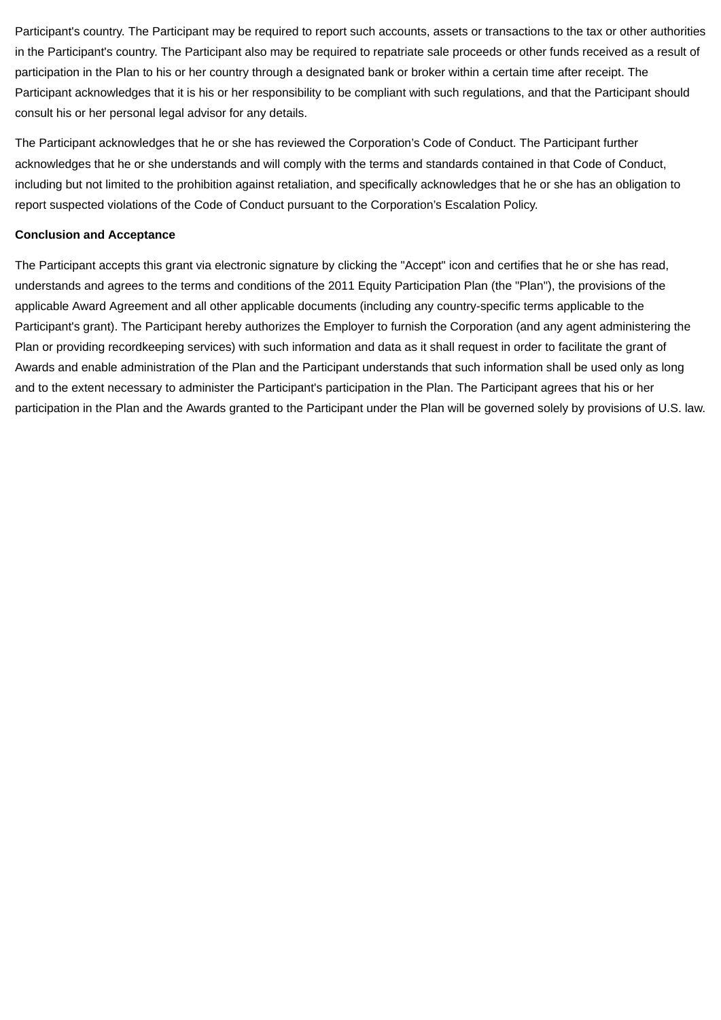Participant's country. The Participant may be required to report such accounts, assets or transactions to the tax or other authorities in the Participant's country. The Participant also may be required to repatriate sale proceeds or other funds received as a result of participation in the Plan to his or her country through a designated bank or broker within a certain time after receipt. The Participant acknowledges that it is his or her responsibility to be compliant with such regulations, and that the Participant should consult his or her personal legal advisor for any details.

The Participant acknowledges that he or she has reviewed the Corporation's Code of Conduct. The Participant further acknowledges that he or she understands and will comply with the terms and standards contained in that Code of Conduct, including but not limited to the prohibition against retaliation, and specifically acknowledges that he or she has an obligation to report suspected violations of the Code of Conduct pursuant to the Corporation's Escalation Policy.

## **Conclusion and Acceptance**

The Participant accepts this grant via electronic signature by clicking the "Accept" icon and certifies that he or she has read, understands and agrees to the terms and conditions of the 2011 Equity Participation Plan (the "Plan"), the provisions of the applicable Award Agreement and all other applicable documents (including any country-specific terms applicable to the Participant's grant). The Participant hereby authorizes the Employer to furnish the Corporation (and any agent administering the Plan or providing recordkeeping services) with such information and data as it shall request in order to facilitate the grant of Awards and enable administration of the Plan and the Participant understands that such information shall be used only as long and to the extent necessary to administer the Participant's participation in the Plan. The Participant agrees that his or her participation in the Plan and the Awards granted to the Participant under the Plan will be governed solely by provisions of U.S. law.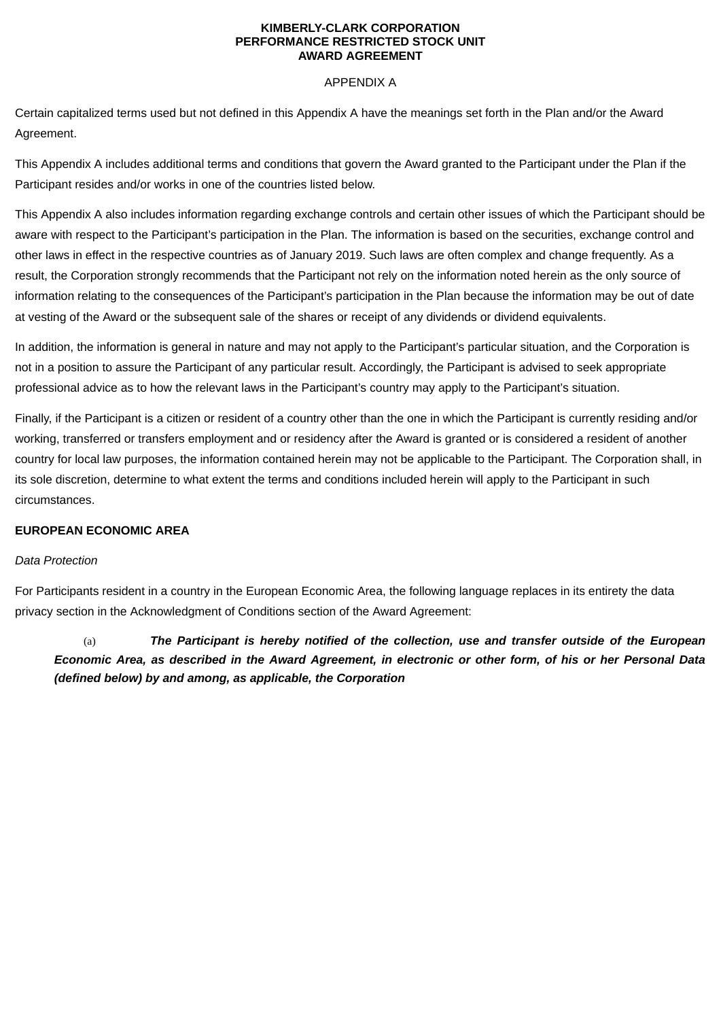#### **KIMBERLY-CLARK CORPORATION PERFORMANCE RESTRICTED STOCK UNIT AWARD AGREEMENT**

### APPENDIX A

Certain capitalized terms used but not defined in this Appendix A have the meanings set forth in the Plan and/or the Award Agreement.

This Appendix A includes additional terms and conditions that govern the Award granted to the Participant under the Plan if the Participant resides and/or works in one of the countries listed below.

This Appendix A also includes information regarding exchange controls and certain other issues of which the Participant should be aware with respect to the Participant's participation in the Plan. The information is based on the securities, exchange control and other laws in effect in the respective countries as of January 2019. Such laws are often complex and change frequently. As a result, the Corporation strongly recommends that the Participant not rely on the information noted herein as the only source of information relating to the consequences of the Participant's participation in the Plan because the information may be out of date at vesting of the Award or the subsequent sale of the shares or receipt of any dividends or dividend equivalents.

In addition, the information is general in nature and may not apply to the Participant's particular situation, and the Corporation is not in a position to assure the Participant of any particular result. Accordingly, the Participant is advised to seek appropriate professional advice as to how the relevant laws in the Participant's country may apply to the Participant's situation.

Finally, if the Participant is a citizen or resident of a country other than the one in which the Participant is currently residing and/or working, transferred or transfers employment and or residency after the Award is granted or is considered a resident of another country for local law purposes, the information contained herein may not be applicable to the Participant. The Corporation shall, in its sole discretion, determine to what extent the terms and conditions included herein will apply to the Participant in such circumstances.

## **EUROPEAN ECONOMIC AREA**

#### *Data Protection*

For Participants resident in a country in the European Economic Area, the following language replaces in its entirety the data privacy section in the Acknowledgment of Conditions section of the Award Agreement:

(a) *The Participant is hereby notified of the collection, use and transfer outside of the European* Economic Area, as described in the Award Agreement, in electronic or other form, of his or her Personal Data *(defined below) by and among, as applicable, the Corporation*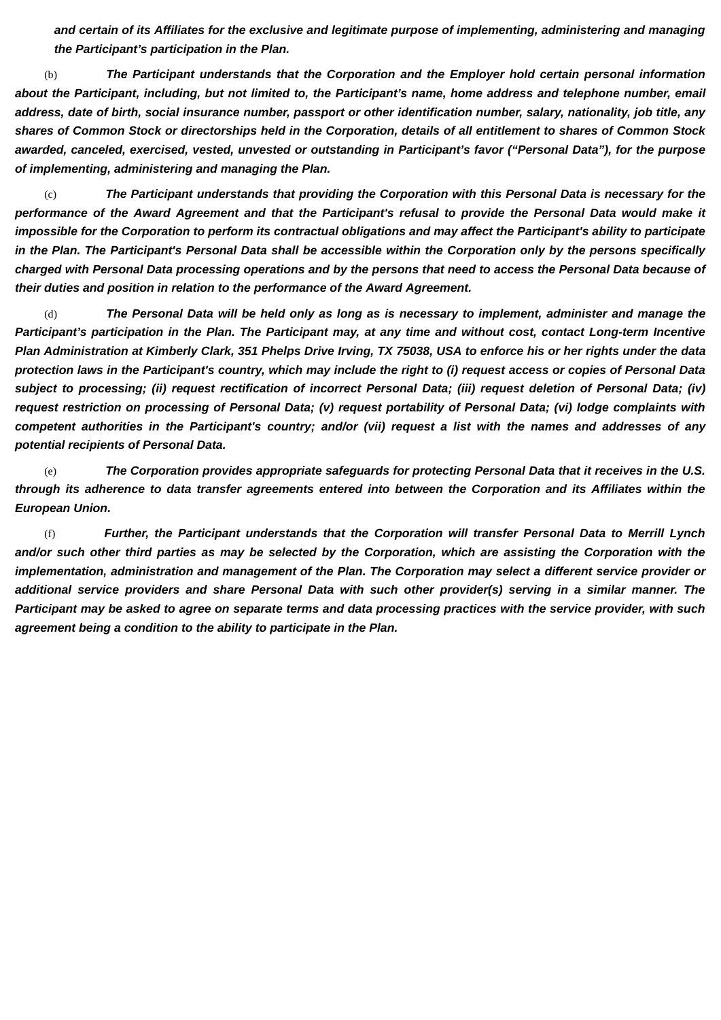and certain of its Affiliates for the exclusive and legitimate purpose of implementing, administering and managing *the Participant's participation in the Plan.*

(b) *The Participant understands that the Corporation and the Employer hold certain personal information* about the Participant, including, but not limited to, the Participant's name, home address and telephone number, email address, date of birth, social insurance number, passport or other identification number, salary, nationality, job title, any shares of Common Stock or directorships held in the Corporation, details of all entitlement to shares of Common Stock *awarded, canceled, exercised, vested, unvested or outstanding in Participant's favor ("Personal Data"), for the purpose of implementing, administering and managing the Plan.*

(c) *The Participant understands that providing the Corporation with this Personal Data is necessary for the* performance of the Award Agreement and that the Participant's refusal to provide the Personal Data would make it impossible for the Corporation to perform its contractual obligations and may affect the Participant's ability to participate in the Plan. The Participant's Personal Data shall be accessible within the Corporation only by the persons specifically charged with Personal Data processing operations and by the persons that need to access the Personal Data because of *their duties and position in relation to the performance of the Award Agreement.*

(d) The Personal Data will be held only as long as is necessary to implement, administer and manage the Participant's participation in the Plan. The Participant may, at any time and without cost, contact Long-term Incentive Plan Administration at Kimberly Clark, 351 Phelps Drive Irving, TX 75038, USA to enforce his or her rights under the data protection laws in the Participant's country, which may include the right to (i) request access or copies of Personal Data subject to processing; (ii) request rectification of incorrect Personal Data; (iii) request deletion of Personal Data; (iv) request restriction on processing of Personal Data; (v) request portability of Personal Data; (vi) lodge complaints with competent authorities in the Participant's country; and/or (vii) request a list with the names and addresses of any *potential recipients of Personal Data.*

(e) *The Corporation provides appropriate safeguards for protecting Personal Data that it receives in the U.S.* through its adherence to data transfer agreements entered into between the Corporation and its Affiliates within the *European Union.*

(f) *Further, the Participant understands that the Corporation will transfer Personal Data to Merrill Lynch* and/or such other third parties as may be selected by the Corporation, which are assisting the Corporation with the implementation, administration and management of the Plan. The Corporation may select a different service provider or additional service providers and share Personal Data with such other provider(s) serving in a similar manner. The Participant may be asked to agree on separate terms and data processing practices with the service provider, with such *agreement being a condition to the ability to participate in the Plan.*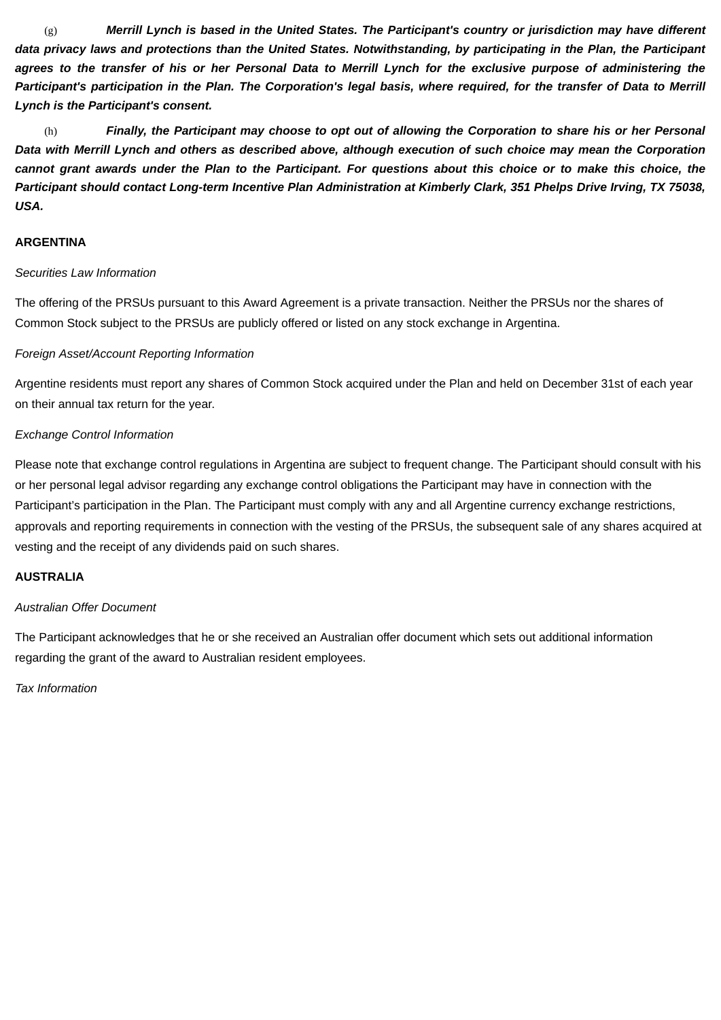(g) *Merrill Lynch is based in the United States. The Participant's country or jurisdiction may have different* data privacy laws and protections than the United States. Notwithstanding, by participating in the Plan, the Participant agrees to the transfer of his or her Personal Data to Merrill Lynch for the exclusive purpose of administering the Participant's participation in the Plan. The Corporation's legal basis, where required, for the transfer of Data to Merrill *Lynch is the Participant's consent.*

(h) Finally, the Participant may choose to opt out of allowing the Corporation to share his or her Personal Data with Merrill Lynch and others as described above, although execution of such choice may mean the Corporation cannot grant awards under the Plan to the Participant. For guestions about this choice or to make this choice, the Participant should contact Long-term Incentive Plan Administration at Kimberly Clark, 351 Phelps Drive Irving, TX 75038, *USA.*

### **ARGENTINA**

### *Securities Law Information*

The offering of the PRSUs pursuant to this Award Agreement is a private transaction. Neither the PRSUs nor the shares of Common Stock subject to the PRSUs are publicly offered or listed on any stock exchange in Argentina.

### *Foreign Asset/Account Reporting Information*

Argentine residents must report any shares of Common Stock acquired under the Plan and held on December 31st of each year on their annual tax return for the year.

### *Exchange Control Information*

Please note that exchange control regulations in Argentina are subject to frequent change. The Participant should consult with his or her personal legal advisor regarding any exchange control obligations the Participant may have in connection with the Participant's participation in the Plan. The Participant must comply with any and all Argentine currency exchange restrictions, approvals and reporting requirements in connection with the vesting of the PRSUs, the subsequent sale of any shares acquired at vesting and the receipt of any dividends paid on such shares.

## **AUSTRALIA**

## *Australian Offer Document*

The Participant acknowledges that he or she received an Australian offer document which sets out additional information regarding the grant of the award to Australian resident employees.

## *Tax Information*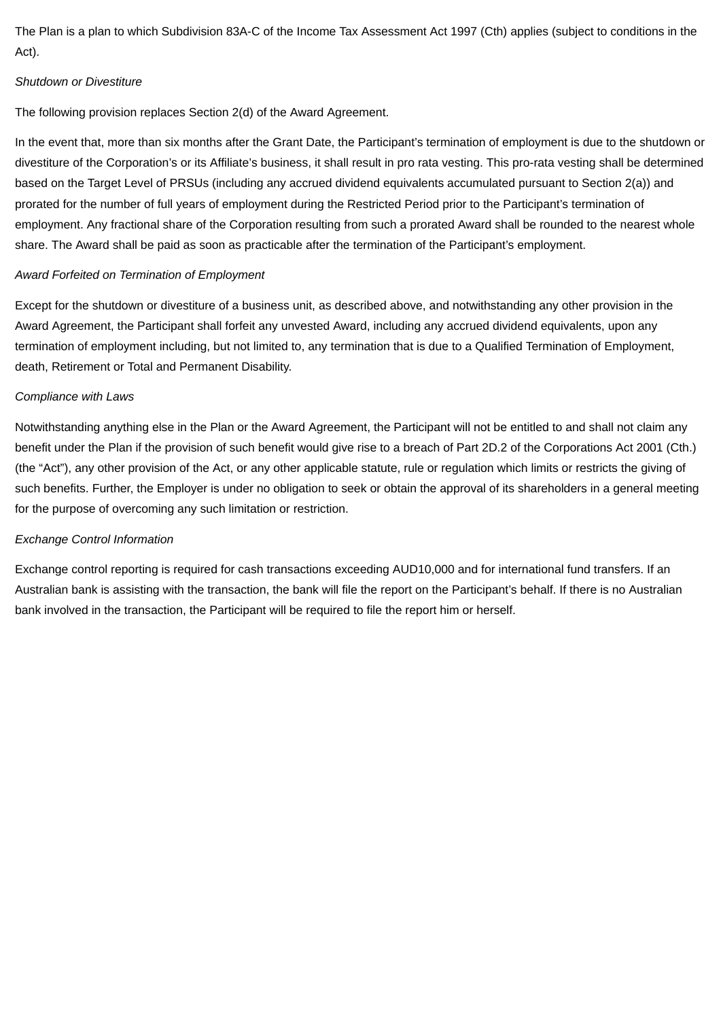The Plan is a plan to which Subdivision 83A-C of the Income Tax Assessment Act 1997 (Cth) applies (subject to conditions in the Act).

### *Shutdown or Divestiture*

The following provision replaces Section 2(d) of the Award Agreement.

In the event that, more than six months after the Grant Date, the Participant's termination of employment is due to the shutdown or divestiture of the Corporation's or its Affiliate's business, it shall result in pro rata vesting. This pro-rata vesting shall be determined based on the Target Level of PRSUs (including any accrued dividend equivalents accumulated pursuant to Section 2(a)) and prorated for the number of full years of employment during the Restricted Period prior to the Participant's termination of employment. Any fractional share of the Corporation resulting from such a prorated Award shall be rounded to the nearest whole share. The Award shall be paid as soon as practicable after the termination of the Participant's employment.

## *Award Forfeited on Termination of Employment*

Except for the shutdown or divestiture of a business unit, as described above, and notwithstanding any other provision in the Award Agreement, the Participant shall forfeit any unvested Award, including any accrued dividend equivalents, upon any termination of employment including, but not limited to, any termination that is due to a Qualified Termination of Employment, death, Retirement or Total and Permanent Disability.

## *Compliance with Laws*

Notwithstanding anything else in the Plan or the Award Agreement, the Participant will not be entitled to and shall not claim any benefit under the Plan if the provision of such benefit would give rise to a breach of Part 2D.2 of the Corporations Act 2001 (Cth.) (the "Act"), any other provision of the Act, or any other applicable statute, rule or regulation which limits or restricts the giving of such benefits. Further, the Employer is under no obligation to seek or obtain the approval of its shareholders in a general meeting for the purpose of overcoming any such limitation or restriction.

## *Exchange Control Information*

Exchange control reporting is required for cash transactions exceeding AUD10,000 and for international fund transfers. If an Australian bank is assisting with the transaction, the bank will file the report on the Participant's behalf. If there is no Australian bank involved in the transaction, the Participant will be required to file the report him or herself.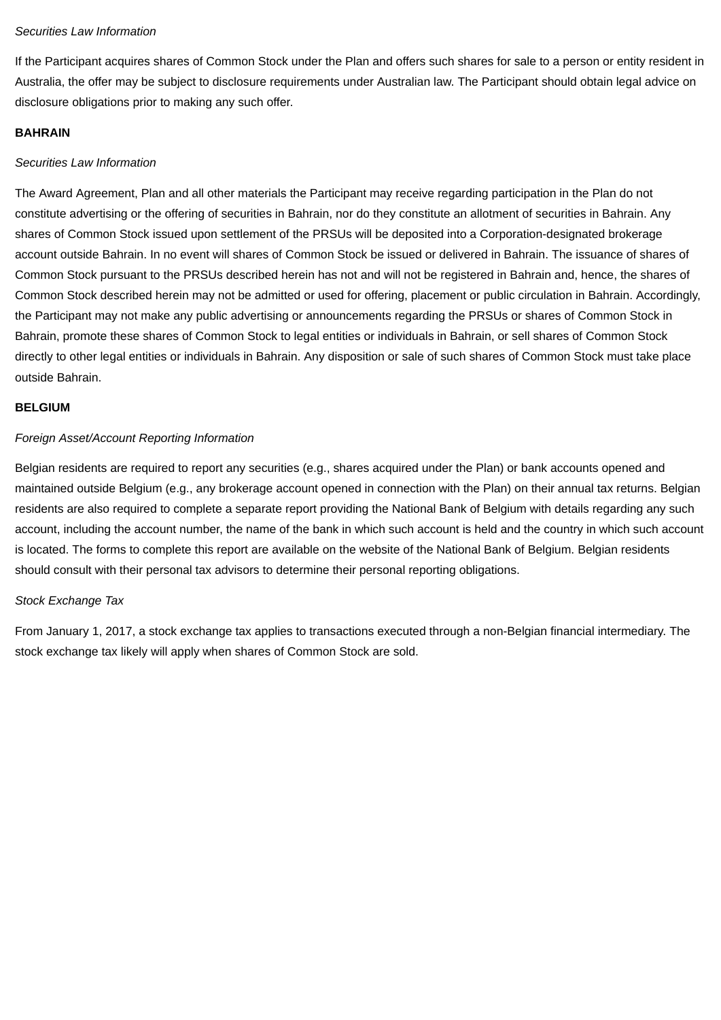#### *Securities Law Information*

If the Participant acquires shares of Common Stock under the Plan and offers such shares for sale to a person or entity resident in Australia, the offer may be subject to disclosure requirements under Australian law. The Participant should obtain legal advice on disclosure obligations prior to making any such offer.

#### **BAHRAIN**

#### *Securities Law Information*

The Award Agreement, Plan and all other materials the Participant may receive regarding participation in the Plan do not constitute advertising or the offering of securities in Bahrain, nor do they constitute an allotment of securities in Bahrain. Any shares of Common Stock issued upon settlement of the PRSUs will be deposited into a Corporation-designated brokerage account outside Bahrain. In no event will shares of Common Stock be issued or delivered in Bahrain. The issuance of shares of Common Stock pursuant to the PRSUs described herein has not and will not be registered in Bahrain and, hence, the shares of Common Stock described herein may not be admitted or used for offering, placement or public circulation in Bahrain. Accordingly, the Participant may not make any public advertising or announcements regarding the PRSUs or shares of Common Stock in Bahrain, promote these shares of Common Stock to legal entities or individuals in Bahrain, or sell shares of Common Stock directly to other legal entities or individuals in Bahrain. Any disposition or sale of such shares of Common Stock must take place outside Bahrain.

#### **BELGIUM**

### *Foreign Asset/Account Reporting Information*

Belgian residents are required to report any securities (e.g., shares acquired under the Plan) or bank accounts opened and maintained outside Belgium (e.g., any brokerage account opened in connection with the Plan) on their annual tax returns. Belgian residents are also required to complete a separate report providing the National Bank of Belgium with details regarding any such account, including the account number, the name of the bank in which such account is held and the country in which such account is located. The forms to complete this report are available on the website of the National Bank of Belgium. Belgian residents should consult with their personal tax advisors to determine their personal reporting obligations.

#### *Stock Exchange Tax*

From January 1, 2017, a stock exchange tax applies to transactions executed through a non-Belgian financial intermediary. The stock exchange tax likely will apply when shares of Common Stock are sold.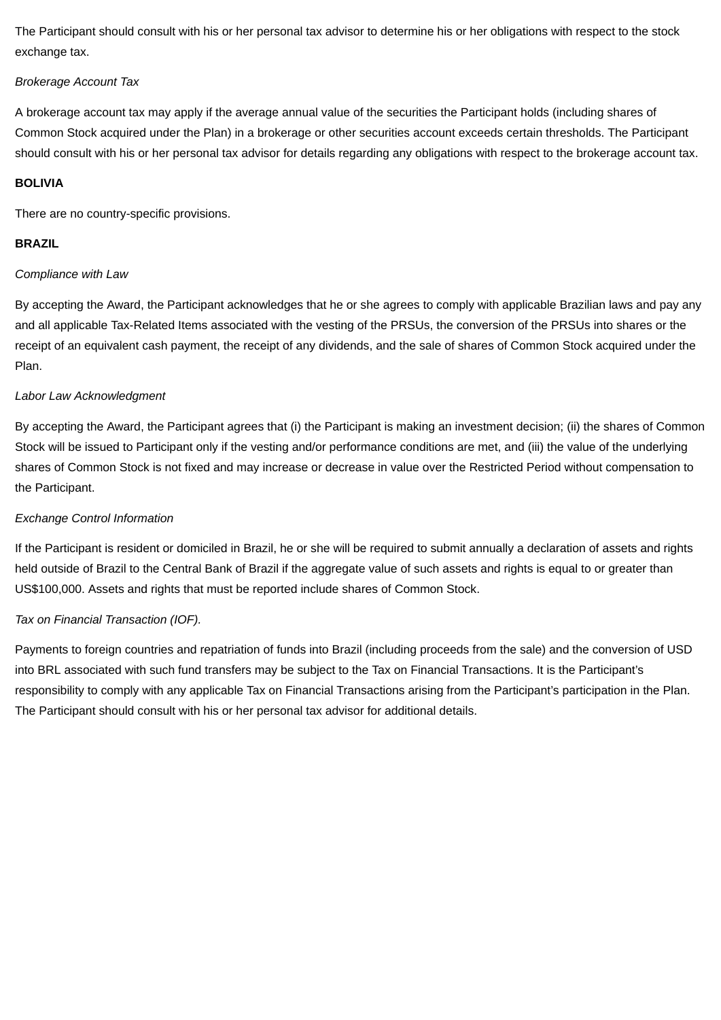The Participant should consult with his or her personal tax advisor to determine his or her obligations with respect to the stock exchange tax.

## *Brokerage Account Tax*

A brokerage account tax may apply if the average annual value of the securities the Participant holds (including shares of Common Stock acquired under the Plan) in a brokerage or other securities account exceeds certain thresholds. The Participant should consult with his or her personal tax advisor for details regarding any obligations with respect to the brokerage account tax.

### **BOLIVIA**

There are no country-specific provisions.

## **BRAZIL**

### *Compliance with Law*

By accepting the Award, the Participant acknowledges that he or she agrees to comply with applicable Brazilian laws and pay any and all applicable Tax-Related Items associated with the vesting of the PRSUs, the conversion of the PRSUs into shares or the receipt of an equivalent cash payment, the receipt of any dividends, and the sale of shares of Common Stock acquired under the Plan.

### *Labor Law Acknowledgment*

By accepting the Award, the Participant agrees that (i) the Participant is making an investment decision; (ii) the shares of Common Stock will be issued to Participant only if the vesting and/or performance conditions are met, and (iii) the value of the underlying shares of Common Stock is not fixed and may increase or decrease in value over the Restricted Period without compensation to the Participant.

## *Exchange Control Information*

If the Participant is resident or domiciled in Brazil, he or she will be required to submit annually a declaration of assets and rights held outside of Brazil to the Central Bank of Brazil if the aggregate value of such assets and rights is equal to or greater than US\$100,000. Assets and rights that must be reported include shares of Common Stock.

## *Tax on Financial Transaction (IOF).*

Payments to foreign countries and repatriation of funds into Brazil (including proceeds from the sale) and the conversion of USD into BRL associated with such fund transfers may be subject to the Tax on Financial Transactions. It is the Participant's responsibility to comply with any applicable Tax on Financial Transactions arising from the Participant's participation in the Plan. The Participant should consult with his or her personal tax advisor for additional details.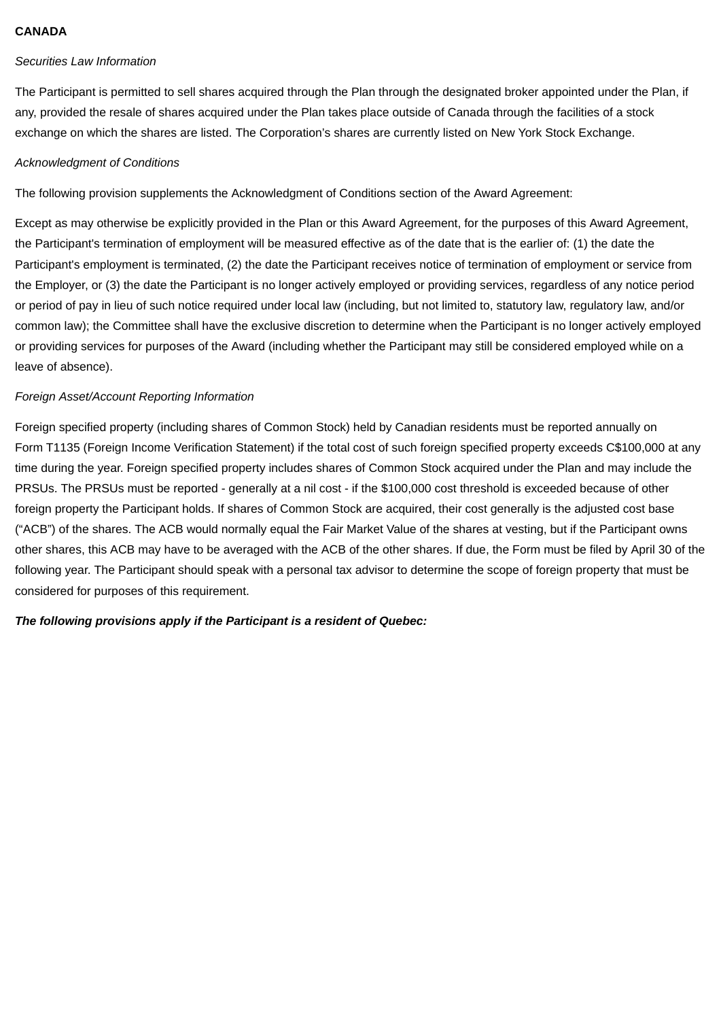### **CANADA**

#### *Securities Law Information*

The Participant is permitted to sell shares acquired through the Plan through the designated broker appointed under the Plan, if any, provided the resale of shares acquired under the Plan takes place outside of Canada through the facilities of a stock exchange on which the shares are listed. The Corporation's shares are currently listed on New York Stock Exchange.

#### *Acknowledgment of Conditions*

The following provision supplements the Acknowledgment of Conditions section of the Award Agreement:

Except as may otherwise be explicitly provided in the Plan or this Award Agreement, for the purposes of this Award Agreement, the Participant's termination of employment will be measured effective as of the date that is the earlier of: (1) the date the Participant's employment is terminated, (2) the date the Participant receives notice of termination of employment or service from the Employer, or (3) the date the Participant is no longer actively employed or providing services, regardless of any notice period or period of pay in lieu of such notice required under local law (including, but not limited to, statutory law, regulatory law, and/or common law); the Committee shall have the exclusive discretion to determine when the Participant is no longer actively employed or providing services for purposes of the Award (including whether the Participant may still be considered employed while on a leave of absence).

### *Foreign Asset/Account Reporting Information*

Foreign specified property (including shares of Common Stock) held by Canadian residents must be reported annually on Form T1135 (Foreign Income Verification Statement) if the total cost of such foreign specified property exceeds C\$100,000 at any time during the year. Foreign specified property includes shares of Common Stock acquired under the Plan and may include the PRSUs. The PRSUs must be reported - generally at a nil cost - if the \$100,000 cost threshold is exceeded because of other foreign property the Participant holds. If shares of Common Stock are acquired, their cost generally is the adjusted cost base ("ACB") of the shares. The ACB would normally equal the Fair Market Value of the shares at vesting, but if the Participant owns other shares, this ACB may have to be averaged with the ACB of the other shares. If due, the Form must be filed by April 30 of the following year. The Participant should speak with a personal tax advisor to determine the scope of foreign property that must be considered for purposes of this requirement.

*The following provisions apply if the Participant is a resident of Quebec:*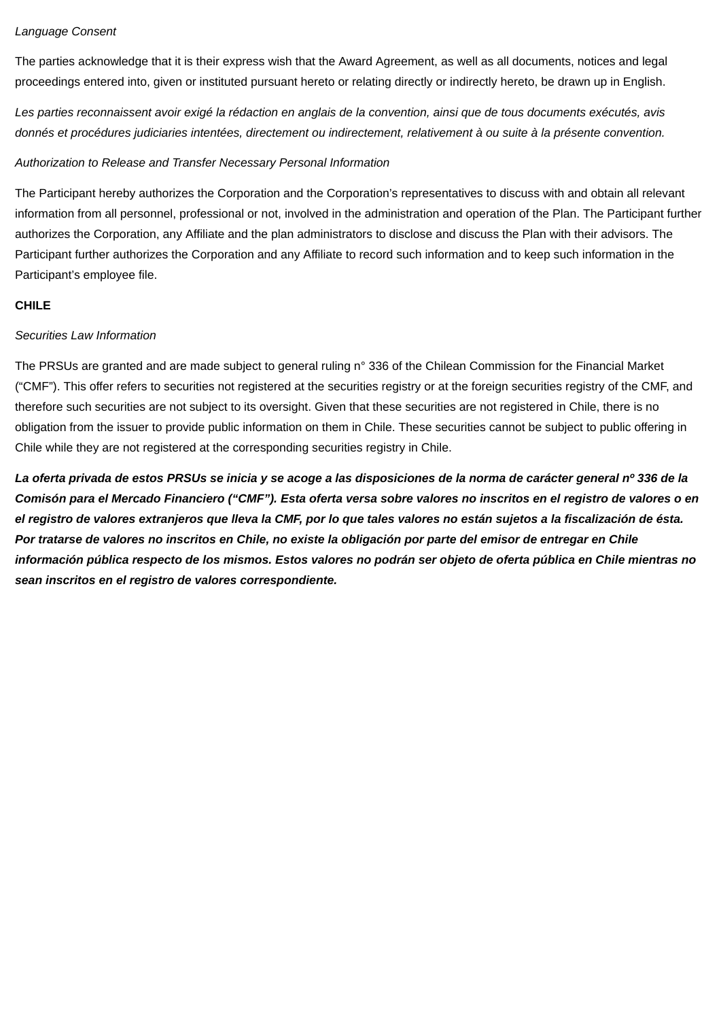#### *Language Consent*

The parties acknowledge that it is their express wish that the Award Agreement, as well as all documents, notices and legal proceedings entered into, given or instituted pursuant hereto or relating directly or indirectly hereto, be drawn up in English.

Les parties reconnaissent avoir exigé la rédaction en anglais de la convention, ainsi que de tous documents exécutés, avis donnés et procédures judiciaries intentées, directement ou indirectement, relativement à ou suite à la présente convention.

### *Authorization to Release and Transfer Necessary Personal Information*

The Participant hereby authorizes the Corporation and the Corporation's representatives to discuss with and obtain all relevant information from all personnel, professional or not, involved in the administration and operation of the Plan. The Participant further authorizes the Corporation, any Affiliate and the plan administrators to disclose and discuss the Plan with their advisors. The Participant further authorizes the Corporation and any Affiliate to record such information and to keep such information in the Participant's employee file.

### **CHILE**

#### *Securities Law Information*

The PRSUs are granted and are made subject to general ruling n° 336 of the Chilean Commission for the Financial Market ("CMF"). This offer refers to securities not registered at the securities registry or at the foreign securities registry of the CMF, and therefore such securities are not subject to its oversight. Given that these securities are not registered in Chile, there is no obligation from the issuer to provide public information on them in Chile. These securities cannot be subject to public offering in Chile while they are not registered at the corresponding securities registry in Chile.

La oferta privada de estos PRSUs se inicia y se acoge a las disposiciones de la norma de carácter general nº 336 de la Comisón para el Mercado Financiero ("CMF"). Esta oferta versa sobre valores no inscritos en el registro de valores o en el registro de valores extranjeros que lleva la CMF, por lo que tales valores no están sujetos a la fiscalización de ésta. Por tratarse de valores no inscritos en Chile, no existe la obligación por parte del emisor de entregar en Chile información pública respecto de los mismos. Estos valores no podrán ser objeto de oferta pública en Chile mientras no *sean inscritos en el registro de valores correspondiente.*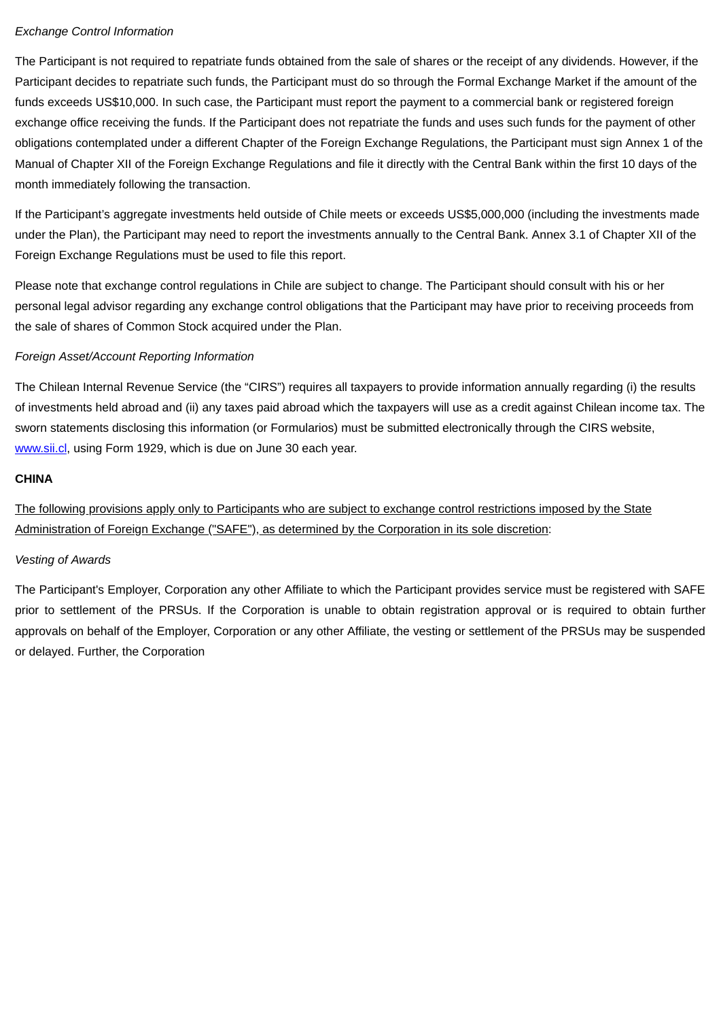## *Exchange Control Information*

The Participant is not required to repatriate funds obtained from the sale of shares or the receipt of any dividends. However, if the Participant decides to repatriate such funds, the Participant must do so through the Formal Exchange Market if the amount of the funds exceeds US\$10,000. In such case, the Participant must report the payment to a commercial bank or registered foreign exchange office receiving the funds. If the Participant does not repatriate the funds and uses such funds for the payment of other obligations contemplated under a different Chapter of the Foreign Exchange Regulations, the Participant must sign Annex 1 of the Manual of Chapter XII of the Foreign Exchange Regulations and file it directly with the Central Bank within the first 10 days of the month immediately following the transaction.

If the Participant's aggregate investments held outside of Chile meets or exceeds US\$5,000,000 (including the investments made under the Plan), the Participant may need to report the investments annually to the Central Bank. Annex 3.1 of Chapter XII of the Foreign Exchange Regulations must be used to file this report.

Please note that exchange control regulations in Chile are subject to change. The Participant should consult with his or her personal legal advisor regarding any exchange control obligations that the Participant may have prior to receiving proceeds from the sale of shares of Common Stock acquired under the Plan.

## *Foreign Asset/Account Reporting Information*

The Chilean Internal Revenue Service (the "CIRS") requires all taxpayers to provide information annually regarding (i) the results of investments held abroad and (ii) any taxes paid abroad which the taxpayers will use as a credit against Chilean income tax. The sworn statements disclosing this information (or Formularios) must be submitted electronically through the CIRS website, www.sii.cl, using Form 1929, which is due on June 30 each year.

## **CHINA**

The following provisions apply only to Participants who are subject to exchange control restrictions imposed by the State Administration of Foreign Exchange ("SAFE"), as determined by the Corporation in its sole discretion:

## *Vesting of Awards*

The Participant's Employer, Corporation any other Affiliate to which the Participant provides service must be registered with SAFE prior to settlement of the PRSUs. If the Corporation is unable to obtain registration approval or is required to obtain further approvals on behalf of the Employer, Corporation or any other Affiliate, the vesting or settlement of the PRSUs may be suspended or delayed. Further, the Corporation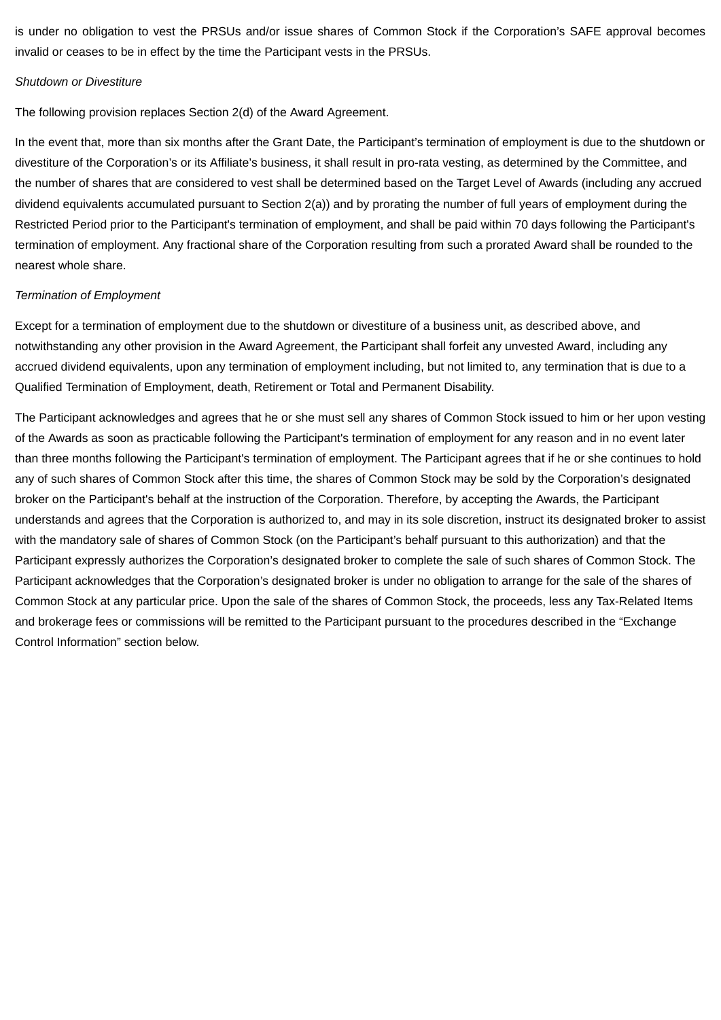is under no obligation to vest the PRSUs and/or issue shares of Common Stock if the Corporation's SAFE approval becomes invalid or ceases to be in effect by the time the Participant vests in the PRSUs.

#### *Shutdown or Divestiture*

The following provision replaces Section 2(d) of the Award Agreement.

In the event that, more than six months after the Grant Date, the Participant's termination of employment is due to the shutdown or divestiture of the Corporation's or its Affiliate's business, it shall result in pro-rata vesting, as determined by the Committee, and the number of shares that are considered to vest shall be determined based on the Target Level of Awards (including any accrued dividend equivalents accumulated pursuant to Section 2(a)) and by prorating the number of full years of employment during the Restricted Period prior to the Participant's termination of employment, and shall be paid within 70 days following the Participant's termination of employment. Any fractional share of the Corporation resulting from such a prorated Award shall be rounded to the nearest whole share.

## *Termination of Employment*

Except for a termination of employment due to the shutdown or divestiture of a business unit, as described above, and notwithstanding any other provision in the Award Agreement, the Participant shall forfeit any unvested Award, including any accrued dividend equivalents, upon any termination of employment including, but not limited to, any termination that is due to a Qualified Termination of Employment, death, Retirement or Total and Permanent Disability.

The Participant acknowledges and agrees that he or she must sell any shares of Common Stock issued to him or her upon vesting of the Awards as soon as practicable following the Participant's termination of employment for any reason and in no event later than three months following the Participant's termination of employment. The Participant agrees that if he or she continues to hold any of such shares of Common Stock after this time, the shares of Common Stock may be sold by the Corporation's designated broker on the Participant's behalf at the instruction of the Corporation. Therefore, by accepting the Awards, the Participant understands and agrees that the Corporation is authorized to, and may in its sole discretion, instruct its designated broker to assist with the mandatory sale of shares of Common Stock (on the Participant's behalf pursuant to this authorization) and that the Participant expressly authorizes the Corporation's designated broker to complete the sale of such shares of Common Stock. The Participant acknowledges that the Corporation's designated broker is under no obligation to arrange for the sale of the shares of Common Stock at any particular price. Upon the sale of the shares of Common Stock, the proceeds, less any Tax-Related Items and brokerage fees or commissions will be remitted to the Participant pursuant to the procedures described in the "Exchange Control Information" section below.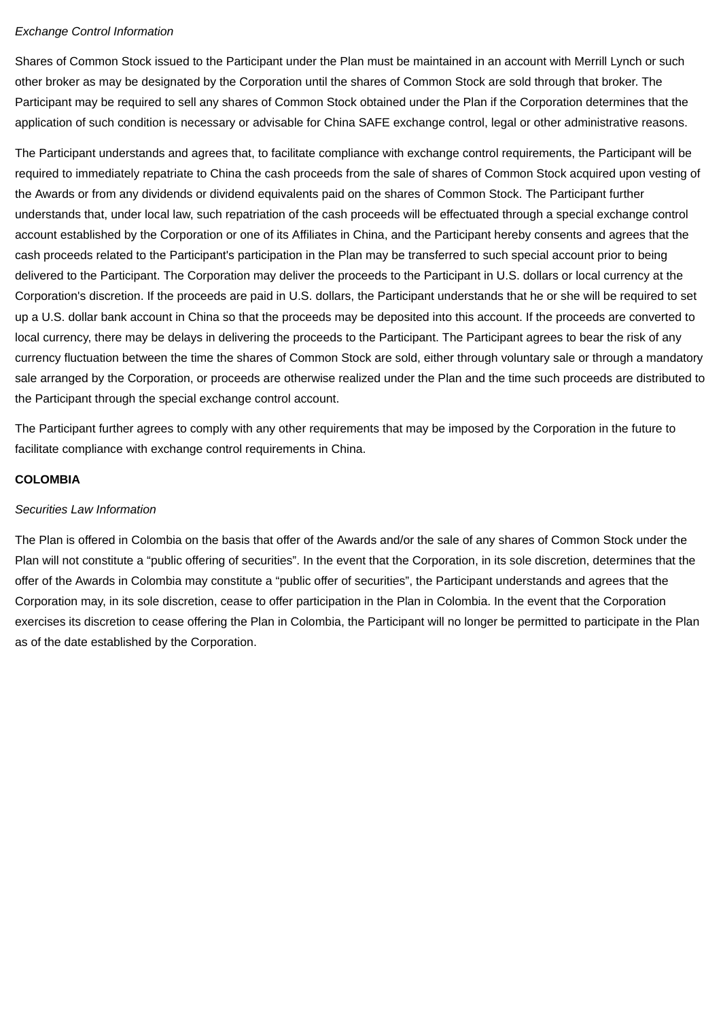### *Exchange Control Information*

Shares of Common Stock issued to the Participant under the Plan must be maintained in an account with Merrill Lynch or such other broker as may be designated by the Corporation until the shares of Common Stock are sold through that broker. The Participant may be required to sell any shares of Common Stock obtained under the Plan if the Corporation determines that the application of such condition is necessary or advisable for China SAFE exchange control, legal or other administrative reasons.

The Participant understands and agrees that, to facilitate compliance with exchange control requirements, the Participant will be required to immediately repatriate to China the cash proceeds from the sale of shares of Common Stock acquired upon vesting of the Awards or from any dividends or dividend equivalents paid on the shares of Common Stock. The Participant further understands that, under local law, such repatriation of the cash proceeds will be effectuated through a special exchange control account established by the Corporation or one of its Affiliates in China, and the Participant hereby consents and agrees that the cash proceeds related to the Participant's participation in the Plan may be transferred to such special account prior to being delivered to the Participant. The Corporation may deliver the proceeds to the Participant in U.S. dollars or local currency at the Corporation's discretion. If the proceeds are paid in U.S. dollars, the Participant understands that he or she will be required to set up a U.S. dollar bank account in China so that the proceeds may be deposited into this account. If the proceeds are converted to local currency, there may be delays in delivering the proceeds to the Participant. The Participant agrees to bear the risk of any currency fluctuation between the time the shares of Common Stock are sold, either through voluntary sale or through a mandatory sale arranged by the Corporation, or proceeds are otherwise realized under the Plan and the time such proceeds are distributed to the Participant through the special exchange control account.

The Participant further agrees to comply with any other requirements that may be imposed by the Corporation in the future to facilitate compliance with exchange control requirements in China.

### **COLOMBIA**

#### *Securities Law Information*

The Plan is offered in Colombia on the basis that offer of the Awards and/or the sale of any shares of Common Stock under the Plan will not constitute a "public offering of securities". In the event that the Corporation, in its sole discretion, determines that the offer of the Awards in Colombia may constitute a "public offer of securities", the Participant understands and agrees that the Corporation may, in its sole discretion, cease to offer participation in the Plan in Colombia. In the event that the Corporation exercises its discretion to cease offering the Plan in Colombia, the Participant will no longer be permitted to participate in the Plan as of the date established by the Corporation.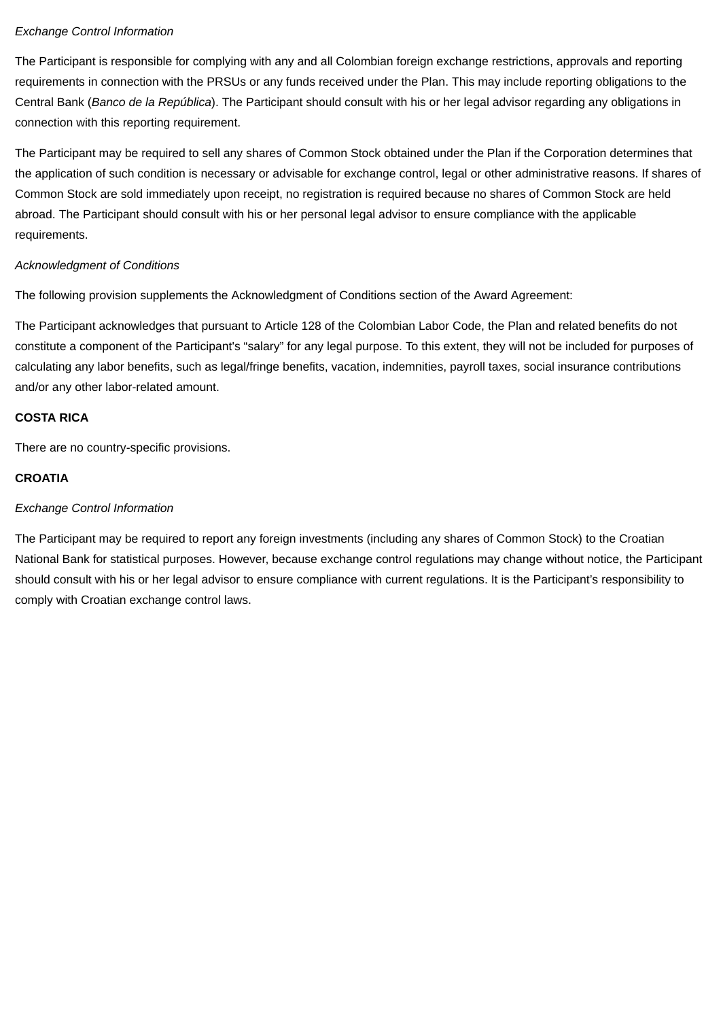### *Exchange Control Information*

The Participant is responsible for complying with any and all Colombian foreign exchange restrictions, approvals and reporting requirements in connection with the PRSUs or any funds received under the Plan. This may include reporting obligations to the Central Bank (*Banco de la República*). The Participant should consult with his or her legal advisor regarding any obligations in connection with this reporting requirement.

The Participant may be required to sell any shares of Common Stock obtained under the Plan if the Corporation determines that the application of such condition is necessary or advisable for exchange control, legal or other administrative reasons. If shares of Common Stock are sold immediately upon receipt, no registration is required because no shares of Common Stock are held abroad. The Participant should consult with his or her personal legal advisor to ensure compliance with the applicable requirements.

### *Acknowledgment of Conditions*

The following provision supplements the Acknowledgment of Conditions section of the Award Agreement:

The Participant acknowledges that pursuant to Article 128 of the Colombian Labor Code, the Plan and related benefits do not constitute a component of the Participant's "salary" for any legal purpose. To this extent, they will not be included for purposes of calculating any labor benefits, such as legal/fringe benefits, vacation, indemnities, payroll taxes, social insurance contributions and/or any other labor-related amount.

## **COSTA RICA**

There are no country-specific provisions.

## **CROATIA**

## *Exchange Control Information*

The Participant may be required to report any foreign investments (including any shares of Common Stock) to the Croatian National Bank for statistical purposes. However, because exchange control regulations may change without notice, the Participant should consult with his or her legal advisor to ensure compliance with current regulations. It is the Participant's responsibility to comply with Croatian exchange control laws.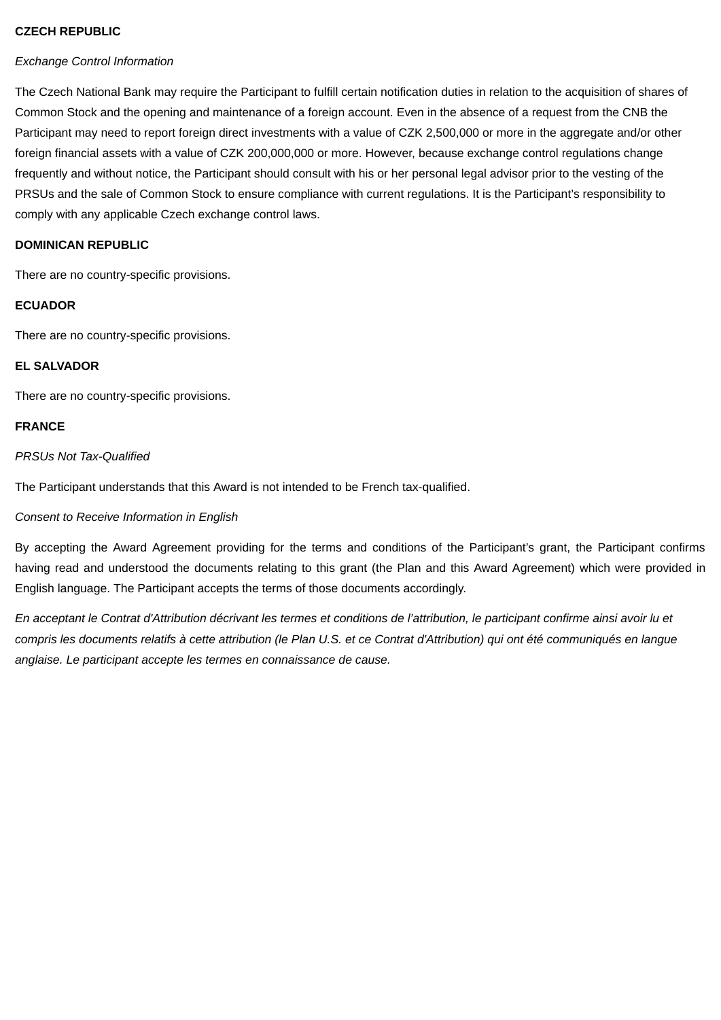### **CZECH REPUBLIC**

# *Exchange Control Information*

The Czech National Bank may require the Participant to fulfill certain notification duties in relation to the acquisition of shares of Common Stock and the opening and maintenance of a foreign account. Even in the absence of a request from the CNB the Participant may need to report foreign direct investments with a value of CZK 2,500,000 or more in the aggregate and/or other foreign financial assets with a value of CZK 200,000,000 or more. However, because exchange control regulations change frequently and without notice, the Participant should consult with his or her personal legal advisor prior to the vesting of the PRSUs and the sale of Common Stock to ensure compliance with current regulations. It is the Participant's responsibility to comply with any applicable Czech exchange control laws.

### **DOMINICAN REPUBLIC**

There are no country-specific provisions.

### **ECUADOR**

There are no country-specific provisions.

### **EL SALVADOR**

There are no country-specific provisions.

### **FRANCE**

### *PRSUs Not Tax-Qualified*

The Participant understands that this Award is not intended to be French tax-qualified.

### *Consent to Receive Information in English*

By accepting the Award Agreement providing for the terms and conditions of the Participant's grant, the Participant confirms having read and understood the documents relating to this grant (the Plan and this Award Agreement) which were provided in English language. The Participant accepts the terms of those documents accordingly.

En acceptant le Contrat d'Attribution décrivant les termes et conditions de l'attribution, le participant confirme ainsi avoir lu et compris les documents relatifs à cette attribution (le Plan U.S. et ce Contrat d'Attribution) qui ont été communiqués en langue *anglaise. Le participant accepte les termes en connaissance de cause.*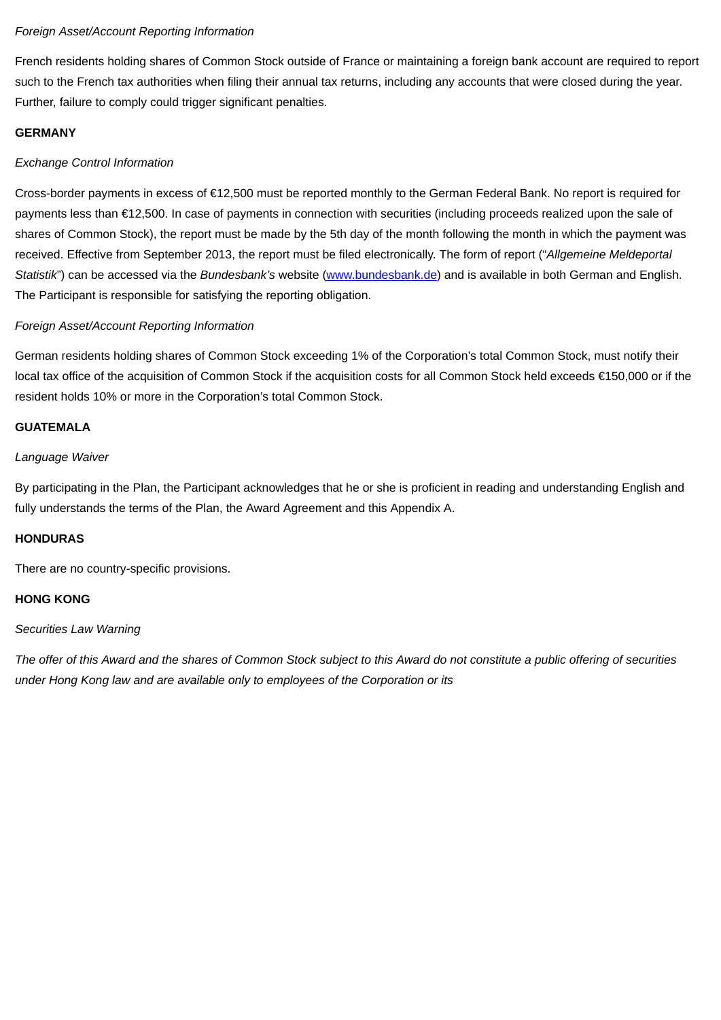#### *Foreign Asset/Account Reporting Information*

French residents holding shares of Common Stock outside of France or maintaining a foreign bank account are required to report such to the French tax authorities when filing their annual tax returns, including any accounts that were closed during the year. Further, failure to comply could trigger significant penalties.

### **GERMANY**

## *Exchange Control Information*

Cross-border payments in excess of €12,500 must be reported monthly to the German Federal Bank. No report is required for payments less than €12,500. In case of payments in connection with securities (including proceeds realized upon the sale of shares of Common Stock), the report must be made by the 5th day of the month following the month in which the payment was received. Effective from September 2013, the report must be filed electronically. The form of report ("*Allgemeine Meldeportal Statistik*") can be accessed via the *Bundesbank's* website (www.bundesbank.de) and is available in both German and English. The Participant is responsible for satisfying the reporting obligation.

### *Foreign Asset/Account Reporting Information*

German residents holding shares of Common Stock exceeding 1% of the Corporation's total Common Stock, must notify their local tax office of the acquisition of Common Stock if the acquisition costs for all Common Stock held exceeds €150,000 or if the resident holds 10% or more in the Corporation's total Common Stock.

## **GUATEMALA**

### *Language Waiver*

By participating in the Plan, the Participant acknowledges that he or she is proficient in reading and understanding English and fully understands the terms of the Plan, the Award Agreement and this Appendix A.

### **HONDURAS**

There are no country-specific provisions.

### **HONG KONG**

### *Securities Law Warning*

The offer of this Award and the shares of Common Stock subject to this Award do not constitute a public offering of securities *under Hong Kong law and are available only to employees of the Corporation or its*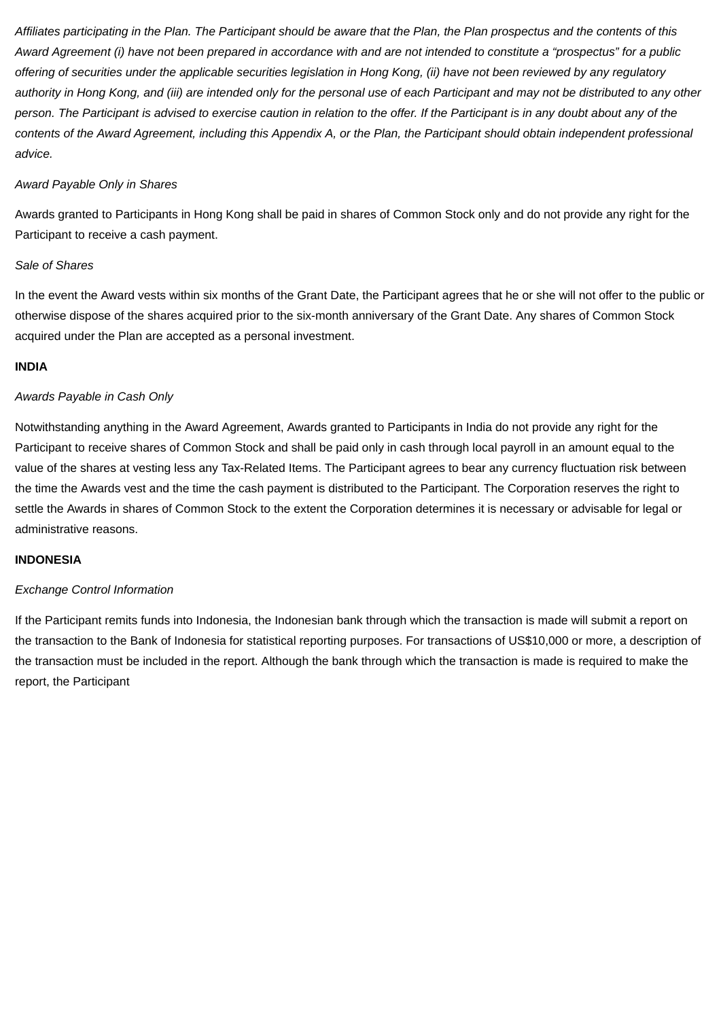Affiliates participating in the Plan. The Participant should be aware that the Plan, the Plan prospectus and the contents of this Award Agreement (i) have not been prepared in accordance with and are not intended to constitute a "prospectus" for a public offering of securities under the applicable securities legislation in Hong Kong, (ii) have not been reviewed by any regulatory authority in Hong Kong, and (iii) are intended only for the personal use of each Participant and may not be distributed to any other person. The Participant is advised to exercise caution in relation to the offer. If the Participant is in any doubt about any of the contents of the Award Agreement, including this Appendix A, or the Plan, the Participant should obtain independent professional *advice.*

### *Award Payable Only in Shares*

Awards granted to Participants in Hong Kong shall be paid in shares of Common Stock only and do not provide any right for the Participant to receive a cash payment.

#### *Sale of Shares*

In the event the Award vests within six months of the Grant Date, the Participant agrees that he or she will not offer to the public or otherwise dispose of the shares acquired prior to the six-month anniversary of the Grant Date. Any shares of Common Stock acquired under the Plan are accepted as a personal investment.

### **INDIA**

### *Awards Payable in Cash Only*

Notwithstanding anything in the Award Agreement, Awards granted to Participants in India do not provide any right for the Participant to receive shares of Common Stock and shall be paid only in cash through local payroll in an amount equal to the value of the shares at vesting less any Tax-Related Items. The Participant agrees to bear any currency fluctuation risk between the time the Awards vest and the time the cash payment is distributed to the Participant. The Corporation reserves the right to settle the Awards in shares of Common Stock to the extent the Corporation determines it is necessary or advisable for legal or administrative reasons.

#### **INDONESIA**

#### *Exchange Control Information*

If the Participant remits funds into Indonesia, the Indonesian bank through which the transaction is made will submit a report on the transaction to the Bank of Indonesia for statistical reporting purposes. For transactions of US\$10,000 or more, a description of the transaction must be included in the report. Although the bank through which the transaction is made is required to make the report, the Participant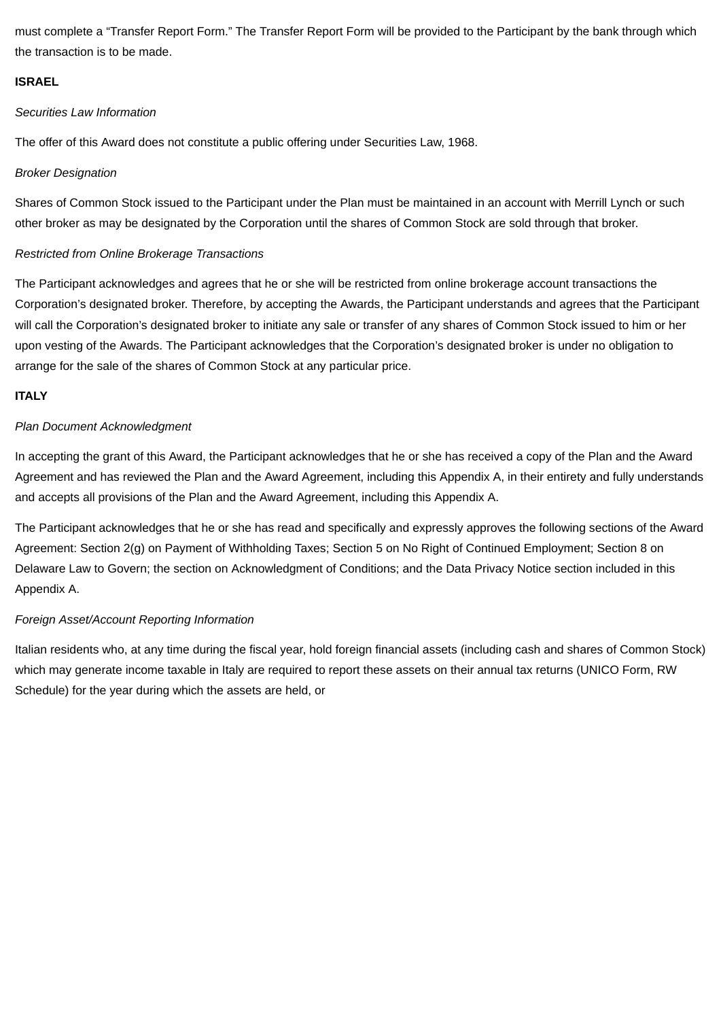must complete a "Transfer Report Form." The Transfer Report Form will be provided to the Participant by the bank through which the transaction is to be made.

### **ISRAEL**

### *Securities Law Information*

The offer of this Award does not constitute a public offering under Securities Law, 1968.

### *Broker Designation*

Shares of Common Stock issued to the Participant under the Plan must be maintained in an account with Merrill Lynch or such other broker as may be designated by the Corporation until the shares of Common Stock are sold through that broker.

## *Restricted from Online Brokerage Transactions*

The Participant acknowledges and agrees that he or she will be restricted from online brokerage account transactions the Corporation's designated broker. Therefore, by accepting the Awards, the Participant understands and agrees that the Participant will call the Corporation's designated broker to initiate any sale or transfer of any shares of Common Stock issued to him or her upon vesting of the Awards. The Participant acknowledges that the Corporation's designated broker is under no obligation to arrange for the sale of the shares of Common Stock at any particular price.

## **ITALY**

## *Plan Document Acknowledgment*

In accepting the grant of this Award, the Participant acknowledges that he or she has received a copy of the Plan and the Award Agreement and has reviewed the Plan and the Award Agreement, including this Appendix A, in their entirety and fully understands and accepts all provisions of the Plan and the Award Agreement, including this Appendix A.

The Participant acknowledges that he or she has read and specifically and expressly approves the following sections of the Award Agreement: Section 2(g) on Payment of Withholding Taxes; Section 5 on No Right of Continued Employment; Section 8 on Delaware Law to Govern; the section on Acknowledgment of Conditions; and the Data Privacy Notice section included in this Appendix A.

### *Foreign Asset/Account Reporting Information*

Italian residents who, at any time during the fiscal year, hold foreign financial assets (including cash and shares of Common Stock) which may generate income taxable in Italy are required to report these assets on their annual tax returns (UNICO Form, RW Schedule) for the year during which the assets are held, or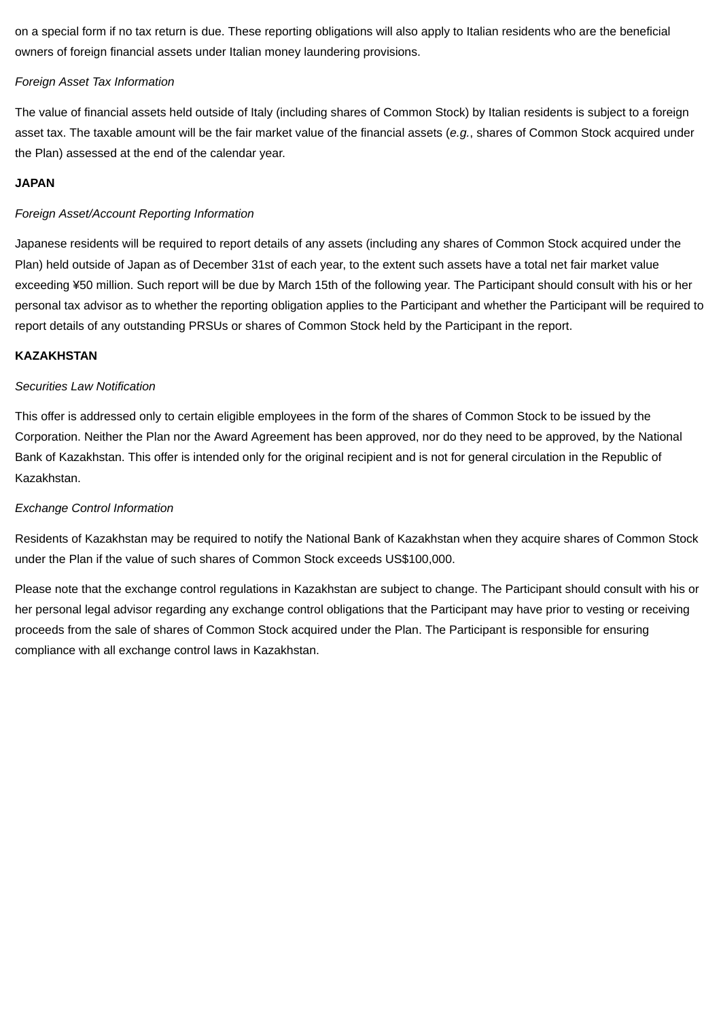on a special form if no tax return is due. These reporting obligations will also apply to Italian residents who are the beneficial owners of foreign financial assets under Italian money laundering provisions.

## *Foreign Asset Tax Information*

The value of financial assets held outside of Italy (including shares of Common Stock) by Italian residents is subject to a foreign asset tax. The taxable amount will be the fair market value of the financial assets (*e.g.*, shares of Common Stock acquired under the Plan) assessed at the end of the calendar year.

### **JAPAN**

# *Foreign Asset/Account Reporting Information*

Japanese residents will be required to report details of any assets (including any shares of Common Stock acquired under the Plan) held outside of Japan as of December 31st of each year, to the extent such assets have a total net fair market value exceeding ¥50 million. Such report will be due by March 15th of the following year. The Participant should consult with his or her personal tax advisor as to whether the reporting obligation applies to the Participant and whether the Participant will be required to report details of any outstanding PRSUs or shares of Common Stock held by the Participant in the report.

## **KAZAKHSTAN**

## *Securities Law Notification*

This offer is addressed only to certain eligible employees in the form of the shares of Common Stock to be issued by the Corporation. Neither the Plan nor the Award Agreement has been approved, nor do they need to be approved, by the National Bank of Kazakhstan. This offer is intended only for the original recipient and is not for general circulation in the Republic of Kazakhstan.

## *Exchange Control Information*

Residents of Kazakhstan may be required to notify the National Bank of Kazakhstan when they acquire shares of Common Stock under the Plan if the value of such shares of Common Stock exceeds US\$100,000.

Please note that the exchange control regulations in Kazakhstan are subject to change. The Participant should consult with his or her personal legal advisor regarding any exchange control obligations that the Participant may have prior to vesting or receiving proceeds from the sale of shares of Common Stock acquired under the Plan. The Participant is responsible for ensuring compliance with all exchange control laws in Kazakhstan.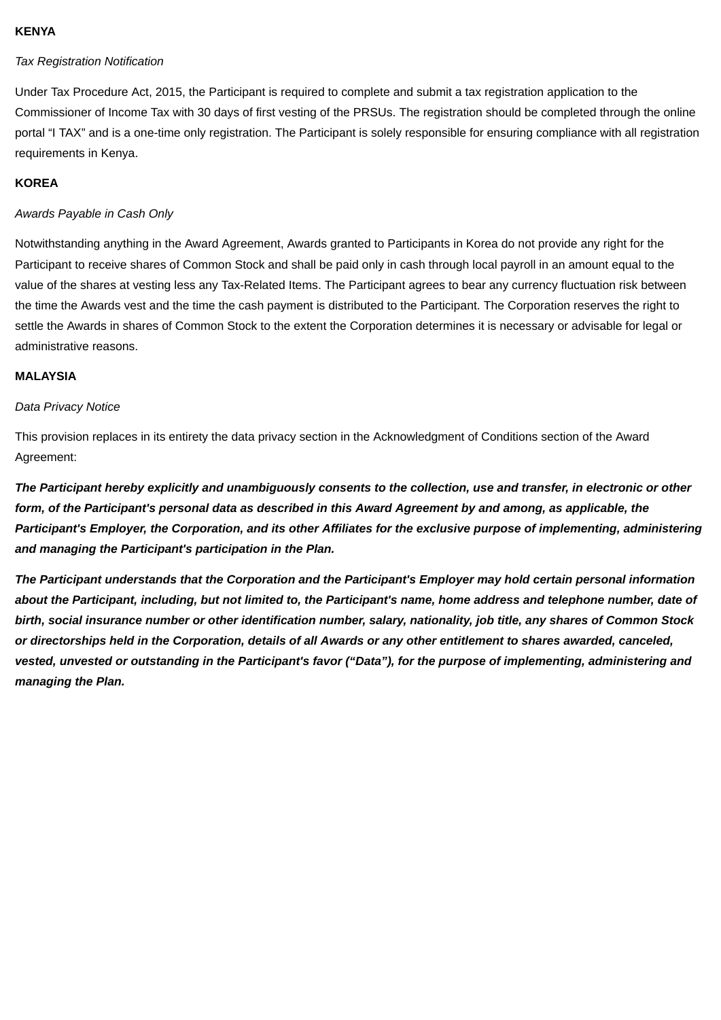### **KENYA**

### *Tax Registration Notification*

Under Tax Procedure Act, 2015, the Participant is required to complete and submit a tax registration application to the Commissioner of Income Tax with 30 days of first vesting of the PRSUs. The registration should be completed through the online portal "I TAX" and is a one-time only registration. The Participant is solely responsible for ensuring compliance with all registration requirements in Kenya.

### **KOREA**

### *Awards Payable in Cash Only*

Notwithstanding anything in the Award Agreement, Awards granted to Participants in Korea do not provide any right for the Participant to receive shares of Common Stock and shall be paid only in cash through local payroll in an amount equal to the value of the shares at vesting less any Tax-Related Items. The Participant agrees to bear any currency fluctuation risk between the time the Awards vest and the time the cash payment is distributed to the Participant. The Corporation reserves the right to settle the Awards in shares of Common Stock to the extent the Corporation determines it is necessary or advisable for legal or administrative reasons.

### **MALAYSIA**

### *Data Privacy Notice*

This provision replaces in its entirety the data privacy section in the Acknowledgment of Conditions section of the Award Agreement:

The Participant hereby explicitly and unambiguously consents to the collection, use and transfer, in electronic or other form, of the Participant's personal data as described in this Award Agreement by and among, as applicable, the Participant's Employer, the Corporation, and its other Affiliates for the exclusive purpose of implementing, administering *and managing the Participant's participation in the Plan.*

*The Participant understands that the Corporation and the Participant's Employer may hold certain personal information* about the Participant, including, but not limited to, the Participant's name, home address and telephone number, date of birth, social insurance number or other identification number, salary, nationality, job title, any shares of Common Stock or directorships held in the Corporation, details of all Awards or any other entitlement to shares awarded, canceled, vested, unvested or outstanding in the Participant's favor ("Data"), for the purpose of implementing, administering and *managing the Plan.*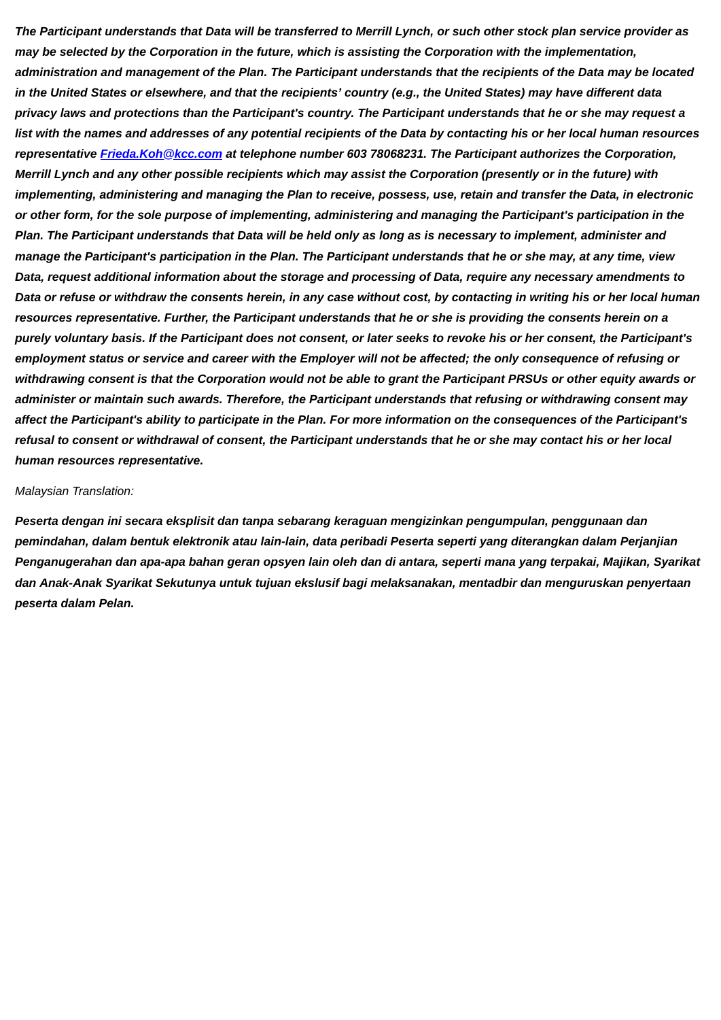The Participant understands that Data will be transferred to Merrill Lynch, or such other stock plan service provider as may be selected by the Corporation in the future, which is assisting the Corporation with the implementation, administration and management of the Plan. The Participant understands that the recipients of the Data may be located in the United States or elsewhere, and that the recipients' country (e.g., the United States) may have different data privacy laws and protections than the Participant's country. The Participant understands that he or she may request a list with the names and addresses of any potential recipients of the Data by contacting his or her local human resources *representative Frieda.Koh@kcc.com at telephone number 603 78068231. The Participant authorizes the Corporation,* Merrill Lynch and any other possible recipients which may assist the Corporation (presently or in the future) with implementing, administering and managing the Plan to receive, possess, use, retain and transfer the Data, in electronic or other form, for the sole purpose of implementing, administering and managing the Participant's participation in the Plan. The Participant understands that Data will be held only as long as is necessary to implement, administer and manage the Participant's participation in the Plan. The Participant understands that he or she may, at any time, view Data, request additional information about the storage and processing of Data, require any necessary amendments to Data or refuse or withdraw the consents herein, in any case without cost, by contacting in writing his or her local human resources representative. Further, the Participant understands that he or she is providing the consents herein on a purely voluntary basis. If the Participant does not consent, or later seeks to revoke his or her consent, the Participant's employment status or service and career with the Employer will not be affected; the only consequence of refusing or withdrawing consent is that the Corporation would not be able to grant the Participant PRSUs or other equity awards or *administer or maintain such awards. Therefore, the Participant understands that refusing or withdrawing consent may* affect the Participant's ability to participate in the Plan. For more information on the consequences of the Participant's refusal to consent or withdrawal of consent, the Participant understands that he or she may contact his or her local *human resources representative.*

#### *Malaysian Translation:*

*Peserta dengan ini secara eksplisit dan tanpa sebarang keraguan mengizinkan pengumpulan, penggunaan dan pemindahan, dalam bentuk elektronik atau lain-lain, data peribadi Peserta seperti yang diterangkan dalam Perjanjian* Penganugerahan dan apa-apa bahan geran opsyen lain oleh dan di antara, seperti mana yang terpakai, Majikan, Syarikat *dan Anak-Anak Syarikat Sekutunya untuk tujuan ekslusif bagi melaksanakan, mentadbir dan menguruskan penyertaan peserta dalam Pelan.*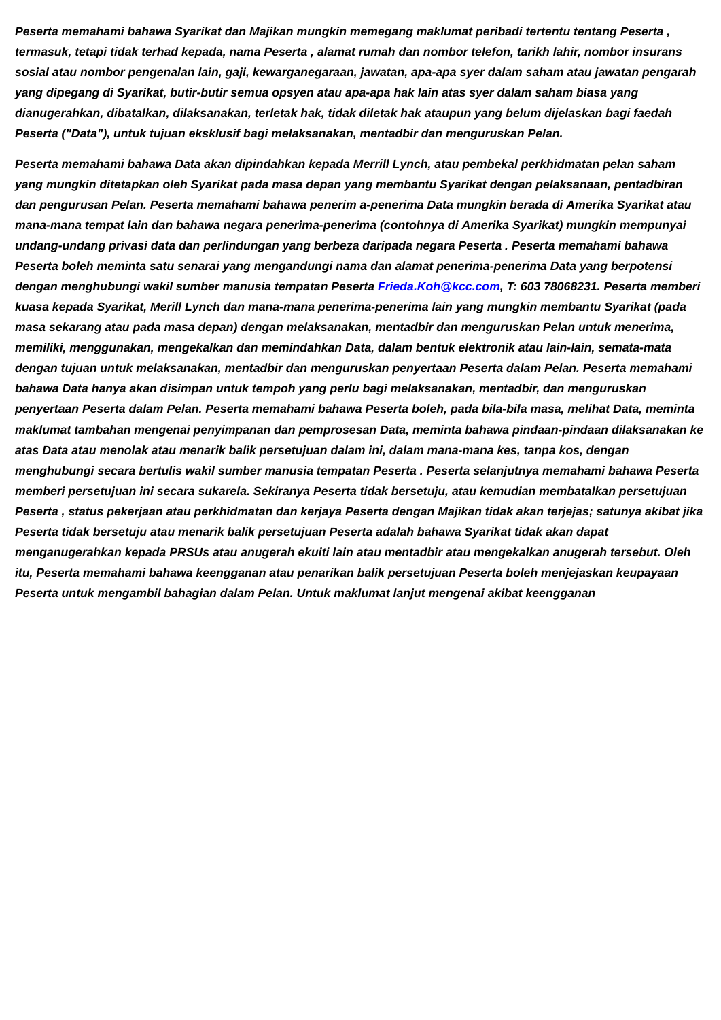*Peserta memahami bahawa Syarikat dan Majikan mungkin memegang maklumat peribadi tertentu tentang Peserta ,* termasuk, tetapi tidak terhad kepada, nama Peserta, alamat rumah dan nombor telefon, tarikh lahir, nombor insurans *sosial atau nombor pengenalan lain, gaji, kewarganegaraan, jawatan, apa-apa syer dalam saham atau jawatan pengarah* yang dipegang di Syarikat, butir-butir semua opsyen atau apa-apa hak lain atas syer dalam saham biasa yang *dianugerahkan, dibatalkan, dilaksanakan, terletak hak, tidak diletak hak ataupun yang belum dijelaskan bagi faedah Peserta ("Data"), untuk tujuan eksklusif bagi melaksanakan, mentadbir dan menguruskan Pelan.*

*Peserta memahami bahawa Data akan dipindahkan kepada Merrill Lynch, atau pembekal perkhidmatan pelan saham yang mungkin ditetapkan oleh Syarikat pada masa depan yang membantu Syarikat dengan pelaksanaan, pentadbiran dan pengurusan Pelan. Peserta memahami bahawa penerim a-penerima Data mungkin berada di Amerika Syarikat atau mana-mana tempat lain dan bahawa negara penerima-penerima (contohnya di Amerika Syarikat) mungkin mempunyai undang-undang privasi data dan perlindungan yang berbeza daripada negara Peserta . Peserta memahami bahawa Peserta boleh meminta satu senarai yang mengandungi nama dan alamat penerima-penerima Data yang berpotensi dengan menghubungi wakil sumber manusia tempatan Peserta Frieda.Koh@kcc.com, T: 603 78068231. Peserta memberi kuasa kepada Syarikat, Merill Lynch dan mana-mana penerima-penerima lain yang mungkin membantu Syarikat (pada masa sekarang atau pada masa depan) dengan melaksanakan, mentadbir dan menguruskan Pelan untuk menerima, memiliki, menggunakan, mengekalkan dan memindahkan Data, dalam bentuk elektronik atau lain-lain, semata-mata dengan tujuan untuk melaksanakan, mentadbir dan menguruskan penyertaan Peserta dalam Pelan. Peserta memahami bahawa Data hanya akan disimpan untuk tempoh yang perlu bagi melaksanakan, mentadbir, dan menguruskan penyertaan Peserta dalam Pelan. Peserta memahami bahawa Peserta boleh, pada bila-bila masa, melihat Data, meminta maklumat tambahan mengenai penyimpanan dan pemprosesan Data, meminta bahawa pindaan-pindaan dilaksanakan ke atas Data atau menolak atau menarik balik persetujuan dalam ini, dalam mana-mana kes, tanpa kos, dengan menghubungi secara bertulis wakil sumber manusia tempatan Peserta . Peserta selanjutnya memahami bahawa Peserta memberi persetujuan ini secara sukarela. Sekiranya Peserta tidak bersetuju, atau kemudian membatalkan persetujuan* Peserta, status pekerjaan atau perkhidmatan dan kerjaya Peserta dengan Majikan tidak akan terjejas; satunya akibat jika *Peserta tidak bersetuju atau menarik balik persetujuan Peserta adalah bahawa Syarikat tidak akan dapat menganugerahkan kepada PRSUs atau anugerah ekuiti lain atau mentadbir atau mengekalkan anugerah tersebut. Oleh itu, Peserta memahami bahawa keengganan atau penarikan balik persetujuan Peserta boleh menjejaskan keupayaan Peserta untuk mengambil bahagian dalam Pelan. Untuk maklumat lanjut mengenai akibat keengganan*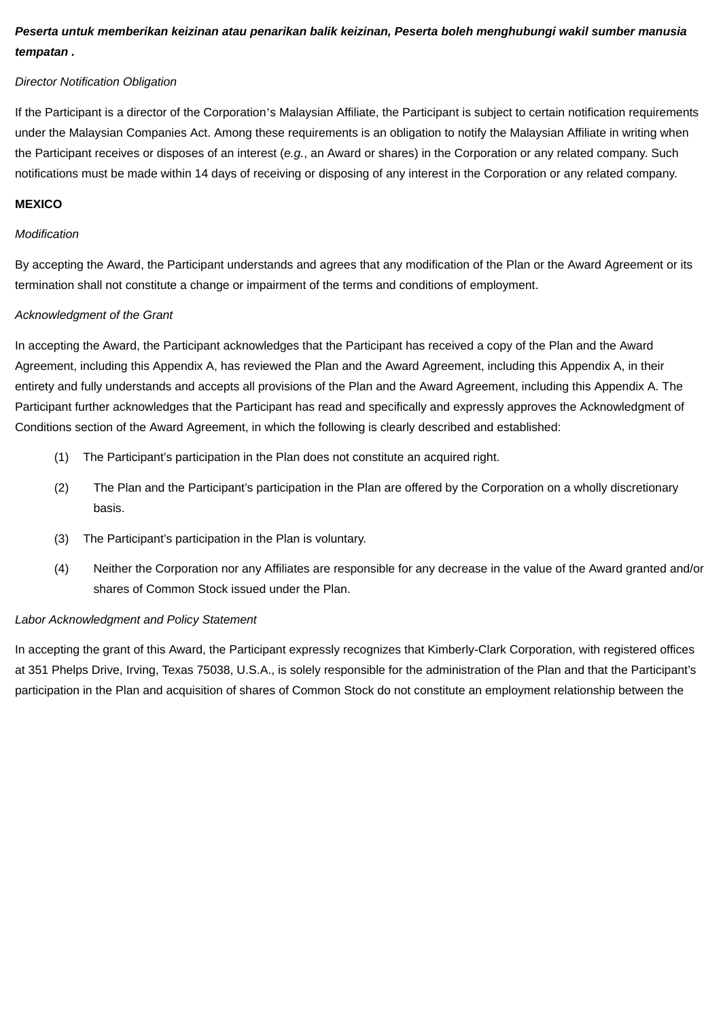# *Peserta untuk memberikan keizinan atau penarikan balik keizinan, Peserta boleh menghubungi wakil sumber manusia tempatan .*

### *Director Notification Obligation*

If the Participant is a director of the Corporation's Malaysian Affiliate, the Participant is subject to certain notification requirements under the Malaysian Companies Act. Among these requirements is an obligation to notify the Malaysian Affiliate in writing when the Participant receives or disposes of an interest (*e.g.*, an Award or shares) in the Corporation or any related company. Such notifications must be made within 14 days of receiving or disposing of any interest in the Corporation or any related company.

### **MEXICO**

### *Modification*

By accepting the Award, the Participant understands and agrees that any modification of the Plan or the Award Agreement or its termination shall not constitute a change or impairment of the terms and conditions of employment.

# *Acknowledgment of the Grant*

In accepting the Award, the Participant acknowledges that the Participant has received a copy of the Plan and the Award Agreement, including this Appendix A, has reviewed the Plan and the Award Agreement, including this Appendix A, in their entirety and fully understands and accepts all provisions of the Plan and the Award Agreement, including this Appendix A. The Participant further acknowledges that the Participant has read and specifically and expressly approves the Acknowledgment of Conditions section of the Award Agreement, in which the following is clearly described and established:

- (1) The Participant's participation in the Plan does not constitute an acquired right.
- (2) The Plan and the Participant's participation in the Plan are offered by the Corporation on a wholly discretionary basis.
- (3) The Participant's participation in the Plan is voluntary.
- (4) Neither the Corporation nor any Affiliates are responsible for any decrease in the value of the Award granted and/or shares of Common Stock issued under the Plan.

### *Labor Acknowledgment and Policy Statement*

In accepting the grant of this Award, the Participant expressly recognizes that Kimberly-Clark Corporation, with registered offices at 351 Phelps Drive, Irving, Texas 75038, U.S.A., is solely responsible for the administration of the Plan and that the Participant's participation in the Plan and acquisition of shares of Common Stock do not constitute an employment relationship between the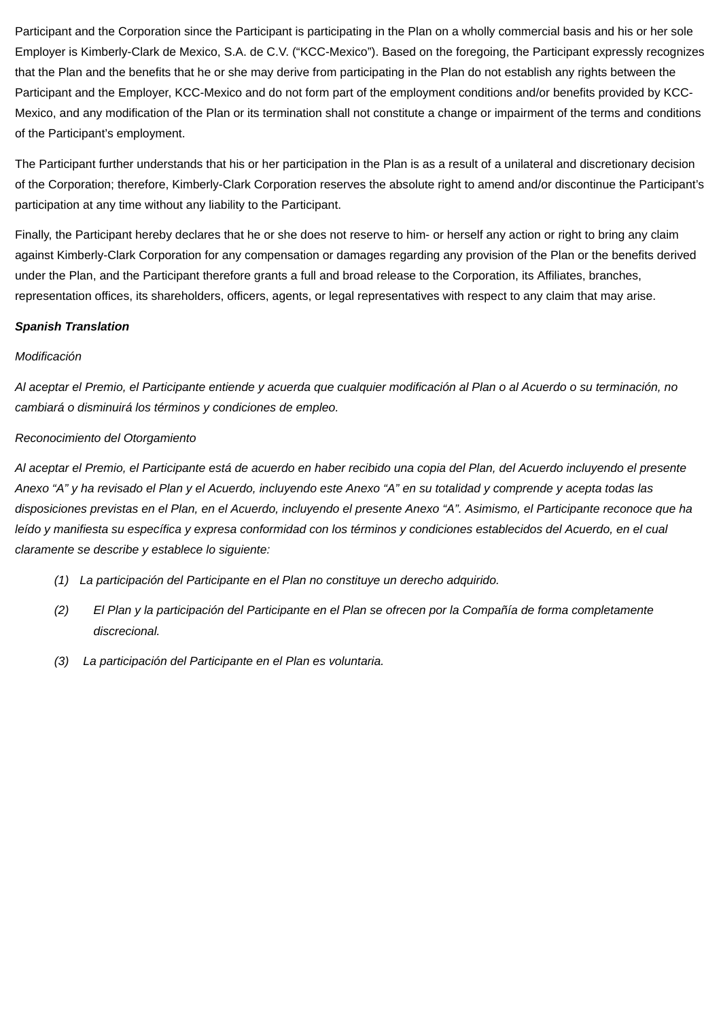Participant and the Corporation since the Participant is participating in the Plan on a wholly commercial basis and his or her sole Employer is Kimberly-Clark de Mexico, S.A. de C.V. ("KCC-Mexico"). Based on the foregoing, the Participant expressly recognizes that the Plan and the benefits that he or she may derive from participating in the Plan do not establish any rights between the Participant and the Employer, KCC-Mexico and do not form part of the employment conditions and/or benefits provided by KCC-Mexico, and any modification of the Plan or its termination shall not constitute a change or impairment of the terms and conditions of the Participant's employment.

The Participant further understands that his or her participation in the Plan is as a result of a unilateral and discretionary decision of the Corporation; therefore, Kimberly-Clark Corporation reserves the absolute right to amend and/or discontinue the Participant's participation at any time without any liability to the Participant.

Finally, the Participant hereby declares that he or she does not reserve to him- or herself any action or right to bring any claim against Kimberly-Clark Corporation for any compensation or damages regarding any provision of the Plan or the benefits derived under the Plan, and the Participant therefore grants a full and broad release to the Corporation, its Affiliates, branches, representation offices, its shareholders, officers, agents, or legal representatives with respect to any claim that may arise.

### *Spanish Translation*

#### *Modificación*

Al aceptar el Premio, el Participante entiende y acuerda que cualquier modificación al Plan o al Acuerdo o su terminación, no *cambiará o disminuirá los términos y condiciones de empleo.*

### *Reconocimiento del Otorgamiento*

Al aceptar el Premio, el Participante está de acuerdo en haber recibido una copia del Plan, del Acuerdo incluyendo el presente Anexo "A" y ha revisado el Plan y el Acuerdo, incluyendo este Anexo "A" en su totalidad y comprende y acepta todas las disposiciones previstas en el Plan, en el Acuerdo, incluyendo el presente Anexo "A". Asimismo, el Participante reconoce que ha leído y manifiesta su específica y expresa conformidad con los términos y condiciones establecidos del Acuerdo, en el cual *claramente se describe y establece lo siguiente:*

- *(1) La participación del Participante en el Plan no constituye un derecho adquirido.*
- (2) El Plan y la participación del Participante en el Plan se ofrecen por la Compañía de forma completamente *discrecional.*
- *(3) La participación del Participante en el Plan es voluntaria.*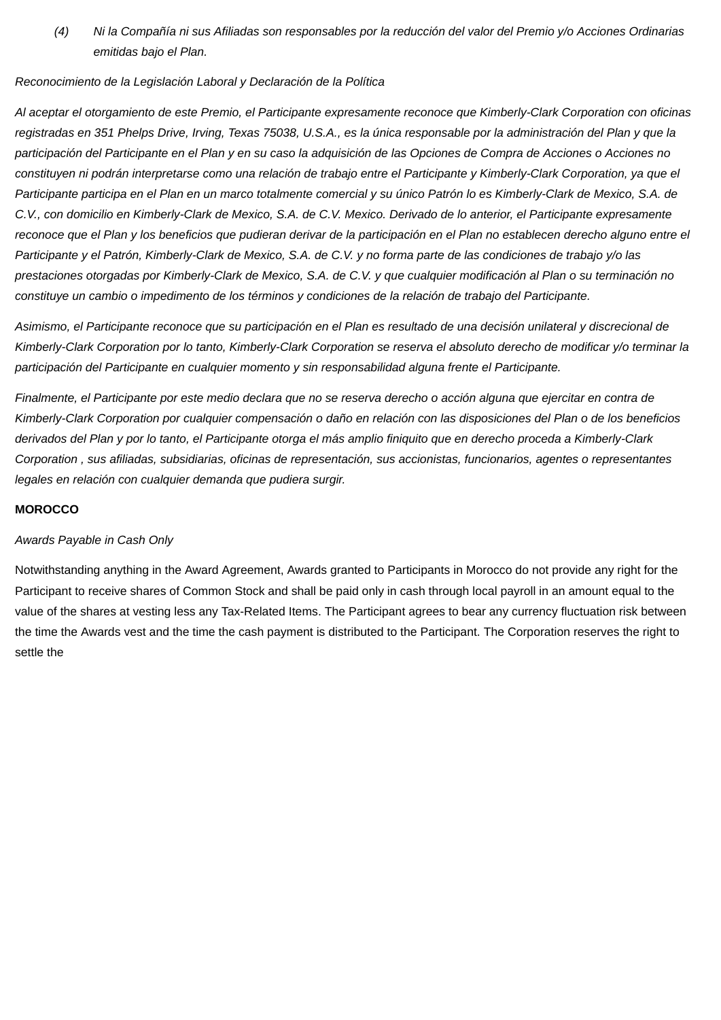(4) Ni la Compañía ni sus Afiliadas son responsables por la reducción del valor del Premio y/o Acciones Ordinarias *emitidas bajo el Plan.*

### *Reconocimiento de la Legislación Laboral y Declaración de la Política*

Al aceptar el otorgamiento de este Premio, el Participante expresamente reconoce que Kimberly-Clark Corporation con oficinas registradas en 351 Phelps Drive, Irving, Texas 75038, U.S.A., es la única responsable por la administración del Plan y que la participación del Participante en el Plan y en su caso la adquisición de las Opciones de Compra de Acciones o Acciones no constituyen ni podrán interpretarse como una relación de trabajo entre el Participante y Kimberly-Clark Corporation, ya que el Participante participa en el Plan en un marco totalmente comercial y su único Patrón lo es Kimberly-Clark de Mexico, S.A. de C.V., con domicilio en Kimberly-Clark de Mexico, S.A. de C.V. Mexico. Derivado de lo anterior, el Participante expresamente reconoce que el Plan y los beneficios que pudieran derivar de la participación en el Plan no establecen derecho alguno entre el Participante y el Patrón, Kimberly-Clark de Mexico, S.A. de C.V. y no forma parte de las condiciones de trabajo y/o las prestaciones otorgadas por Kimberly-Clark de Mexico, S.A. de C.V. y que cualquier modificación al Plan o su terminación no constituye un cambio o impedimento de los términos y condiciones de la relación de trabajo del Participante.

Asimismo, el Participante reconoce que su participación en el Plan es resultado de una decisión unilateral y discrecional de Kimberly-Clark Corporation por lo tanto, Kimberly-Clark Corporation se reserva el absoluto derecho de modificar y/o terminar la *participación del Participante en cualquier momento y sin responsabilidad alguna frente el Participante.*

Finalmente, el Participante por este medio declara que no se reserva derecho o acción alguna que ejercitar en contra de Kimberly-Clark Corporation por cualquier compensación o daño en relación con las disposiciones del Plan o de los beneficios derivados del Plan y por lo tanto, el Participante otorga el más amplio finiguito que en derecho proceda a Kimberly-Clark *Corporation , sus afiliadas, subsidiarias, oficinas de representación, sus accionistas, funcionarios, agentes o representantes legales en relación con cualquier demanda que pudiera surgir.*

#### **MOROCCO**

#### *Awards Payable in Cash Only*

Notwithstanding anything in the Award Agreement, Awards granted to Participants in Morocco do not provide any right for the Participant to receive shares of Common Stock and shall be paid only in cash through local payroll in an amount equal to the value of the shares at vesting less any Tax-Related Items. The Participant agrees to bear any currency fluctuation risk between the time the Awards vest and the time the cash payment is distributed to the Participant. The Corporation reserves the right to settle the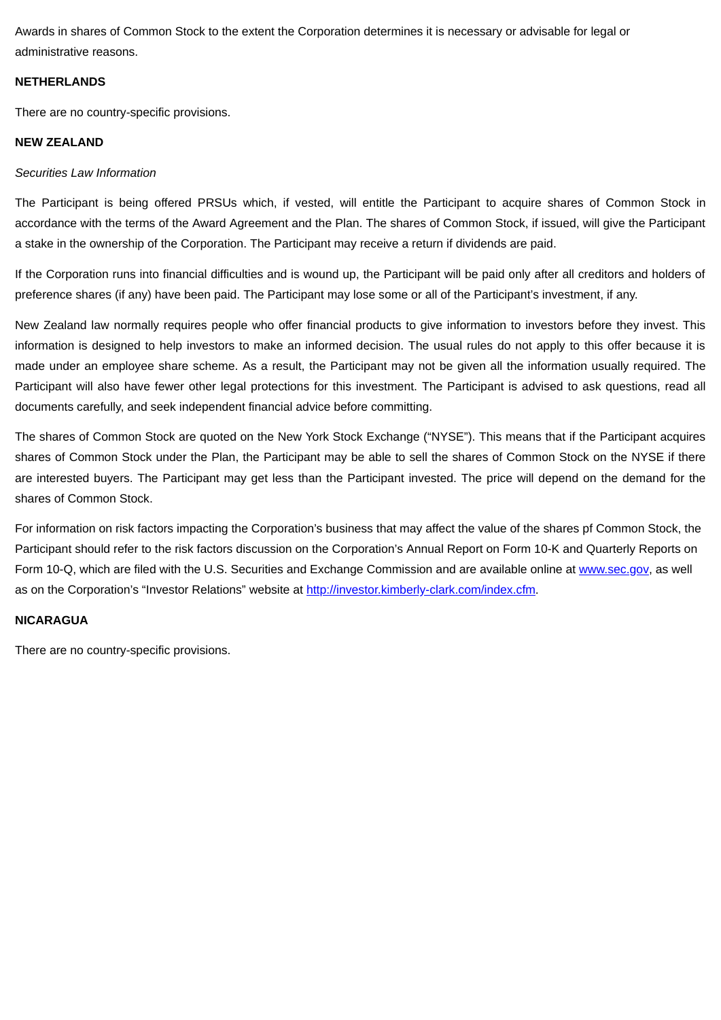Awards in shares of Common Stock to the extent the Corporation determines it is necessary or advisable for legal or administrative reasons.

#### **NETHERLANDS**

There are no country-specific provisions.

### **NEW ZEALAND**

#### *Securities Law Information*

The Participant is being offered PRSUs which, if vested, will entitle the Participant to acquire shares of Common Stock in accordance with the terms of the Award Agreement and the Plan. The shares of Common Stock, if issued, will give the Participant a stake in the ownership of the Corporation. The Participant may receive a return if dividends are paid.

If the Corporation runs into financial difficulties and is wound up, the Participant will be paid only after all creditors and holders of preference shares (if any) have been paid. The Participant may lose some or all of the Participant's investment, if any.

New Zealand law normally requires people who offer financial products to give information to investors before they invest. This information is designed to help investors to make an informed decision. The usual rules do not apply to this offer because it is made under an employee share scheme. As a result, the Participant may not be given all the information usually required. The Participant will also have fewer other legal protections for this investment. The Participant is advised to ask questions, read all documents carefully, and seek independent financial advice before committing.

The shares of Common Stock are quoted on the New York Stock Exchange ("NYSE"). This means that if the Participant acquires shares of Common Stock under the Plan, the Participant may be able to sell the shares of Common Stock on the NYSE if there are interested buyers. The Participant may get less than the Participant invested. The price will depend on the demand for the shares of Common Stock.

For information on risk factors impacting the Corporation's business that may affect the value of the shares pf Common Stock, the Participant should refer to the risk factors discussion on the Corporation's Annual Report on Form 10-K and Quarterly Reports on Form 10-Q, which are filed with the U.S. Securities and Exchange Commission and are available online at www.sec.gov, as well as on the Corporation's "Investor Relations" website at http://investor.kimberly-clark.com/index.cfm.

### **NICARAGUA**

There are no country-specific provisions.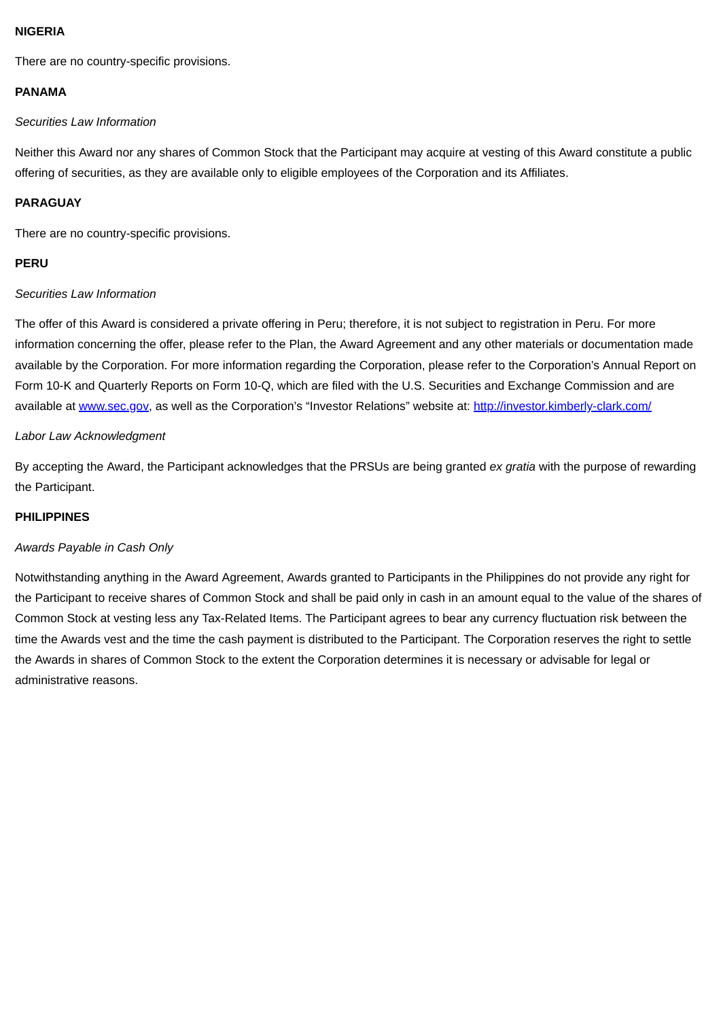### **NIGERIA**

There are no country-specific provisions.

### **PANAMA**

### *Securities Law Information*

Neither this Award nor any shares of Common Stock that the Participant may acquire at vesting of this Award constitute a public offering of securities, as they are available only to eligible employees of the Corporation and its Affiliates.

### **PARAGUAY**

There are no country-specific provisions.

## **PERU**

### *Securities Law Information*

The offer of this Award is considered a private offering in Peru; therefore, it is not subject to registration in Peru. For more information concerning the offer, please refer to the Plan, the Award Agreement and any other materials or documentation made available by the Corporation. For more information regarding the Corporation, please refer to the Corporation's Annual Report on Form 10-K and Quarterly Reports on Form 10-Q, which are filed with the U.S. Securities and Exchange Commission and are available at www.sec.gov, as well as the Corporation's "Investor Relations" website at: http://investor.kimberly-clark.com/

### *Labor Law Acknowledgment*

By accepting the Award, the Participant acknowledges that the PRSUs are being granted *ex gratia* with the purpose of rewarding the Participant.

### **PHILIPPINES**

### *Awards Payable in Cash Only*

Notwithstanding anything in the Award Agreement, Awards granted to Participants in the Philippines do not provide any right for the Participant to receive shares of Common Stock and shall be paid only in cash in an amount equal to the value of the shares of Common Stock at vesting less any Tax-Related Items. The Participant agrees to bear any currency fluctuation risk between the time the Awards vest and the time the cash payment is distributed to the Participant. The Corporation reserves the right to settle the Awards in shares of Common Stock to the extent the Corporation determines it is necessary or advisable for legal or administrative reasons.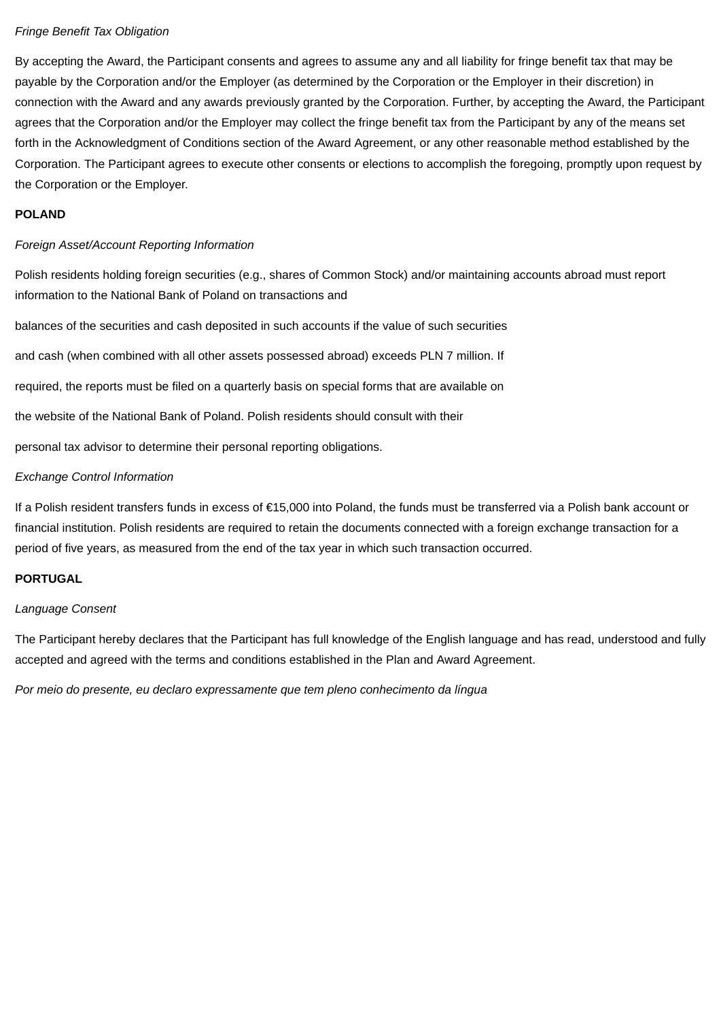### *Fringe Benefit Tax Obligation*

By accepting the Award, the Participant consents and agrees to assume any and all liability for fringe benefit tax that may be payable by the Corporation and/or the Employer (as determined by the Corporation or the Employer in their discretion) in connection with the Award and any awards previously granted by the Corporation. Further, by accepting the Award, the Participant agrees that the Corporation and/or the Employer may collect the fringe benefit tax from the Participant by any of the means set forth in the Acknowledgment of Conditions section of the Award Agreement, or any other reasonable method established by the Corporation. The Participant agrees to execute other consents or elections to accomplish the foregoing, promptly upon request by the Corporation or the Employer.

### **POLAND**

#### *Foreign Asset/Account Reporting Information*

Polish residents holding foreign securities (e.g., shares of Common Stock) and/or maintaining accounts abroad must report information to the National Bank of Poland on transactions and

balances of the securities and cash deposited in such accounts if the value of such securities

and cash (when combined with all other assets possessed abroad) exceeds PLN 7 million. If

required, the reports must be filed on a quarterly basis on special forms that are available on

the website of the National Bank of Poland. Polish residents should consult with their

personal tax advisor to determine their personal reporting obligations.

#### *Exchange Control Information*

If a Polish resident transfers funds in excess of €15,000 into Poland, the funds must be transferred via a Polish bank account or financial institution. Polish residents are required to retain the documents connected with a foreign exchange transaction for a period of five years, as measured from the end of the tax year in which such transaction occurred.

#### **PORTUGAL**

#### *Language Consent*

The Participant hereby declares that the Participant has full knowledge of the English language and has read, understood and fully accepted and agreed with the terms and conditions established in the Plan and Award Agreement.

*Por meio do presente, eu declaro expressamente que tem pleno conhecimento da língua*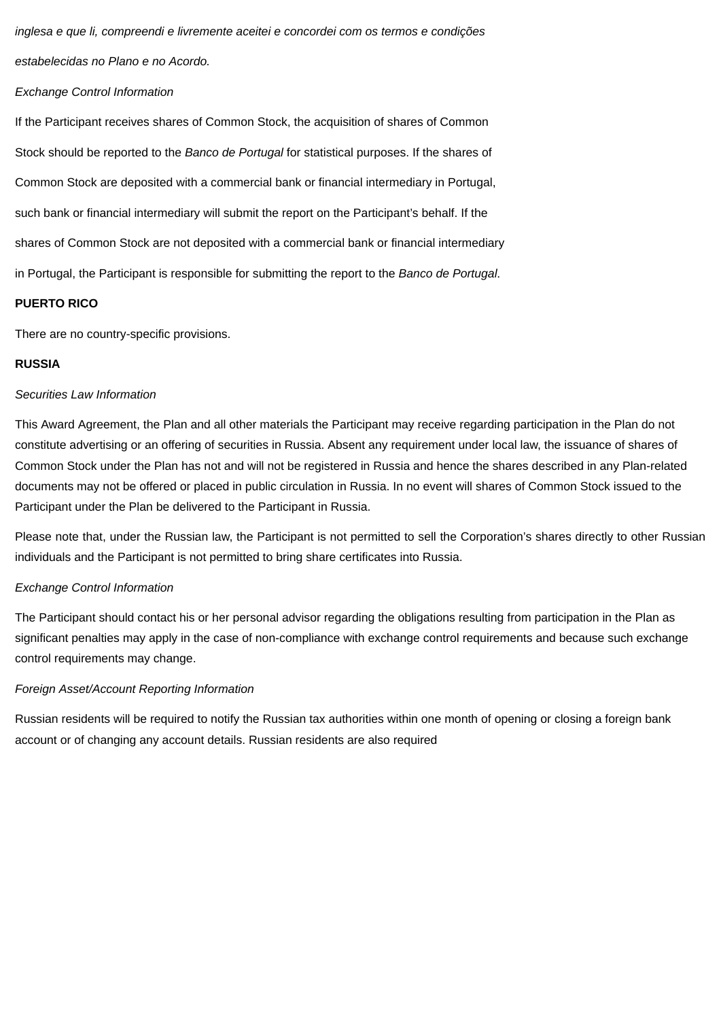*inglesa e que li, compreendi e livremente aceitei e concordei com os termos e condições estabelecidas no Plano e no Acordo.*

### *Exchange Control Information*

If the Participant receives shares of Common Stock, the acquisition of shares of Common Stock should be reported to the *Banco de Portugal* for statistical purposes. If the shares of Common Stock are deposited with a commercial bank or financial intermediary in Portugal, such bank or financial intermediary will submit the report on the Participant's behalf. If the shares of Common Stock are not deposited with a commercial bank or financial intermediary in Portugal, the Participant is responsible for submitting the report to the *Banco de Portugal*.

### **PUERTO RICO**

There are no country-specific provisions.

### **RUSSIA**

### *Securities Law Information*

This Award Agreement, the Plan and all other materials the Participant may receive regarding participation in the Plan do not constitute advertising or an offering of securities in Russia. Absent any requirement under local law, the issuance of shares of Common Stock under the Plan has not and will not be registered in Russia and hence the shares described in any Plan-related documents may not be offered or placed in public circulation in Russia. In no event will shares of Common Stock issued to the Participant under the Plan be delivered to the Participant in Russia.

Please note that, under the Russian law, the Participant is not permitted to sell the Corporation's shares directly to other Russian individuals and the Participant is not permitted to bring share certificates into Russia.

### *Exchange Control Information*

The Participant should contact his or her personal advisor regarding the obligations resulting from participation in the Plan as significant penalties may apply in the case of non-compliance with exchange control requirements and because such exchange control requirements may change.

### *Foreign Asset/Account Reporting Information*

Russian residents will be required to notify the Russian tax authorities within one month of opening or closing a foreign bank account or of changing any account details. Russian residents are also required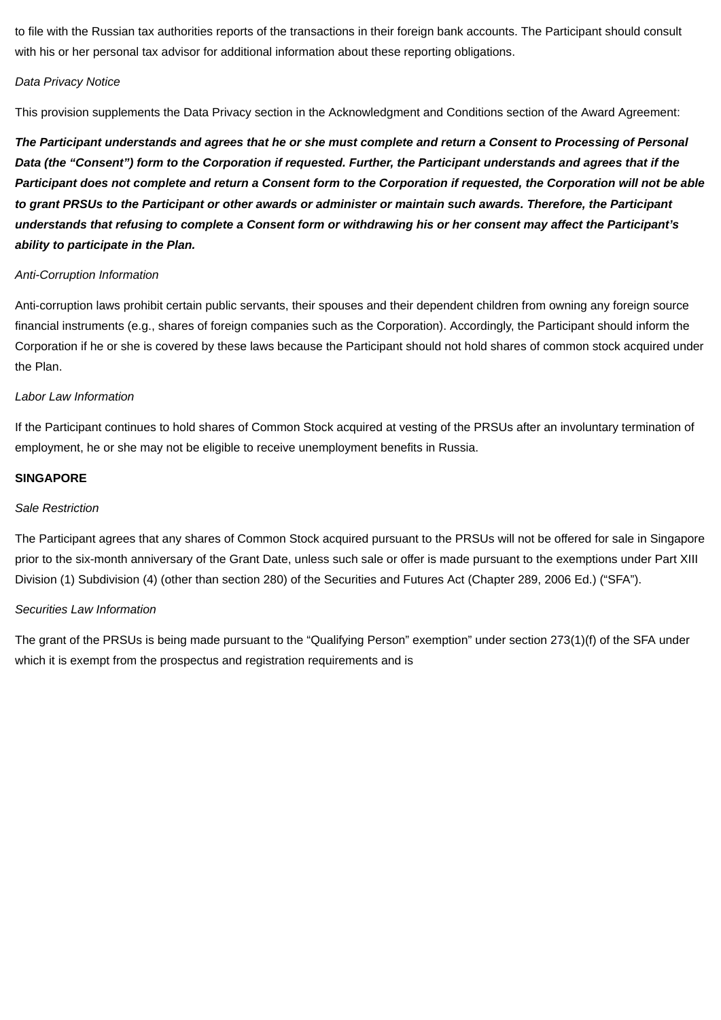to file with the Russian tax authorities reports of the transactions in their foreign bank accounts. The Participant should consult with his or her personal tax advisor for additional information about these reporting obligations.

### *Data Privacy Notice*

This provision supplements the Data Privacy section in the Acknowledgment and Conditions section of the Award Agreement:

The Participant understands and agrees that he or she must complete and return a Consent to Processing of Personal Data (the "Consent") form to the Corporation if requested. Further, the Participant understands and agrees that if the Participant does not complete and return a Consent form to the Corporation if requested, the Corporation will not be able to grant PRSUs to the Participant or other awards or administer or maintain such awards. Therefore, the Participant understands that refusing to complete a Consent form or withdrawing his or her consent may affect the Participant's *ability to participate in the Plan.*

### *Anti-Corruption Information*

Anti-corruption laws prohibit certain public servants, their spouses and their dependent children from owning any foreign source financial instruments (e.g., shares of foreign companies such as the Corporation). Accordingly, the Participant should inform the Corporation if he or she is covered by these laws because the Participant should not hold shares of common stock acquired under the Plan.

### *Labor Law Information*

If the Participant continues to hold shares of Common Stock acquired at vesting of the PRSUs after an involuntary termination of employment, he or she may not be eligible to receive unemployment benefits in Russia.

### **SINGAPORE**

#### *Sale Restriction*

The Participant agrees that any shares of Common Stock acquired pursuant to the PRSUs will not be offered for sale in Singapore prior to the six-month anniversary of the Grant Date, unless such sale or offer is made pursuant to the exemptions under Part XIII Division (1) Subdivision (4) (other than section 280) of the Securities and Futures Act (Chapter 289, 2006 Ed.) ("SFA").

#### *Securities Law Information*

The grant of the PRSUs is being made pursuant to the "Qualifying Person" exemption" under section 273(1)(f) of the SFA under which it is exempt from the prospectus and registration requirements and is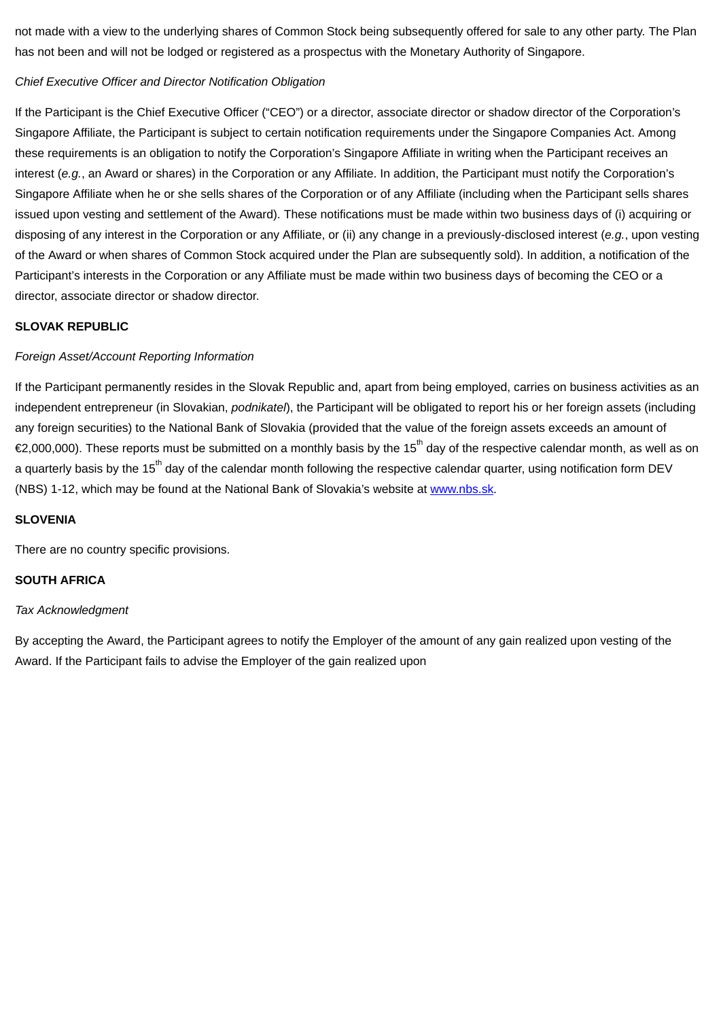not made with a view to the underlying shares of Common Stock being subsequently offered for sale to any other party. The Plan has not been and will not be lodged or registered as a prospectus with the Monetary Authority of Singapore.

### *Chief Executive Officer and Director Notification Obligation*

If the Participant is the Chief Executive Officer ("CEO") or a director, associate director or shadow director of the Corporation's Singapore Affiliate, the Participant is subject to certain notification requirements under the Singapore Companies Act. Among these requirements is an obligation to notify the Corporation's Singapore Affiliate in writing when the Participant receives an interest (*e.g.*, an Award or shares) in the Corporation or any Affiliate. In addition, the Participant must notify the Corporation's Singapore Affiliate when he or she sells shares of the Corporation or of any Affiliate (including when the Participant sells shares issued upon vesting and settlement of the Award). These notifications must be made within two business days of (i) acquiring or disposing of any interest in the Corporation or any Affiliate, or (ii) any change in a previously-disclosed interest (*e.g.*, upon vesting of the Award or when shares of Common Stock acquired under the Plan are subsequently sold). In addition, a notification of the Participant's interests in the Corporation or any Affiliate must be made within two business days of becoming the CEO or a director, associate director or shadow director.

### **SLOVAK REPUBLIC**

### *Foreign Asset/Account Reporting Information*

If the Participant permanently resides in the Slovak Republic and, apart from being employed, carries on business activities as an independent entrepreneur (in Slovakian, *podnikatel*), the Participant will be obligated to report his or her foreign assets (including any foreign securities) to the National Bank of Slovakia (provided that the value of the foreign assets exceeds an amount of €2,000,000). These reports must be submitted on a monthly basis by the 15<sup>th</sup> day of the respective calendar month, as well as on a quarterly basis by the 15 $^{\rm th}$  day of the calendar month following the respective calendar quarter, using notification form DEV (NBS) 1-12, which may be found at the National Bank of Slovakia's website at www.nbs.sk.

#### **SLOVENIA**

There are no country specific provisions.

#### **SOUTH AFRICA**

#### *Tax Acknowledgment*

By accepting the Award, the Participant agrees to notify the Employer of the amount of any gain realized upon vesting of the Award. If the Participant fails to advise the Employer of the gain realized upon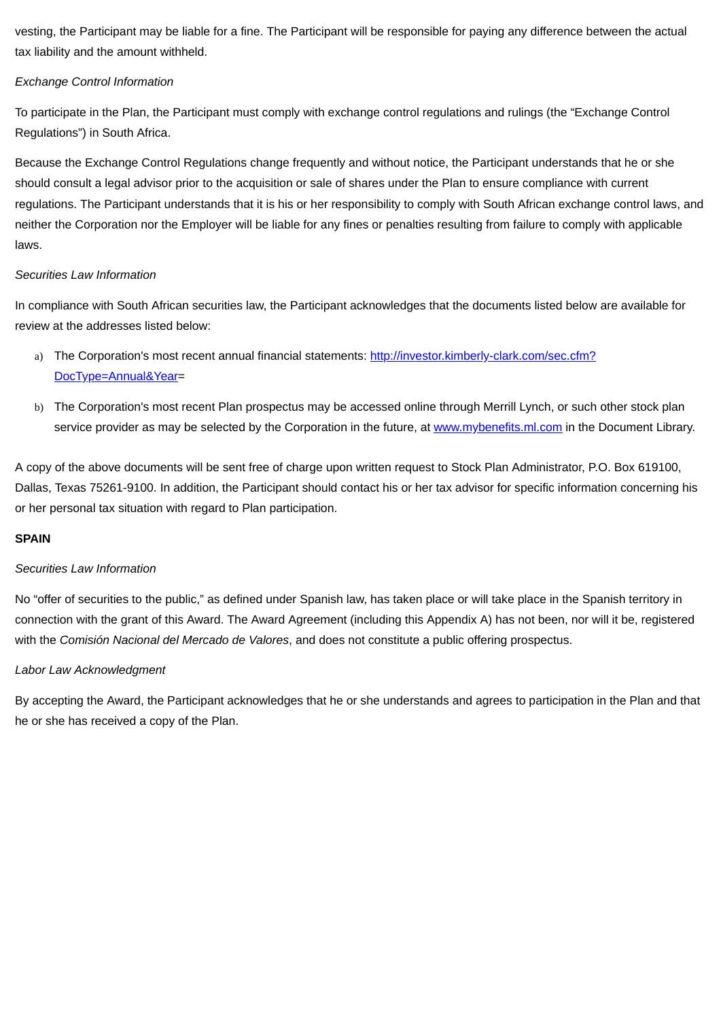vesting, the Participant may be liable for a fine. The Participant will be responsible for paying any difference between the actual tax liability and the amount withheld.

## *Exchange Control Information*

To participate in the Plan, the Participant must comply with exchange control regulations and rulings (the "Exchange Control Regulations") in South Africa.

Because the Exchange Control Regulations change frequently and without notice, the Participant understands that he or she should consult a legal advisor prior to the acquisition or sale of shares under the Plan to ensure compliance with current regulations. The Participant understands that it is his or her responsibility to comply with South African exchange control laws, and neither the Corporation nor the Employer will be liable for any fines or penalties resulting from failure to comply with applicable laws.

### *Securities Law Information*

In compliance with South African securities law, the Participant acknowledges that the documents listed below are available for review at the addresses listed below:

- a) The Corporation's most recent annual financial statements: http://investor.kimberly-clark.com/sec.cfm? DocType=Annual&Year=
- b) The Corporation's most recent Plan prospectus may be accessed online through Merrill Lynch, or such other stock plan service provider as may be selected by the Corporation in the future, at www.mybenefits.ml.com in the Document Library.

A copy of the above documents will be sent free of charge upon written request to Stock Plan Administrator, P.O. Box 619100, Dallas, Texas 75261-9100. In addition, the Participant should contact his or her tax advisor for specific information concerning his or her personal tax situation with regard to Plan participation.

### **SPAIN**

### *Securities Law Information*

No "offer of securities to the public," as defined under Spanish law, has taken place or will take place in the Spanish territory in connection with the grant of this Award. The Award Agreement (including this Appendix A) has not been, nor will it be, registered with the *Comisión Nacional del Mercado de Valores*, and does not constitute a public offering prospectus.

### *Labor Law Acknowledgment*

By accepting the Award, the Participant acknowledges that he or she understands and agrees to participation in the Plan and that he or she has received a copy of the Plan.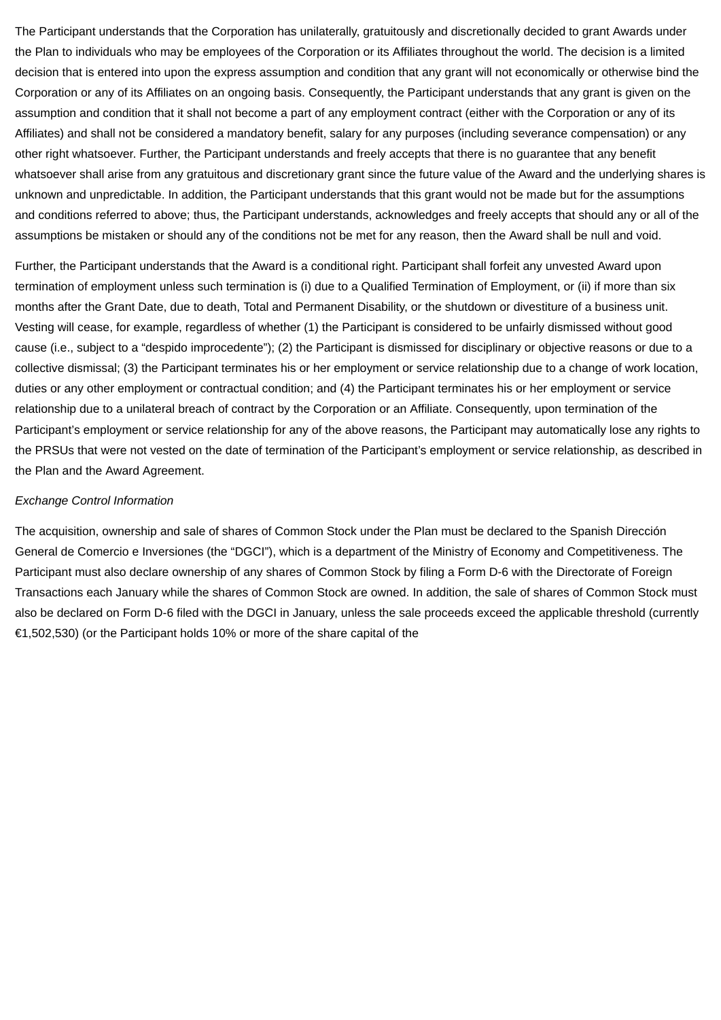The Participant understands that the Corporation has unilaterally, gratuitously and discretionally decided to grant Awards under the Plan to individuals who may be employees of the Corporation or its Affiliates throughout the world. The decision is a limited decision that is entered into upon the express assumption and condition that any grant will not economically or otherwise bind the Corporation or any of its Affiliates on an ongoing basis. Consequently, the Participant understands that any grant is given on the assumption and condition that it shall not become a part of any employment contract (either with the Corporation or any of its Affiliates) and shall not be considered a mandatory benefit, salary for any purposes (including severance compensation) or any other right whatsoever. Further, the Participant understands and freely accepts that there is no guarantee that any benefit whatsoever shall arise from any gratuitous and discretionary grant since the future value of the Award and the underlying shares is unknown and unpredictable. In addition, the Participant understands that this grant would not be made but for the assumptions and conditions referred to above; thus, the Participant understands, acknowledges and freely accepts that should any or all of the assumptions be mistaken or should any of the conditions not be met for any reason, then the Award shall be null and void.

Further, the Participant understands that the Award is a conditional right. Participant shall forfeit any unvested Award upon termination of employment unless such termination is (i) due to a Qualified Termination of Employment, or (ii) if more than six months after the Grant Date, due to death, Total and Permanent Disability, or the shutdown or divestiture of a business unit. Vesting will cease, for example, regardless of whether (1) the Participant is considered to be unfairly dismissed without good cause (i.e., subject to a "despido improcedente"); (2) the Participant is dismissed for disciplinary or objective reasons or due to a collective dismissal; (3) the Participant terminates his or her employment or service relationship due to a change of work location, duties or any other employment or contractual condition; and (4) the Participant terminates his or her employment or service relationship due to a unilateral breach of contract by the Corporation or an Affiliate. Consequently, upon termination of the Participant's employment or service relationship for any of the above reasons, the Participant may automatically lose any rights to the PRSUs that were not vested on the date of termination of the Participant's employment or service relationship, as described in the Plan and the Award Agreement.

#### *Exchange Control Information*

The acquisition, ownership and sale of shares of Common Stock under the Plan must be declared to the Spanish Dirección General de Comercio e Inversiones (the "DGCI"), which is a department of the Ministry of Economy and Competitiveness. The Participant must also declare ownership of any shares of Common Stock by filing a Form D-6 with the Directorate of Foreign Transactions each January while the shares of Common Stock are owned. In addition, the sale of shares of Common Stock must also be declared on Form D-6 filed with the DGCI in January, unless the sale proceeds exceed the applicable threshold (currently €1,502,530) (or the Participant holds 10% or more of the share capital of the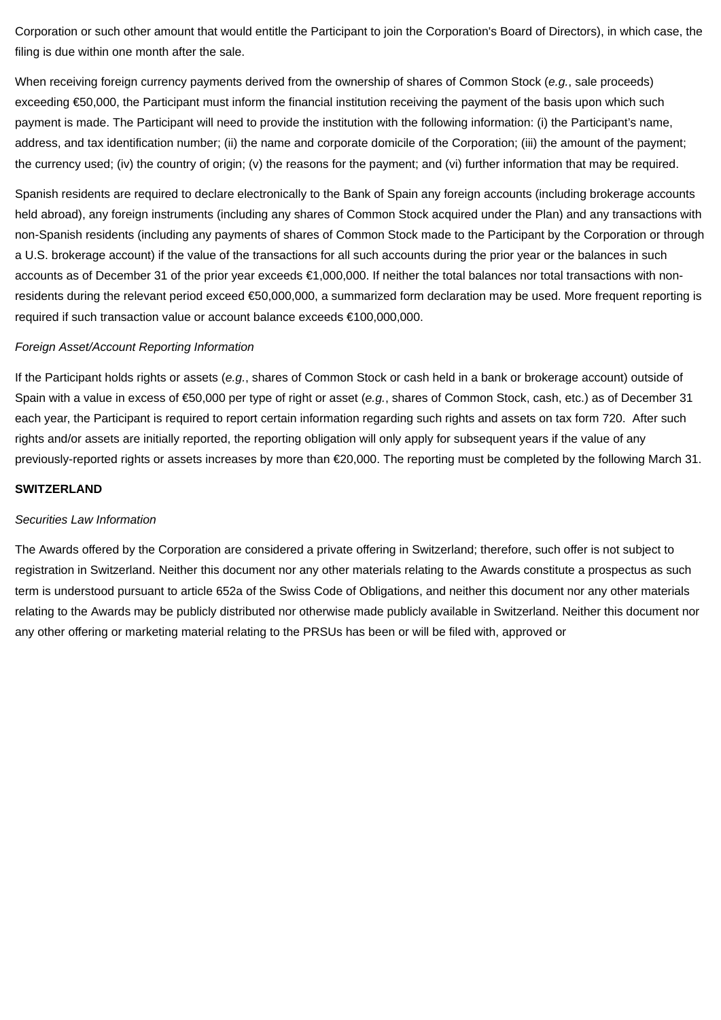Corporation or such other amount that would entitle the Participant to join the Corporation's Board of Directors), in which case, the filing is due within one month after the sale.

When receiving foreign currency payments derived from the ownership of shares of Common Stock (*e.g.*, sale proceeds) exceeding €50,000, the Participant must inform the financial institution receiving the payment of the basis upon which such payment is made. The Participant will need to provide the institution with the following information: (i) the Participant's name, address, and tax identification number; (ii) the name and corporate domicile of the Corporation; (iii) the amount of the payment; the currency used; (iv) the country of origin; (v) the reasons for the payment; and (vi) further information that may be required.

Spanish residents are required to declare electronically to the Bank of Spain any foreign accounts (including brokerage accounts held abroad), any foreign instruments (including any shares of Common Stock acquired under the Plan) and any transactions with non-Spanish residents (including any payments of shares of Common Stock made to the Participant by the Corporation or through a U.S. brokerage account) if the value of the transactions for all such accounts during the prior year or the balances in such accounts as of December 31 of the prior year exceeds €1,000,000. If neither the total balances nor total transactions with nonresidents during the relevant period exceed €50,000,000, a summarized form declaration may be used. More frequent reporting is required if such transaction value or account balance exceeds €100,000,000.

### *Foreign Asset/Account Reporting Information*

If the Participant holds rights or assets (*e.g.*, shares of Common Stock or cash held in a bank or brokerage account) outside of Spain with a value in excess of €50,000 per type of right or asset (*e.g.*, shares of Common Stock, cash, etc.) as of December 31 each year, the Participant is required to report certain information regarding such rights and assets on tax form 720. After such rights and/or assets are initially reported, the reporting obligation will only apply for subsequent years if the value of any previously-reported rights or assets increases by more than €20,000. The reporting must be completed by the following March 31.

### **SWITZERLAND**

#### *Securities Law Information*

The Awards offered by the Corporation are considered a private offering in Switzerland; therefore, such offer is not subject to registration in Switzerland. Neither this document nor any other materials relating to the Awards constitute a prospectus as such term is understood pursuant to article 652a of the Swiss Code of Obligations, and neither this document nor any other materials relating to the Awards may be publicly distributed nor otherwise made publicly available in Switzerland. Neither this document nor any other offering or marketing material relating to the PRSUs has been or will be filed with, approved or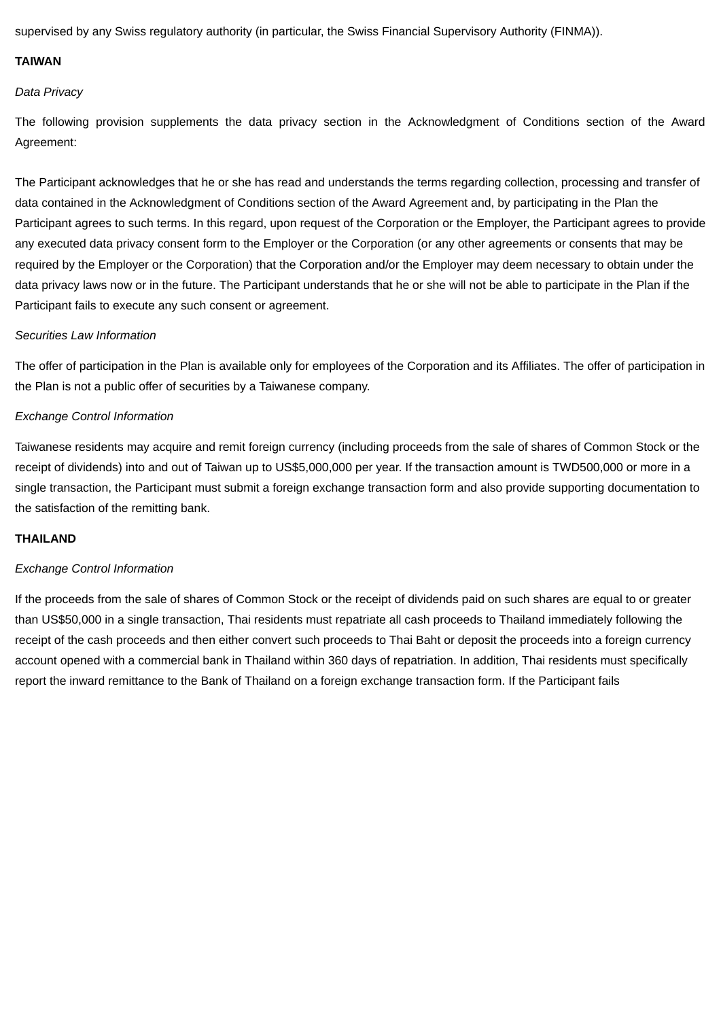supervised by any Swiss regulatory authority (in particular, the Swiss Financial Supervisory Authority (FINMA)).

### **TAIWAN**

### *Data Privacy*

The following provision supplements the data privacy section in the Acknowledgment of Conditions section of the Award Agreement:

The Participant acknowledges that he or she has read and understands the terms regarding collection, processing and transfer of data contained in the Acknowledgment of Conditions section of the Award Agreement and, by participating in the Plan the Participant agrees to such terms. In this regard, upon request of the Corporation or the Employer, the Participant agrees to provide any executed data privacy consent form to the Employer or the Corporation (or any other agreements or consents that may be required by the Employer or the Corporation) that the Corporation and/or the Employer may deem necessary to obtain under the data privacy laws now or in the future. The Participant understands that he or she will not be able to participate in the Plan if the Participant fails to execute any such consent or agreement.

### *Securities Law Information*

The offer of participation in the Plan is available only for employees of the Corporation and its Affiliates. The offer of participation in the Plan is not a public offer of securities by a Taiwanese company.

### *Exchange Control Information*

Taiwanese residents may acquire and remit foreign currency (including proceeds from the sale of shares of Common Stock or the receipt of dividends) into and out of Taiwan up to US\$5,000,000 per year. If the transaction amount is TWD500,000 or more in a single transaction, the Participant must submit a foreign exchange transaction form and also provide supporting documentation to the satisfaction of the remitting bank.

#### **THAILAND**

### *Exchange Control Information*

If the proceeds from the sale of shares of Common Stock or the receipt of dividends paid on such shares are equal to or greater than US\$50,000 in a single transaction, Thai residents must repatriate all cash proceeds to Thailand immediately following the receipt of the cash proceeds and then either convert such proceeds to Thai Baht or deposit the proceeds into a foreign currency account opened with a commercial bank in Thailand within 360 days of repatriation. In addition, Thai residents must specifically report the inward remittance to the Bank of Thailand on a foreign exchange transaction form. If the Participant fails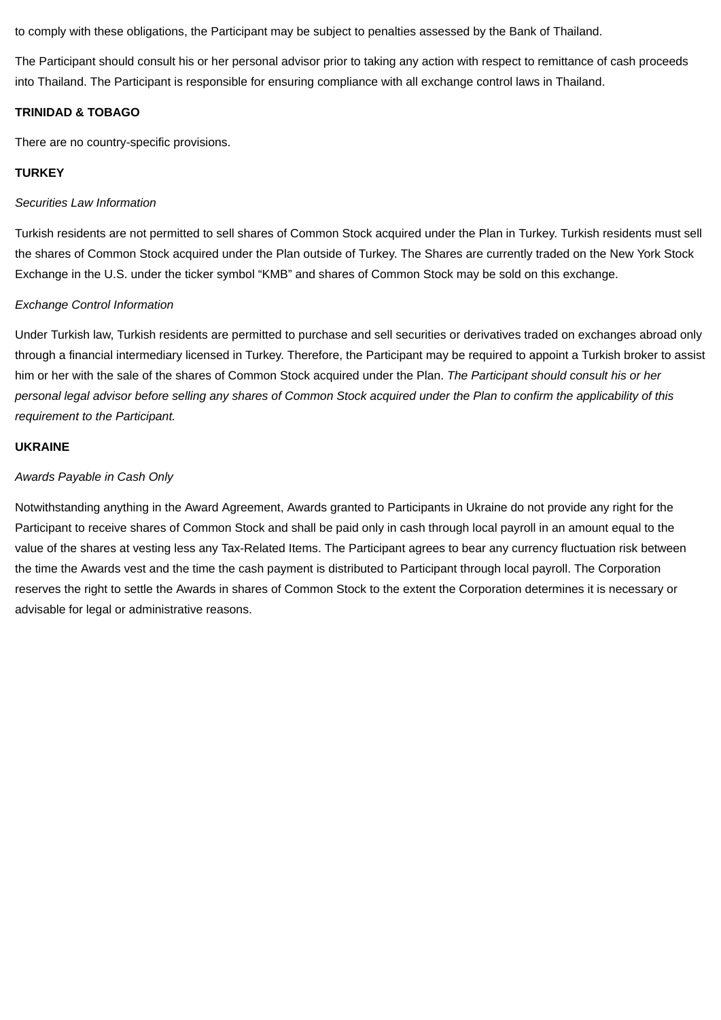to comply with these obligations, the Participant may be subject to penalties assessed by the Bank of Thailand.

The Participant should consult his or her personal advisor prior to taking any action with respect to remittance of cash proceeds into Thailand. The Participant is responsible for ensuring compliance with all exchange control laws in Thailand.

### **TRINIDAD & TOBAGO**

There are no country-specific provisions.

# **TURKEY**

### *Securities Law Information*

Turkish residents are not permitted to sell shares of Common Stock acquired under the Plan in Turkey. Turkish residents must sell the shares of Common Stock acquired under the Plan outside of Turkey. The Shares are currently traded on the New York Stock Exchange in the U.S. under the ticker symbol "KMB" and shares of Common Stock may be sold on this exchange.

## *Exchange Control Information*

Under Turkish law, Turkish residents are permitted to purchase and sell securities or derivatives traded on exchanges abroad only through a financial intermediary licensed in Turkey. Therefore, the Participant may be required to appoint a Turkish broker to assist him or her with the sale of the shares of Common Stock acquired under the Plan. *The Participant should consult his or her* personal legal advisor before selling any shares of Common Stock acquired under the Plan to confirm the applicability of this *requirement to the Participant.*

### **UKRAINE**

## *Awards Payable in Cash Only*

Notwithstanding anything in the Award Agreement, Awards granted to Participants in Ukraine do not provide any right for the Participant to receive shares of Common Stock and shall be paid only in cash through local payroll in an amount equal to the value of the shares at vesting less any Tax-Related Items. The Participant agrees to bear any currency fluctuation risk between the time the Awards vest and the time the cash payment is distributed to Participant through local payroll. The Corporation reserves the right to settle the Awards in shares of Common Stock to the extent the Corporation determines it is necessary or advisable for legal or administrative reasons.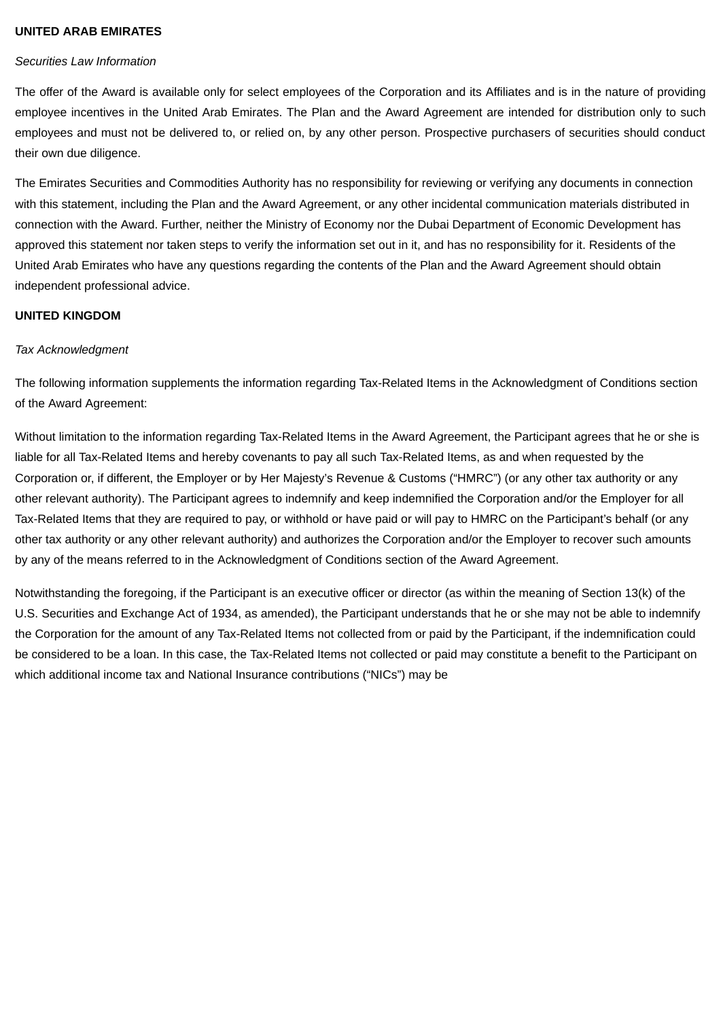#### **UNITED ARAB EMIRATES**

#### *Securities Law Information*

The offer of the Award is available only for select employees of the Corporation and its Affiliates and is in the nature of providing employee incentives in the United Arab Emirates. The Plan and the Award Agreement are intended for distribution only to such employees and must not be delivered to, or relied on, by any other person. Prospective purchasers of securities should conduct their own due diligence.

The Emirates Securities and Commodities Authority has no responsibility for reviewing or verifying any documents in connection with this statement, including the Plan and the Award Agreement, or any other incidental communication materials distributed in connection with the Award. Further, neither the Ministry of Economy nor the Dubai Department of Economic Development has approved this statement nor taken steps to verify the information set out in it, and has no responsibility for it. Residents of the United Arab Emirates who have any questions regarding the contents of the Plan and the Award Agreement should obtain independent professional advice.

#### **UNITED KINGDOM**

#### *Tax Acknowledgment*

The following information supplements the information regarding Tax-Related Items in the Acknowledgment of Conditions section of the Award Agreement:

Without limitation to the information regarding Tax-Related Items in the Award Agreement, the Participant agrees that he or she is liable for all Tax-Related Items and hereby covenants to pay all such Tax-Related Items, as and when requested by the Corporation or, if different, the Employer or by Her Majesty's Revenue & Customs ("HMRC") (or any other tax authority or any other relevant authority). The Participant agrees to indemnify and keep indemnified the Corporation and/or the Employer for all Tax-Related Items that they are required to pay, or withhold or have paid or will pay to HMRC on the Participant's behalf (or any other tax authority or any other relevant authority) and authorizes the Corporation and/or the Employer to recover such amounts by any of the means referred to in the Acknowledgment of Conditions section of the Award Agreement.

Notwithstanding the foregoing, if the Participant is an executive officer or director (as within the meaning of Section 13(k) of the U.S. Securities and Exchange Act of 1934, as amended), the Participant understands that he or she may not be able to indemnify the Corporation for the amount of any Tax-Related Items not collected from or paid by the Participant, if the indemnification could be considered to be a loan. In this case, the Tax-Related Items not collected or paid may constitute a benefit to the Participant on which additional income tax and National Insurance contributions ("NICs") may be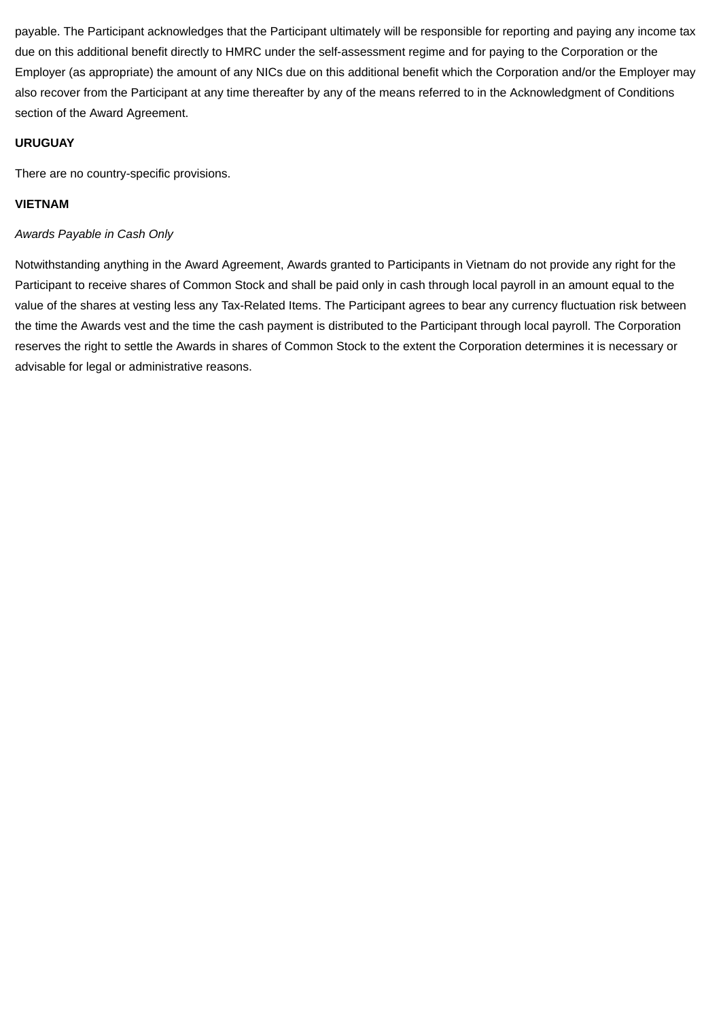payable. The Participant acknowledges that the Participant ultimately will be responsible for reporting and paying any income tax due on this additional benefit directly to HMRC under the self-assessment regime and for paying to the Corporation or the Employer (as appropriate) the amount of any NICs due on this additional benefit which the Corporation and/or the Employer may also recover from the Participant at any time thereafter by any of the means referred to in the Acknowledgment of Conditions section of the Award Agreement.

### **URUGUAY**

There are no country-specific provisions.

## **VIETNAM**

## *Awards Payable in Cash Only*

Notwithstanding anything in the Award Agreement, Awards granted to Participants in Vietnam do not provide any right for the Participant to receive shares of Common Stock and shall be paid only in cash through local payroll in an amount equal to the value of the shares at vesting less any Tax-Related Items. The Participant agrees to bear any currency fluctuation risk between the time the Awards vest and the time the cash payment is distributed to the Participant through local payroll. The Corporation reserves the right to settle the Awards in shares of Common Stock to the extent the Corporation determines it is necessary or advisable for legal or administrative reasons.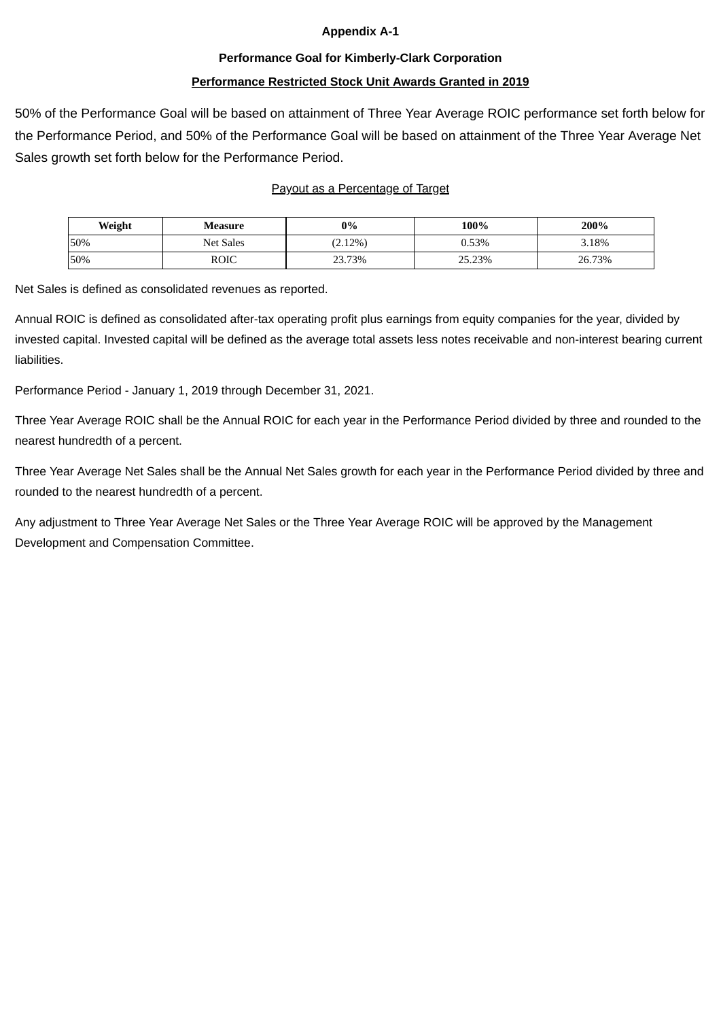## **Appendix A-1**

## **Performance Goal for Kimberly-Clark Corporation**

## **Performance Restricted Stock Unit Awards Granted in 2019**

50% of the Performance Goal will be based on attainment of Three Year Average ROIC performance set forth below for the Performance Period, and 50% of the Performance Goal will be based on attainment of the Three Year Average Net Sales growth set forth below for the Performance Period.

### Payout as a Percentage of Target

| Weight | Measure          | $0\%$      | 100%   | 200%   |
|--------|------------------|------------|--------|--------|
| 50%    | <b>Net Sales</b> | $(2.12\%)$ | 0.53%  | 3.18%  |
| 50%    | ROIC             | 23.73%     | 25.23% | 26.73% |

Net Sales is defined as consolidated revenues as reported.

Annual ROIC is defined as consolidated after-tax operating profit plus earnings from equity companies for the year, divided by invested capital. Invested capital will be defined as the average total assets less notes receivable and non-interest bearing current liabilities.

Performance Period - January 1, 2019 through December 31, 2021.

Three Year Average ROIC shall be the Annual ROIC for each year in the Performance Period divided by three and rounded to the nearest hundredth of a percent.

Three Year Average Net Sales shall be the Annual Net Sales growth for each year in the Performance Period divided by three and rounded to the nearest hundredth of a percent.

Any adjustment to Three Year Average Net Sales or the Three Year Average ROIC will be approved by the Management Development and Compensation Committee.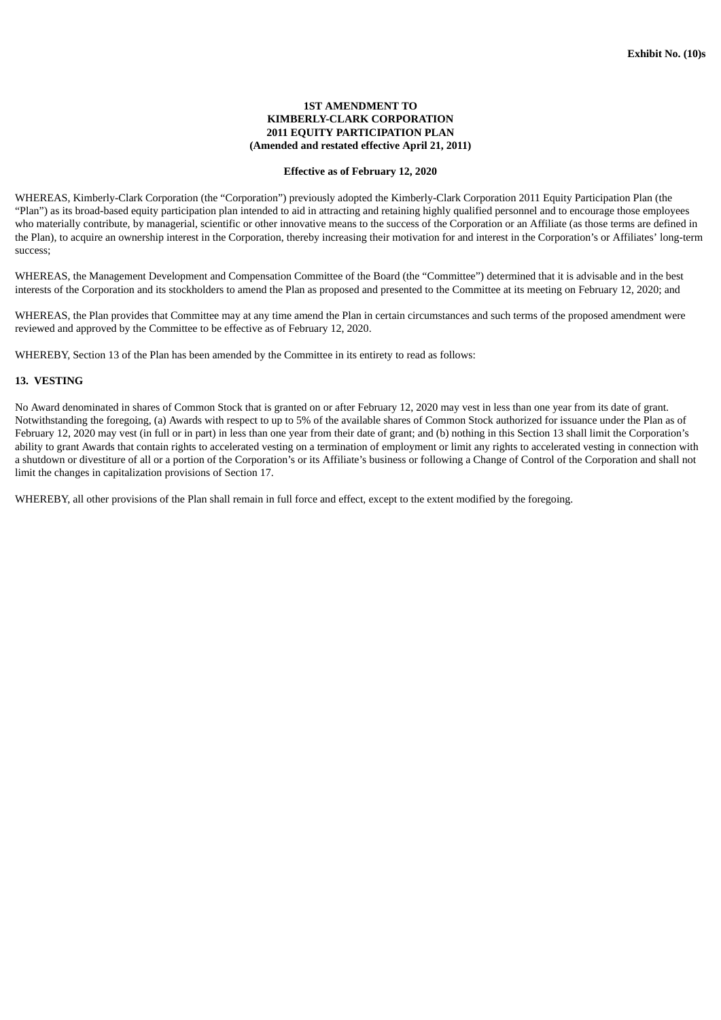#### **1ST AMENDMENT TO KIMBERLY-CLARK CORPORATION 2011 EQUITY PARTICIPATION PLAN (Amended and restated effective April 21, 2011)**

#### **Effective as of February 12, 2020**

WHEREAS, Kimberly-Clark Corporation (the "Corporation") previously adopted the Kimberly-Clark Corporation 2011 Equity Participation Plan (the "Plan") as its broad-based equity participation plan intended to aid in attracting and retaining highly qualified personnel and to encourage those employees who materially contribute, by managerial, scientific or other innovative means to the success of the Corporation or an Affiliate (as those terms are defined in the Plan), to acquire an ownership interest in the Corporation, thereby increasing their motivation for and interest in the Corporation's or Affiliates' long-term success;

WHEREAS, the Management Development and Compensation Committee of the Board (the "Committee") determined that it is advisable and in the best interests of the Corporation and its stockholders to amend the Plan as proposed and presented to the Committee at its meeting on February 12, 2020; and

WHEREAS, the Plan provides that Committee may at any time amend the Plan in certain circumstances and such terms of the proposed amendment were reviewed and approved by the Committee to be effective as of February 12, 2020.

WHEREBY, Section 13 of the Plan has been amended by the Committee in its entirety to read as follows:

#### **13. VESTING**

No Award denominated in shares of Common Stock that is granted on or after February 12, 2020 may vest in less than one year from its date of grant. Notwithstanding the foregoing, (a) Awards with respect to up to 5% of the available shares of Common Stock authorized for issuance under the Plan as of February 12, 2020 may vest (in full or in part) in less than one year from their date of grant; and (b) nothing in this Section 13 shall limit the Corporation's ability to grant Awards that contain rights to accelerated vesting on a termination of employment or limit any rights to accelerated vesting in connection with a shutdown or divestiture of all or a portion of the Corporation's or its Affiliate's business or following a Change of Control of the Corporation and shall not limit the changes in capitalization provisions of Section 17.

WHEREBY, all other provisions of the Plan shall remain in full force and effect, except to the extent modified by the foregoing.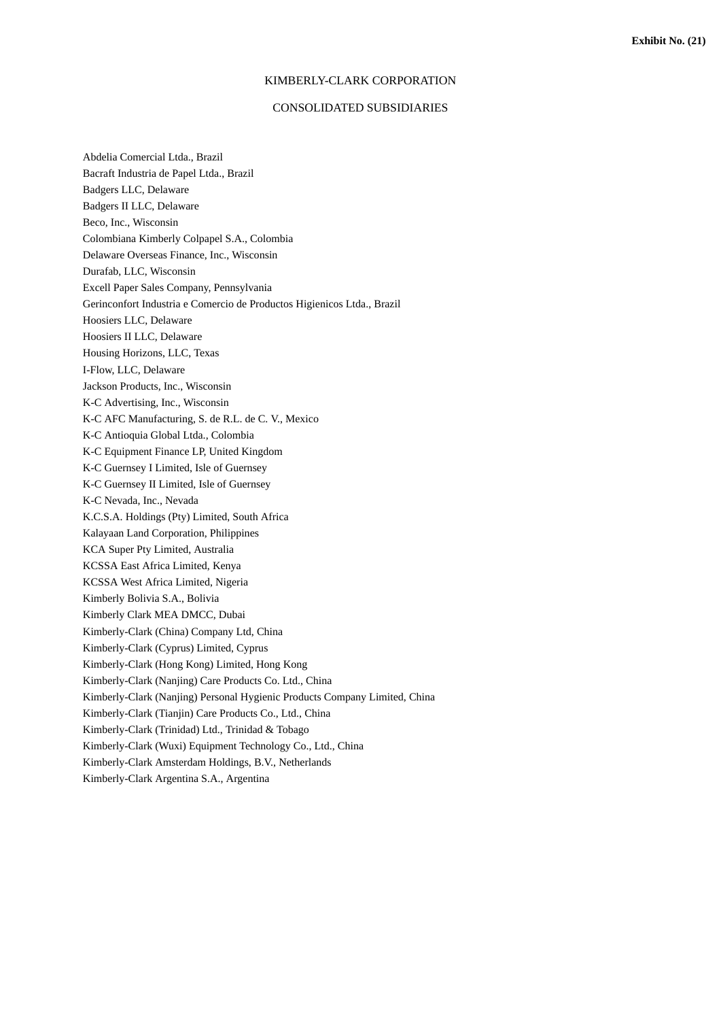#### KIMBERLY-CLARK CORPORATION

#### CONSOLIDATED SUBSIDIARIES

Abdelia Comercial Ltda., Brazil Bacraft Industria de Papel Ltda., Brazil Badgers LLC, Delaware Badgers II LLC, Delaware Beco, Inc., Wisconsin Colombiana Kimberly Colpapel S.A., Colombia Delaware Overseas Finance, Inc., Wisconsin Durafab, LLC, Wisconsin Excell Paper Sales Company, Pennsylvania Gerinconfort Industria e Comercio de Productos Higienicos Ltda., Brazil Hoosiers LLC, Delaware Hoosiers II LLC, Delaware Housing Horizons, LLC, Texas I-Flow, LLC, Delaware Jackson Products, Inc., Wisconsin K-C Advertising, Inc., Wisconsin K-C AFC Manufacturing, S. de R.L. de C. V., Mexico K-C Antioquia Global Ltda., Colombia K-C Equipment Finance LP, United Kingdom K-C Guernsey I Limited, Isle of Guernsey K-C Guernsey II Limited, Isle of Guernsey K-C Nevada, Inc., Nevada K.C.S.A. Holdings (Pty) Limited, South Africa Kalayaan Land Corporation, Philippines KCA Super Pty Limited, Australia KCSSA East Africa Limited, Kenya KCSSA West Africa Limited, Nigeria Kimberly Bolivia S.A., Bolivia Kimberly Clark MEA DMCC, Dubai Kimberly-Clark (China) Company Ltd, China Kimberly-Clark (Cyprus) Limited, Cyprus Kimberly-Clark (Hong Kong) Limited, Hong Kong Kimberly-Clark (Nanjing) Care Products Co. Ltd., China Kimberly-Clark (Nanjing) Personal Hygienic Products Company Limited, China Kimberly-Clark (Tianjin) Care Products Co., Ltd., China Kimberly-Clark (Trinidad) Ltd., Trinidad & Tobago Kimberly-Clark (Wuxi) Equipment Technology Co., Ltd., China Kimberly-Clark Amsterdam Holdings, B.V., Netherlands Kimberly-Clark Argentina S.A., Argentina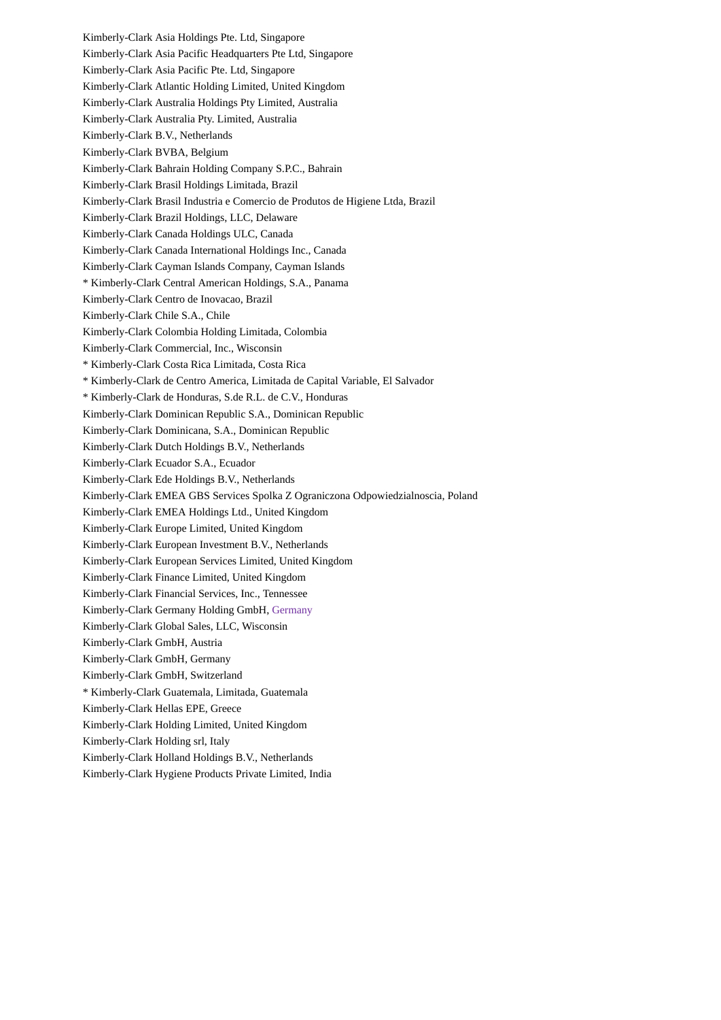Kimberly-Clark Asia Holdings Pte. Ltd, Singapore Kimberly-Clark Asia Pacific Headquarters Pte Ltd, Singapore Kimberly-Clark Asia Pacific Pte. Ltd, Singapore Kimberly-Clark Atlantic Holding Limited, United Kingdom Kimberly-Clark Australia Holdings Pty Limited, Australia Kimberly-Clark Australia Pty. Limited, Australia Kimberly-Clark B.V., Netherlands Kimberly-Clark BVBA, Belgium Kimberly-Clark Bahrain Holding Company S.P.C., Bahrain Kimberly-Clark Brasil Holdings Limitada, Brazil Kimberly-Clark Brasil Industria e Comercio de Produtos de Higiene Ltda, Brazil Kimberly-Clark Brazil Holdings, LLC, Delaware Kimberly-Clark Canada Holdings ULC, Canada Kimberly-Clark Canada International Holdings Inc., Canada Kimberly-Clark Cayman Islands Company, Cayman Islands \* Kimberly-Clark Central American Holdings, S.A., Panama Kimberly-Clark Centro de Inovacao, Brazil Kimberly-Clark Chile S.A., Chile Kimberly-Clark Colombia Holding Limitada, Colombia Kimberly-Clark Commercial, Inc., Wisconsin \* Kimberly-Clark Costa Rica Limitada, Costa Rica \* Kimberly-Clark de Centro America, Limitada de Capital Variable, El Salvador \* Kimberly-Clark de Honduras, S.de R.L. de C.V., Honduras Kimberly-Clark Dominican Republic S.A., Dominican Republic Kimberly-Clark Dominicana, S.A., Dominican Republic Kimberly-Clark Dutch Holdings B.V., Netherlands Kimberly-Clark Ecuador S.A., Ecuador Kimberly-Clark Ede Holdings B.V., Netherlands Kimberly-Clark EMEA GBS Services Spolka Z Ograniczona Odpowiedzialnoscia, Poland Kimberly-Clark EMEA Holdings Ltd., United Kingdom Kimberly-Clark Europe Limited, United Kingdom Kimberly-Clark European Investment B.V., Netherlands Kimberly-Clark European Services Limited, United Kingdom Kimberly-Clark Finance Limited, United Kingdom Kimberly-Clark Financial Services, Inc., Tennessee Kimberly-Clark Germany Holding GmbH, Germany Kimberly-Clark Global Sales, LLC, Wisconsin Kimberly-Clark GmbH, Austria Kimberly-Clark GmbH, Germany Kimberly-Clark GmbH, Switzerland \* Kimberly-Clark Guatemala, Limitada, Guatemala Kimberly-Clark Hellas EPE, Greece Kimberly-Clark Holding Limited, United Kingdom Kimberly-Clark Holding srl, Italy Kimberly-Clark Holland Holdings B.V., Netherlands Kimberly-Clark Hygiene Products Private Limited, India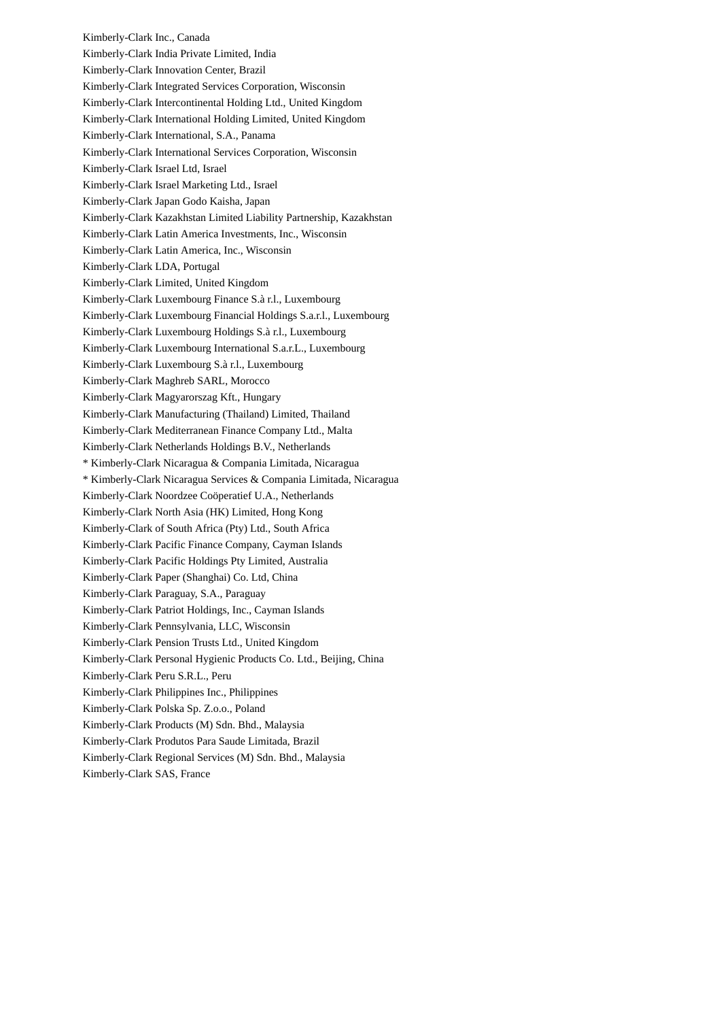Kimberly-Clark Inc., Canada Kimberly-Clark India Private Limited, India Kimberly-Clark Innovation Center, Brazil Kimberly-Clark Integrated Services Corporation, Wisconsin Kimberly-Clark Intercontinental Holding Ltd., United Kingdom Kimberly-Clark International Holding Limited, United Kingdom Kimberly-Clark International, S.A., Panama Kimberly-Clark International Services Corporation, Wisconsin Kimberly-Clark Israel Ltd, Israel Kimberly-Clark Israel Marketing Ltd., Israel Kimberly-Clark Japan Godo Kaisha, Japan Kimberly-Clark Kazakhstan Limited Liability Partnership, Kazakhstan Kimberly-Clark Latin America Investments, Inc., Wisconsin Kimberly-Clark Latin America, Inc., Wisconsin Kimberly-Clark LDA, Portugal Kimberly-Clark Limited, United Kingdom Kimberly-Clark Luxembourg Finance S.à r.l., Luxembourg Kimberly-Clark Luxembourg Financial Holdings S.a.r.l., Luxembourg Kimberly-Clark Luxembourg Holdings S.à r.l., Luxembourg Kimberly-Clark Luxembourg International S.a.r.L., Luxembourg Kimberly-Clark Luxembourg S.à r.l., Luxembourg Kimberly-Clark Maghreb SARL, Morocco Kimberly-Clark Magyarorszag Kft., Hungary Kimberly-Clark Manufacturing (Thailand) Limited, Thailand Kimberly-Clark Mediterranean Finance Company Ltd., Malta Kimberly-Clark Netherlands Holdings B.V., Netherlands \* Kimberly-Clark Nicaragua & Compania Limitada, Nicaragua \* Kimberly-Clark Nicaragua Services & Compania Limitada, Nicaragua Kimberly-Clark Noordzee Coöperatief U.A., Netherlands Kimberly-Clark North Asia (HK) Limited, Hong Kong Kimberly-Clark of South Africa (Pty) Ltd., South Africa Kimberly-Clark Pacific Finance Company, Cayman Islands Kimberly-Clark Pacific Holdings Pty Limited, Australia Kimberly-Clark Paper (Shanghai) Co. Ltd, China Kimberly-Clark Paraguay, S.A., Paraguay Kimberly-Clark Patriot Holdings, Inc., Cayman Islands Kimberly-Clark Pennsylvania, LLC, Wisconsin Kimberly-Clark Pension Trusts Ltd., United Kingdom Kimberly-Clark Personal Hygienic Products Co. Ltd., Beijing, China Kimberly-Clark Peru S.R.L., Peru Kimberly-Clark Philippines Inc., Philippines Kimberly-Clark Polska Sp. Z.o.o., Poland Kimberly-Clark Products (M) Sdn. Bhd., Malaysia Kimberly-Clark Produtos Para Saude Limitada, Brazil Kimberly-Clark Regional Services (M) Sdn. Bhd., Malaysia Kimberly-Clark SAS, France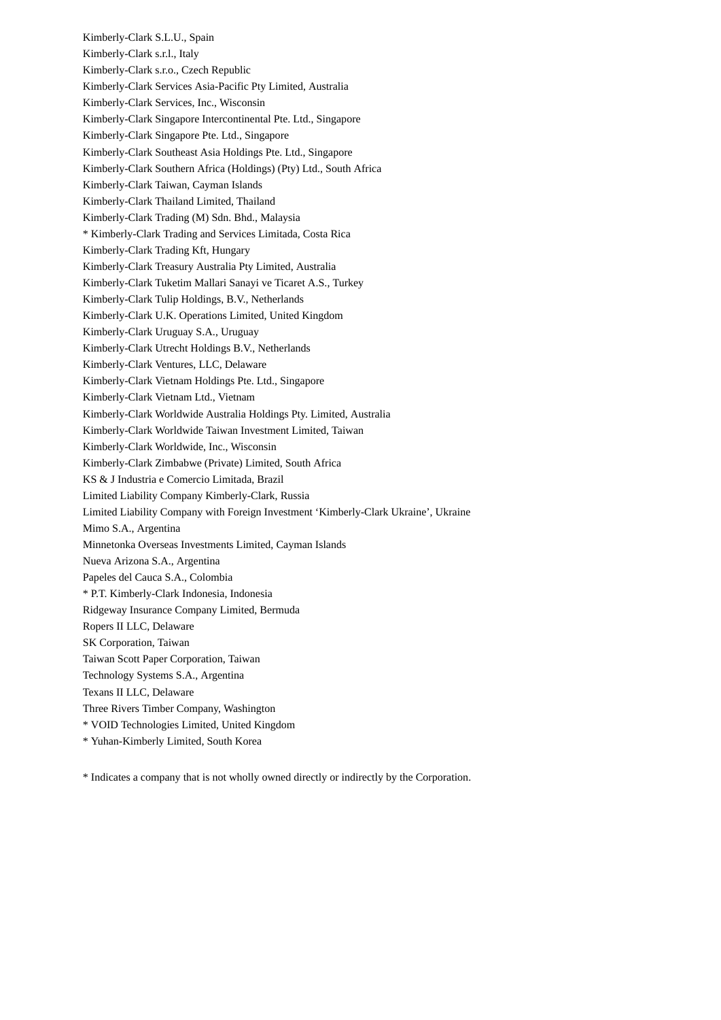Kimberly-Clark S.L.U., Spain Kimberly-Clark s.r.l., Italy Kimberly-Clark s.r.o., Czech Republic Kimberly-Clark Services Asia-Pacific Pty Limited, Australia Kimberly-Clark Services, Inc., Wisconsin Kimberly-Clark Singapore Intercontinental Pte. Ltd., Singapore Kimberly-Clark Singapore Pte. Ltd., Singapore Kimberly-Clark Southeast Asia Holdings Pte. Ltd., Singapore Kimberly-Clark Southern Africa (Holdings) (Pty) Ltd., South Africa Kimberly-Clark Taiwan, Cayman Islands Kimberly-Clark Thailand Limited, Thailand Kimberly-Clark Trading (M) Sdn. Bhd., Malaysia \* Kimberly-Clark Trading and Services Limitada, Costa Rica Kimberly-Clark Trading Kft, Hungary Kimberly-Clark Treasury Australia Pty Limited, Australia Kimberly-Clark Tuketim Mallari Sanayi ve Ticaret A.S., Turkey Kimberly-Clark Tulip Holdings, B.V., Netherlands Kimberly-Clark U.K. Operations Limited, United Kingdom Kimberly-Clark Uruguay S.A., Uruguay Kimberly-Clark Utrecht Holdings B.V., Netherlands Kimberly-Clark Ventures, LLC, Delaware Kimberly-Clark Vietnam Holdings Pte. Ltd., Singapore Kimberly-Clark Vietnam Ltd., Vietnam Kimberly-Clark Worldwide Australia Holdings Pty. Limited, Australia Kimberly-Clark Worldwide Taiwan Investment Limited, Taiwan Kimberly-Clark Worldwide, Inc., Wisconsin Kimberly-Clark Zimbabwe (Private) Limited, South Africa KS & J Industria e Comercio Limitada, Brazil Limited Liability Company Kimberly-Clark, Russia Limited Liability Company with Foreign Investment 'Kimberly-Clark Ukraine', Ukraine Mimo S.A., Argentina Minnetonka Overseas Investments Limited, Cayman Islands Nueva Arizona S.A., Argentina Papeles del Cauca S.A., Colombia \* P.T. Kimberly-Clark Indonesia, Indonesia Ridgeway Insurance Company Limited, Bermuda Ropers II LLC, Delaware SK Corporation, Taiwan Taiwan Scott Paper Corporation, Taiwan Technology Systems S.A., Argentina Texans II LLC, Delaware Three Rivers Timber Company, Washington \* VOID Technologies Limited, United Kingdom

\* Yuhan-Kimberly Limited, South Korea

\* Indicates a company that is not wholly owned directly or indirectly by the Corporation.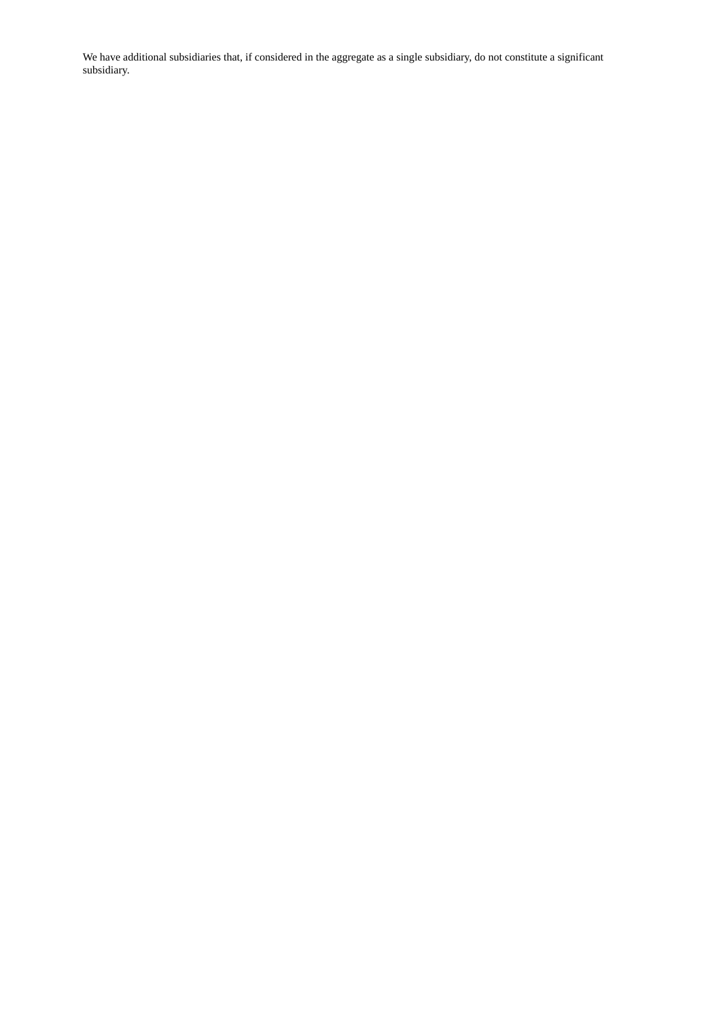We have additional subsidiaries that, if considered in the aggregate as a single subsidiary, do not constitute a significant subsidiary.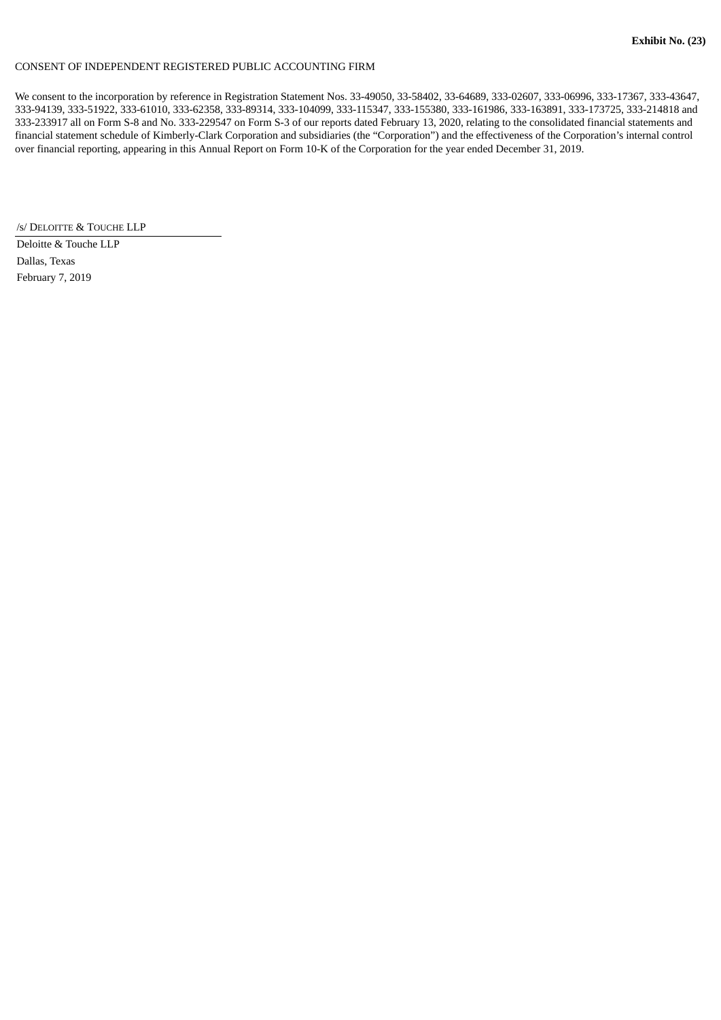#### CONSENT OF INDEPENDENT REGISTERED PUBLIC ACCOUNTING FIRM

We consent to the incorporation by reference in Registration Statement Nos. 33-49050, 33-58402, 33-64689, 333-02607, 333-06996, 333-17367, 333-43647, 333-94139, 333-51922, 333-61010, 333-62358, 333-89314, 333-104099, 333-115347, 333-155380, 333-161986, 333-163891, 333-173725, 333-214818 and 333-233917 all on Form S-8 and No. 333-229547 on Form S-3 of our reports dated February 13, 2020, relating to the consolidated financial statements and financial statement schedule of Kimberly-Clark Corporation and subsidiaries (the "Corporation") and the effectiveness of the Corporation's internal control over financial reporting, appearing in this Annual Report on Form 10-K of the Corporation for the year ended December 31, 2019.

/s/ DELOITTE & TOUCHE LLP

Deloitte & Touche LLP Dallas, Texas February 7, 2019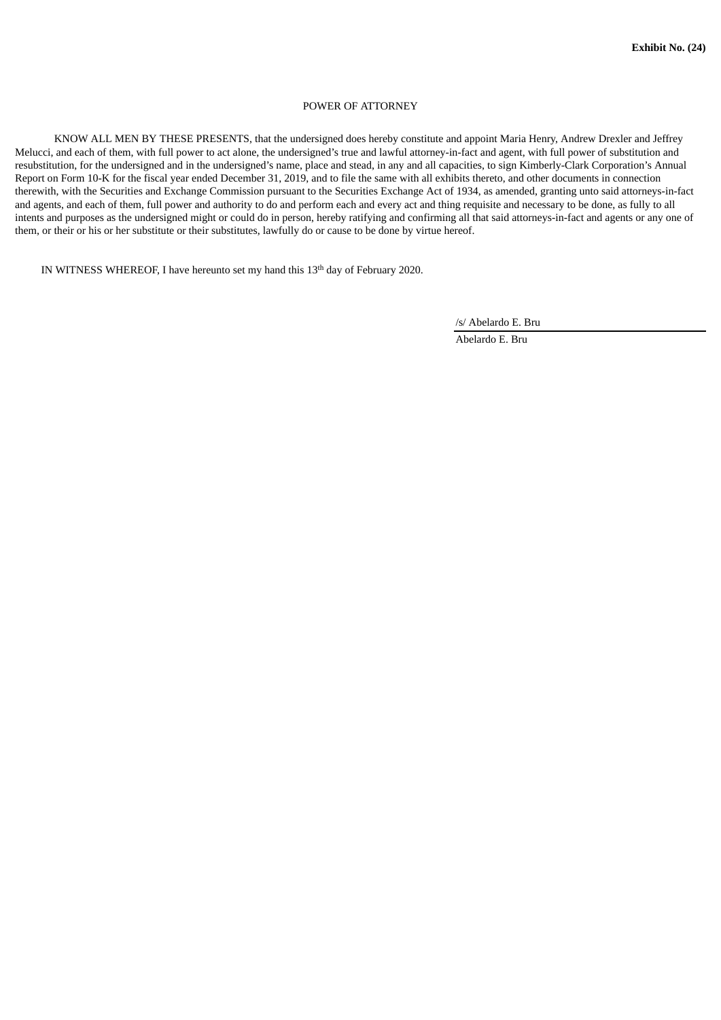KNOW ALL MEN BY THESE PRESENTS, that the undersigned does hereby constitute and appoint Maria Henry, Andrew Drexler and Jeffrey Melucci, and each of them, with full power to act alone, the undersigned's true and lawful attorney-in-fact and agent, with full power of substitution and resubstitution, for the undersigned and in the undersigned's name, place and stead, in any and all capacities, to sign Kimberly-Clark Corporation's Annual Report on Form 10-K for the fiscal year ended December 31, 2019, and to file the same with all exhibits thereto, and other documents in connection therewith, with the Securities and Exchange Commission pursuant to the Securities Exchange Act of 1934, as amended, granting unto said attorneys-in-fact and agents, and each of them, full power and authority to do and perform each and every act and thing requisite and necessary to be done, as fully to all intents and purposes as the undersigned might or could do in person, hereby ratifying and confirming all that said attorneys-in-fact and agents or any one of them, or their or his or her substitute or their substitutes, lawfully do or cause to be done by virtue hereof.

IN WITNESS WHEREOF, I have hereunto set my hand this 13<sup>th</sup> day of February 2020.

/s/ Abelardo E. Bru

Abelardo E. Bru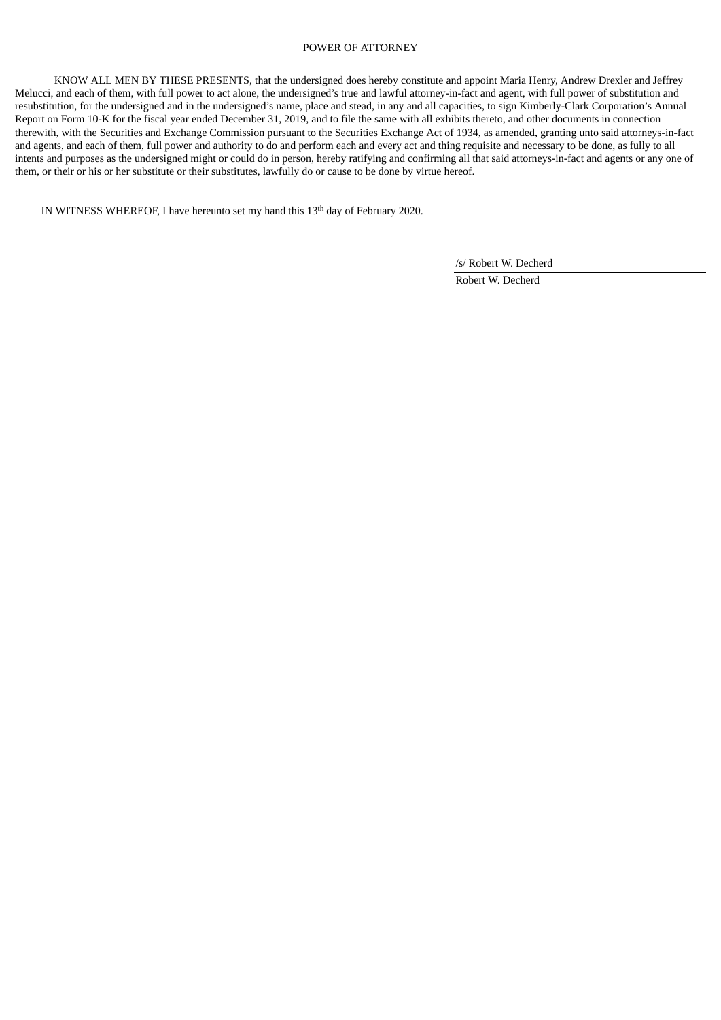KNOW ALL MEN BY THESE PRESENTS, that the undersigned does hereby constitute and appoint Maria Henry, Andrew Drexler and Jeffrey Melucci, and each of them, with full power to act alone, the undersigned's true and lawful attorney-in-fact and agent, with full power of substitution and resubstitution, for the undersigned and in the undersigned's name, place and stead, in any and all capacities, to sign Kimberly-Clark Corporation's Annual Report on Form 10-K for the fiscal year ended December 31, 2019, and to file the same with all exhibits thereto, and other documents in connection therewith, with the Securities and Exchange Commission pursuant to the Securities Exchange Act of 1934, as amended, granting unto said attorneys-in-fact and agents, and each of them, full power and authority to do and perform each and every act and thing requisite and necessary to be done, as fully to all intents and purposes as the undersigned might or could do in person, hereby ratifying and confirming all that said attorneys-in-fact and agents or any one of them, or their or his or her substitute or their substitutes, lawfully do or cause to be done by virtue hereof.

IN WITNESS WHEREOF, I have hereunto set my hand this  $13<sup>th</sup>$  day of February 2020.

/s/ Robert W. Decherd

Robert W. Decherd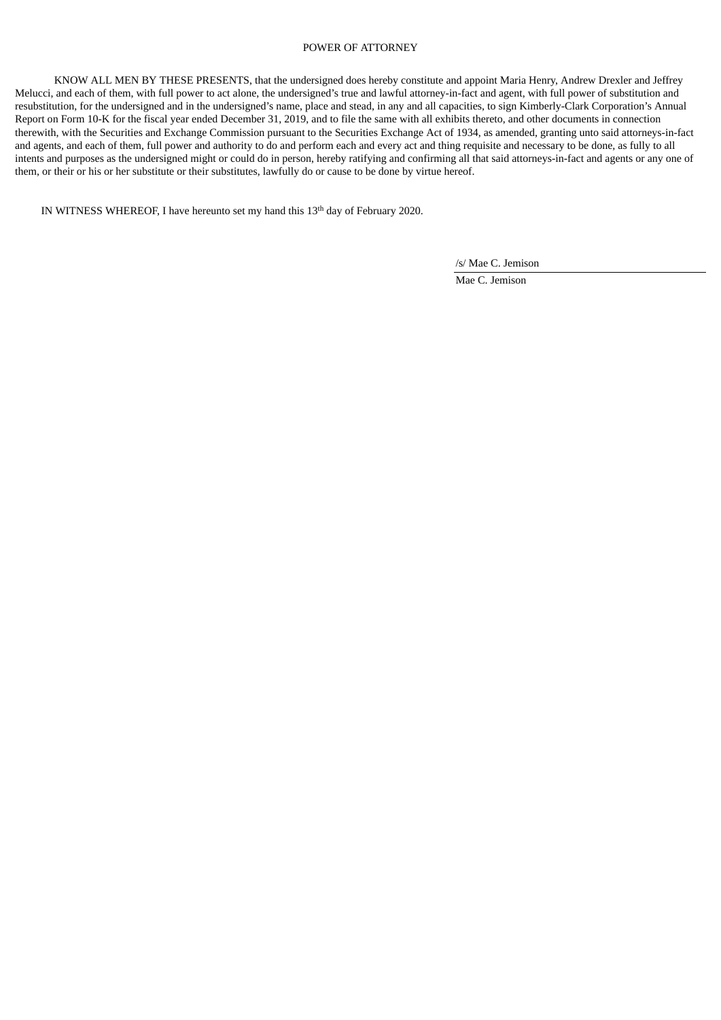KNOW ALL MEN BY THESE PRESENTS, that the undersigned does hereby constitute and appoint Maria Henry, Andrew Drexler and Jeffrey Melucci, and each of them, with full power to act alone, the undersigned's true and lawful attorney-in-fact and agent, with full power of substitution and resubstitution, for the undersigned and in the undersigned's name, place and stead, in any and all capacities, to sign Kimberly-Clark Corporation's Annual Report on Form 10-K for the fiscal year ended December 31, 2019, and to file the same with all exhibits thereto, and other documents in connection therewith, with the Securities and Exchange Commission pursuant to the Securities Exchange Act of 1934, as amended, granting unto said attorneys-in-fact and agents, and each of them, full power and authority to do and perform each and every act and thing requisite and necessary to be done, as fully to all intents and purposes as the undersigned might or could do in person, hereby ratifying and confirming all that said attorneys-in-fact and agents or any one of them, or their or his or her substitute or their substitutes, lawfully do or cause to be done by virtue hereof.

IN WITNESS WHEREOF, I have hereunto set my hand this  $13<sup>th</sup>$  day of February 2020.

/s/ Mae C. Jemison

Mae C. Jemison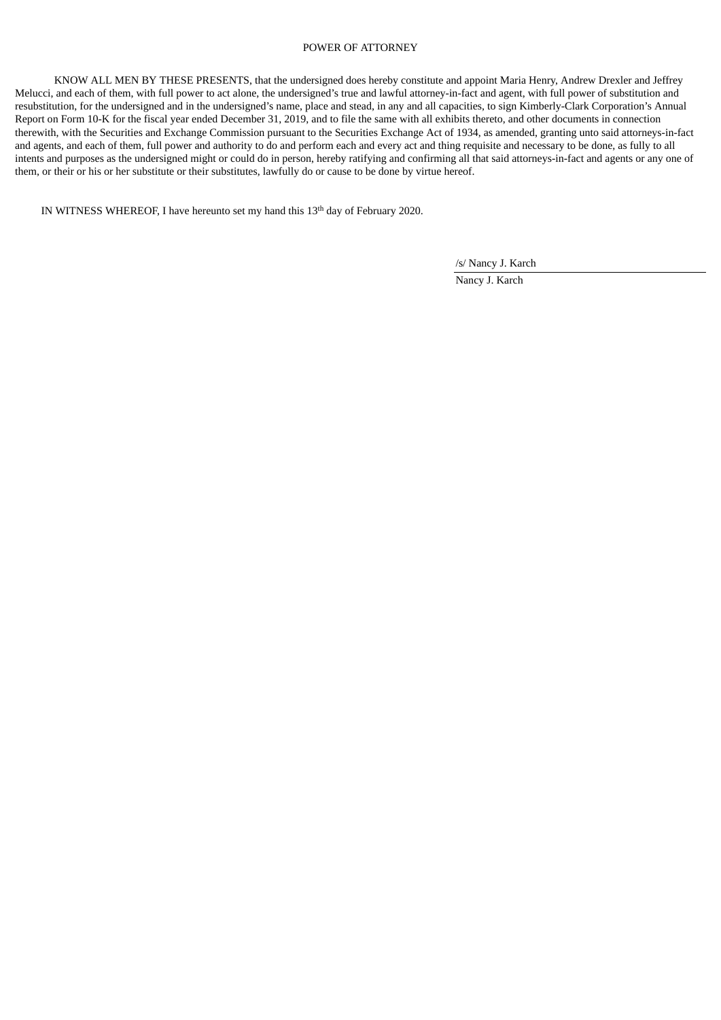KNOW ALL MEN BY THESE PRESENTS, that the undersigned does hereby constitute and appoint Maria Henry, Andrew Drexler and Jeffrey Melucci, and each of them, with full power to act alone, the undersigned's true and lawful attorney-in-fact and agent, with full power of substitution and resubstitution, for the undersigned and in the undersigned's name, place and stead, in any and all capacities, to sign Kimberly-Clark Corporation's Annual Report on Form 10-K for the fiscal year ended December 31, 2019, and to file the same with all exhibits thereto, and other documents in connection therewith, with the Securities and Exchange Commission pursuant to the Securities Exchange Act of 1934, as amended, granting unto said attorneys-in-fact and agents, and each of them, full power and authority to do and perform each and every act and thing requisite and necessary to be done, as fully to all intents and purposes as the undersigned might or could do in person, hereby ratifying and confirming all that said attorneys-in-fact and agents or any one of them, or their or his or her substitute or their substitutes, lawfully do or cause to be done by virtue hereof.

IN WITNESS WHEREOF, I have hereunto set my hand this  $13<sup>th</sup>$  day of February 2020.

/s/ Nancy J. Karch

Nancy J. Karch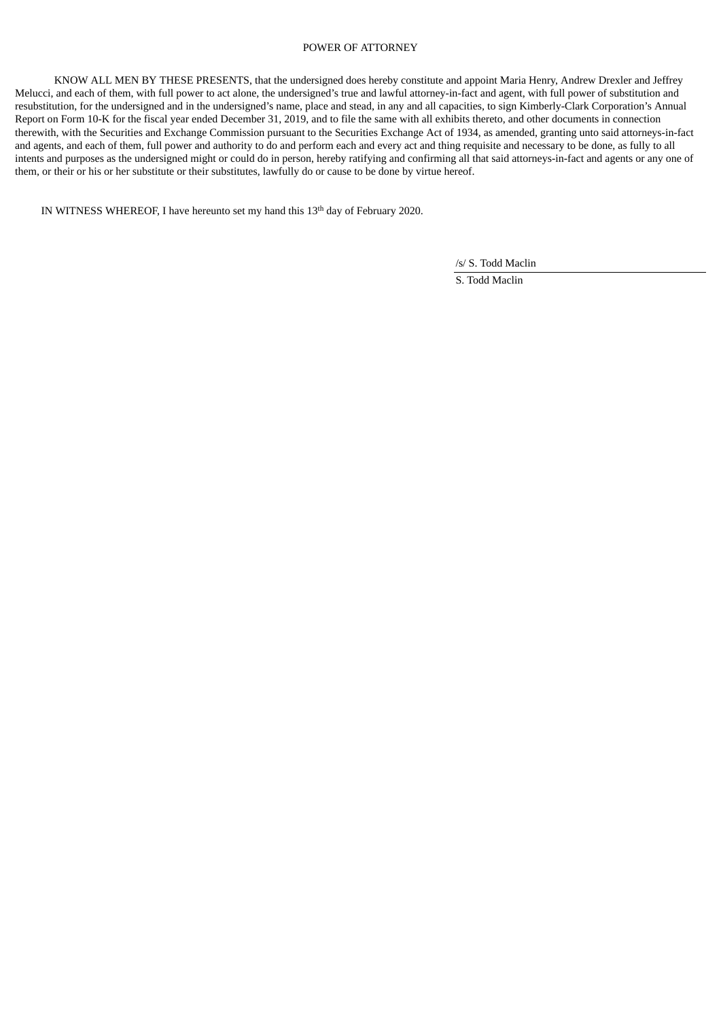KNOW ALL MEN BY THESE PRESENTS, that the undersigned does hereby constitute and appoint Maria Henry, Andrew Drexler and Jeffrey Melucci, and each of them, with full power to act alone, the undersigned's true and lawful attorney-in-fact and agent, with full power of substitution and resubstitution, for the undersigned and in the undersigned's name, place and stead, in any and all capacities, to sign Kimberly-Clark Corporation's Annual Report on Form 10-K for the fiscal year ended December 31, 2019, and to file the same with all exhibits thereto, and other documents in connection therewith, with the Securities and Exchange Commission pursuant to the Securities Exchange Act of 1934, as amended, granting unto said attorneys-in-fact and agents, and each of them, full power and authority to do and perform each and every act and thing requisite and necessary to be done, as fully to all intents and purposes as the undersigned might or could do in person, hereby ratifying and confirming all that said attorneys-in-fact and agents or any one of them, or their or his or her substitute or their substitutes, lawfully do or cause to be done by virtue hereof.

IN WITNESS WHEREOF, I have hereunto set my hand this  $13<sup>th</sup>$  day of February 2020.

/s/ S. Todd Maclin

S. Todd Maclin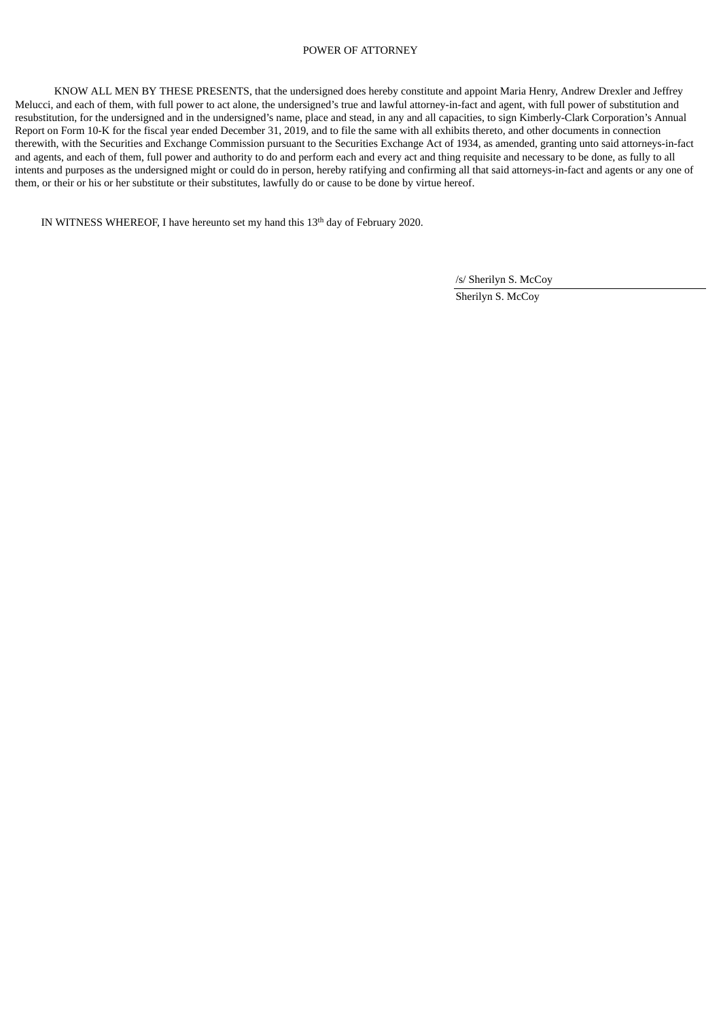KNOW ALL MEN BY THESE PRESENTS, that the undersigned does hereby constitute and appoint Maria Henry, Andrew Drexler and Jeffrey Melucci, and each of them, with full power to act alone, the undersigned's true and lawful attorney-in-fact and agent, with full power of substitution and resubstitution, for the undersigned and in the undersigned's name, place and stead, in any and all capacities, to sign Kimberly-Clark Corporation's Annual Report on Form 10-K for the fiscal year ended December 31, 2019, and to file the same with all exhibits thereto, and other documents in connection therewith, with the Securities and Exchange Commission pursuant to the Securities Exchange Act of 1934, as amended, granting unto said attorneys-in-fact and agents, and each of them, full power and authority to do and perform each and every act and thing requisite and necessary to be done, as fully to all intents and purposes as the undersigned might or could do in person, hereby ratifying and confirming all that said attorneys-in-fact and agents or any one of them, or their or his or her substitute or their substitutes, lawfully do or cause to be done by virtue hereof.

IN WITNESS WHEREOF, I have hereunto set my hand this  $13<sup>th</sup>$  day of February 2020.

/s/ Sherilyn S. McCoy

Sherilyn S. McCoy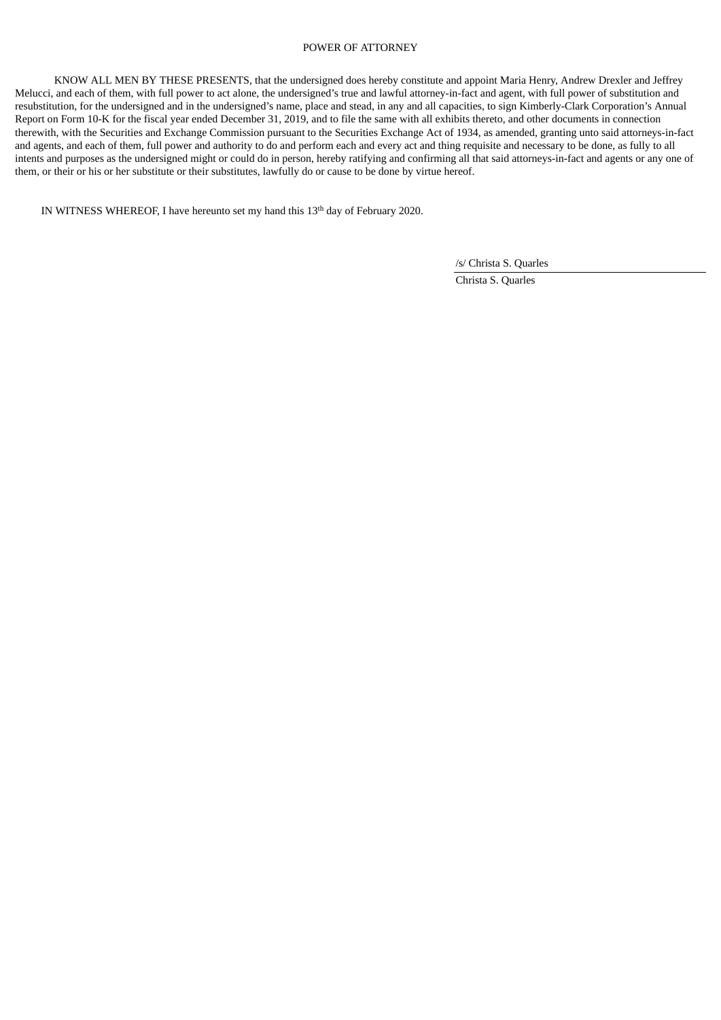KNOW ALL MEN BY THESE PRESENTS, that the undersigned does hereby constitute and appoint Maria Henry, Andrew Drexler and Jeffrey Melucci, and each of them, with full power to act alone, the undersigned's true and lawful attorney-in-fact and agent, with full power of substitution and resubstitution, for the undersigned and in the undersigned's name, place and stead, in any and all capacities, to sign Kimberly-Clark Corporation's Annual Report on Form 10-K for the fiscal year ended December 31, 2019, and to file the same with all exhibits thereto, and other documents in connection therewith, with the Securities and Exchange Commission pursuant to the Securities Exchange Act of 1934, as amended, granting unto said attorneys-in-fact and agents, and each of them, full power and authority to do and perform each and every act and thing requisite and necessary to be done, as fully to all intents and purposes as the undersigned might or could do in person, hereby ratifying and confirming all that said attorneys-in-fact and agents or any one of them, or their or his or her substitute or their substitutes, lawfully do or cause to be done by virtue hereof.

IN WITNESS WHEREOF, I have hereunto set my hand this  $13<sup>th</sup>$  day of February 2020.

/s/ Christa S. Quarles

Christa S. Quarles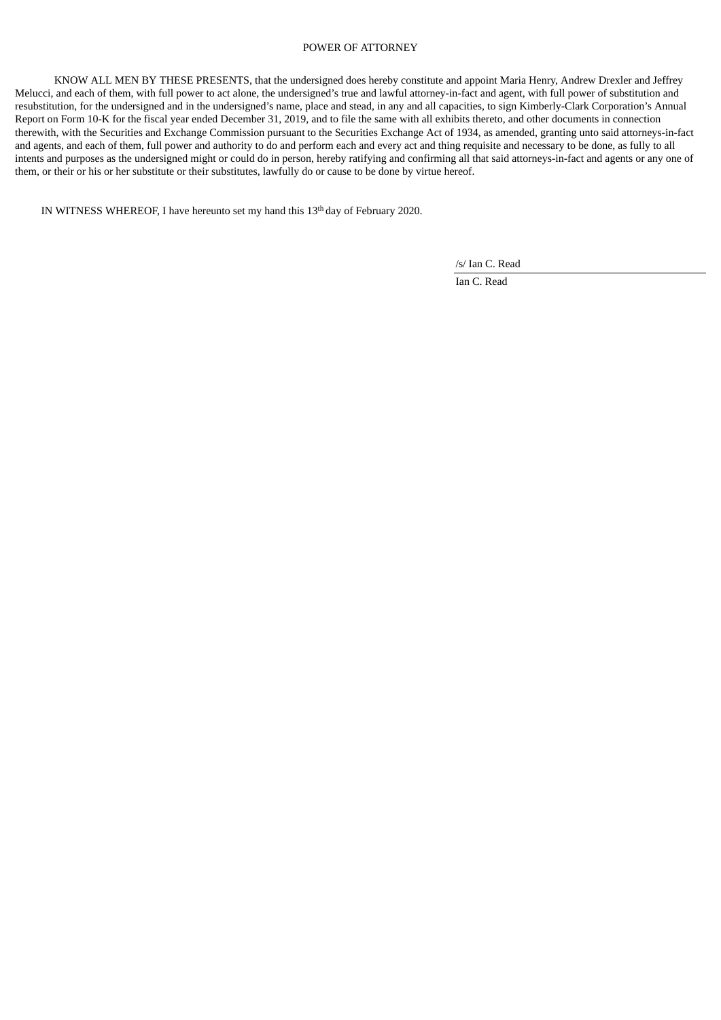KNOW ALL MEN BY THESE PRESENTS, that the undersigned does hereby constitute and appoint Maria Henry, Andrew Drexler and Jeffrey Melucci, and each of them, with full power to act alone, the undersigned's true and lawful attorney-in-fact and agent, with full power of substitution and resubstitution, for the undersigned and in the undersigned's name, place and stead, in any and all capacities, to sign Kimberly-Clark Corporation's Annual Report on Form 10-K for the fiscal year ended December 31, 2019, and to file the same with all exhibits thereto, and other documents in connection therewith, with the Securities and Exchange Commission pursuant to the Securities Exchange Act of 1934, as amended, granting unto said attorneys-in-fact and agents, and each of them, full power and authority to do and perform each and every act and thing requisite and necessary to be done, as fully to all intents and purposes as the undersigned might or could do in person, hereby ratifying and confirming all that said attorneys-in-fact and agents or any one of them, or their or his or her substitute or their substitutes, lawfully do or cause to be done by virtue hereof.

IN WITNESS WHEREOF, I have hereunto set my hand this  $13<sup>th</sup>$  day of February 2020.

/s/ Ian C. Read

Ian C. Read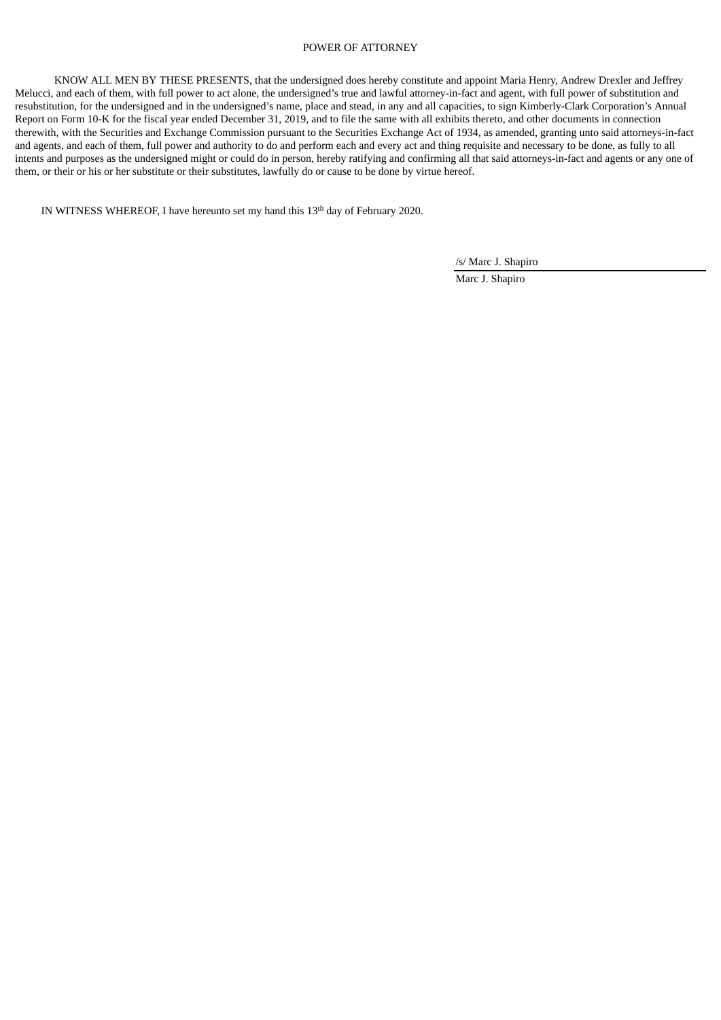KNOW ALL MEN BY THESE PRESENTS, that the undersigned does hereby constitute and appoint Maria Henry, Andrew Drexler and Jeffrey Melucci, and each of them, with full power to act alone, the undersigned's true and lawful attorney-in-fact and agent, with full power of substitution and resubstitution, for the undersigned and in the undersigned's name, place and stead, in any and all capacities, to sign Kimberly-Clark Corporation's Annual Report on Form 10-K for the fiscal year ended December 31, 2019, and to file the same with all exhibits thereto, and other documents in connection therewith, with the Securities and Exchange Commission pursuant to the Securities Exchange Act of 1934, as amended, granting unto said attorneys-in-fact and agents, and each of them, full power and authority to do and perform each and every act and thing requisite and necessary to be done, as fully to all intents and purposes as the undersigned might or could do in person, hereby ratifying and confirming all that said attorneys-in-fact and agents or any one of them, or their or his or her substitute or their substitutes, lawfully do or cause to be done by virtue hereof.

IN WITNESS WHEREOF, I have hereunto set my hand this  $13<sup>th</sup>$  day of February 2020.

/s/ Marc J. Shapiro

Marc J. Shapiro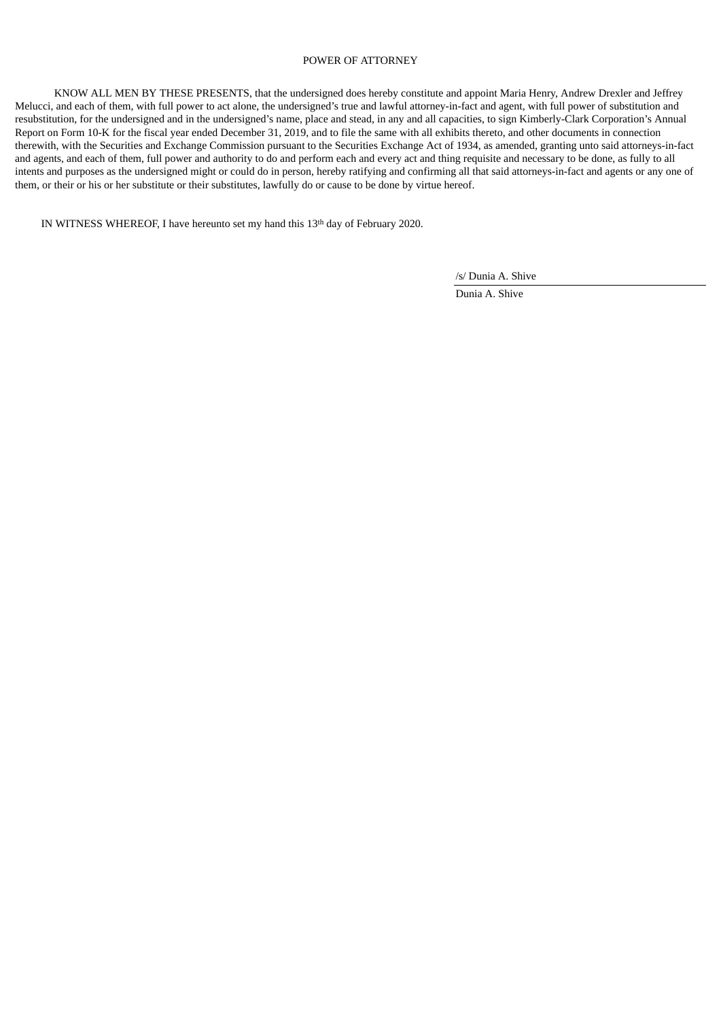KNOW ALL MEN BY THESE PRESENTS, that the undersigned does hereby constitute and appoint Maria Henry, Andrew Drexler and Jeffrey Melucci, and each of them, with full power to act alone, the undersigned's true and lawful attorney-in-fact and agent, with full power of substitution and resubstitution, for the undersigned and in the undersigned's name, place and stead, in any and all capacities, to sign Kimberly-Clark Corporation's Annual Report on Form 10-K for the fiscal year ended December 31, 2019, and to file the same with all exhibits thereto, and other documents in connection therewith, with the Securities and Exchange Commission pursuant to the Securities Exchange Act of 1934, as amended, granting unto said attorneys-in-fact and agents, and each of them, full power and authority to do and perform each and every act and thing requisite and necessary to be done, as fully to all intents and purposes as the undersigned might or could do in person, hereby ratifying and confirming all that said attorneys-in-fact and agents or any one of them, or their or his or her substitute or their substitutes, lawfully do or cause to be done by virtue hereof.

IN WITNESS WHEREOF, I have hereunto set my hand this  $13<sup>th</sup>$  day of February 2020.

/s/ Dunia A. Shive

Dunia A. Shive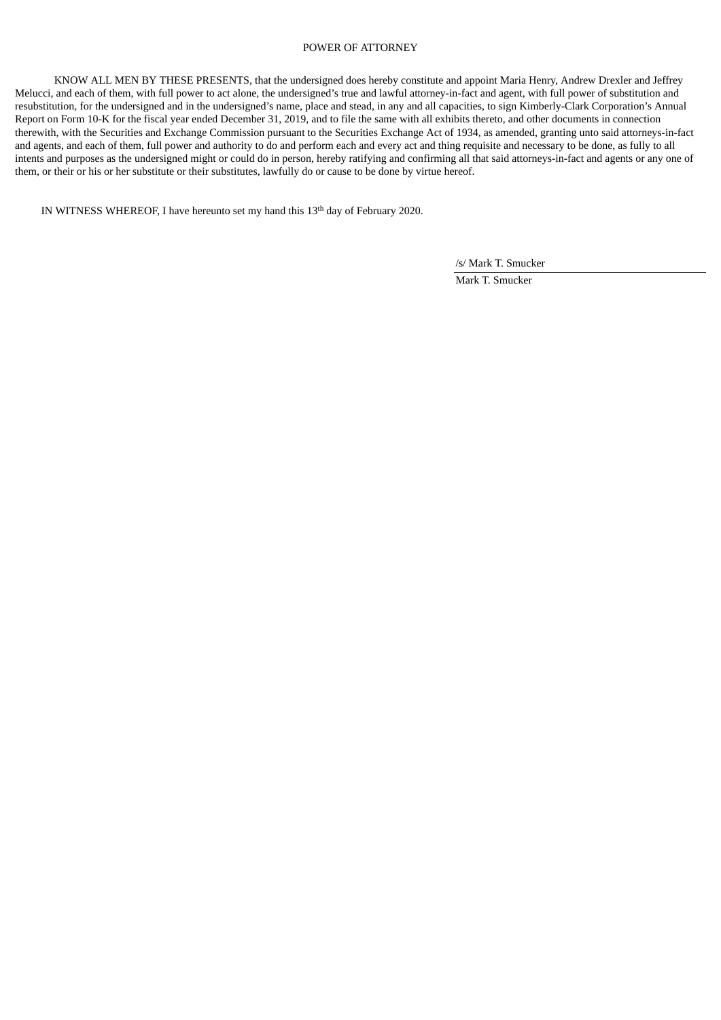KNOW ALL MEN BY THESE PRESENTS, that the undersigned does hereby constitute and appoint Maria Henry, Andrew Drexler and Jeffrey Melucci, and each of them, with full power to act alone, the undersigned's true and lawful attorney-in-fact and agent, with full power of substitution and resubstitution, for the undersigned and in the undersigned's name, place and stead, in any and all capacities, to sign Kimberly-Clark Corporation's Annual Report on Form 10-K for the fiscal year ended December 31, 2019, and to file the same with all exhibits thereto, and other documents in connection therewith, with the Securities and Exchange Commission pursuant to the Securities Exchange Act of 1934, as amended, granting unto said attorneys-in-fact and agents, and each of them, full power and authority to do and perform each and every act and thing requisite and necessary to be done, as fully to all intents and purposes as the undersigned might or could do in person, hereby ratifying and confirming all that said attorneys-in-fact and agents or any one of them, or their or his or her substitute or their substitutes, lawfully do or cause to be done by virtue hereof.

IN WITNESS WHEREOF, I have hereunto set my hand this  $13<sup>th</sup>$  day of February 2020.

/s/ Mark T. Smucker

Mark T. Smucker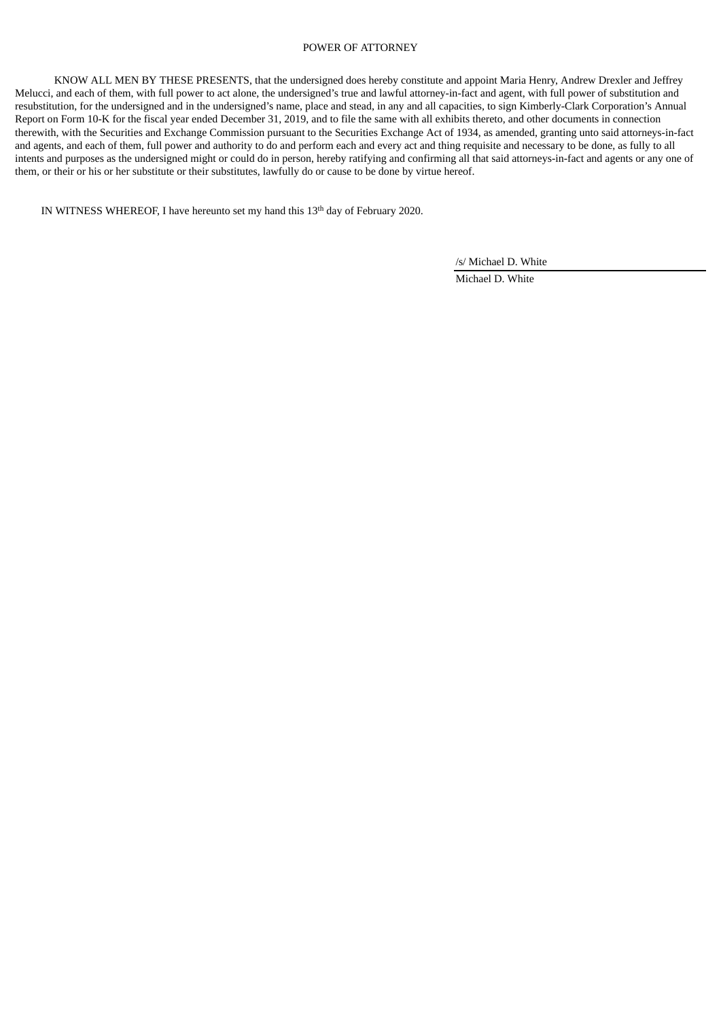KNOW ALL MEN BY THESE PRESENTS, that the undersigned does hereby constitute and appoint Maria Henry, Andrew Drexler and Jeffrey Melucci, and each of them, with full power to act alone, the undersigned's true and lawful attorney-in-fact and agent, with full power of substitution and resubstitution, for the undersigned and in the undersigned's name, place and stead, in any and all capacities, to sign Kimberly-Clark Corporation's Annual Report on Form 10-K for the fiscal year ended December 31, 2019, and to file the same with all exhibits thereto, and other documents in connection therewith, with the Securities and Exchange Commission pursuant to the Securities Exchange Act of 1934, as amended, granting unto said attorneys-in-fact and agents, and each of them, full power and authority to do and perform each and every act and thing requisite and necessary to be done, as fully to all intents and purposes as the undersigned might or could do in person, hereby ratifying and confirming all that said attorneys-in-fact and agents or any one of them, or their or his or her substitute or their substitutes, lawfully do or cause to be done by virtue hereof.

IN WITNESS WHEREOF, I have hereunto set my hand this  $13<sup>th</sup>$  day of February 2020.

/s/ Michael D. White Michael D. White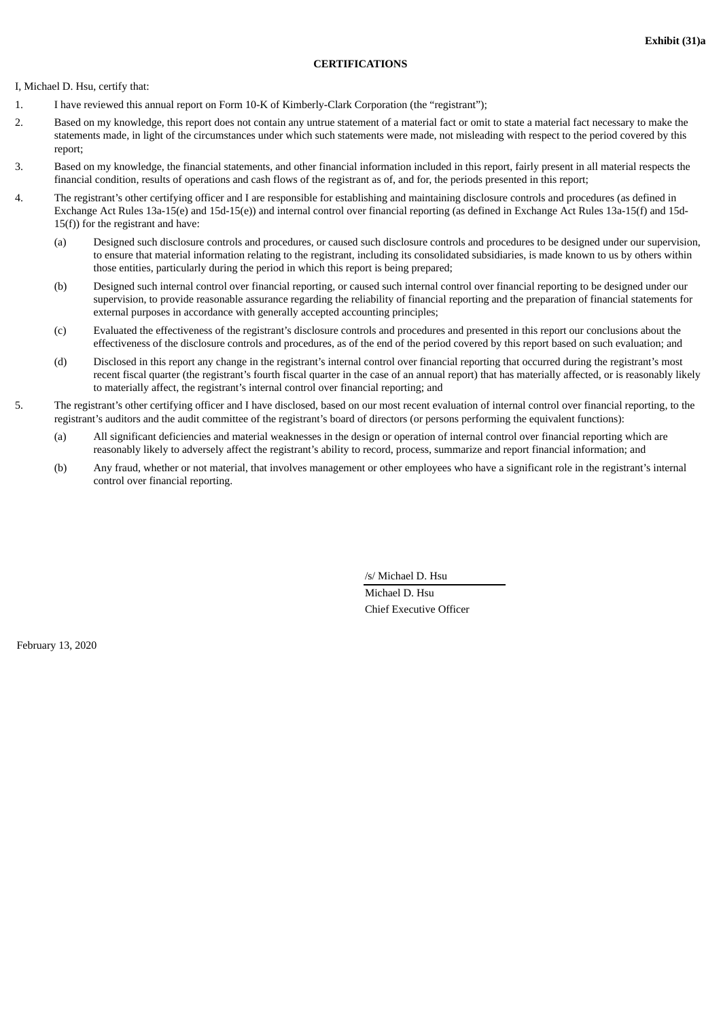## **CERTIFICATIONS**

I, Michael D. Hsu, certify that:

- 1. I have reviewed this annual report on Form 10-K of Kimberly-Clark Corporation (the "registrant");
- 2. Based on my knowledge, this report does not contain any untrue statement of a material fact or omit to state a material fact necessary to make the statements made, in light of the circumstances under which such statements were made, not misleading with respect to the period covered by this report;
- 3. Based on my knowledge, the financial statements, and other financial information included in this report, fairly present in all material respects the financial condition, results of operations and cash flows of the registrant as of, and for, the periods presented in this report;
- 4. The registrant's other certifying officer and I are responsible for establishing and maintaining disclosure controls and procedures (as defined in Exchange Act Rules 13a-15(e) and 15d-15(e)) and internal control over financial reporting (as defined in Exchange Act Rules 13a-15(f) and 15d- $15(f)$ ) for the registrant and have:
	- (a) Designed such disclosure controls and procedures, or caused such disclosure controls and procedures to be designed under our supervision, to ensure that material information relating to the registrant, including its consolidated subsidiaries, is made known to us by others within those entities, particularly during the period in which this report is being prepared;
	- (b) Designed such internal control over financial reporting, or caused such internal control over financial reporting to be designed under our supervision, to provide reasonable assurance regarding the reliability of financial reporting and the preparation of financial statements for external purposes in accordance with generally accepted accounting principles;
	- (c) Evaluated the effectiveness of the registrant's disclosure controls and procedures and presented in this report our conclusions about the effectiveness of the disclosure controls and procedures, as of the end of the period covered by this report based on such evaluation; and
	- (d) Disclosed in this report any change in the registrant's internal control over financial reporting that occurred during the registrant's most recent fiscal quarter (the registrant's fourth fiscal quarter in the case of an annual report) that has materially affected, or is reasonably likely to materially affect, the registrant's internal control over financial reporting; and
- 5. The registrant's other certifying officer and I have disclosed, based on our most recent evaluation of internal control over financial reporting, to the registrant's auditors and the audit committee of the registrant's board of directors (or persons performing the equivalent functions):
	- (a) All significant deficiencies and material weaknesses in the design or operation of internal control over financial reporting which are reasonably likely to adversely affect the registrant's ability to record, process, summarize and report financial information; and
	- (b) Any fraud, whether or not material, that involves management or other employees who have a significant role in the registrant's internal control over financial reporting.

/s/ Michael D. Hsu Michael D. Hsu Chief Executive Officer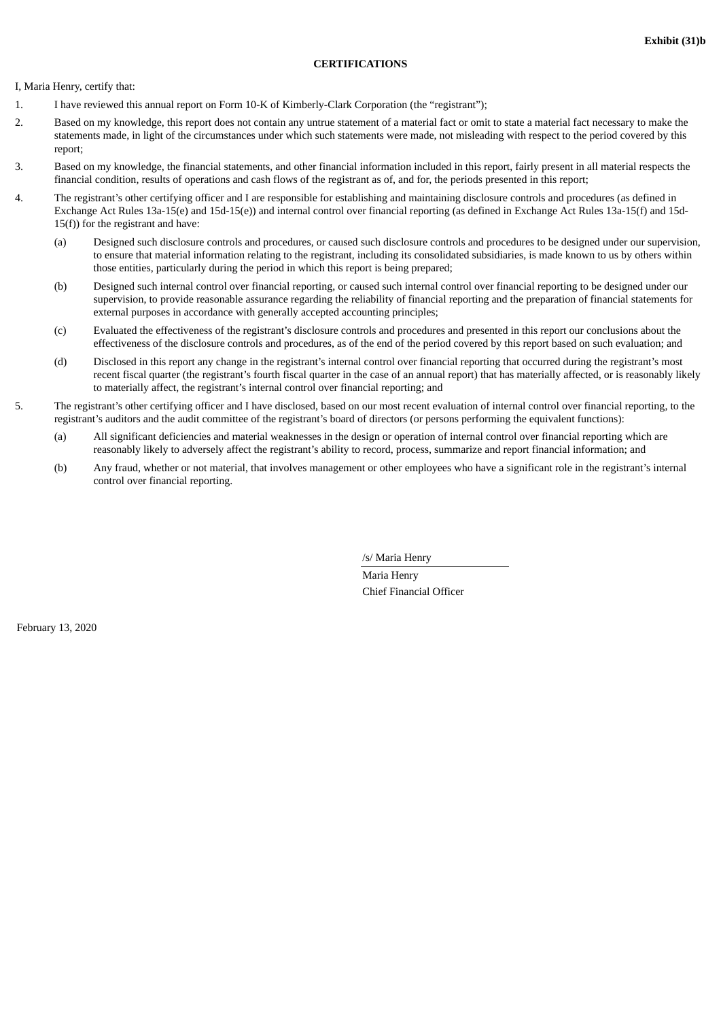## **CERTIFICATIONS**

I, Maria Henry, certify that:

- 1. I have reviewed this annual report on Form 10-K of Kimberly-Clark Corporation (the "registrant");
- 2. Based on my knowledge, this report does not contain any untrue statement of a material fact or omit to state a material fact necessary to make the statements made, in light of the circumstances under which such statements were made, not misleading with respect to the period covered by this report;
- 3. Based on my knowledge, the financial statements, and other financial information included in this report, fairly present in all material respects the financial condition, results of operations and cash flows of the registrant as of, and for, the periods presented in this report;
- 4. The registrant's other certifying officer and I are responsible for establishing and maintaining disclosure controls and procedures (as defined in Exchange Act Rules 13a-15(e) and 15d-15(e)) and internal control over financial reporting (as defined in Exchange Act Rules 13a-15(f) and 15d-15(f)) for the registrant and have:
	- (a) Designed such disclosure controls and procedures, or caused such disclosure controls and procedures to be designed under our supervision, to ensure that material information relating to the registrant, including its consolidated subsidiaries, is made known to us by others within those entities, particularly during the period in which this report is being prepared;
	- (b) Designed such internal control over financial reporting, or caused such internal control over financial reporting to be designed under our supervision, to provide reasonable assurance regarding the reliability of financial reporting and the preparation of financial statements for external purposes in accordance with generally accepted accounting principles;
	- (c) Evaluated the effectiveness of the registrant's disclosure controls and procedures and presented in this report our conclusions about the effectiveness of the disclosure controls and procedures, as of the end of the period covered by this report based on such evaluation; and
	- (d) Disclosed in this report any change in the registrant's internal control over financial reporting that occurred during the registrant's most recent fiscal quarter (the registrant's fourth fiscal quarter in the case of an annual report) that has materially affected, or is reasonably likely to materially affect, the registrant's internal control over financial reporting; and
- 5. The registrant's other certifying officer and I have disclosed, based on our most recent evaluation of internal control over financial reporting, to the registrant's auditors and the audit committee of the registrant's board of directors (or persons performing the equivalent functions):
	- (a) All significant deficiencies and material weaknesses in the design or operation of internal control over financial reporting which are reasonably likely to adversely affect the registrant's ability to record, process, summarize and report financial information; and
	- (b) Any fraud, whether or not material, that involves management or other employees who have a significant role in the registrant's internal control over financial reporting.

/s/ Maria Henry Maria Henry Chief Financial Officer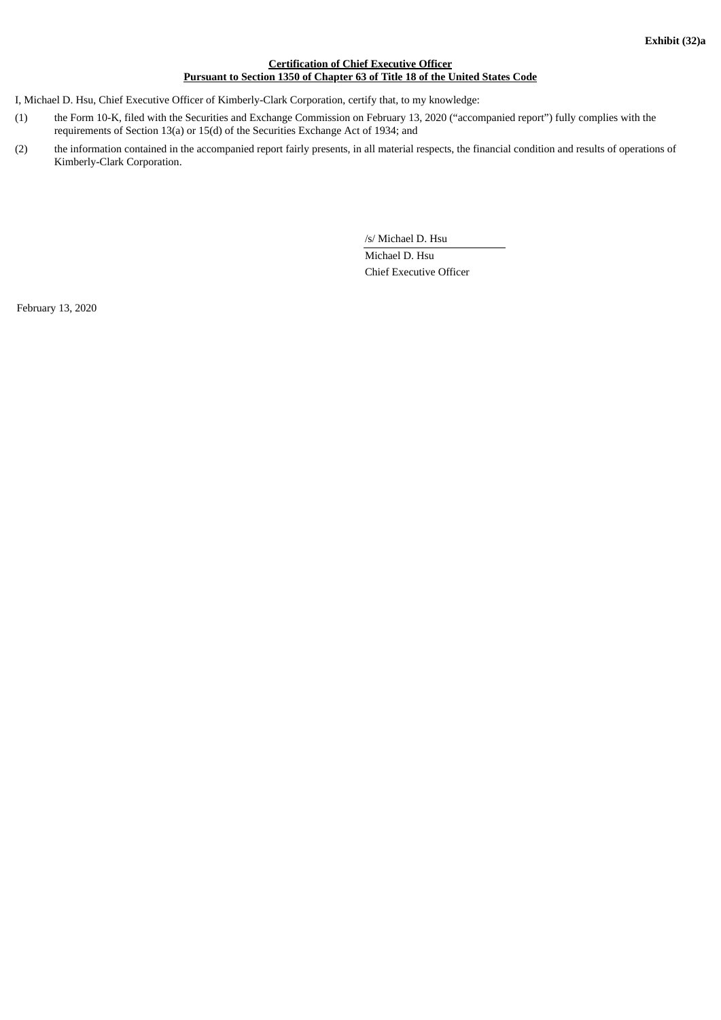# **Certification of Chief Executive Officer Pursuant to Section 1350 of Chapter 63 of Title 18 of the United States Code**

I, Michael D. Hsu, Chief Executive Officer of Kimberly-Clark Corporation, certify that, to my knowledge:

- (1) the Form 10-K, filed with the Securities and Exchange Commission on February 13, 2020 ("accompanied report") fully complies with the requirements of Section 13(a) or 15(d) of the Securities Exchange Act of 1934; and
- (2) the information contained in the accompanied report fairly presents, in all material respects, the financial condition and results of operations of Kimberly-Clark Corporation.

/s/ Michael D. Hsu

Michael D. Hsu Chief Executive Officer